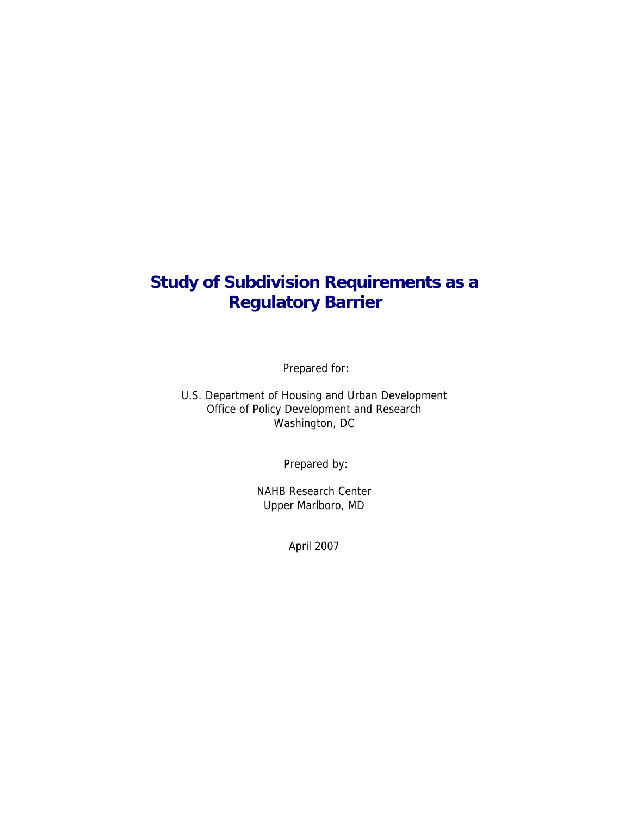# **Study of Subdivision Requirements as a Regulatory Barrier**

Prepared for:

U.S. Department of Housing and Urban Development Office of Policy Development and Research Washington, DC

Prepared by:

NAHB Research Center Upper Marlboro, MD

April 2007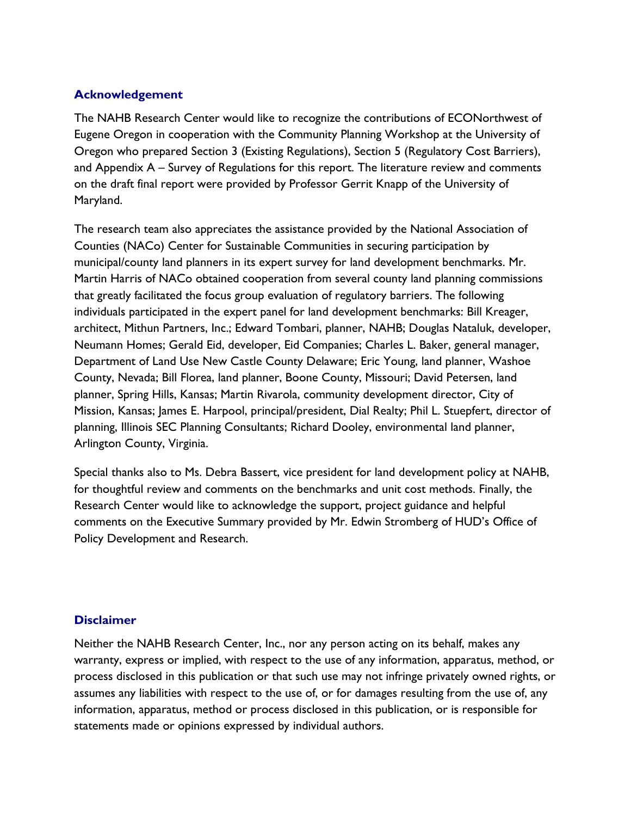### **Acknowledgement**

The NAHB Research Center would like to recognize the contributions of ECONorthwest of Eugene Oregon in cooperation with the Community Planning Workshop at the University of Oregon who prepared Section 3 (Existing Regulations), Section 5 (Regulatory Cost Barriers), and Appendix A – Survey of Regulations for this report. The literature review and comments on the draft final report were provided by Professor Gerrit Knapp of the University of Maryland.

The research team also appreciates the assistance provided by the National Association of Counties (NACo) Center for Sustainable Communities in securing participation by municipal/county land planners in its expert survey for land development benchmarks. Mr. Martin Harris of NACo obtained cooperation from several county land planning commissions that greatly facilitated the focus group evaluation of regulatory barriers. The following individuals participated in the expert panel for land development benchmarks: Bill Kreager, architect, Mithun Partners, Inc.; Edward Tombari, planner, NAHB; Douglas Nataluk, developer, Neumann Homes; Gerald Eid, developer, Eid Companies; Charles L. Baker, general manager, Department of Land Use New Castle County Delaware; Eric Young, land planner, Washoe County, Nevada; Bill Florea, land planner, Boone County, Missouri; David Petersen, land planner, Spring Hills, Kansas; Martin Rivarola, community development director, City of Mission, Kansas; James E. Harpool, principal/president, Dial Realty; Phil L. Stuepfert, director of planning, Illinois SEC Planning Consultants; Richard Dooley, environmental land planner, Arlington County, Virginia.

Special thanks also to Ms. Debra Bassert, vice president for land development policy at NAHB, for thoughtful review and comments on the benchmarks and unit cost methods. Finally, the Research Center would like to acknowledge the support, project guidance and helpful comments on the Executive Summary provided by Mr. Edwin Stromberg of HUD's Office of Policy Development and Research.

#### **Disclaimer**

Neither the NAHB Research Center, Inc., nor any person acting on its behalf, makes any warranty, express or implied, with respect to the use of any information, apparatus, method, or process disclosed in this publication or that such use may not infringe privately owned rights, or assumes any liabilities with respect to the use of, or for damages resulting from the use of, any information, apparatus, method or process disclosed in this publication, or is responsible for statements made or opinions expressed by individual authors.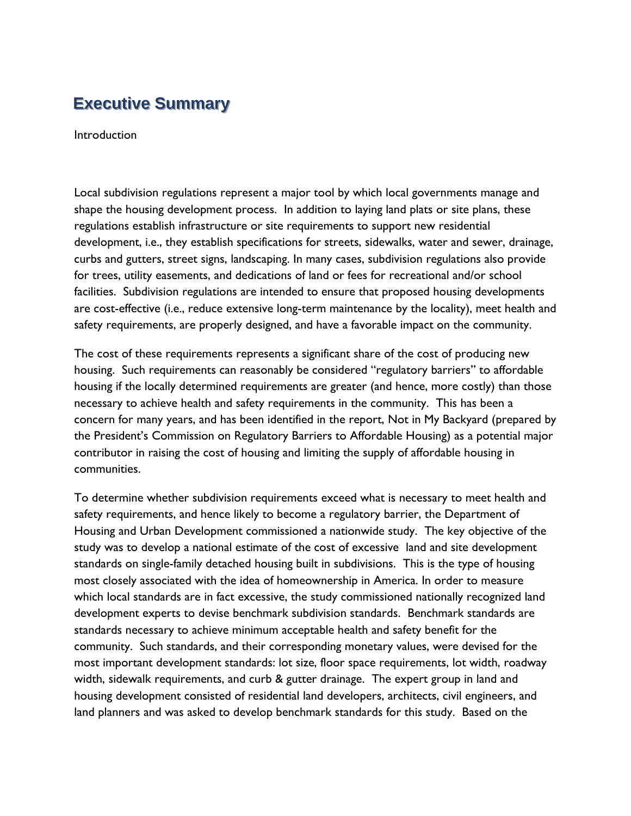# **Executive Summary**

Introduction

Local subdivision regulations represent a major tool by which local governments manage and shape the housing development process. In addition to laying land plats or site plans, these regulations establish infrastructure or site requirements to support new residential development, i.e., they establish specifications for streets, sidewalks, water and sewer, drainage, curbs and gutters, street signs, landscaping. In many cases, subdivision regulations also provide for trees, utility easements, and dedications of land or fees for recreational and/or school facilities. Subdivision regulations are intended to ensure that proposed housing developments are cost-effective (i.e., reduce extensive long-term maintenance by the locality), meet health and safety requirements, are properly designed, and have a favorable impact on the community.

The cost of these requirements represents a significant share of the cost of producing new housing. Such requirements can reasonably be considered "regulatory barriers" to affordable housing if the locally determined requirements are greater (and hence, more costly) than those necessary to achieve health and safety requirements in the community. This has been a concern for many years, and has been identified in the report, Not in My Backyard (prepared by the President's Commission on Regulatory Barriers to Affordable Housing) as a potential major contributor in raising the cost of housing and limiting the supply of affordable housing in communities.

To determine whether subdivision requirements exceed what is necessary to meet health and safety requirements, and hence likely to become a regulatory barrier, the Department of Housing and Urban Development commissioned a nationwide study. The key objective of the study was to develop a national estimate of the cost of excessive land and site development standards on single-family detached housing built in subdivisions. This is the type of housing most closely associated with the idea of homeownership in America. In order to measure which local standards are in fact excessive, the study commissioned nationally recognized land development experts to devise benchmark subdivision standards. Benchmark standards are standards necessary to achieve minimum acceptable health and safety benefit for the community. Such standards, and their corresponding monetary values, were devised for the most important development standards: lot size, floor space requirements, lot width, roadway width, sidewalk requirements, and curb & gutter drainage. The expert group in land and housing development consisted of residential land developers, architects, civil engineers, and land planners and was asked to develop benchmark standards for this study. Based on the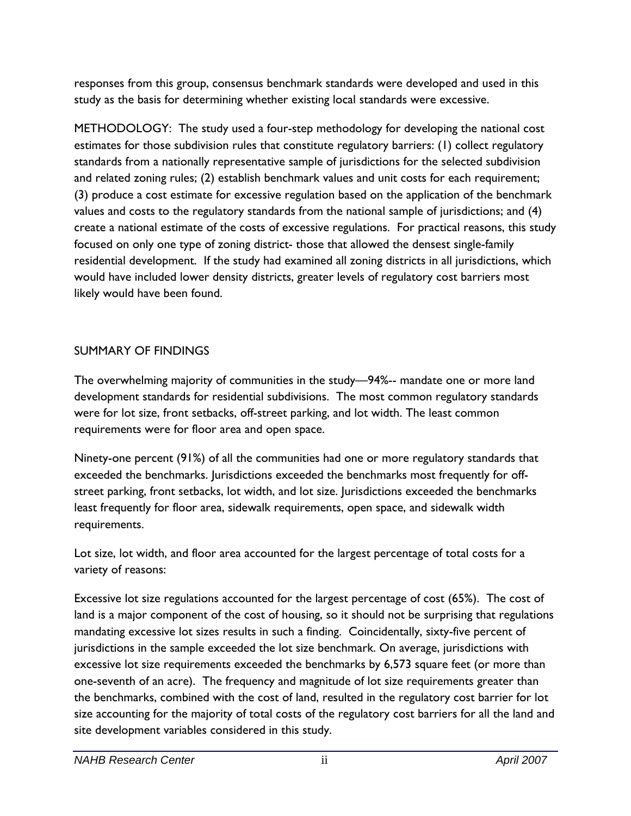responses from this group, consensus benchmark standards were developed and used in this study as the basis for determining whether existing local standards were excessive.

METHODOLOGY: The study used a four-step methodology for developing the national cost estimates for those subdivision rules that constitute regulatory barriers: (1) collect regulatory standards from a nationally representative sample of jurisdictions for the selected subdivision and related zoning rules; (2) establish benchmark values and unit costs for each requirement; (3) produce a cost estimate for excessive regulation based on the application of the benchmark values and costs to the regulatory standards from the national sample of jurisdictions; and (4) create a national estimate of the costs of excessive regulations. For practical reasons, this study focused on only one type of zoning district- those that allowed the densest single-family residential development. If the study had examined all zoning districts in all jurisdictions, which would have included lower density districts, greater levels of regulatory cost barriers most likely would have been found.

### SUMMARY OF FINDINGS

The overwhelming majority of communities in the study—94%-- mandate one or more land development standards for residential subdivisions. The most common regulatory standards were for lot size, front setbacks, off-street parking, and lot width. The least common requirements were for floor area and open space.

Ninety-one percent (91%) of all the communities had one or more regulatory standards that exceeded the benchmarks. Jurisdictions exceeded the benchmarks most frequently for offstreet parking, front setbacks, lot width, and lot size. Jurisdictions exceeded the benchmarks least frequently for floor area, sidewalk requirements, open space, and sidewalk width requirements.

Lot size, lot width, and floor area accounted for the largest percentage of total costs for a variety of reasons:

Excessive lot size regulations accounted for the largest percentage of cost (65%). The cost of land is a major component of the cost of housing, so it should not be surprising that regulations mandating excessive lot sizes results in such a finding. Coincidentally, sixty-five percent of jurisdictions in the sample exceeded the lot size benchmark. On average, jurisdictions with excessive lot size requirements exceeded the benchmarks by 6,573 square feet (or more than one-seventh of an acre). The frequency and magnitude of lot size requirements greater than the benchmarks, combined with the cost of land, resulted in the regulatory cost barrier for lot size accounting for the majority of total costs of the regulatory cost barriers for all the land and site development variables considered in this study.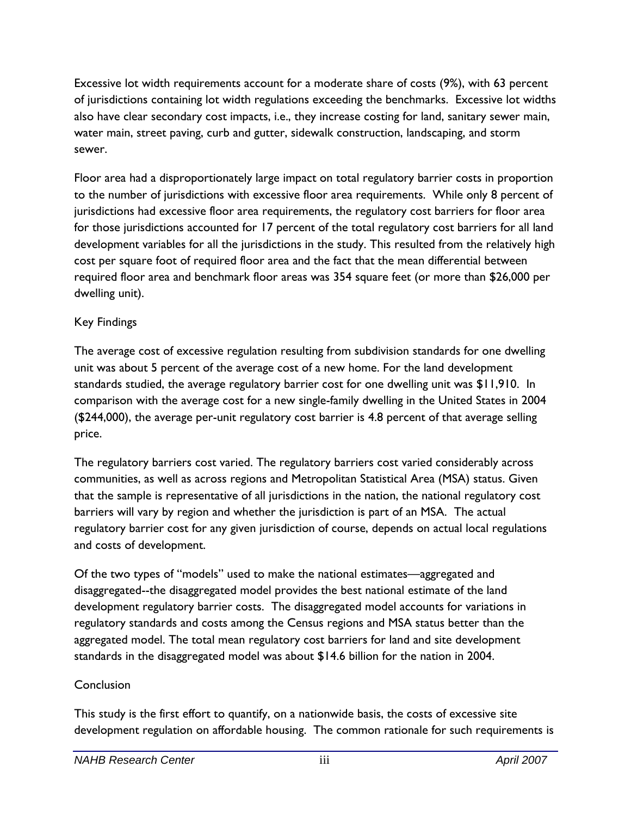Excessive lot width requirements account for a moderate share of costs (9%), with 63 percent of jurisdictions containing lot width regulations exceeding the benchmarks. Excessive lot widths also have clear secondary cost impacts, i.e., they increase costing for land, sanitary sewer main, water main, street paving, curb and gutter, sidewalk construction, landscaping, and storm sewer.

Floor area had a disproportionately large impact on total regulatory barrier costs in proportion to the number of jurisdictions with excessive floor area requirements. While only 8 percent of jurisdictions had excessive floor area requirements, the regulatory cost barriers for floor area for those jurisdictions accounted for 17 percent of the total regulatory cost barriers for all land development variables for all the jurisdictions in the study. This resulted from the relatively high cost per square foot of required floor area and the fact that the mean differential between required floor area and benchmark floor areas was 354 square feet (or more than \$26,000 per dwelling unit).

### Key Findings

The average cost of excessive regulation resulting from subdivision standards for one dwelling unit was about 5 percent of the average cost of a new home. For the land development standards studied, the average regulatory barrier cost for one dwelling unit was \$11,910. In comparison with the average cost for a new single-family dwelling in the United States in 2004 (\$244,000), the average per-unit regulatory cost barrier is 4.8 percent of that average selling price.

The regulatory barriers cost varied. The regulatory barriers cost varied considerably across communities, as well as across regions and Metropolitan Statistical Area (MSA) status. Given that the sample is representative of all jurisdictions in the nation, the national regulatory cost barriers will vary by region and whether the jurisdiction is part of an MSA. The actual regulatory barrier cost for any given jurisdiction of course, depends on actual local regulations and costs of development.

Of the two types of "models" used to make the national estimates—aggregated and disaggregated--the disaggregated model provides the best national estimate of the land development regulatory barrier costs. The disaggregated model accounts for variations in regulatory standards and costs among the Census regions and MSA status better than the aggregated model. The total mean regulatory cost barriers for land and site development standards in the disaggregated model was about \$14.6 billion for the nation in 2004.

### **Conclusion**

This study is the first effort to quantify, on a nationwide basis, the costs of excessive site development regulation on affordable housing. The common rationale for such requirements is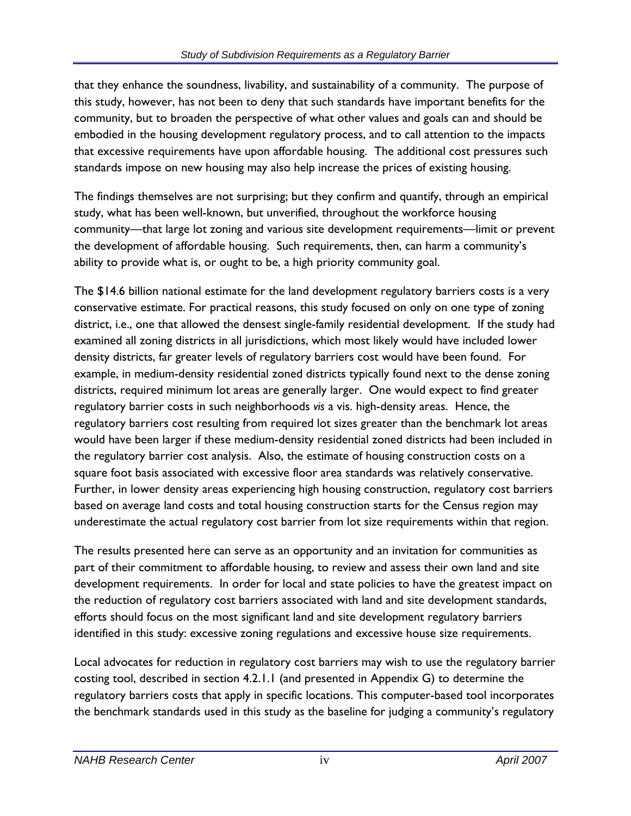that they enhance the soundness, livability, and sustainability of a community. The purpose of this study, however, has not been to deny that such standards have important benefits for the community, but to broaden the perspective of what other values and goals can and should be embodied in the housing development regulatory process, and to call attention to the impacts that excessive requirements have upon affordable housing. The additional cost pressures such standards impose on new housing may also help increase the prices of existing housing.

The findings themselves are not surprising; but they confirm and quantify, through an empirical study, what has been well-known, but unverified, throughout the workforce housing community—that large lot zoning and various site development requirements—limit or prevent the development of affordable housing. Such requirements, then, can harm a community's ability to provide what is, or ought to be, a high priority community goal.

The \$14.6 billion national estimate for the land development regulatory barriers costs is a very conservative estimate. For practical reasons, this study focused on only on one type of zoning district, i.e., one that allowed the densest single-family residential development. If the study had examined all zoning districts in all jurisdictions, which most likely would have included lower density districts, far greater levels of regulatory barriers cost would have been found. For example, in medium-density residential zoned districts typically found next to the dense zoning districts, required minimum lot areas are generally larger. One would expect to find greater regulatory barrier costs in such neighborhoods *vis* a vis. high-density areas. Hence, the regulatory barriers cost resulting from required lot sizes greater than the benchmark lot areas would have been larger if these medium-density residential zoned districts had been included in the regulatory barrier cost analysis. Also, the estimate of housing construction costs on a square foot basis associated with excessive floor area standards was relatively conservative. Further, in lower density areas experiencing high housing construction, regulatory cost barriers based on average land costs and total housing construction starts for the Census region may underestimate the actual regulatory cost barrier from lot size requirements within that region.

The results presented here can serve as an opportunity and an invitation for communities as part of their commitment to affordable housing, to review and assess their own land and site development requirements. In order for local and state policies to have the greatest impact on the reduction of regulatory cost barriers associated with land and site development standards, efforts should focus on the most significant land and site development regulatory barriers identified in this study: excessive zoning regulations and excessive house size requirements.

Local advocates for reduction in regulatory cost barriers may wish to use the regulatory barrier costing tool, described in section 4.2.1.1 (and presented in Appendix G) to determine the regulatory barriers costs that apply in specific locations. This computer-based tool incorporates the benchmark standards used in this study as the baseline for judging a community's regulatory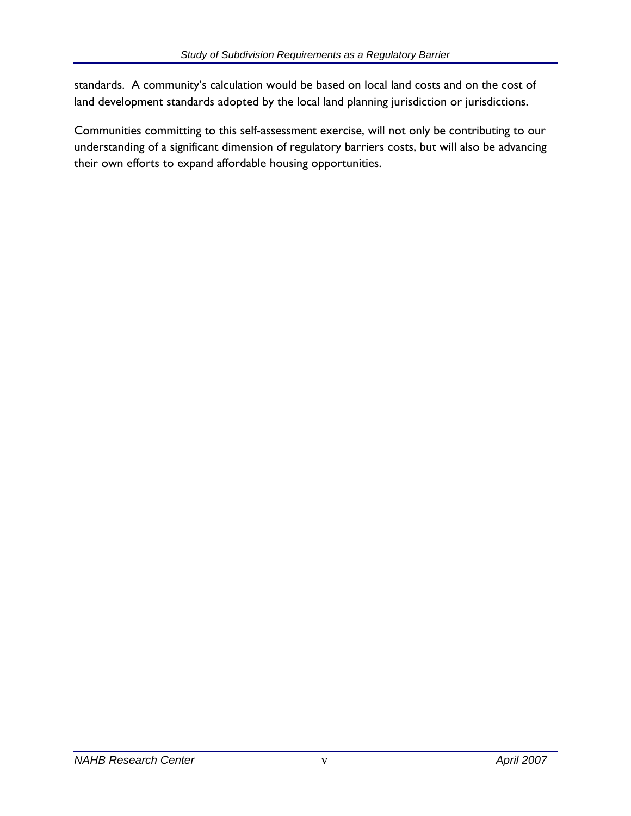standards. A community's calculation would be based on local land costs and on the cost of land development standards adopted by the local land planning jurisdiction or jurisdictions.

Communities committing to this self-assessment exercise, will not only be contributing to our understanding of a significant dimension of regulatory barriers costs, but will also be advancing their own efforts to expand affordable housing opportunities.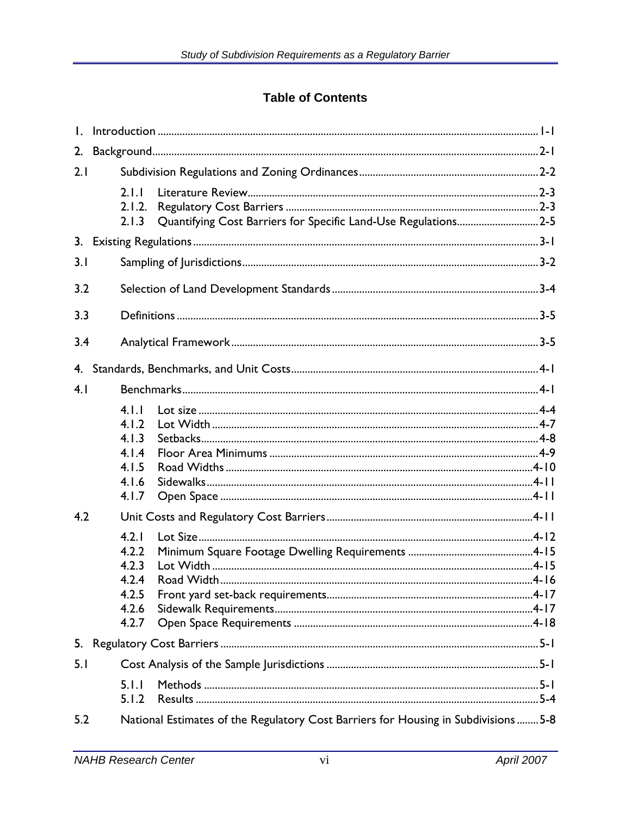## **Table of Contents**

| 2.  |                                                                                            |
|-----|--------------------------------------------------------------------------------------------|
| 2.1 |                                                                                            |
|     | 2.1.1<br>2.1.2.<br>Quantifying Cost Barriers for Specific Land-Use Regulations2-5<br>2.1.3 |
|     |                                                                                            |
| 3.1 |                                                                                            |
| 3.2 |                                                                                            |
| 3.3 |                                                                                            |
| 3.4 |                                                                                            |
| 4.  |                                                                                            |
| 4.1 |                                                                                            |
|     | 4.1.1<br>4.1.2<br>4.1.3<br>4.1.4<br>4.1.5<br>4.1.6<br>4.1.7                                |
| 4.2 |                                                                                            |
|     | 4.2.1<br>4.2.2<br>4.2.3<br>4.2.4<br>4.2.5<br>4.2.6<br>4.2.7                                |
| 5.  |                                                                                            |
| 5.1 |                                                                                            |
|     | 5.1.1<br>5.1.2                                                                             |
| 5.2 | National Estimates of the Regulatory Cost Barriers for Housing in Subdivisions  5-8        |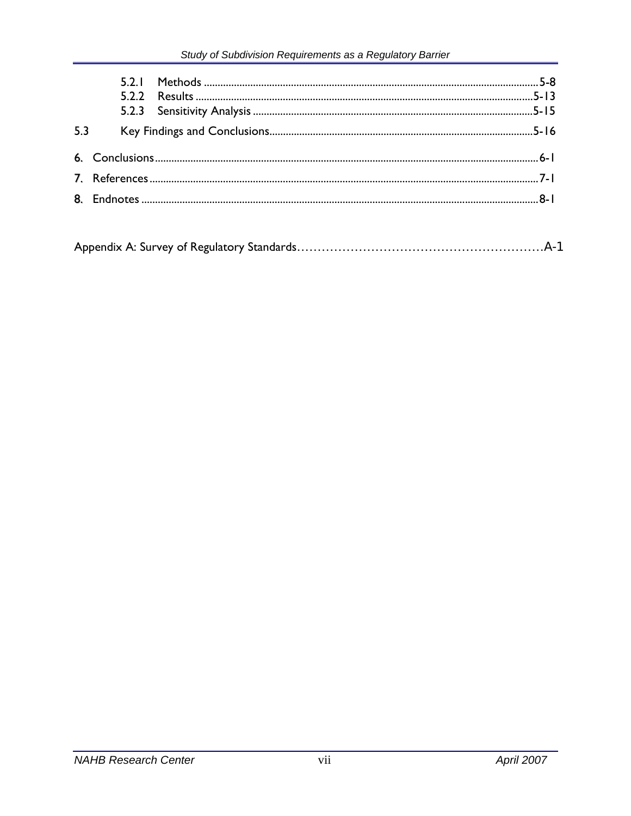| 5.3 |  |  |
|-----|--|--|
|     |  |  |
|     |  |  |
|     |  |  |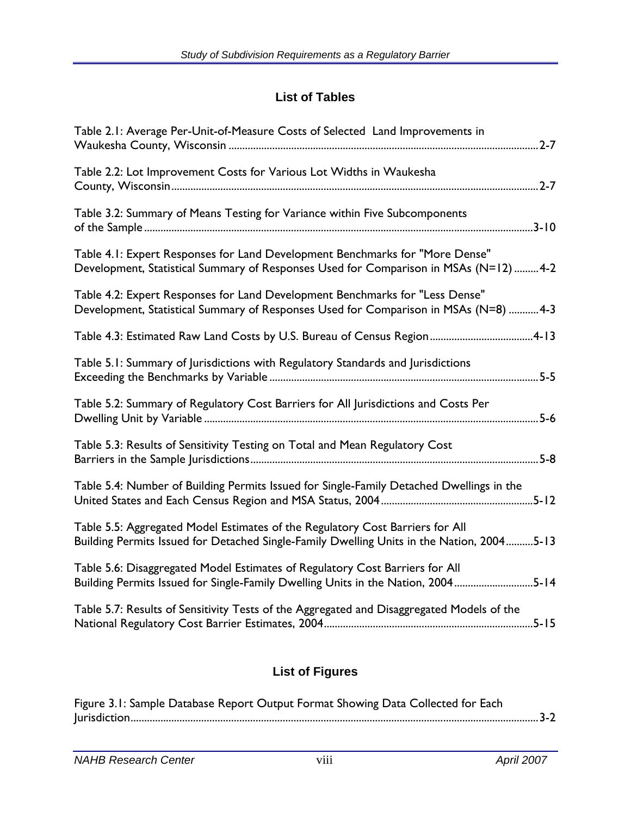## **List of Tables**

| Table 2.1: Average Per-Unit-of-Measure Costs of Selected Land Improvements in                                                                                              |
|----------------------------------------------------------------------------------------------------------------------------------------------------------------------------|
| Table 2.2: Lot Improvement Costs for Various Lot Widths in Waukesha                                                                                                        |
| Table 3.2: Summary of Means Testing for Variance within Five Subcomponents                                                                                                 |
| Table 4.1: Expert Responses for Land Development Benchmarks for "More Dense"<br>Development, Statistical Summary of Responses Used for Comparison in MSAs (N=12) 4-2       |
| Table 4.2: Expert Responses for Land Development Benchmarks for "Less Dense"<br>Development, Statistical Summary of Responses Used for Comparison in MSAs (N=8) 4-3        |
| Table 4.3: Estimated Raw Land Costs by U.S. Bureau of Census Region4-13                                                                                                    |
| Table 5.1: Summary of Jurisdictions with Regulatory Standards and Jurisdictions                                                                                            |
| Table 5.2: Summary of Regulatory Cost Barriers for All Jurisdictions and Costs Per<br>$5 - 6$                                                                              |
| Table 5.3: Results of Sensitivity Testing on Total and Mean Regulatory Cost<br>$5-8$                                                                                       |
| Table 5.4: Number of Building Permits Issued for Single-Family Detached Dwellings in the                                                                                   |
| Table 5.5: Aggregated Model Estimates of the Regulatory Cost Barriers for All<br>Building Permits Issued for Detached Single-Family Dwelling Units in the Nation, 20045-13 |
| Table 5.6: Disaggregated Model Estimates of Regulatory Cost Barriers for All<br>Building Permits Issued for Single-Family Dwelling Units in the Nation, 20045-14           |
| Table 5.7: Results of Sensitivity Tests of the Aggregated and Disaggregated Models of the                                                                                  |
|                                                                                                                                                                            |

# **List of Figures**

| Figure 3.1: Sample Database Report Output Format Showing Data Collected for Each |  |
|----------------------------------------------------------------------------------|--|
|                                                                                  |  |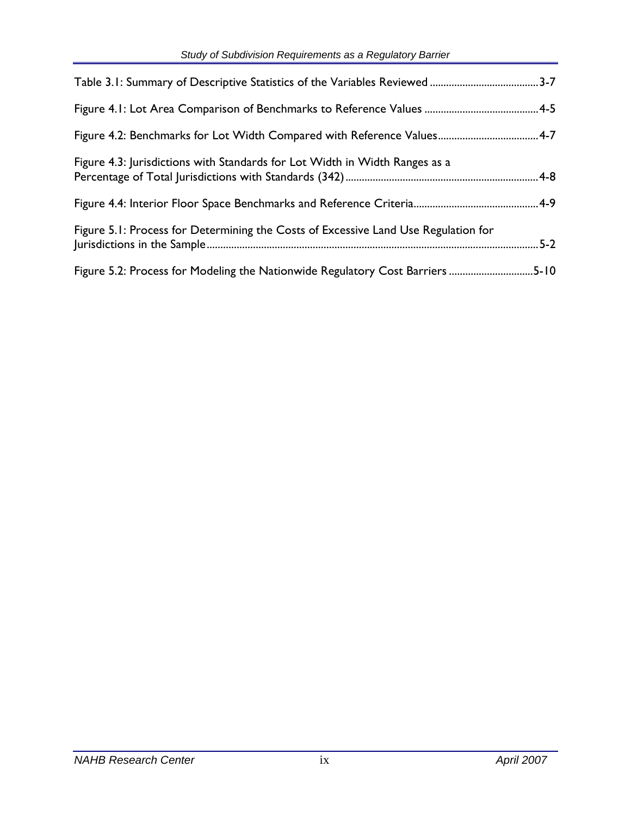| Figure 4.3: Jurisdictions with Standards for Lot Width in Width Ranges as a        |  |
|------------------------------------------------------------------------------------|--|
|                                                                                    |  |
| Figure 5.1: Process for Determining the Costs of Excessive Land Use Regulation for |  |
| Figure 5.2: Process for Modeling the Nationwide Regulatory Cost Barriers 5-10      |  |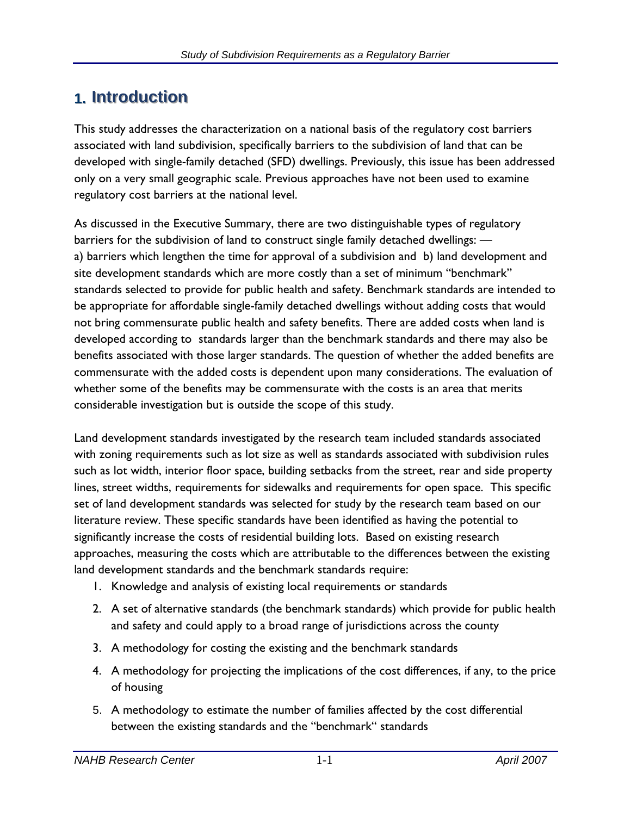# **1. Introduction**

This study addresses the characterization on a national basis of the regulatory cost barriers associated with land subdivision, specifically barriers to the subdivision of land that can be developed with single-family detached (SFD) dwellings. Previously, this issue has been addressed only on a very small geographic scale. Previous approaches have not been used to examine regulatory cost barriers at the national level.

As discussed in the Executive Summary, there are two distinguishable types of regulatory barriers for the subdivision of land to construct single family detached dwellings: a) barriers which lengthen the time for approval of a subdivision and b) land development and site development standards which are more costly than a set of minimum "benchmark" standards selected to provide for public health and safety. Benchmark standards are intended to be appropriate for affordable single-family detached dwellings without adding costs that would not bring commensurate public health and safety benefits. There are added costs when land is developed according to standards larger than the benchmark standards and there may also be benefits associated with those larger standards. The question of whether the added benefits are commensurate with the added costs is dependent upon many considerations. The evaluation of whether some of the benefits may be commensurate with the costs is an area that merits considerable investigation but is outside the scope of this study.

Land development standards investigated by the research team included standards associated with zoning requirements such as lot size as well as standards associated with subdivision rules such as lot width, interior floor space, building setbacks from the street, rear and side property lines, street widths, requirements for sidewalks and requirements for open space. This specific set of land development standards was selected for study by the research team based on our literature review. These specific standards have been identified as having the potential to significantly increase the costs of residential building lots. Based on existing research approaches, measuring the costs which are attributable to the differences between the existing land development standards and the benchmark standards require:

- 1. Knowledge and analysis of existing local requirements or standards
- 2. A set of alternative standards (the benchmark standards) which provide for public health and safety and could apply to a broad range of jurisdictions across the county
- 3. A methodology for costing the existing and the benchmark standards
- 4. A methodology for projecting the implications of the cost differences, if any, to the price of housing
- 5. A methodology to estimate the number of families affected by the cost differential between the existing standards and the "benchmark" standards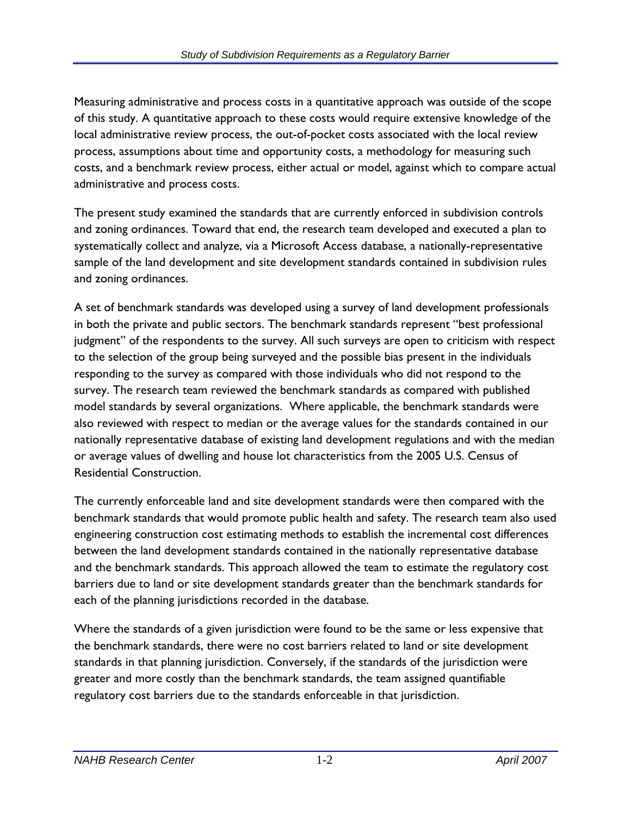Measuring administrative and process costs in a quantitative approach was outside of the scope of this study. A quantitative approach to these costs would require extensive knowledge of the local administrative review process, the out-of-pocket costs associated with the local review process, assumptions about time and opportunity costs, a methodology for measuring such costs, and a benchmark review process, either actual or model, against which to compare actual administrative and process costs.

The present study examined the standards that are currently enforced in subdivision controls and zoning ordinances. Toward that end, the research team developed and executed a plan to systematically collect and analyze, via a Microsoft Access database, a nationally-representative sample of the land development and site development standards contained in subdivision rules and zoning ordinances.

A set of benchmark standards was developed using a survey of land development professionals in both the private and public sectors. The benchmark standards represent "best professional judgment" of the respondents to the survey. All such surveys are open to criticism with respect to the selection of the group being surveyed and the possible bias present in the individuals responding to the survey as compared with those individuals who did not respond to the survey. The research team reviewed the benchmark standards as compared with published model standards by several organizations. Where applicable, the benchmark standards were also reviewed with respect to median or the average values for the standards contained in our nationally representative database of existing land development regulations and with the median or average values of dwelling and house lot characteristics from the 2005 U.S. Census of Residential Construction.

The currently enforceable land and site development standards were then compared with the benchmark standards that would promote public health and safety. The research team also used engineering construction cost estimating methods to establish the incremental cost differences between the land development standards contained in the nationally representative database and the benchmark standards. This approach allowed the team to estimate the regulatory cost barriers due to land or site development standards greater than the benchmark standards for each of the planning jurisdictions recorded in the database.

Where the standards of a given jurisdiction were found to be the same or less expensive that the benchmark standards, there were no cost barriers related to land or site development standards in that planning jurisdiction. Conversely, if the standards of the jurisdiction were greater and more costly than the benchmark standards, the team assigned quantifiable regulatory cost barriers due to the standards enforceable in that jurisdiction.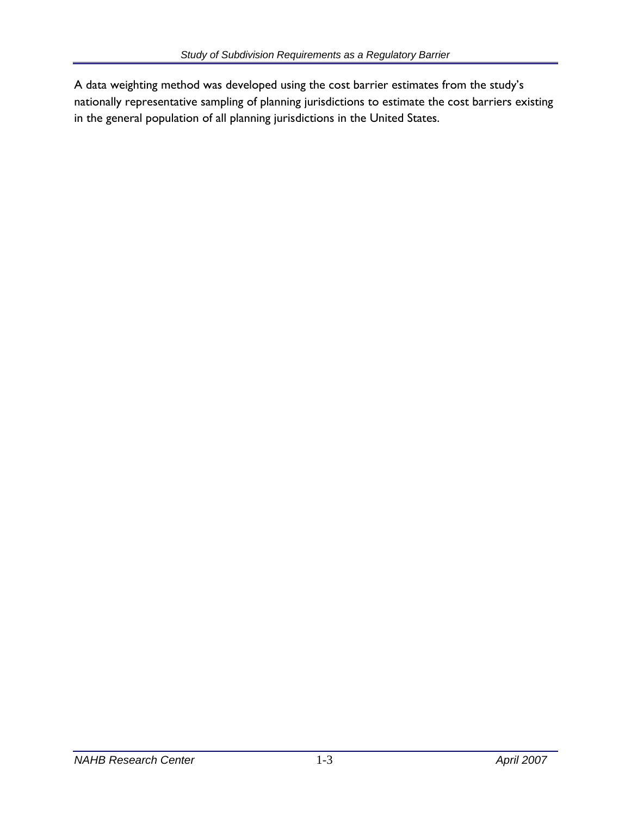A data weighting method was developed using the cost barrier estimates from the study's nationally representative sampling of planning jurisdictions to estimate the cost barriers existing in the general population of all planning jurisdictions in the United States.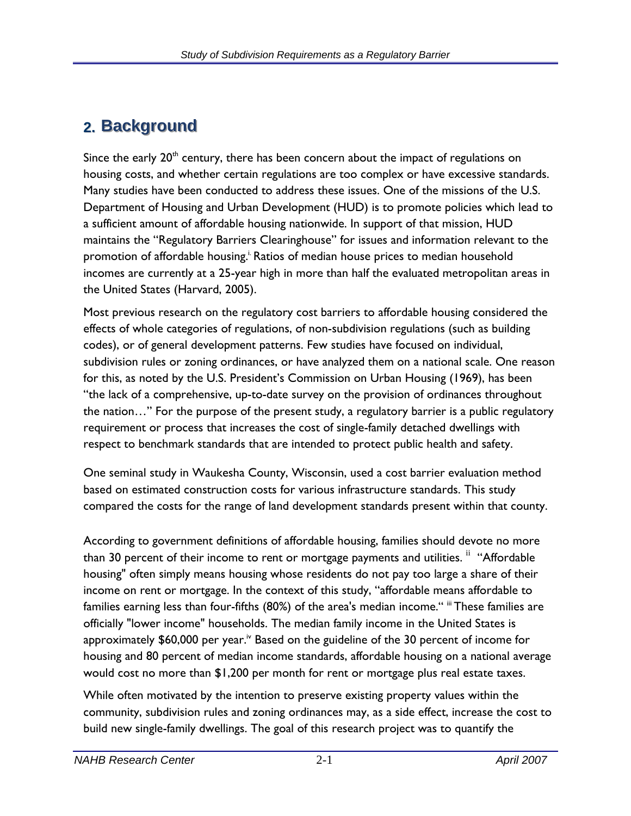# **2.** Background

Since the early  $20<sup>th</sup>$  century, there has been concern about the impact of regulations on housing costs, and whether certain regulations are too complex or have excessive standards. Many studies have been conducted to address these issues. One of the missions of the U.S. Department of Housing and Urban Development (HUD) is to promote policies which lead to a sufficient amount of affordable housing nationwide. In support of that mission, HUD maintains the "Regulatory Barriers Clearinghouse" for issues and information relevant to the promotion of affordable housing.<sup>1</sup> Ratios of median house prices to median household incomes are currently at a 25-year high in more than half the evaluated metropolitan areas in the United States (Harvard, 2005).

Most previous research on the regulatory cost barriers to affordable housing considered the effects of whole categories of regulations, of non-subdivision regulations (such as building codes), or of general development patterns. Few studies have focused on individual, subdivision rules or zoning ordinances, or have analyzed them on a national scale. One reason for this, as noted by the U.S. President's Commission on Urban Housing (1969), has been "the lack of a comprehensive, up-to-date survey on the provision of ordinances throughout the nation…" For the purpose of the present study, a regulatory barrier is a public regulatory requirement or process that increases the cost of single-family detached dwellings with respect to benchmark standards that are intended to protect public health and safety.

One seminal study in Waukesha County, Wisconsin, used a cost barrier evaluation method based on estimated construction costs for various infrastructure standards. This study compared the costs for the range of land development standards present within that county.

According to government definitions of affordable housing, families should devote no more than 30 percent of their income to rent or mortgage payments and utilities. <sup>ii</sup> "Affordable housing" often simply means housing whose residents do not pay too large a share of their income on rent or mortgage. In the context of this study, "affordable means affordable to families earning less than four-fifths (80%) of the area's median income." iii These families are officially "lower income" households. The median family income in the United States is approximately  $$60,000$  per year.<sup>iv</sup> Based on the guideline of the 30 percent of income for housing and 80 percent of median income standards, affordable housing on a national average would cost no more than \$1,200 per month for rent or mortgage plus real estate taxes.

While often motivated by the intention to preserve existing property values within the community, subdivision rules and zoning ordinances may, as a side effect, increase the cost to build new single-family dwellings. The goal of this research project was to quantify the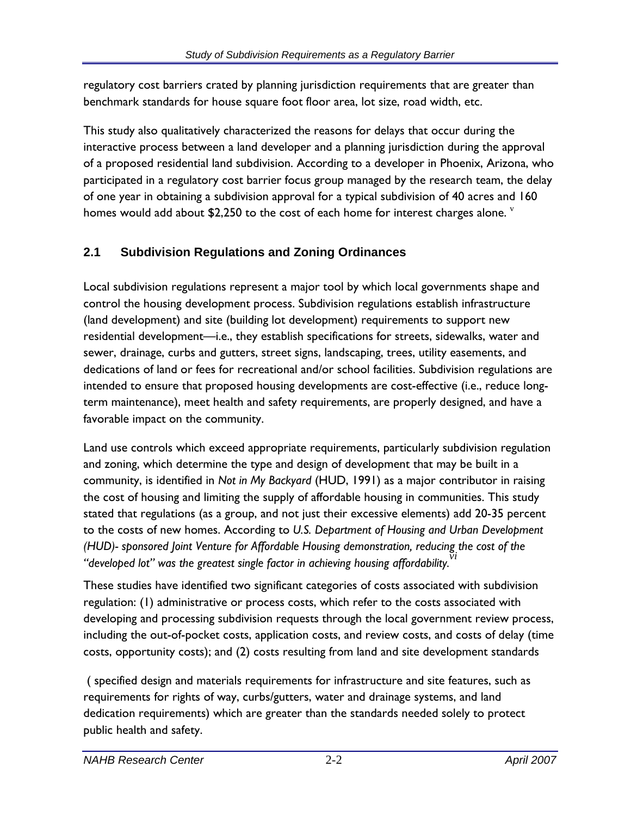regulatory cost barriers crated by planning jurisdiction requirements that are greater than benchmark standards for house square foot floor area, lot size, road width, etc.

This study also qualitatively characterized the reasons for delays that occur during the interactive process between a land developer and a planning jurisdiction during the approval of a proposed residential land subdivision. According to a developer in Phoenix, Arizona, who participated in a regulatory cost barrier focus group managed by the research team, the delay of one year in obtaining a subdivision approval for a typical subdivision of 40 acres and 160 homes would add about \$2,250 to the cost of each home for interest charges alone.  $\frac{v}{x}$ 

## **2.1 Subdivision Regulations and Zoning Ordinances**

Local subdivision regulations represent a major tool by which local governments shape and control the housing development process. Subdivision regulations establish infrastructure (land development) and site (building lot development) requirements to support new residential development—i.e., they establish specifications for streets, sidewalks, water and sewer, drainage, curbs and gutters, street signs, landscaping, trees, utility easements, and dedications of land or fees for recreational and/or school facilities. Subdivision regulations are intended to ensure that proposed housing developments are cost-effective (i.e., reduce longterm maintenance), meet health and safety requirements, are properly designed, and have a favorable impact on the community.

Land use controls which exceed appropriate requirements, particularly subdivision regulation and zoning, which determine the type and design of development that may be built in a community, is identified in *Not in My Backyard* (HUD, 1991) as a major contributor in raising the cost of housing and limiting the supply of affordable housing in communities. This study stated that regulations (as a group, and not just their excessive elements) add 20-35 percent to the costs of new homes. According to *U.S. Department of Housing and Urban Development (HUD)- sponsored Joint Venture for Affordable Housing demonstration, reducing the cost of the vi "developed lot" was the greatest single factor in achieving housing affordability.*

These studies have identified two significant categories of costs associated with subdivision regulation: (1) administrative or process costs, which refer to the costs associated with developing and processing subdivision requests through the local government review process, including the out-of-pocket costs, application costs, and review costs, and costs of delay (time costs, opportunity costs); and (2) costs resulting from land and site development standards

 ( specified design and materials requirements for infrastructure and site features, such as requirements for rights of way, curbs/gutters, water and drainage systems, and land dedication requirements) which are greater than the standards needed solely to protect public health and safety.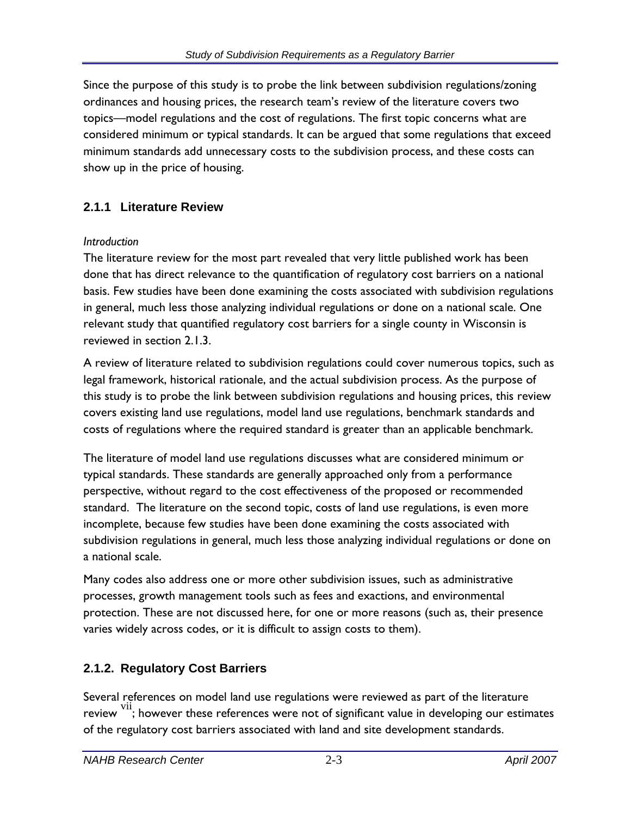Since the purpose of this study is to probe the link between subdivision regulations/zoning ordinances and housing prices, the research team's review of the literature covers two topics—model regulations and the cost of regulations. The first topic concerns what are considered minimum or typical standards. It can be argued that some regulations that exceed minimum standards add unnecessary costs to the subdivision process, and these costs can show up in the price of housing.

### **2.1.1 Literature Review**

### *Introduction*

The literature review for the most part revealed that very little published work has been done that has direct relevance to the quantification of regulatory cost barriers on a national basis. Few studies have been done examining the costs associated with subdivision regulations in general, much less those analyzing individual regulations or done on a national scale. One relevant study that quantified regulatory cost barriers for a single county in Wisconsin is reviewed in section 2.1.3.

A review of literature related to subdivision regulations could cover numerous topics, such as legal framework, historical rationale, and the actual subdivision process. As the purpose of this study is to probe the link between subdivision regulations and housing prices, this review covers existing land use regulations, model land use regulations, benchmark standards and costs of regulations where the required standard is greater than an applicable benchmark.

The literature of model land use regulations discusses what are considered minimum or typical standards. These standards are generally approached only from a performance perspective, without regard to the cost effectiveness of the proposed or recommended standard. The literature on the second topic, costs of land use regulations, is even more incomplete, because few studies have been done examining the costs associated with subdivision regulations in general, much less those analyzing individual regulations or done on a national scale.

Many codes also address one or more other subdivision issues, such as administrative processes, growth management tools such as fees and exactions, and environmental protection. These are not discussed here, for one or more reasons (such as, their presence varies widely across codes, or it is difficult to assign costs to them).

### **2.1.2. Regulatory Cost Barriers**

Several references on model land use regulations were reviewed as part of the literature review  $\frac{\text{vii}}{\text{v}}$ ; however these references were not of significant value in developing our estimates of the regulatory cost barriers associated with land and site development standards.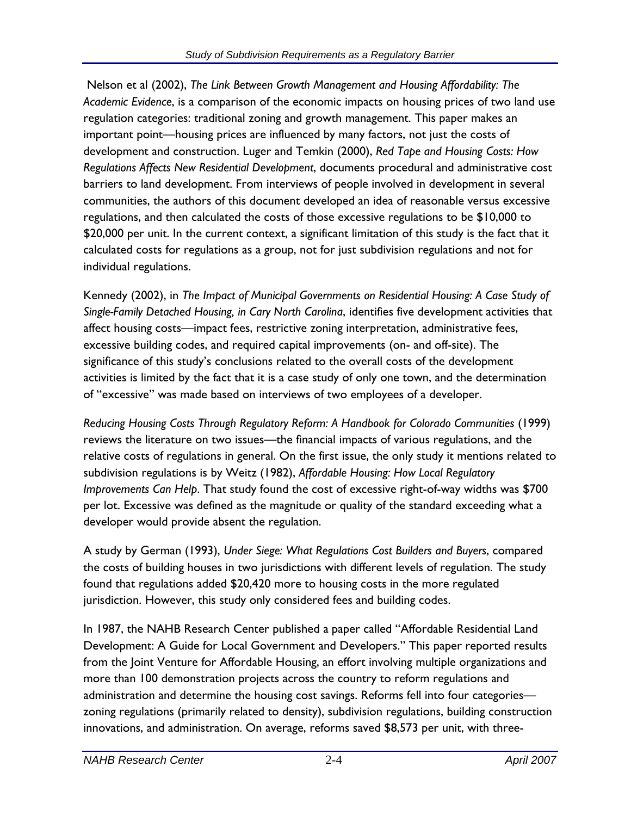Nelson et al (2002), *The Link Between Growth Management and Housing Affordability: The Academic Evidence*, is a comparison of the economic impacts on housing prices of two land use regulation categories: traditional zoning and growth management. This paper makes an important point—housing prices are influenced by many factors, not just the costs of development and construction. Luger and Temkin (2000), *Red Tape and Housing Costs: How Regulations Affects New Residential Development*, documents procedural and administrative cost barriers to land development. From interviews of people involved in development in several communities, the authors of this document developed an idea of reasonable versus excessive regulations, and then calculated the costs of those excessive regulations to be \$10,000 to \$20,000 per unit. In the current context, a significant limitation of this study is the fact that it calculated costs for regulations as a group, not for just subdivision regulations and not for individual regulations.

Kennedy (2002), in *The Impact of Municipal Governments on Residential Housing: A Case Study of Single-Family Detached Housing, in Cary North Carolina*, identifies five development activities that affect housing costs—impact fees, restrictive zoning interpretation, administrative fees, excessive building codes, and required capital improvements (on- and off-site). The significance of this study's conclusions related to the overall costs of the development activities is limited by the fact that it is a case study of only one town, and the determination of "excessive" was made based on interviews of two employees of a developer.

*Reducing Housing Costs Through Regulatory Reform: A Handbook for Colorado Communities* (1999) reviews the literature on two issues—the financial impacts of various regulations, and the relative costs of regulations in general. On the first issue, the only study it mentions related to subdivision regulations is by Weitz (1982), *Affordable Housing: How Local Regulatory Improvements Can Help*. That study found the cost of excessive right-of-way widths was \$700 per lot. Excessive was defined as the magnitude or quality of the standard exceeding what a developer would provide absent the regulation.

A study by German (1993), *Under Siege: What Regulations Cost Builders and Buyers*, compared the costs of building houses in two jurisdictions with different levels of regulation. The study found that regulations added \$20,420 more to housing costs in the more regulated jurisdiction. However, this study only considered fees and building codes.

In 1987, the NAHB Research Center published a paper called "Affordable Residential Land Development: A Guide for Local Government and Developers." This paper reported results from the Joint Venture for Affordable Housing, an effort involving multiple organizations and more than 100 demonstration projects across the country to reform regulations and administration and determine the housing cost savings. Reforms fell into four categories zoning regulations (primarily related to density), subdivision regulations, building construction innovations, and administration. On average, reforms saved \$8,573 per unit, with three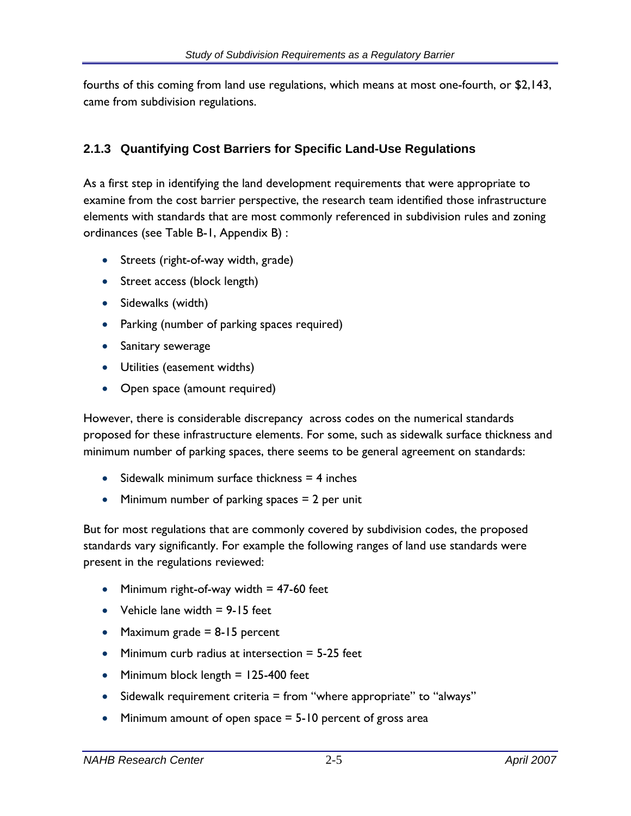fourths of this coming from land use regulations, which means at most one-fourth, or \$2,143, came from subdivision regulations.

### **2.1.3 Quantifying Cost Barriers for Specific Land-Use Regulations**

As a first step in identifying the land development requirements that were appropriate to examine from the cost barrier perspective, the research team identified those infrastructure elements with standards that are most commonly referenced in subdivision rules and zoning ordinances (see Table B-1, Appendix B) :

- Streets (right-of-way width, grade)
- Street access (block length)
- Sidewalks (width)
- Parking (number of parking spaces required)
- Sanitary sewerage
- Utilities (easement widths)
- Open space (amount required)

However, there is considerable discrepancy across codes on the numerical standards proposed for these infrastructure elements. For some, such as sidewalk surface thickness and minimum number of parking spaces, there seems to be general agreement on standards:

- Sidewalk minimum surface thickness  $= 4$  inches
- Minimum number of parking spaces  $= 2$  per unit

But for most regulations that are commonly covered by subdivision codes, the proposed standards vary significantly. For example the following ranges of land use standards were present in the regulations reviewed:

- Minimum right-of-way width  $= 47-60$  feet
- Vehicle lane width  $= 9 15$  feet
- Maximum grade  $= 8-15$  percent
- Minimum curb radius at intersection  $=$  5-25 feet
- Minimum block length = 125-400 feet
- Sidewalk requirement criteria = from "where appropriate" to "always"
- Minimum amount of open space = 5-10 percent of gross area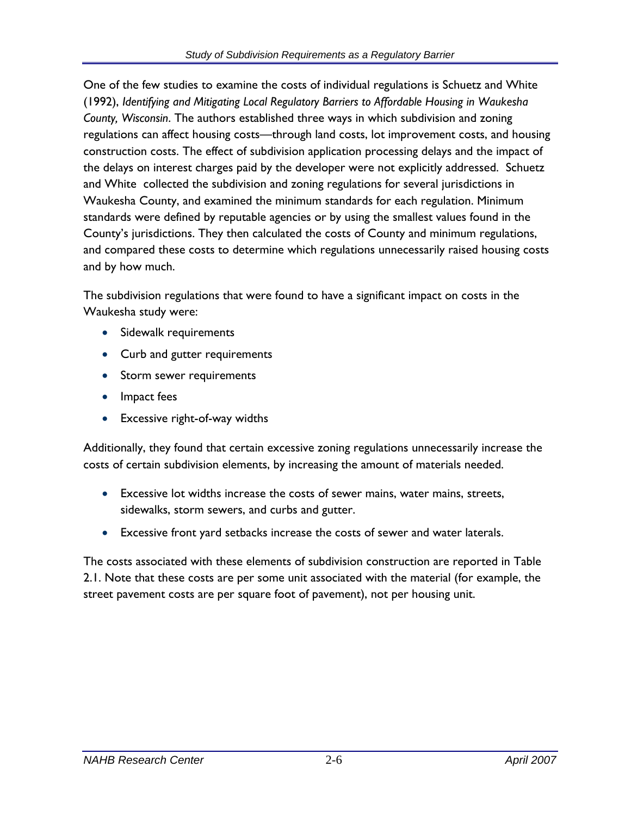One of the few studies to examine the costs of individual regulations is Schuetz and White (1992), *Identifying and Mitigating Local Regulatory Barriers to Affordable Housing in Waukesha County, Wisconsin*. The authors established three ways in which subdivision and zoning regulations can affect housing costs—through land costs, lot improvement costs, and housing construction costs. The effect of subdivision application processing delays and the impact of the delays on interest charges paid by the developer were not explicitly addressed. Schuetz and White collected the subdivision and zoning regulations for several jurisdictions in Waukesha County, and examined the minimum standards for each regulation. Minimum standards were defined by reputable agencies or by using the smallest values found in the County's jurisdictions. They then calculated the costs of County and minimum regulations, and compared these costs to determine which regulations unnecessarily raised housing costs and by how much.

The subdivision regulations that were found to have a significant impact on costs in the Waukesha study were:

- Sidewalk requirements
- Curb and gutter requirements
- Storm sewer requirements
- Impact fees
- Excessive right-of-way widths

Additionally, they found that certain excessive zoning regulations unnecessarily increase the costs of certain subdivision elements, by increasing the amount of materials needed.

- Excessive lot widths increase the costs of sewer mains, water mains, streets, sidewalks, storm sewers, and curbs and gutter.
- Excessive front yard setbacks increase the costs of sewer and water laterals.

The costs associated with these elements of subdivision construction are reported in Table 2.1. Note that these costs are per some unit associated with the material (for example, the street pavement costs are per square foot of pavement), not per housing unit.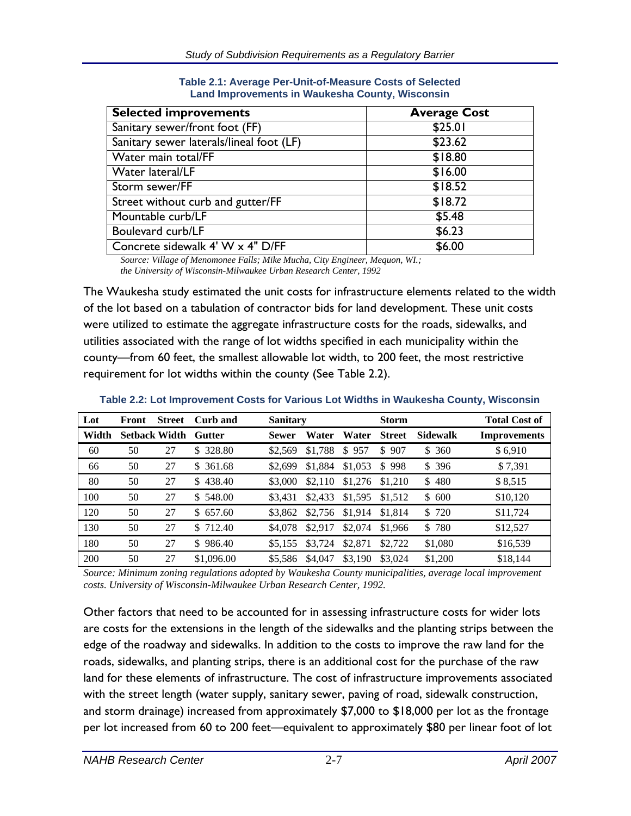| <b>Selected improvements</b>             | <b>Average Cost</b> |
|------------------------------------------|---------------------|
| Sanitary sewer/front foot (FF)           | \$25.01             |
| Sanitary sewer laterals/lineal foot (LF) | \$23.62             |
| Water main total/FF                      | \$18.80             |
| Water lateral/LF                         | \$16.00             |
| Storm sewer/FF                           | \$18.52             |
| Street without curb and gutter/FF        | \$18.72             |
| Mountable curb/LF                        | \$5.48              |
| Boulevard curb/LF                        | \$6.23              |
| Concrete sidewalk 4' W x 4" D/FF         | \$6.00              |

**Table 2.1: Average Per-Unit-of-Measure Costs of Selected Land Improvements in Waukesha County, Wisconsin** 

*Source: Village of Menomonee Falls; Mike Mucha, City Engineer, Mequon, WI.; the University of Wisconsin-Milwaukee Urban Research Center, 1992*

The Waukesha study estimated the unit costs for infrastructure elements related to the width of the lot based on a tabulation of contractor bids for land development. These unit costs were utilized to estimate the aggregate infrastructure costs for the roads, sidewalks, and utilities associated with the range of lot widths specified in each municipality within the county—from 60 feet, the smallest allowable lot width, to 200 feet, the most restrictive requirement for lot widths within the county (See Table 2.2).

| Lot   | Front | <b>Street</b>        | Curb and   | <b>Sanitary</b> |         | <b>Storm</b> |               |                 | <b>Total Cost of</b> |
|-------|-------|----------------------|------------|-----------------|---------|--------------|---------------|-----------------|----------------------|
| Width |       | <b>Setback Width</b> | Gutter     | <b>Sewer</b>    | Water   | Water        | <b>Street</b> | <b>Sidewalk</b> | <b>Improvements</b>  |
| 60    | 50    | 27                   | \$ 328.80  | \$2,569         | \$1.788 | \$<br>957    | \$<br>907     | \$360           | \$6,910              |
| 66    | 50    | 27                   | \$ 361.68  | \$2,699         | \$1,884 | \$1,053      | \$998         | \$396           | \$7,391              |
| 80    | 50    | 27                   | \$438.40   | \$3,000         | \$2,110 | \$1,276      | \$1,210       | \$480           | \$8,515              |
| 100   | 50    | 27                   | \$548.00   | \$3.431         | \$2,433 | \$1,595      | \$1,512       | \$600           | \$10,120             |
| 120   | 50    | 27                   | \$657.60   | \$3,862         | \$2,756 | \$1,914      | \$1,814       | \$720           | \$11,724             |
| 130   | 50    | 27                   | \$712.40   | \$4,078         | \$2,917 | \$2,074      | \$1,966       | \$780           | \$12,527             |
| 180   | 50    | 27                   | \$986.40   | \$5.155         | \$3,724 | \$2,871      | \$2,722       | \$1,080         | \$16,539             |
| 200   | 50    | 27                   | \$1,096.00 | \$5,586         | \$4,047 | \$3.190      | \$3,024       | \$1,200         | \$18,144             |

**Table 2.2: Lot Improvement Costs for Various Lot Widths in Waukesha County, Wisconsin** 

*Source: Minimum zoning regulations adopted by Waukesha County municipalities, average local improvement costs. University of Wisconsin-Milwaukee Urban Research Center, 1992.* 

Other factors that need to be accounted for in assessing infrastructure costs for wider lots are costs for the extensions in the length of the sidewalks and the planting strips between the edge of the roadway and sidewalks. In addition to the costs to improve the raw land for the roads, sidewalks, and planting strips, there is an additional cost for the purchase of the raw land for these elements of infrastructure. The cost of infrastructure improvements associated with the street length (water supply, sanitary sewer, paving of road, sidewalk construction, and storm drainage) increased from approximately \$7,000 to \$18,000 per lot as the frontage per lot increased from 60 to 200 feet—equivalent to approximately \$80 per linear foot of lot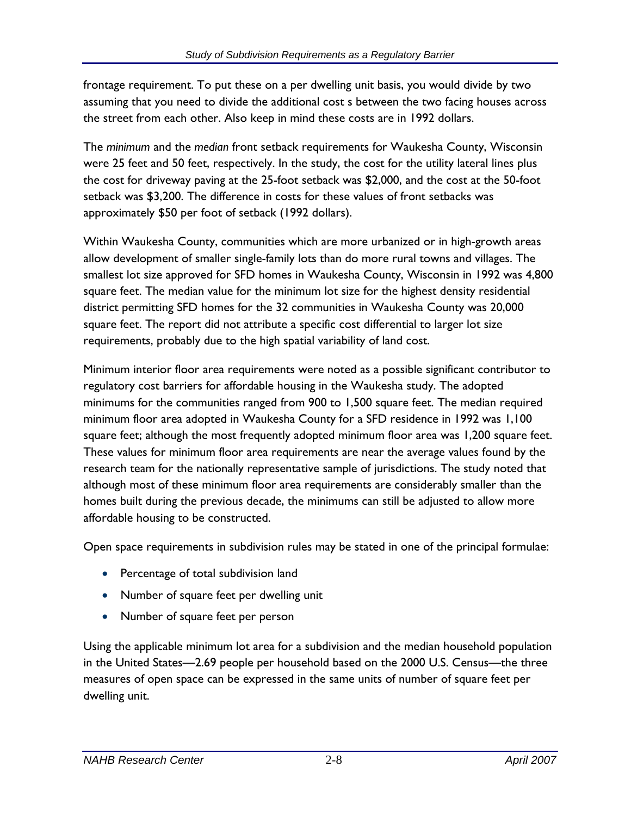frontage requirement. To put these on a per dwelling unit basis, you would divide by two assuming that you need to divide the additional cost s between the two facing houses across the street from each other. Also keep in mind these costs are in 1992 dollars.

The *minimum* and the *median* front setback requirements for Waukesha County, Wisconsin were 25 feet and 50 feet, respectively. In the study, the cost for the utility lateral lines plus the cost for driveway paving at the 25-foot setback was \$2,000, and the cost at the 50-foot setback was \$3,200. The difference in costs for these values of front setbacks was approximately \$50 per foot of setback (1992 dollars).

Within Waukesha County, communities which are more urbanized or in high-growth areas allow development of smaller single-family lots than do more rural towns and villages. The smallest lot size approved for SFD homes in Waukesha County, Wisconsin in 1992 was 4,800 square feet. The median value for the minimum lot size for the highest density residential district permitting SFD homes for the 32 communities in Waukesha County was 20,000 square feet. The report did not attribute a specific cost differential to larger lot size requirements, probably due to the high spatial variability of land cost.

Minimum interior floor area requirements were noted as a possible significant contributor to regulatory cost barriers for affordable housing in the Waukesha study. The adopted minimums for the communities ranged from 900 to 1,500 square feet. The median required minimum floor area adopted in Waukesha County for a SFD residence in 1992 was 1,100 square feet; although the most frequently adopted minimum floor area was 1,200 square feet. These values for minimum floor area requirements are near the average values found by the research team for the nationally representative sample of jurisdictions. The study noted that although most of these minimum floor area requirements are considerably smaller than the homes built during the previous decade, the minimums can still be adjusted to allow more affordable housing to be constructed.

Open space requirements in subdivision rules may be stated in one of the principal formulae:

- Percentage of total subdivision land
- Number of square feet per dwelling unit
- Number of square feet per person

Using the applicable minimum lot area for a subdivision and the median household population in the United States—2.69 people per household based on the 2000 U.S. Census—the three measures of open space can be expressed in the same units of number of square feet per dwelling unit.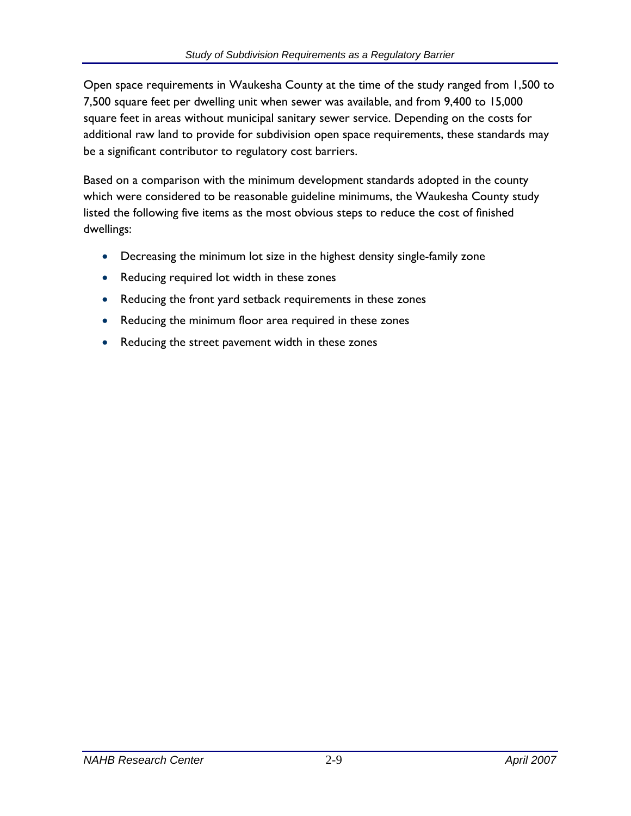Open space requirements in Waukesha County at the time of the study ranged from 1,500 to 7,500 square feet per dwelling unit when sewer was available, and from 9,400 to 15,000 square feet in areas without municipal sanitary sewer service. Depending on the costs for additional raw land to provide for subdivision open space requirements, these standards may be a significant contributor to regulatory cost barriers.

Based on a comparison with the minimum development standards adopted in the county which were considered to be reasonable guideline minimums, the Waukesha County study listed the following five items as the most obvious steps to reduce the cost of finished dwellings:

- Decreasing the minimum lot size in the highest density single-family zone
- Reducing required lot width in these zones
- Reducing the front yard setback requirements in these zones
- Reducing the minimum floor area required in these zones
- Reducing the street pavement width in these zones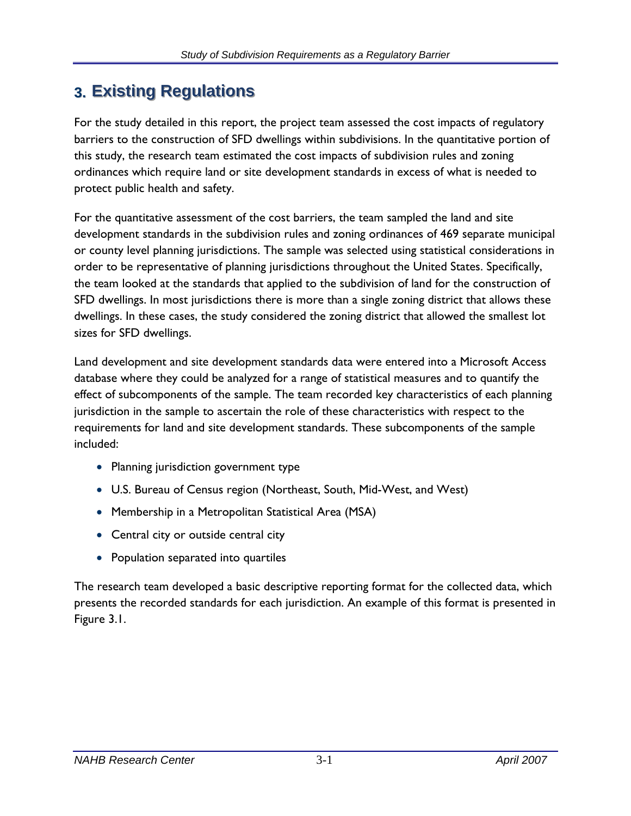# **3. Existing Regulations**

For the study detailed in this report, the project team assessed the cost impacts of regulatory barriers to the construction of SFD dwellings within subdivisions. In the quantitative portion of this study, the research team estimated the cost impacts of subdivision rules and zoning ordinances which require land or site development standards in excess of what is needed to protect public health and safety.

For the quantitative assessment of the cost barriers, the team sampled the land and site development standards in the subdivision rules and zoning ordinances of 469 separate municipal or county level planning jurisdictions. The sample was selected using statistical considerations in order to be representative of planning jurisdictions throughout the United States. Specifically, the team looked at the standards that applied to the subdivision of land for the construction of SFD dwellings. In most jurisdictions there is more than a single zoning district that allows these dwellings. In these cases, the study considered the zoning district that allowed the smallest lot sizes for SFD dwellings.

Land development and site development standards data were entered into a Microsoft Access database where they could be analyzed for a range of statistical measures and to quantify the effect of subcomponents of the sample. The team recorded key characteristics of each planning jurisdiction in the sample to ascertain the role of these characteristics with respect to the requirements for land and site development standards. These subcomponents of the sample included:

- Planning jurisdiction government type
- U.S. Bureau of Census region (Northeast, South, Mid-West, and West)
- Membership in a Metropolitan Statistical Area (MSA)
- Central city or outside central city
- Population separated into quartiles

The research team developed a basic descriptive reporting format for the collected data, which presents the recorded standards for each jurisdiction. An example of this format is presented in Figure 3.1.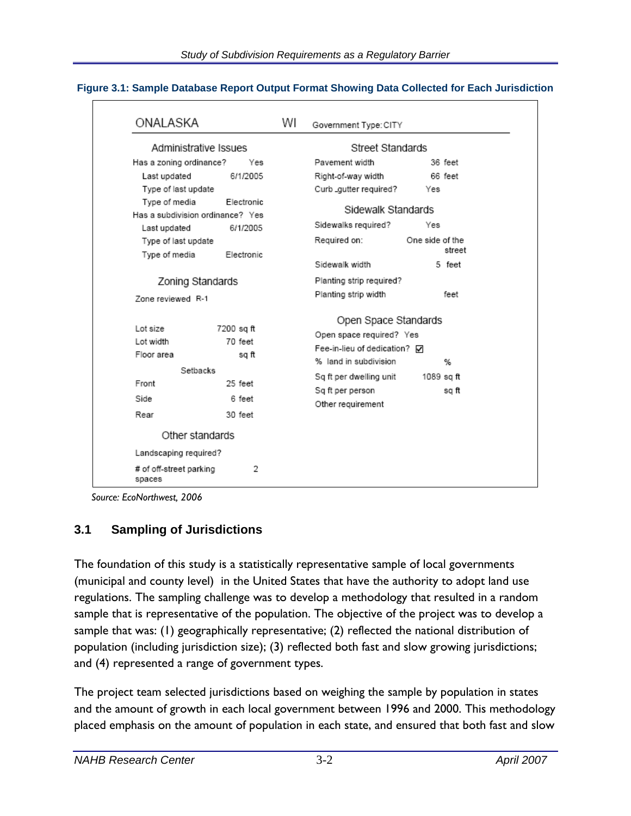| ONALASKA                                                                |                                                     | WI | Government Type: CITY                                                                                                                                    |                        |                          |  |
|-------------------------------------------------------------------------|-----------------------------------------------------|----|----------------------------------------------------------------------------------------------------------------------------------------------------------|------------------------|--------------------------|--|
| Administrative Issues                                                   |                                                     |    |                                                                                                                                                          | Street Standards       |                          |  |
| Has a zoning ordinance?                                                 | Yes                                                 |    | Pavement width                                                                                                                                           |                        | 36 feet<br>66 feet       |  |
| Last updated<br>Type of last update<br>Type of media                    | 6/1/2005<br>Electronic                              |    | Right-of-way width<br>Curb_gutter required?<br>Sidewalk Standards                                                                                        | Yes                    |                          |  |
| Has a subdivision ordinance? Yes<br>Last updated<br>Type of last update | 6/1/2005                                            |    | Sidewalks required?<br>Required on:                                                                                                                      | Yes<br>One side of the |                          |  |
| Type of media                                                           | Electronic                                          |    | Sidewalk width                                                                                                                                           |                        | street<br>5 feet         |  |
| Zoning Standards<br>Zone reviewed R-1                                   |                                                     |    | Planting strip required?<br>Planting strip width                                                                                                         |                        | feet                     |  |
| Lot size<br>Lot width<br>Floor area<br>Setbacks<br>Front<br>Side        | 7200 sq ft<br>70 feet<br>sq ft<br>25 feet<br>6 feet |    | Open Space Standards<br>Open space required? Yes<br>Fee-in-lieu of dedication? ☑<br>% land in subdivision<br>Sq ft per dwelling unit<br>Sq ft per person |                        | %<br>1089 sq ft<br>sq ft |  |
| Rear                                                                    | 30 feet                                             |    | Other requirement                                                                                                                                        |                        |                          |  |
| Other standards                                                         |                                                     |    |                                                                                                                                                          |                        |                          |  |
| Landscaping required?                                                   |                                                     |    |                                                                                                                                                          |                        |                          |  |
| # of off-street parking<br>spaces                                       | 2                                                   |    |                                                                                                                                                          |                        |                          |  |

### **Figure 3.1: Sample Database Report Output Format Showing Data Collected for Each Jurisdiction**

 *Source: EcoNorthwest, 2006* 

### **3.1 Sampling of Jurisdictions**

The foundation of this study is a statistically representative sample of local governments (municipal and county level) in the United States that have the authority to adopt land use regulations. The sampling challenge was to develop a methodology that resulted in a random sample that is representative of the population. The objective of the project was to develop a sample that was: (1) geographically representative; (2) reflected the national distribution of population (including jurisdiction size); (3) reflected both fast and slow growing jurisdictions; and (4) represented a range of government types.

The project team selected jurisdictions based on weighing the sample by population in states and the amount of growth in each local government between 1996 and 2000. This methodology placed emphasis on the amount of population in each state, and ensured that both fast and slow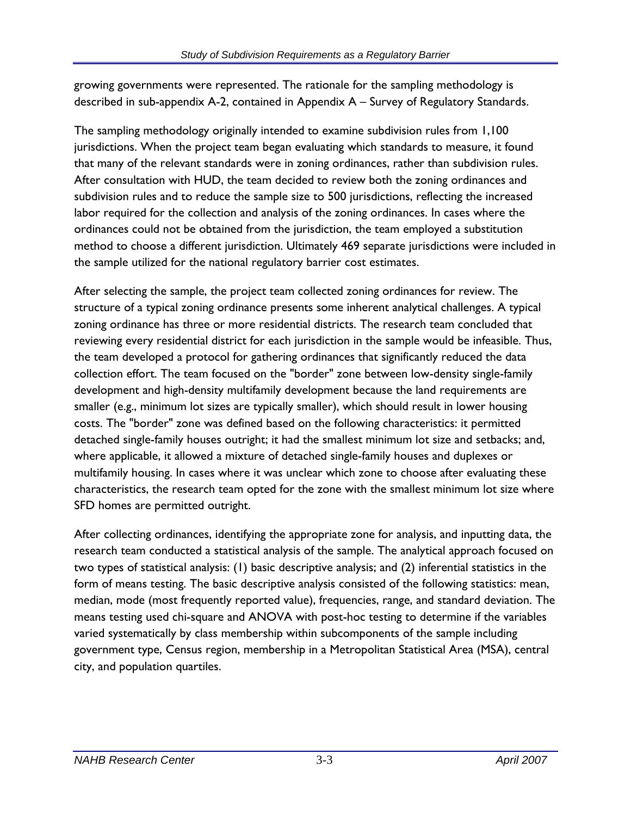growing governments were represented. The rationale for the sampling methodology is described in sub-appendix A-2, contained in Appendix A – Survey of Regulatory Standards.

The sampling methodology originally intended to examine subdivision rules from 1,100 jurisdictions. When the project team began evaluating which standards to measure, it found that many of the relevant standards were in zoning ordinances, rather than subdivision rules. After consultation with HUD, the team decided to review both the zoning ordinances and subdivision rules and to reduce the sample size to 500 jurisdictions, reflecting the increased labor required for the collection and analysis of the zoning ordinances. In cases where the ordinances could not be obtained from the jurisdiction, the team employed a substitution method to choose a different jurisdiction. Ultimately 469 separate jurisdictions were included in the sample utilized for the national regulatory barrier cost estimates.

After selecting the sample, the project team collected zoning ordinances for review. The structure of a typical zoning ordinance presents some inherent analytical challenges. A typical zoning ordinance has three or more residential districts. The research team concluded that reviewing every residential district for each jurisdiction in the sample would be infeasible. Thus, the team developed a protocol for gathering ordinances that significantly reduced the data collection effort. The team focused on the "border" zone between low-density single-family development and high-density multifamily development because the land requirements are smaller (e.g., minimum lot sizes are typically smaller), which should result in lower housing costs. The "border" zone was defined based on the following characteristics: it permitted detached single-family houses outright; it had the smallest minimum lot size and setbacks; and, where applicable, it allowed a mixture of detached single-family houses and duplexes or multifamily housing. In cases where it was unclear which zone to choose after evaluating these characteristics, the research team opted for the zone with the smallest minimum lot size where SFD homes are permitted outright.

After collecting ordinances, identifying the appropriate zone for analysis, and inputting data, the research team conducted a statistical analysis of the sample. The analytical approach focused on two types of statistical analysis: (1) basic descriptive analysis; and (2) inferential statistics in the form of means testing. The basic descriptive analysis consisted of the following statistics: mean, median, mode (most frequently reported value), frequencies, range, and standard deviation. The means testing used chi-square and ANOVA with post-hoc testing to determine if the variables varied systematically by class membership within subcomponents of the sample including government type, Census region, membership in a Metropolitan Statistical Area (MSA), central city, and population quartiles.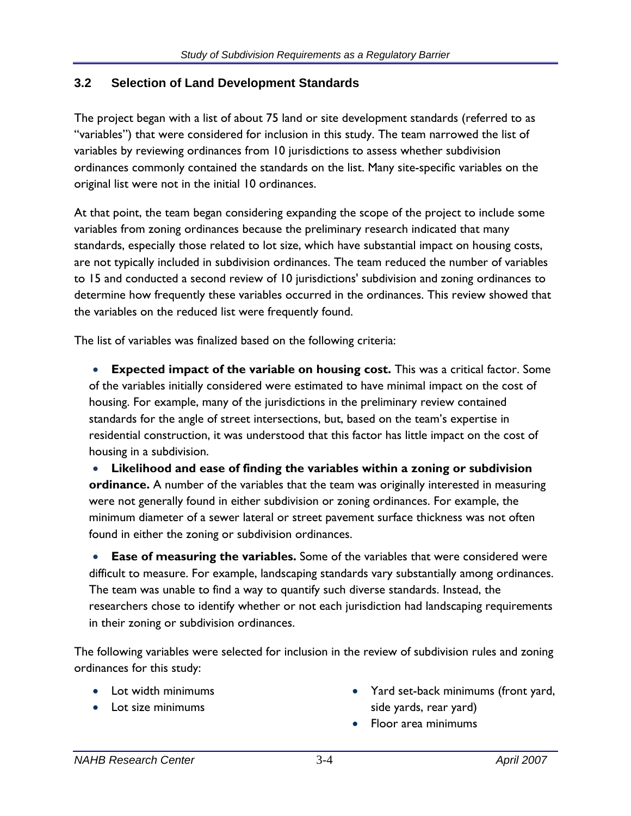### **3.2 Selection of Land Development Standards**

The project began with a list of about 75 land or site development standards (referred to as "variables") that were considered for inclusion in this study. The team narrowed the list of variables by reviewing ordinances from 10 jurisdictions to assess whether subdivision ordinances commonly contained the standards on the list. Many site-specific variables on the original list were not in the initial 10 ordinances.

At that point, the team began considering expanding the scope of the project to include some variables from zoning ordinances because the preliminary research indicated that many standards, especially those related to lot size, which have substantial impact on housing costs, are not typically included in subdivision ordinances. The team reduced the number of variables to 15 and conducted a second review of 10 jurisdictions' subdivision and zoning ordinances to determine how frequently these variables occurred in the ordinances. This review showed that the variables on the reduced list were frequently found.

The list of variables was finalized based on the following criteria:

• **Expected impact of the variable on housing cost.** This was a critical factor. Some of the variables initially considered were estimated to have minimal impact on the cost of housing. For example, many of the jurisdictions in the preliminary review contained standards for the angle of street intersections, but, based on the team's expertise in residential construction, it was understood that this factor has little impact on the cost of housing in a subdivision.

• **Likelihood and ease of finding the variables within a zoning or subdivision ordinance.** A number of the variables that the team was originally interested in measuring were not generally found in either subdivision or zoning ordinances. For example, the minimum diameter of a sewer lateral or street pavement surface thickness was not often found in either the zoning or subdivision ordinances.

• **Ease of measuring the variables.** Some of the variables that were considered were difficult to measure. For example, landscaping standards vary substantially among ordinances. The team was unable to find a way to quantify such diverse standards. Instead, the researchers chose to identify whether or not each jurisdiction had landscaping requirements in their zoning or subdivision ordinances.

The following variables were selected for inclusion in the review of subdivision rules and zoning ordinances for this study:

- 
- 
- Lot width minimums **•** Yard set-back minimums (front yard, • Lot size minimums side yards, rear yard)
	- Floor area minimums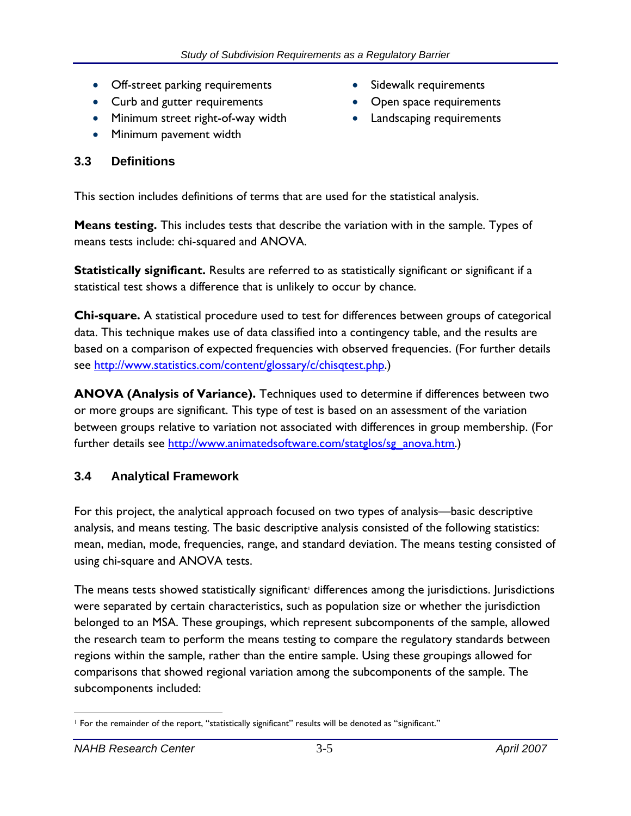- Off-street parking requirements Sidewalk requirements
- Curb and gutter requirements Open space requirements
- Minimum street right-of-way width Landscaping requirements
- Minimum pavement width

### **3.3 Definitions**

- 
- 
- 

This section includes definitions of terms that are used for the statistical analysis.

**Means testing.** This includes tests that describe the variation with in the sample. Types of means tests include: chi-squared and ANOVA.

**Statistically significant.** Results are referred to as statistically significant or significant if a statistical test shows a difference that is unlikely to occur by chance.

**Chi-square.** A statistical procedure used to test for differences between groups of categorical data. This technique makes use of data classified into a contingency table, and the results are based on a comparison of expected frequencies with observed frequencies. (For further details see http://www.statistics.com/content/glossary/c/chisqtest.php.)

**ANOVA (Analysis of Variance).** Techniques used to determine if differences between two or more groups are significant. This type of test is based on an assessment of the variation between groups relative to variation not associated with differences in group membership. (For further details see http://www.animatedsoftware.com/statglos/sg\_anova.htm.)

## **3.4 Analytical Framework**

For this project, the analytical approach focused on two types of analysis—basic descriptive analysis, and means testing. The basic descriptive analysis consisted of the following statistics: mean, median, mode, frequencies, range, and standard deviation. The means testing consisted of using chi-square and ANOVA tests.

The means tests showed statistically significant<sup>†</sup> differences among the jurisdictions. Jurisdictions were separated by certain characteristics, such as population size or whether the jurisdiction belonged to an MSA. These groupings, which represent subcomponents of the sample, allowed the research team to perform the means testing to compare the regulatory standards between regions within the sample, rather than the entire sample. Using these groupings allowed for comparisons that showed regional variation among the subcomponents of the sample. The subcomponents included:

<sup>1</sup> For the remainder of the report, "statistically significant" results will be denoted as "significant."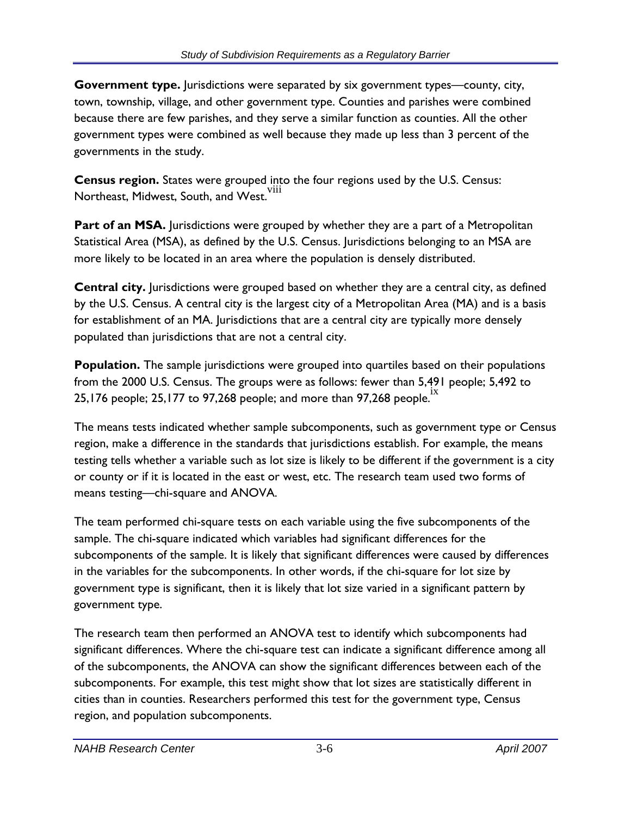**Government type.** Jurisdictions were separated by six government types—county, city, town, township, village, and other government type. Counties and parishes were combined because there are few parishes, and they serve a similar function as counties. All the other government types were combined as well because they made up less than 3 percent of the governments in the study.

**Census region.** States were grouped into the four regions used by the U.S. Census: Northeast, Midwest, South, and West.<sup>viii</sup>

**Part of an MSA.** Jurisdictions were grouped by whether they are a part of a Metropolitan Statistical Area (MSA), as defined by the U.S. Census. Jurisdictions belonging to an MSA are more likely to be located in an area where the population is densely distributed.

**Central city.** Jurisdictions were grouped based on whether they are a central city, as defined by the U.S. Census. A central city is the largest city of a Metropolitan Area (MA) and is a basis for establishment of an MA. Jurisdictions that are a central city are typically more densely populated than jurisdictions that are not a central city.

**Population.** The sample jurisdictions were grouped into quartiles based on their populations from the 2000 U.S. Census. The groups were as follows: fewer than 5,491 people; 5,492 to 25,176 people; 25,177 to 97,268 people; and more than 97,268 people.

The means tests indicated whether sample subcomponents, such as government type or Census region, make a difference in the standards that jurisdictions establish. For example, the means testing tells whether a variable such as lot size is likely to be different if the government is a city or county or if it is located in the east or west, etc. The research team used two forms of means testing—chi-square and ANOVA.

The team performed chi-square tests on each variable using the five subcomponents of the sample. The chi-square indicated which variables had significant differences for the subcomponents of the sample. It is likely that significant differences were caused by differences in the variables for the subcomponents. In other words, if the chi-square for lot size by government type is significant, then it is likely that lot size varied in a significant pattern by government type.

The research team then performed an ANOVA test to identify which subcomponents had significant differences. Where the chi-square test can indicate a significant difference among all of the subcomponents, the ANOVA can show the significant differences between each of the subcomponents. For example, this test might show that lot sizes are statistically different in cities than in counties. Researchers performed this test for the government type, Census region, and population subcomponents.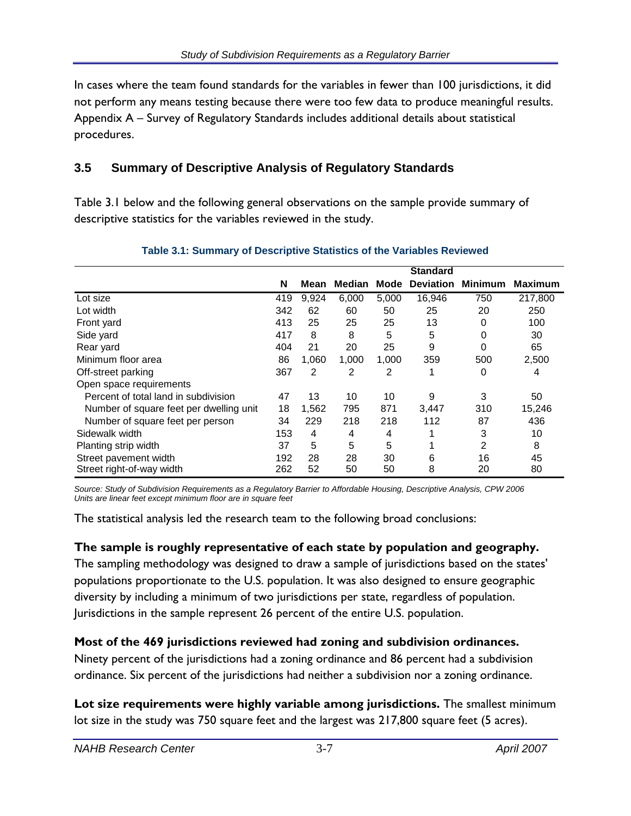In cases where the team found standards for the variables in fewer than 100 jurisdictions, it did not perform any means testing because there were too few data to produce meaningful results. Appendix A – Survey of Regulatory Standards includes additional details about statistical procedures.

### **3.5 Summary of Descriptive Analysis of Regulatory Standards**

Table 3.1 below and the following general observations on the sample provide summary of descriptive statistics for the variables reviewed in the study.

|                                         |     |       |        |       | <b>Standard</b>  |                |                |
|-----------------------------------------|-----|-------|--------|-------|------------------|----------------|----------------|
|                                         | N   | Mean  | Median | Mode  | <b>Deviation</b> | <b>Minimum</b> | <b>Maximum</b> |
| Lot size                                | 419 | 9,924 | 6,000  | 5,000 | 16,946           | 750            | 217,800        |
| Lot width                               | 342 | 62    | 60     | 50    | 25               | 20             | 250            |
| Front yard                              | 413 | 25    | 25     | 25    | 13               | 0              | 100            |
| Side yard                               | 417 | 8     | 8      | 5     | 5                | 0              | 30             |
| Rear yard                               | 404 | 21    | 20     | 25    | 9                | 0              | 65             |
| Minimum floor area                      | 86  | 1,060 | 1,000  | 1,000 | 359              | 500            | 2,500          |
| Off-street parking                      | 367 | 2     | 2      | 2     | 1                | 0              | 4              |
| Open space requirements                 |     |       |        |       |                  |                |                |
| Percent of total land in subdivision    | 47  | 13    | 10     | 10    | 9                | 3              | 50             |
| Number of square feet per dwelling unit | 18  | 1,562 | 795    | 871   | 3,447            | 310            | 15,246         |
| Number of square feet per person        | 34  | 229   | 218    | 218   | 112              | 87             | 436            |
| Sidewalk width                          | 153 | 4     | 4      | 4     | 1                | 3              | 10             |
| Planting strip width                    | 37  | 5     | 5      | 5     | 1                | $\overline{2}$ | 8              |
| Street pavement width                   | 192 | 28    | 28     | 30    | 6                | 16             | 45             |
| Street right-of-way width               | 262 | 52    | 50     | 50    | 8                | 20             | 80             |

### **Table 3.1: Summary of Descriptive Statistics of the Variables Reviewed**

*Source: Study of Subdivision Requirements as a Regulatory Barrier to Affordable Housing, Descriptive Analysis, CPW 2006 Units are linear feet except minimum floor are in square feet* 

The statistical analysis led the research team to the following broad conclusions:

### **The sample is roughly representative of each state by population and geography.**

The sampling methodology was designed to draw a sample of jurisdictions based on the states' populations proportionate to the U.S. population. It was also designed to ensure geographic diversity by including a minimum of two jurisdictions per state, regardless of population. Jurisdictions in the sample represent 26 percent of the entire U.S. population.

### **Most of the 469 jurisdictions reviewed had zoning and subdivision ordinances.**

Ninety percent of the jurisdictions had a zoning ordinance and 86 percent had a subdivision ordinance. Six percent of the jurisdictions had neither a subdivision nor a zoning ordinance.

**Lot size requirements were highly variable among jurisdictions.** The smallest minimum lot size in the study was 750 square feet and the largest was 217,800 square feet (5 acres).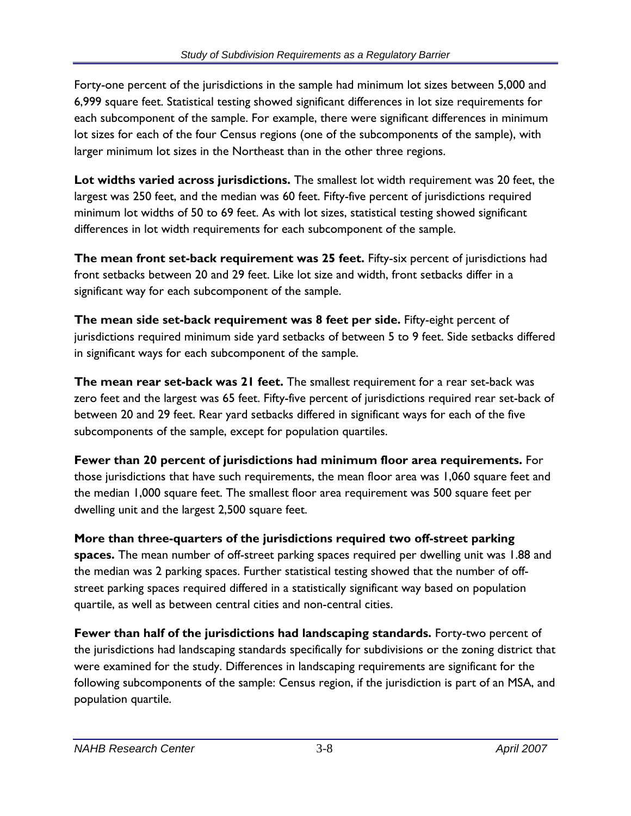Forty-one percent of the jurisdictions in the sample had minimum lot sizes between 5,000 and 6,999 square feet. Statistical testing showed significant differences in lot size requirements for each subcomponent of the sample. For example, there were significant differences in minimum lot sizes for each of the four Census regions (one of the subcomponents of the sample), with larger minimum lot sizes in the Northeast than in the other three regions.

**Lot widths varied across jurisdictions.** The smallest lot width requirement was 20 feet, the largest was 250 feet, and the median was 60 feet. Fifty-five percent of jurisdictions required minimum lot widths of 50 to 69 feet. As with lot sizes, statistical testing showed significant differences in lot width requirements for each subcomponent of the sample.

**The mean front set-back requirement was 25 feet.** Fifty-six percent of jurisdictions had front setbacks between 20 and 29 feet. Like lot size and width, front setbacks differ in a significant way for each subcomponent of the sample.

**The mean side set-back requirement was 8 feet per side.** Fifty-eight percent of jurisdictions required minimum side yard setbacks of between 5 to 9 feet. Side setbacks differed in significant ways for each subcomponent of the sample.

**The mean rear set-back was 21 feet.** The smallest requirement for a rear set-back was zero feet and the largest was 65 feet. Fifty-five percent of jurisdictions required rear set-back of between 20 and 29 feet. Rear yard setbacks differed in significant ways for each of the five subcomponents of the sample, except for population quartiles.

**Fewer than 20 percent of jurisdictions had minimum floor area requirements.** For those jurisdictions that have such requirements, the mean floor area was 1,060 square feet and the median 1,000 square feet. The smallest floor area requirement was 500 square feet per dwelling unit and the largest 2,500 square feet.

**More than three-quarters of the jurisdictions required two off-street parking spaces.** The mean number of off-street parking spaces required per dwelling unit was 1.88 and the median was 2 parking spaces. Further statistical testing showed that the number of offstreet parking spaces required differed in a statistically significant way based on population quartile, as well as between central cities and non-central cities.

**Fewer than half of the jurisdictions had landscaping standards.** Forty-two percent of the jurisdictions had landscaping standards specifically for subdivisions or the zoning district that were examined for the study. Differences in landscaping requirements are significant for the following subcomponents of the sample: Census region, if the jurisdiction is part of an MSA, and population quartile.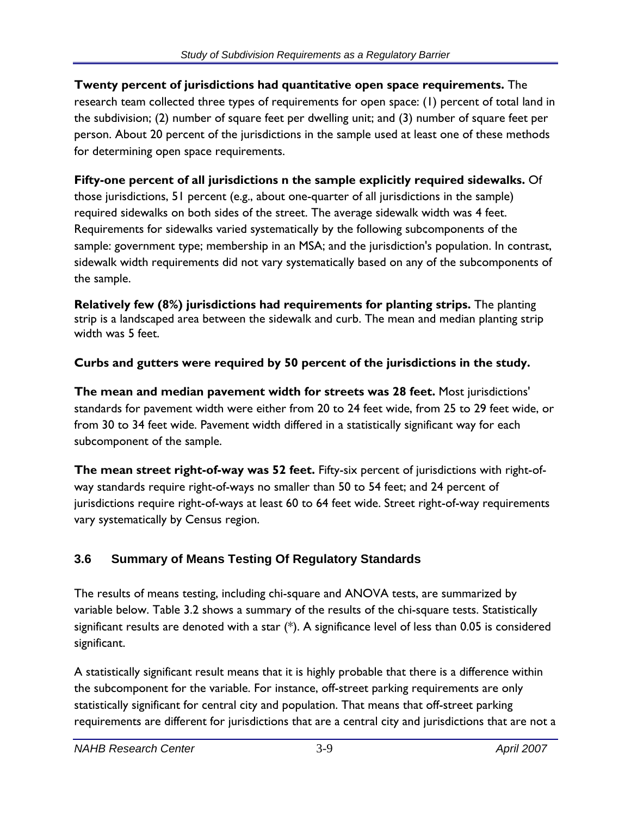**Twenty percent of jurisdictions had quantitative open space requirements.** The research team collected three types of requirements for open space: (1) percent of total land in the subdivision; (2) number of square feet per dwelling unit; and (3) number of square feet per person. About 20 percent of the jurisdictions in the sample used at least one of these methods for determining open space requirements.

### **Fifty-one percent of all jurisdictions n the sample explicitly required sidewalks.** Of those jurisdictions, 51 percent (e.g., about one-quarter of all jurisdictions in the sample) required sidewalks on both sides of the street. The average sidewalk width was 4 feet. Requirements for sidewalks varied systematically by the following subcomponents of the sample: government type; membership in an MSA; and the jurisdiction's population. In contrast, sidewalk width requirements did not vary systematically based on any of the subcomponents of the sample.

**Relatively few (8%) jurisdictions had requirements for planting strips.** The planting strip is a landscaped area between the sidewalk and curb. The mean and median planting strip width was 5 feet.

## **Curbs and gutters were required by 50 percent of the jurisdictions in the study.**

**The mean and median pavement width for streets was 28 feet.** Most jurisdictions' standards for pavement width were either from 20 to 24 feet wide, from 25 to 29 feet wide, or from 30 to 34 feet wide. Pavement width differed in a statistically significant way for each subcomponent of the sample.

**The mean street right-of-way was 52 feet.** Fifty-six percent of jurisdictions with right-ofway standards require right-of-ways no smaller than 50 to 54 feet; and 24 percent of jurisdictions require right-of-ways at least 60 to 64 feet wide. Street right-of-way requirements vary systematically by Census region.

# **3.6 Summary of Means Testing Of Regulatory Standards**

The results of means testing, including chi-square and ANOVA tests, are summarized by variable below. Table 3.2 shows a summary of the results of the chi-square tests. Statistically significant results are denoted with a star (\*). A significance level of less than 0.05 is considered significant.

A statistically significant result means that it is highly probable that there is a difference within the subcomponent for the variable. For instance, off-street parking requirements are only statistically significant for central city and population. That means that off-street parking requirements are different for jurisdictions that are a central city and jurisdictions that are not a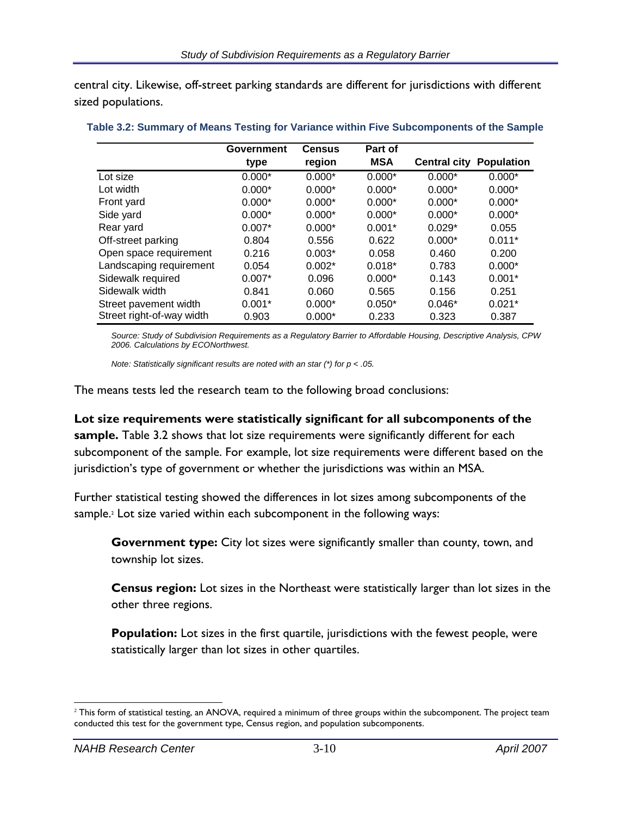central city. Likewise, off-street parking standards are different for jurisdictions with different sized populations.

|                           | Government | <b>Census</b> | Part of    |                     |                   |
|---------------------------|------------|---------------|------------|---------------------|-------------------|
|                           | type       | region        | <b>MSA</b> | <b>Central city</b> | <b>Population</b> |
| Lot size                  | $0.000*$   | $0.000*$      | $0.000*$   | $0.000*$            | $0.000*$          |
| Lot width                 | $0.000*$   | $0.000*$      | $0.000*$   | $0.000*$            | $0.000*$          |
| Front yard                | $0.000*$   | $0.000*$      | $0.000*$   | $0.000*$            | $0.000*$          |
| Side yard                 | $0.000*$   | $0.000*$      | $0.000*$   | $0.000*$            | $0.000*$          |
| Rear yard                 | $0.007*$   | $0.000*$      | $0.001*$   | $0.029*$            | 0.055             |
| Off-street parking        | 0.804      | 0.556         | 0.622      | $0.000*$            | $0.011*$          |
| Open space requirement    | 0.216      | $0.003*$      | 0.058      | 0.460               | 0.200             |
| Landscaping requirement   | 0.054      | $0.002*$      | $0.018*$   | 0.783               | $0.000*$          |
| Sidewalk required         | $0.007*$   | 0.096         | $0.000*$   | 0.143               | $0.001*$          |
| Sidewalk width            | 0.841      | 0.060         | 0.565      | 0.156               | 0.251             |
| Street pavement width     | $0.001*$   | $0.000*$      | $0.050*$   | $0.046*$            | $0.021*$          |
| Street right-of-way width | 0.903      | $0.000*$      | 0.233      | 0.323               | 0.387             |

#### **Table 3.2: Summary of Means Testing for Variance within Five Subcomponents of the Sample**

*Source: Study of Subdivision Requirements as a Regulatory Barrier to Affordable Housing, Descriptive Analysis, CPW 2006. Calculations by ECONorthwest.* 

*Note: Statistically significant results are noted with an star (\*) for p < .05.* 

The means tests led the research team to the following broad conclusions:

#### **Lot size requirements were statistically significant for all subcomponents of the**

**sample.** Table 3.2 shows that lot size requirements were significantly different for each subcomponent of the sample. For example, lot size requirements were different based on the jurisdiction's type of government or whether the jurisdictions was within an MSA.

Further statistical testing showed the differences in lot sizes among subcomponents of the sample.<sup>2</sup> Lot size varied within each subcomponent in the following ways:

**Government type:** City lot sizes were significantly smaller than county, town, and township lot sizes.

**Census region:** Lot sizes in the Northeast were statistically larger than lot sizes in the other three regions.

**Population:** Lot sizes in the first quartile, jurisdictions with the fewest people, were statistically larger than lot sizes in other quartiles.

 $2$  This form of statistical testing, an ANOVA, required a minimum of three groups within the subcomponent. The project team conducted this test for the government type, Census region, and population subcomponents.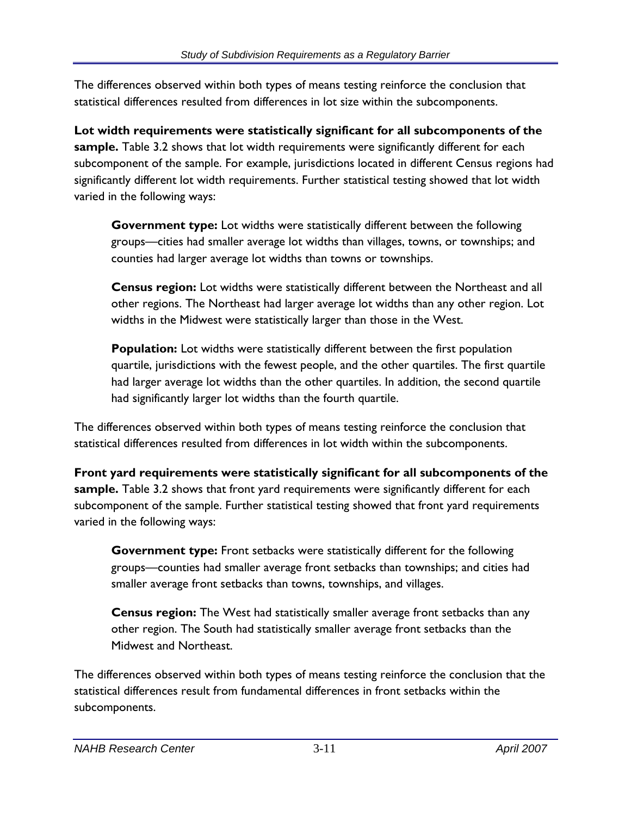The differences observed within both types of means testing reinforce the conclusion that statistical differences resulted from differences in lot size within the subcomponents.

**Lot width requirements were statistically significant for all subcomponents of the sample.** Table 3.2 shows that lot width requirements were significantly different for each subcomponent of the sample. For example, jurisdictions located in different Census regions had significantly different lot width requirements. Further statistical testing showed that lot width varied in the following ways:

**Government type:** Lot widths were statistically different between the following groups—cities had smaller average lot widths than villages, towns, or townships; and counties had larger average lot widths than towns or townships.

**Census region:** Lot widths were statistically different between the Northeast and all other regions. The Northeast had larger average lot widths than any other region. Lot widths in the Midwest were statistically larger than those in the West.

**Population:** Lot widths were statistically different between the first population quartile, jurisdictions with the fewest people, and the other quartiles. The first quartile had larger average lot widths than the other quartiles. In addition, the second quartile had significantly larger lot widths than the fourth quartile.

The differences observed within both types of means testing reinforce the conclusion that statistical differences resulted from differences in lot width within the subcomponents.

**Front yard requirements were statistically significant for all subcomponents of the sample.** Table 3.2 shows that front yard requirements were significantly different for each subcomponent of the sample. Further statistical testing showed that front yard requirements varied in the following ways:

**Government type:** Front setbacks were statistically different for the following groups—counties had smaller average front setbacks than townships; and cities had smaller average front setbacks than towns, townships, and villages.

**Census region:** The West had statistically smaller average front setbacks than any other region. The South had statistically smaller average front setbacks than the Midwest and Northeast.

The differences observed within both types of means testing reinforce the conclusion that the statistical differences result from fundamental differences in front setbacks within the subcomponents.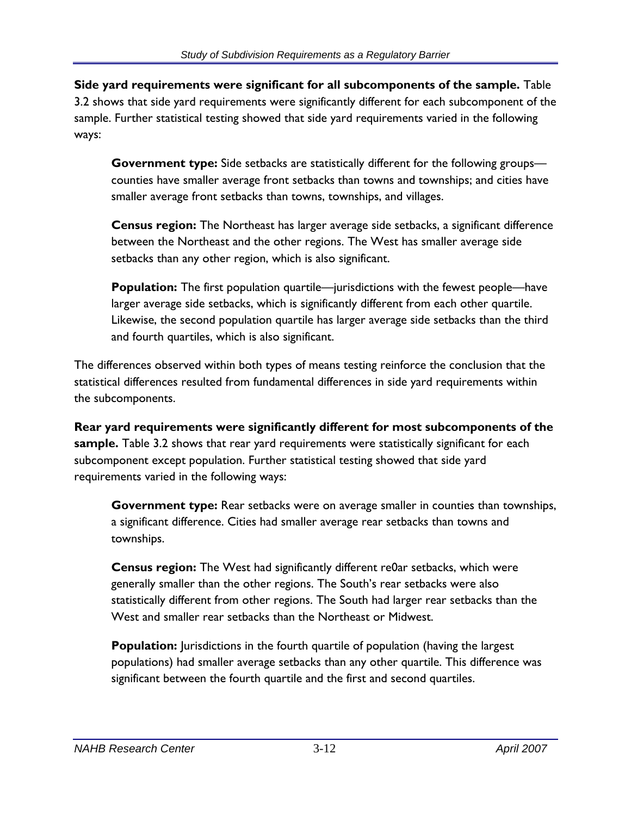**Side yard requirements were significant for all subcomponents of the sample.** Table 3.2 shows that side yard requirements were significantly different for each subcomponent of the sample. Further statistical testing showed that side yard requirements varied in the following ways:

**Government type:** Side setbacks are statistically different for the following groups counties have smaller average front setbacks than towns and townships; and cities have smaller average front setbacks than towns, townships, and villages.

**Census region:** The Northeast has larger average side setbacks, a significant difference between the Northeast and the other regions. The West has smaller average side setbacks than any other region, which is also significant.

**Population:** The first population quartile—jurisdictions with the fewest people—have larger average side setbacks, which is significantly different from each other quartile. Likewise, the second population quartile has larger average side setbacks than the third and fourth quartiles, which is also significant.

The differences observed within both types of means testing reinforce the conclusion that the statistical differences resulted from fundamental differences in side yard requirements within the subcomponents.

**Rear yard requirements were significantly different for most subcomponents of the sample.** Table 3.2 shows that rear yard requirements were statistically significant for each subcomponent except population. Further statistical testing showed that side yard requirements varied in the following ways:

**Government type:** Rear setbacks were on average smaller in counties than townships, a significant difference. Cities had smaller average rear setbacks than towns and townships.

**Census region:** The West had significantly different re0ar setbacks, which were generally smaller than the other regions. The South's rear setbacks were also statistically different from other regions. The South had larger rear setbacks than the West and smaller rear setbacks than the Northeast or Midwest.

**Population:** Jurisdictions in the fourth quartile of population (having the largest populations) had smaller average setbacks than any other quartile. This difference was significant between the fourth quartile and the first and second quartiles.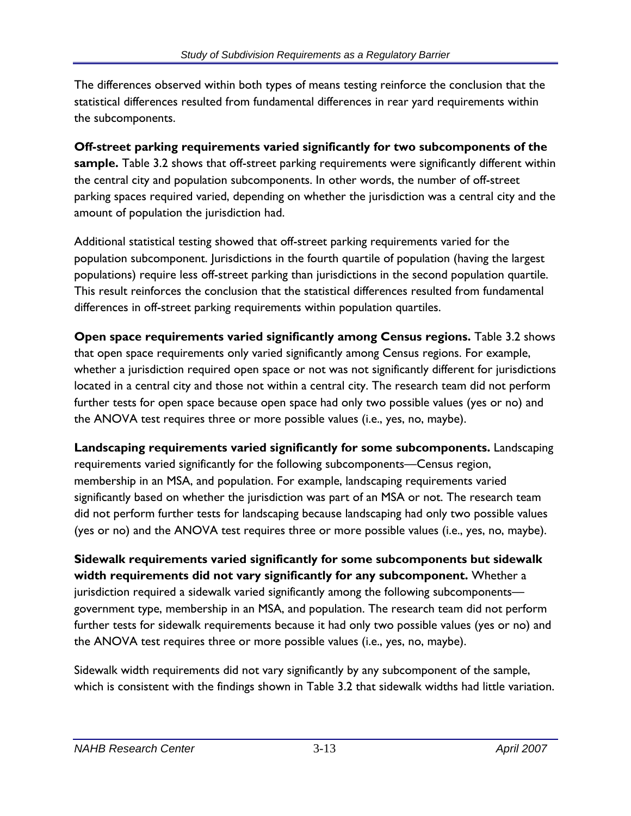The differences observed within both types of means testing reinforce the conclusion that the statistical differences resulted from fundamental differences in rear yard requirements within the subcomponents.

**Off-street parking requirements varied significantly for two subcomponents of the sample.** Table 3.2 shows that off-street parking requirements were significantly different within the central city and population subcomponents. In other words, the number of off-street parking spaces required varied, depending on whether the jurisdiction was a central city and the amount of population the jurisdiction had.

Additional statistical testing showed that off-street parking requirements varied for the population subcomponent. Jurisdictions in the fourth quartile of population (having the largest populations) require less off-street parking than jurisdictions in the second population quartile. This result reinforces the conclusion that the statistical differences resulted from fundamental differences in off-street parking requirements within population quartiles.

**Open space requirements varied significantly among Census regions.** Table 3.2 shows that open space requirements only varied significantly among Census regions. For example, whether a jurisdiction required open space or not was not significantly different for jurisdictions located in a central city and those not within a central city. The research team did not perform further tests for open space because open space had only two possible values (yes or no) and the ANOVA test requires three or more possible values (i.e., yes, no, maybe).

**Landscaping requirements varied significantly for some subcomponents.** Landscaping requirements varied significantly for the following subcomponents—Census region, membership in an MSA, and population. For example, landscaping requirements varied significantly based on whether the jurisdiction was part of an MSA or not. The research team did not perform further tests for landscaping because landscaping had only two possible values (yes or no) and the ANOVA test requires three or more possible values (i.e., yes, no, maybe).

**Sidewalk requirements varied significantly for some subcomponents but sidewalk width requirements did not vary significantly for any subcomponent.** Whether a jurisdiction required a sidewalk varied significantly among the following subcomponents government type, membership in an MSA, and population. The research team did not perform further tests for sidewalk requirements because it had only two possible values (yes or no) and the ANOVA test requires three or more possible values (i.e., yes, no, maybe).

Sidewalk width requirements did not vary significantly by any subcomponent of the sample, which is consistent with the findings shown in Table 3.2 that sidewalk widths had little variation.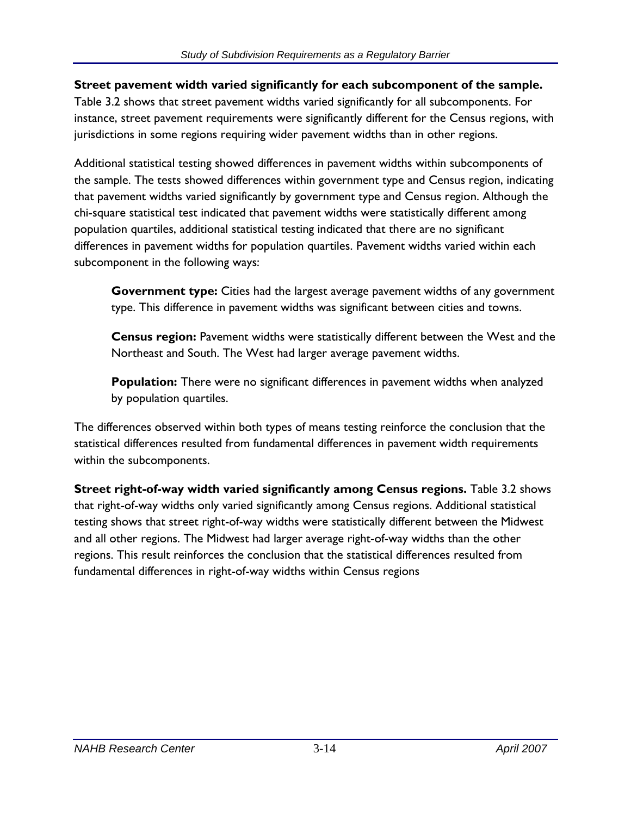#### **Street pavement width varied significantly for each subcomponent of the sample.**

Table 3.2 shows that street pavement widths varied significantly for all subcomponents. For instance, street pavement requirements were significantly different for the Census regions, with jurisdictions in some regions requiring wider pavement widths than in other regions.

Additional statistical testing showed differences in pavement widths within subcomponents of the sample. The tests showed differences within government type and Census region, indicating that pavement widths varied significantly by government type and Census region. Although the chi-square statistical test indicated that pavement widths were statistically different among population quartiles, additional statistical testing indicated that there are no significant differences in pavement widths for population quartiles. Pavement widths varied within each subcomponent in the following ways:

**Government type:** Cities had the largest average pavement widths of any government type. This difference in pavement widths was significant between cities and towns.

**Census region:** Pavement widths were statistically different between the West and the Northeast and South. The West had larger average pavement widths.

**Population:** There were no significant differences in pavement widths when analyzed by population quartiles.

The differences observed within both types of means testing reinforce the conclusion that the statistical differences resulted from fundamental differences in pavement width requirements within the subcomponents.

**Street right-of-way width varied significantly among Census regions.** Table 3.2 shows that right-of-way widths only varied significantly among Census regions. Additional statistical testing shows that street right-of-way widths were statistically different between the Midwest and all other regions. The Midwest had larger average right-of-way widths than the other regions. This result reinforces the conclusion that the statistical differences resulted from fundamental differences in right-of-way widths within Census regions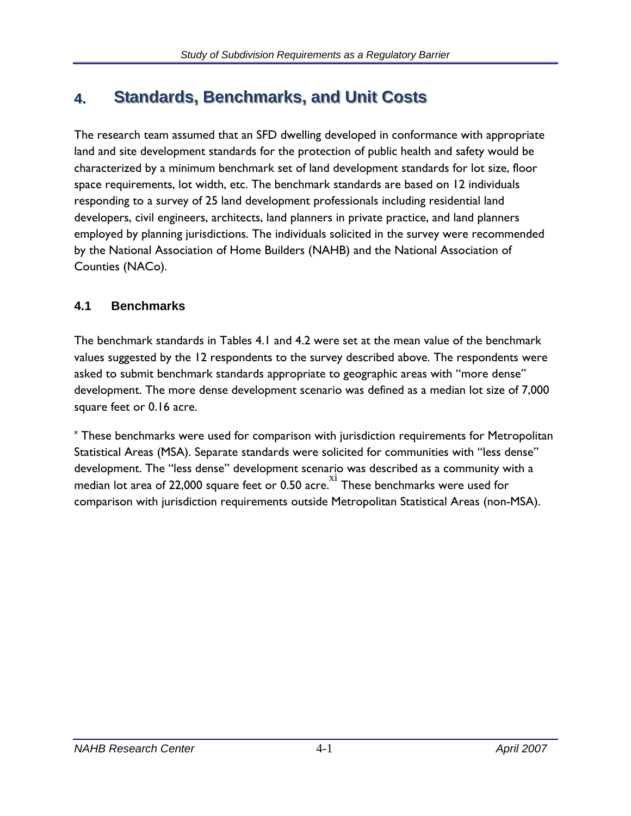# **4.** Standards, Benchmarks, and Unit Costs

The research team assumed that an SFD dwelling developed in conformance with appropriate land and site development standards for the protection of public health and safety would be characterized by a minimum benchmark set of land development standards for lot size, floor space requirements, lot width, etc. The benchmark standards are based on 12 individuals responding to a survey of 25 land development professionals including residential land developers, civil engineers, architects, land planners in private practice, and land planners employed by planning jurisdictions. The individuals solicited in the survey were recommended by the National Association of Home Builders (NAHB) and the National Association of Counties (NACo).

## **4.1 Benchmarks**

The benchmark standards in Tables 4.1 and 4.2 were set at the mean value of the benchmark values suggested by the 12 respondents to the survey described above. The respondents were asked to submit benchmark standards appropriate to geographic areas with "more dense" development. The more dense development scenario was defined as a median lot size of 7,000 square feet or 0.16 acre.

x These benchmarks were used for comparison with jurisdiction requirements for Metropolitan Statistical Areas (MSA). Separate standards were solicited for communities with "less dense" development. The "less dense" development scenario was described as a community with a median lot area of 22,000 square feet or 0.50 acre.  $X^2$  These benchmarks were used for comparison with jurisdiction requirements outside Metropolitan Statistical Areas (non-MSA).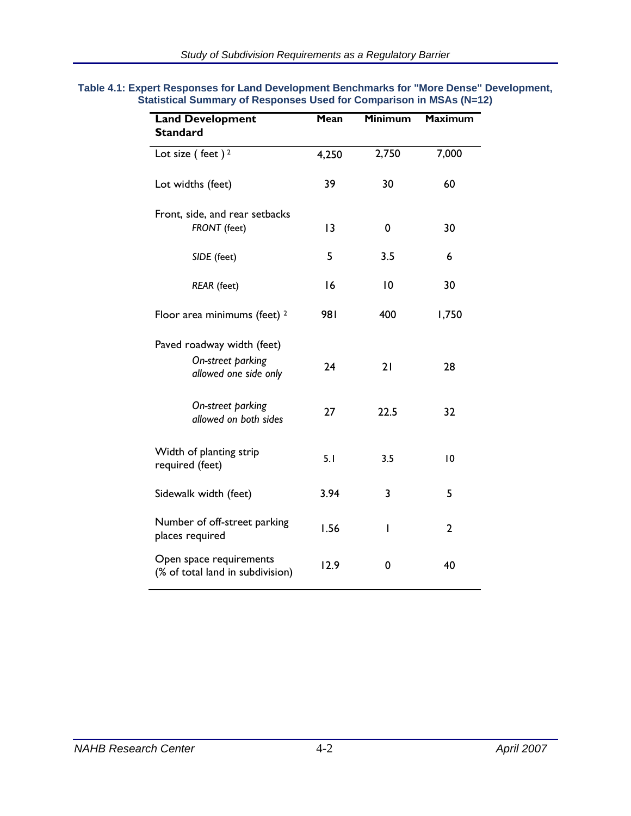| <b>Land Development</b><br><b>Standard</b>                  | Mean  | <b>Minimum</b> | <b>Maximum</b> |
|-------------------------------------------------------------|-------|----------------|----------------|
| Lot size (feet) <sup>2</sup>                                | 4,250 | 2,750          | 7,000          |
| Lot widths (feet)                                           | 39    | 30             | 60             |
| Front, side, and rear setbacks<br>FRONT (feet)              | 3     | 0              | 30             |
| SIDE (feet)                                                 | 5     | 3.5            | 6              |
| <b>REAR</b> (feet)                                          | 16    | 10             | 30             |
| Floor area minimums (feet) <sup>2</sup>                     | 981   | 400            | 1,750          |
| Paved roadway width (feet)                                  |       |                |                |
| On-street parking<br>allowed one side only                  | 24    | 21             | 28             |
| On-street parking<br>allowed on both sides                  | 27    | 22.5           | 32             |
| Width of planting strip<br>required (feet)                  | 5.1   | 3.5            | 10             |
| Sidewalk width (feet)                                       | 3.94  | 3              | 5              |
| Number of off-street parking<br>places required             | 1.56  | ı              | $\overline{2}$ |
| Open space requirements<br>(% of total land in subdivision) | 12.9  | 0              | 40             |

#### **Table 4.1: Expert Responses for Land Development Benchmarks for "More Dense" Development, Statistical Summary of Responses Used for Comparison in MSAs (N=12)**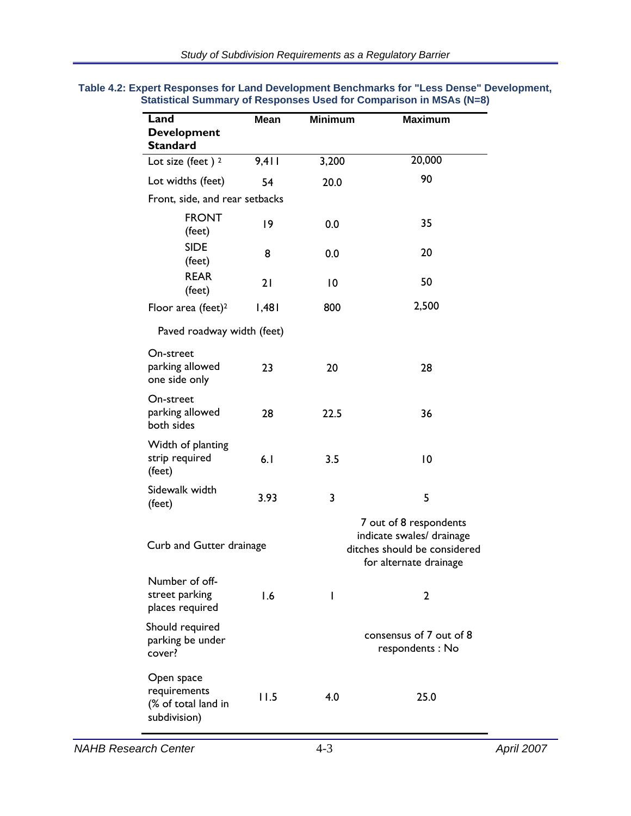| Land                                                              | <b>Mean</b> | <b>Minimum</b> | <b>Maximum</b>                                                                                                |
|-------------------------------------------------------------------|-------------|----------------|---------------------------------------------------------------------------------------------------------------|
| <b>Development</b><br><b>Standard</b>                             |             |                |                                                                                                               |
| Lot size (feet) $2$                                               | 9,411       | 3,200          | 20,000                                                                                                        |
| Lot widths (feet)                                                 | 54          | 20.0           | 90                                                                                                            |
| Front, side, and rear setbacks                                    |             |                |                                                                                                               |
| <b>FRONT</b><br>(feet)                                            | 19          | 0.0            | 35                                                                                                            |
| <b>SIDE</b><br>(feet)                                             | 8           | 0.0            | 20                                                                                                            |
| <b>REAR</b><br>(feet)                                             | 21          | $\overline{0}$ | 50                                                                                                            |
| Floor area (feet) <sup>2</sup>                                    | 1,481       | 800            | 2,500                                                                                                         |
| Paved roadway width (feet)                                        |             |                |                                                                                                               |
| On-street<br>parking allowed<br>one side only                     | 23          | 20             | 28                                                                                                            |
| On-street<br>parking allowed<br>both sides                        | 28          | 22.5           | 36                                                                                                            |
| Width of planting<br>strip required<br>(feet)                     | 6.1         | 3.5            | $\overline{0}$                                                                                                |
| Sidewalk width<br>(feet)                                          | 3.93        | 3              | 5                                                                                                             |
| Curb and Gutter drainage                                          |             |                | 7 out of 8 respondents<br>indicate swales/ drainage<br>ditches should be considered<br>for alternate drainage |
| Number of off-<br>street parking<br>places required               | 1.6         | ı              | 2                                                                                                             |
| Should required<br>parking be under<br>cover?                     |             |                | consensus of 7 out of 8<br>respondents: No                                                                    |
| Open space<br>requirements<br>(% of total land in<br>subdivision) | 11.5        | 4.0            | 25.0                                                                                                          |

#### **Table 4.2: Expert Responses for Land Development Benchmarks for "Less Dense" Development, Statistical Summary of Responses Used for Comparison in MSAs (N=8)**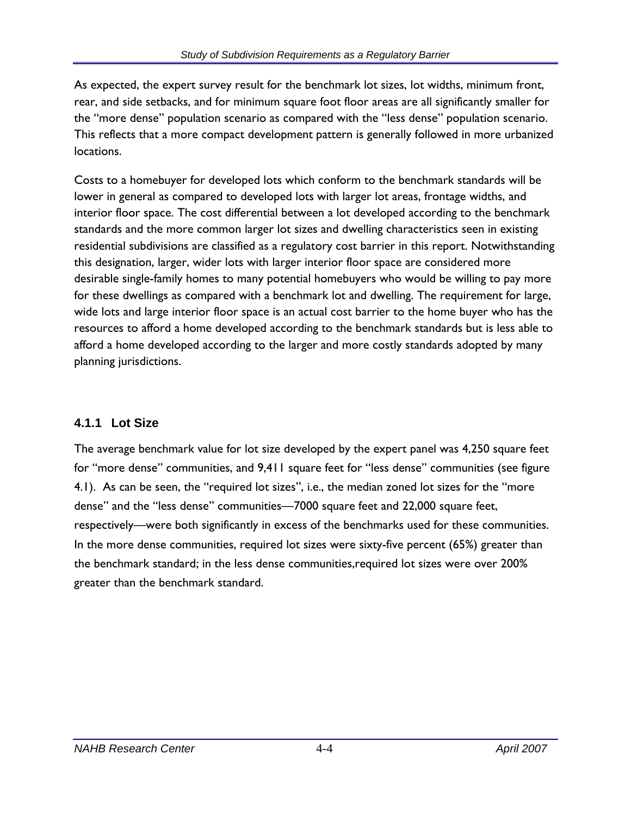As expected, the expert survey result for the benchmark lot sizes, lot widths, minimum front, rear, and side setbacks, and for minimum square foot floor areas are all significantly smaller for the "more dense" population scenario as compared with the "less dense" population scenario. This reflects that a more compact development pattern is generally followed in more urbanized locations.

Costs to a homebuyer for developed lots which conform to the benchmark standards will be lower in general as compared to developed lots with larger lot areas, frontage widths, and interior floor space. The cost differential between a lot developed according to the benchmark standards and the more common larger lot sizes and dwelling characteristics seen in existing residential subdivisions are classified as a regulatory cost barrier in this report. Notwithstanding this designation, larger, wider lots with larger interior floor space are considered more desirable single-family homes to many potential homebuyers who would be willing to pay more for these dwellings as compared with a benchmark lot and dwelling. The requirement for large, wide lots and large interior floor space is an actual cost barrier to the home buyer who has the resources to afford a home developed according to the benchmark standards but is less able to afford a home developed according to the larger and more costly standards adopted by many planning jurisdictions.

#### **4.1.1 Lot Size**

The average benchmark value for lot size developed by the expert panel was 4,250 square feet for "more dense" communities, and 9,411 square feet for "less dense" communities (see figure 4.1). As can be seen, the "required lot sizes", i.e., the median zoned lot sizes for the "more dense" and the "less dense" communities—7000 square feet and 22,000 square feet, respectively—were both significantly in excess of the benchmarks used for these communities. In the more dense communities, required lot sizes were sixty-five percent (65%) greater than the benchmark standard; in the less dense communities,required lot sizes were over 200% greater than the benchmark standard.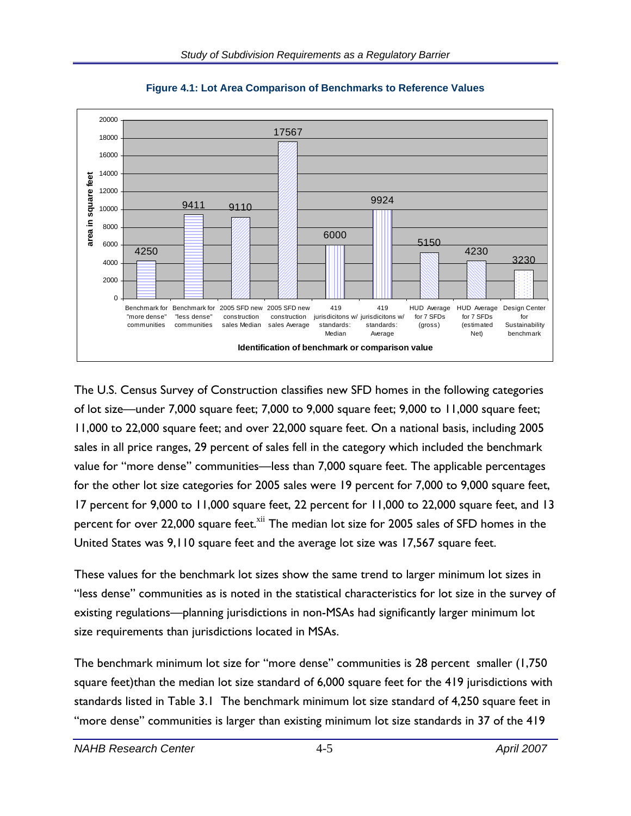

**Figure 4.1: Lot Area Comparison of Benchmarks to Reference Values** 

The U.S. Census Survey of Construction classifies new SFD homes in the following categories of lot size—under 7,000 square feet; 7,000 to 9,000 square feet; 9,000 to 11,000 square feet; 11,000 to 22,000 square feet; and over 22,000 square feet. On a national basis, including 2005 sales in all price ranges, 29 percent of sales fell in the category which included the benchmark value for "more dense" communities—less than 7,000 square feet. The applicable percentages for the other lot size categories for 2005 sales were 19 percent for 7,000 to 9,000 square feet, 17 percent for 9,000 to 11,000 square feet, 22 percent for 11,000 to 22,000 square feet, and 13 percent for over 22,000 square feet.<sup>xii</sup> The median lot size for 2005 sales of SFD homes in the United States was 9,110 square feet and the average lot size was 17,567 square feet.

These values for the benchmark lot sizes show the same trend to larger minimum lot sizes in "less dense" communities as is noted in the statistical characteristics for lot size in the survey of existing regulations—planning jurisdictions in non-MSAs had significantly larger minimum lot size requirements than jurisdictions located in MSAs.

The benchmark minimum lot size for "more dense" communities is 28 percent smaller (1,750 square feet)than the median lot size standard of 6,000 square feet for the 419 jurisdictions with standards listed in Table 3.1 The benchmark minimum lot size standard of 4,250 square feet in "more dense" communities is larger than existing minimum lot size standards in 37 of the 419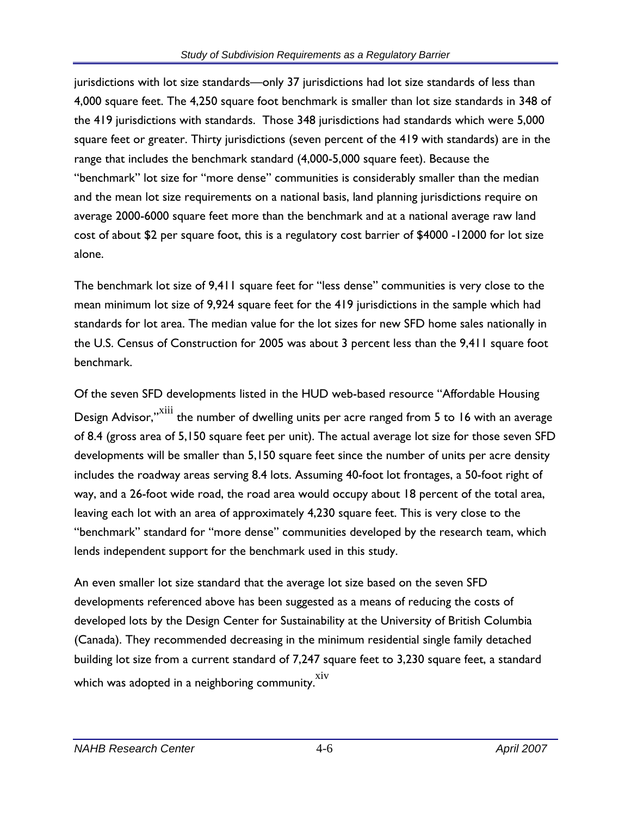jurisdictions with lot size standards—only 37 jurisdictions had lot size standards of less than 4,000 square feet. The 4,250 square foot benchmark is smaller than lot size standards in 348 of the 419 jurisdictions with standards. Those 348 jurisdictions had standards which were 5,000 square feet or greater. Thirty jurisdictions (seven percent of the 419 with standards) are in the range that includes the benchmark standard (4,000-5,000 square feet). Because the "benchmark" lot size for "more dense" communities is considerably smaller than the median and the mean lot size requirements on a national basis, land planning jurisdictions require on average 2000-6000 square feet more than the benchmark and at a national average raw land cost of about \$2 per square foot, this is a regulatory cost barrier of \$4000 -12000 for lot size alone.

The benchmark lot size of 9,411 square feet for "less dense" communities is very close to the mean minimum lot size of 9,924 square feet for the 419 jurisdictions in the sample which had standards for lot area. The median value for the lot sizes for new SFD home sales nationally in the U.S. Census of Construction for 2005 was about 3 percent less than the 9,411 square foot benchmark.

Of the seven SFD developments listed in the HUD web-based resource "Affordable Housing Design Advisor,"<sup>xiii</sup> the number of dwelling units per acre ranged from 5 to 16 with an average of 8.4 (gross area of 5,150 square feet per unit). The actual average lot size for those seven SFD developments will be smaller than 5,150 square feet since the number of units per acre density includes the roadway areas serving 8.4 lots. Assuming 40-foot lot frontages, a 50-foot right of way, and a 26-foot wide road, the road area would occupy about 18 percent of the total area, leaving each lot with an area of approximately 4,230 square feet. This is very close to the "benchmark" standard for "more dense" communities developed by the research team, which lends independent support for the benchmark used in this study.

An even smaller lot size standard that the average lot size based on the seven SFD developments referenced above has been suggested as a means of reducing the costs of developed lots by the Design Center for Sustainability at the University of British Columbia (Canada). They recommended decreasing in the minimum residential single family detached building lot size from a current standard of 7,247 square feet to 3,230 square feet, a standard which was adopted in a neighboring community.  $\sin^2 x$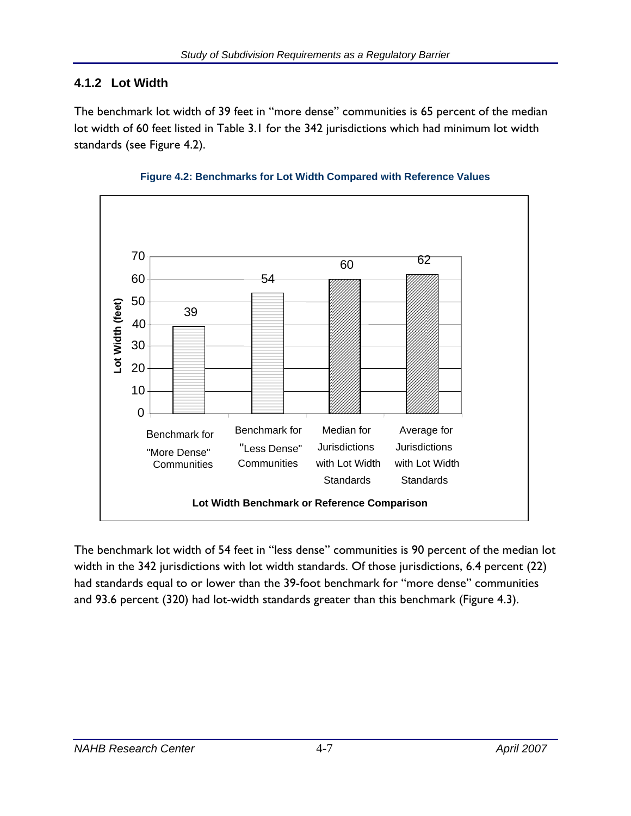## **4.1.2 Lot Width**

The benchmark lot width of 39 feet in "more dense" communities is 65 percent of the median lot width of 60 feet listed in Table 3.1 for the 342 jurisdictions which had minimum lot width standards (see Figure 4.2).





The benchmark lot width of 54 feet in "less dense" communities is 90 percent of the median lot width in the 342 jurisdictions with lot width standards. Of those jurisdictions, 6.4 percent (22) had standards equal to or lower than the 39-foot benchmark for "more dense" communities and 93.6 percent (320) had lot-width standards greater than this benchmark (Figure 4.3).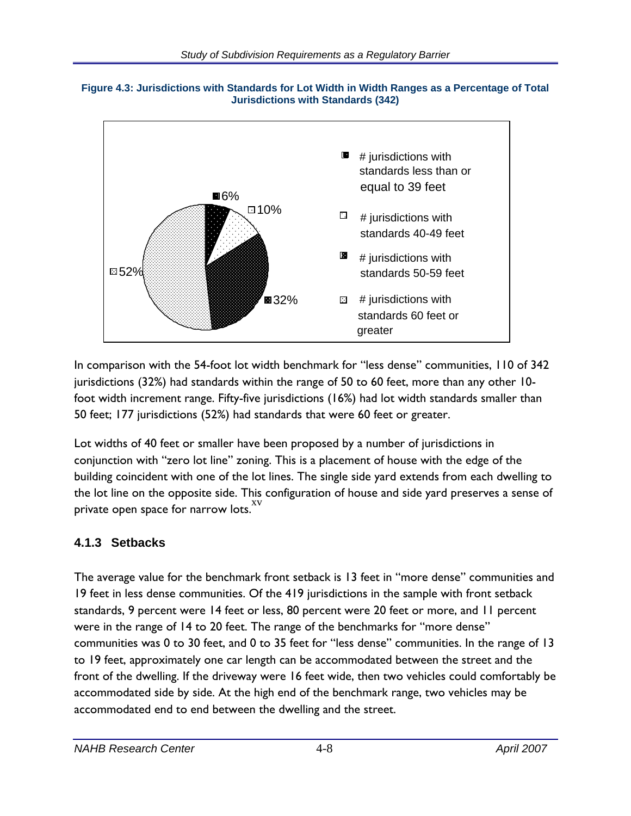



In comparison with the 54-foot lot width benchmark for "less dense" communities, 110 of 342 jurisdictions (32%) had standards within the range of 50 to 60 feet, more than any other 10 foot width increment range. Fifty-five jurisdictions (16%) had lot width standards smaller than 50 feet; 177 jurisdictions (52%) had standards that were 60 feet or greater.

Lot widths of 40 feet or smaller have been proposed by a number of jurisdictions in conjunction with "zero lot line" zoning. This is a placement of house with the edge of the building coincident with one of the lot lines. The single side yard extends from each dwelling to the lot line on the opposite side. This configuration of house and side yard preserves a sense of private open space for narrow lots.<sup>XV</sup>

# **4.1.3 Setbacks**

The average value for the benchmark front setback is 13 feet in "more dense" communities and 19 feet in less dense communities. Of the 419 jurisdictions in the sample with front setback standards, 9 percent were 14 feet or less, 80 percent were 20 feet or more, and 11 percent were in the range of 14 to 20 feet. The range of the benchmarks for "more dense" communities was 0 to 30 feet, and 0 to 35 feet for "less dense" communities. In the range of 13 to 19 feet, approximately one car length can be accommodated between the street and the front of the dwelling. If the driveway were 16 feet wide, then two vehicles could comfortably be accommodated side by side. At the high end of the benchmark range, two vehicles may be accommodated end to end between the dwelling and the street.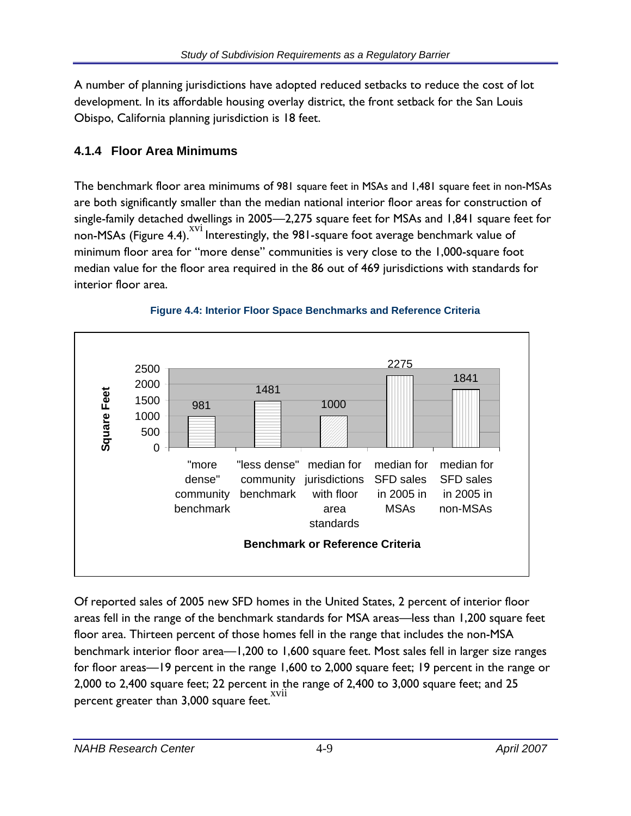A number of planning jurisdictions have adopted reduced setbacks to reduce the cost of lot development. In its affordable housing overlay district, the front setback for the San Louis Obispo, California planning jurisdiction is 18 feet.

# **4.1.4 Floor Area Minimums**

The benchmark floor area minimums of 981 square feet in MSAs and 1,481 square feet in non-MSAs are both significantly smaller than the median national interior floor areas for construction of single-family detached dwellings in 2005—2,275 square feet for MSAs and 1,841 square feet for non-MSAs (Figure 4.4).<sup>XVI</sup> Interestingly, the 981-square foot average benchmark value of minimum floor area for "more dense" communities is very close to the 1,000-square foot median value for the floor area required in the 86 out of 469 jurisdictions with standards for interior floor area.



#### **Figure 4.4: Interior Floor Space Benchmarks and Reference Criteria**

Of reported sales of 2005 new SFD homes in the United States, 2 percent of interior floor areas fell in the range of the benchmark standards for MSA areas—less than 1,200 square feet floor area. Thirteen percent of those homes fell in the range that includes the non-MSA benchmark interior floor area—1,200 to 1,600 square feet. Most sales fell in larger size ranges for floor areas—19 percent in the range 1,600 to 2,000 square feet; 19 percent in the range or 2,000 to 2,400 square feet; 22 percent in the range of 2,400 to 3,000 square feet; and 25 percent greater than 3,000 square feet.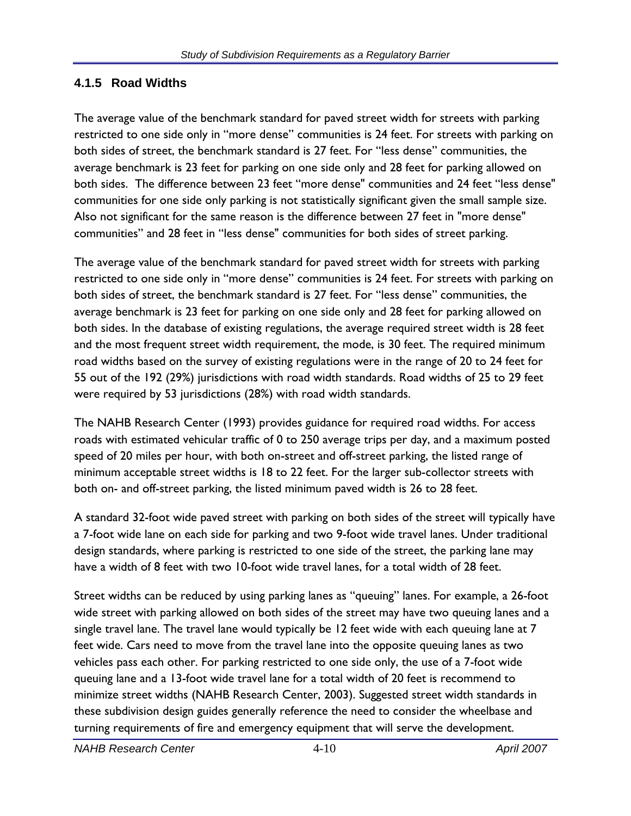#### **4.1.5 Road Widths**

The average value of the benchmark standard for paved street width for streets with parking restricted to one side only in "more dense" communities is 24 feet. For streets with parking on both sides of street, the benchmark standard is 27 feet. For "less dense" communities, the average benchmark is 23 feet for parking on one side only and 28 feet for parking allowed on both sides. The difference between 23 feet "more dense" communities and 24 feet "less dense" communities for one side only parking is not statistically significant given the small sample size. Also not significant for the same reason is the difference between 27 feet in "more dense" communities" and 28 feet in "less dense" communities for both sides of street parking.

The average value of the benchmark standard for paved street width for streets with parking restricted to one side only in "more dense" communities is 24 feet. For streets with parking on both sides of street, the benchmark standard is 27 feet. For "less dense" communities, the average benchmark is 23 feet for parking on one side only and 28 feet for parking allowed on both sides. In the database of existing regulations, the average required street width is 28 feet and the most frequent street width requirement, the mode, is 30 feet. The required minimum road widths based on the survey of existing regulations were in the range of 20 to 24 feet for 55 out of the 192 (29%) jurisdictions with road width standards. Road widths of 25 to 29 feet were required by 53 jurisdictions (28%) with road width standards.

The NAHB Research Center (1993) provides guidance for required road widths. For access roads with estimated vehicular traffic of 0 to 250 average trips per day, and a maximum posted speed of 20 miles per hour, with both on-street and off-street parking, the listed range of minimum acceptable street widths is 18 to 22 feet. For the larger sub-collector streets with both on- and off-street parking, the listed minimum paved width is 26 to 28 feet.

A standard 32-foot wide paved street with parking on both sides of the street will typically have a 7-foot wide lane on each side for parking and two 9-foot wide travel lanes. Under traditional design standards, where parking is restricted to one side of the street, the parking lane may have a width of 8 feet with two 10-foot wide travel lanes, for a total width of 28 feet.

Street widths can be reduced by using parking lanes as "queuing" lanes. For example, a 26-foot wide street with parking allowed on both sides of the street may have two queuing lanes and a single travel lane. The travel lane would typically be 12 feet wide with each queuing lane at 7 feet wide. Cars need to move from the travel lane into the opposite queuing lanes as two vehicles pass each other. For parking restricted to one side only, the use of a 7-foot wide queuing lane and a 13-foot wide travel lane for a total width of 20 feet is recommend to minimize street widths (NAHB Research Center, 2003). Suggested street width standards in these subdivision design guides generally reference the need to consider the wheelbase and turning requirements of fire and emergency equipment that will serve the development.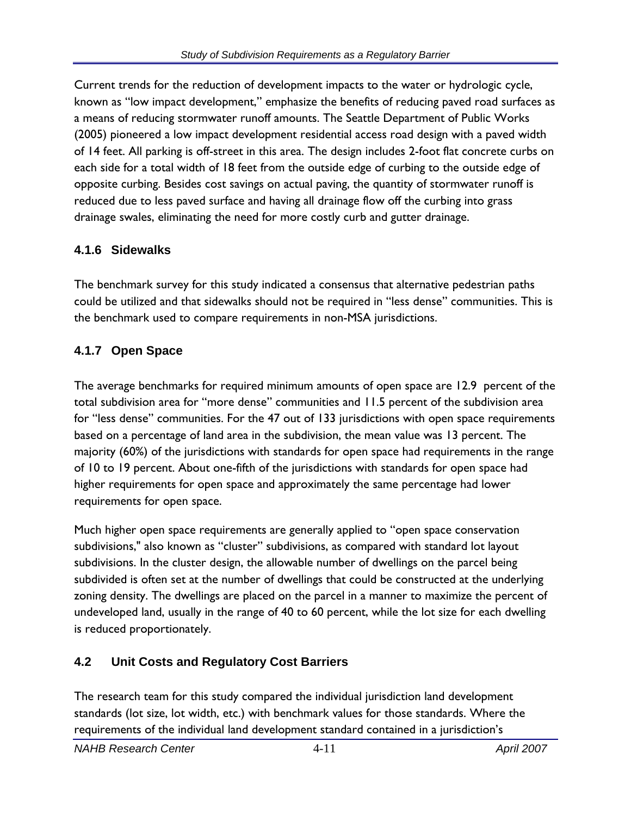Current trends for the reduction of development impacts to the water or hydrologic cycle, known as "low impact development," emphasize the benefits of reducing paved road surfaces as a means of reducing stormwater runoff amounts. The Seattle Department of Public Works (2005) pioneered a low impact development residential access road design with a paved width of 14 feet. All parking is off-street in this area. The design includes 2-foot flat concrete curbs on each side for a total width of 18 feet from the outside edge of curbing to the outside edge of opposite curbing. Besides cost savings on actual paving, the quantity of stormwater runoff is reduced due to less paved surface and having all drainage flow off the curbing into grass drainage swales, eliminating the need for more costly curb and gutter drainage.

## **4.1.6 Sidewalks**

The benchmark survey for this study indicated a consensus that alternative pedestrian paths could be utilized and that sidewalks should not be required in "less dense" communities. This is the benchmark used to compare requirements in non-MSA jurisdictions.

# **4.1.7 Open Space**

The average benchmarks for required minimum amounts of open space are 12.9 percent of the total subdivision area for "more dense" communities and 11.5 percent of the subdivision area for "less dense" communities. For the 47 out of 133 jurisdictions with open space requirements based on a percentage of land area in the subdivision, the mean value was 13 percent. The majority (60%) of the jurisdictions with standards for open space had requirements in the range of 10 to 19 percent. About one-fifth of the jurisdictions with standards for open space had higher requirements for open space and approximately the same percentage had lower requirements for open space.

Much higher open space requirements are generally applied to "open space conservation subdivisions," also known as "cluster" subdivisions, as compared with standard lot layout subdivisions. In the cluster design, the allowable number of dwellings on the parcel being subdivided is often set at the number of dwellings that could be constructed at the underlying zoning density. The dwellings are placed on the parcel in a manner to maximize the percent of undeveloped land, usually in the range of 40 to 60 percent, while the lot size for each dwelling is reduced proportionately.

# **4.2 Unit Costs and Regulatory Cost Barriers**

The research team for this study compared the individual jurisdiction land development standards (lot size, lot width, etc.) with benchmark values for those standards. Where the requirements of the individual land development standard contained in a jurisdiction's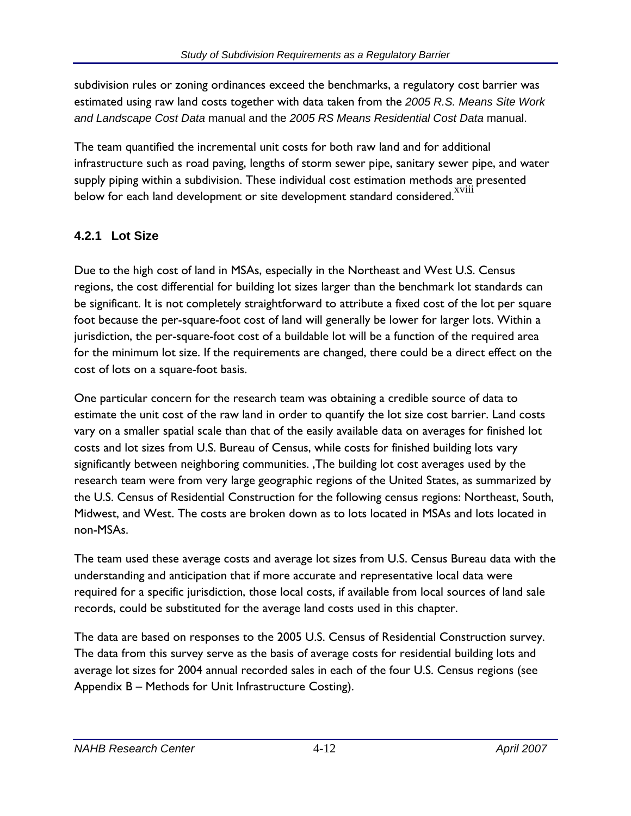subdivision rules or zoning ordinances exceed the benchmarks, a regulatory cost barrier was estimated using raw land costs together with data taken from the *2005 R.S. Means Site Work and Landscape Cost Data* manual and the *2005 RS Means Residential Cost Data* manual.

The team quantified the incremental unit costs for both raw land and for additional infrastructure such as road paving, lengths of storm sewer pipe, sanitary sewer pipe, and water supply piping within a subdivision. These individual cost estimation methods are presented below for each land development or site development standard considered.

## **4.2.1 Lot Size**

Due to the high cost of land in MSAs, especially in the Northeast and West U.S. Census regions, the cost differential for building lot sizes larger than the benchmark lot standards can be significant. It is not completely straightforward to attribute a fixed cost of the lot per square foot because the per-square-foot cost of land will generally be lower for larger lots. Within a jurisdiction, the per-square-foot cost of a buildable lot will be a function of the required area for the minimum lot size. If the requirements are changed, there could be a direct effect on the cost of lots on a square-foot basis.

One particular concern for the research team was obtaining a credible source of data to estimate the unit cost of the raw land in order to quantify the lot size cost barrier. Land costs vary on a smaller spatial scale than that of the easily available data on averages for finished lot costs and lot sizes from U.S. Bureau of Census, while costs for finished building lots vary significantly between neighboring communities. ,The building lot cost averages used by the research team were from very large geographic regions of the United States, as summarized by the U.S. Census of Residential Construction for the following census regions: Northeast, South, Midwest, and West. The costs are broken down as to lots located in MSAs and lots located in non-MSAs.

The team used these average costs and average lot sizes from U.S. Census Bureau data with the understanding and anticipation that if more accurate and representative local data were required for a specific jurisdiction, those local costs, if available from local sources of land sale records, could be substituted for the average land costs used in this chapter.

The data are based on responses to the 2005 U.S. Census of Residential Construction survey. The data from this survey serve as the basis of average costs for residential building lots and average lot sizes for 2004 annual recorded sales in each of the four U.S. Census regions (see Appendix B – Methods for Unit Infrastructure Costing).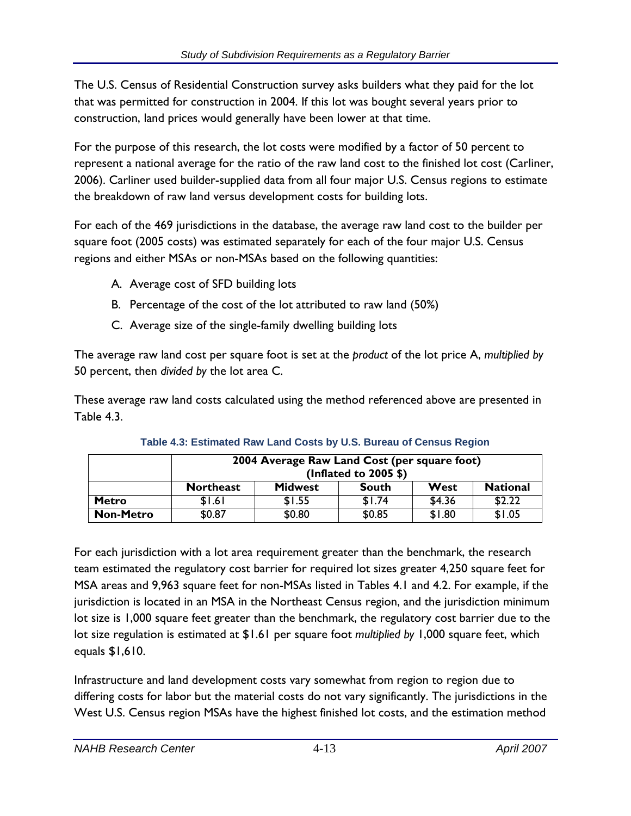The U.S. Census of Residential Construction survey asks builders what they paid for the lot that was permitted for construction in 2004. If this lot was bought several years prior to construction, land prices would generally have been lower at that time.

For the purpose of this research, the lot costs were modified by a factor of 50 percent to represent a national average for the ratio of the raw land cost to the finished lot cost (Carliner, 2006). Carliner used builder-supplied data from all four major U.S. Census regions to estimate the breakdown of raw land versus development costs for building lots.

For each of the 469 jurisdictions in the database, the average raw land cost to the builder per square foot (2005 costs) was estimated separately for each of the four major U.S. Census regions and either MSAs or non-MSAs based on the following quantities:

- A. Average cost of SFD building lots
- B. Percentage of the cost of the lot attributed to raw land (50%)
- C. Average size of the single-family dwelling building lots

The average raw land cost per square foot is set at the *product* of the lot price A, *multiplied by*  50 percent, then *divided by* the lot area C.

These average raw land costs calculated using the method referenced above are presented in Table 4.3.

|                  | 2004 Average Raw Land Cost (per square foot)<br>(Inflated to 2005 \$)         |        |        |        |        |  |  |  |  |  |
|------------------|-------------------------------------------------------------------------------|--------|--------|--------|--------|--|--|--|--|--|
|                  | <b>National</b><br>West<br><b>Northeast</b><br><b>Midwest</b><br><b>South</b> |        |        |        |        |  |  |  |  |  |
| <b>Metro</b>     | \$1.61                                                                        | \$1.55 | \$1.74 | \$4.36 | \$2.22 |  |  |  |  |  |
| <b>Non-Metro</b> | \$0.87                                                                        | \$0.80 | \$0.85 | \$1.80 | \$1.05 |  |  |  |  |  |

| Table 4.3: Estimated Raw Land Costs by U.S. Bureau of Census Region |
|---------------------------------------------------------------------|
|---------------------------------------------------------------------|

For each jurisdiction with a lot area requirement greater than the benchmark, the research team estimated the regulatory cost barrier for required lot sizes greater 4,250 square feet for MSA areas and 9,963 square feet for non-MSAs listed in Tables 4.1 and 4.2. For example, if the jurisdiction is located in an MSA in the Northeast Census region, and the jurisdiction minimum lot size is 1,000 square feet greater than the benchmark, the regulatory cost barrier due to the lot size regulation is estimated at \$1.61 per square foot *multiplied by* 1,000 square feet, which equals \$1,610.

Infrastructure and land development costs vary somewhat from region to region due to differing costs for labor but the material costs do not vary significantly. The jurisdictions in the West U.S. Census region MSAs have the highest finished lot costs, and the estimation method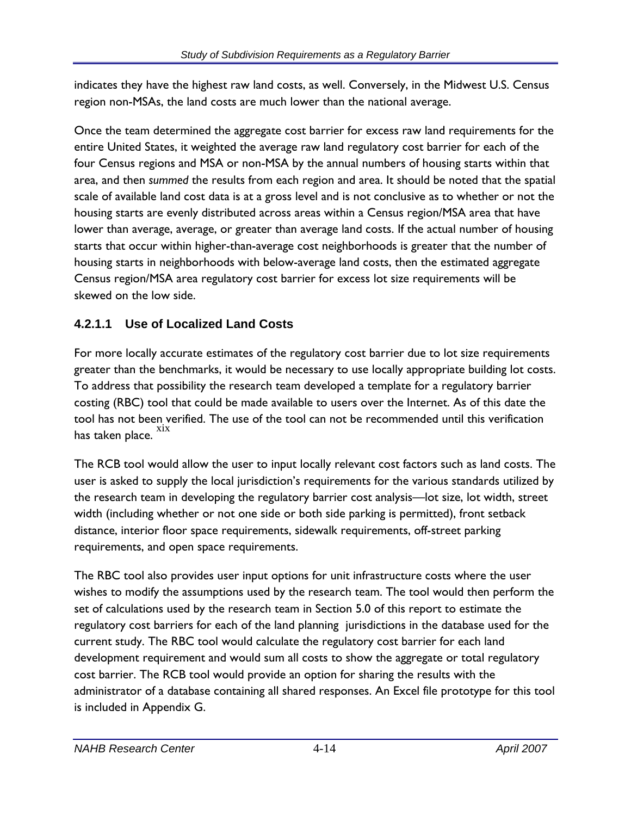indicates they have the highest raw land costs, as well. Conversely, in the Midwest U.S. Census region non-MSAs, the land costs are much lower than the national average.

Once the team determined the aggregate cost barrier for excess raw land requirements for the entire United States, it weighted the average raw land regulatory cost barrier for each of the four Census regions and MSA or non-MSA by the annual numbers of housing starts within that area, and then *summed* the results from each region and area. It should be noted that the spatial scale of available land cost data is at a gross level and is not conclusive as to whether or not the housing starts are evenly distributed across areas within a Census region/MSA area that have lower than average, average, or greater than average land costs. If the actual number of housing starts that occur within higher-than-average cost neighborhoods is greater that the number of housing starts in neighborhoods with below-average land costs, then the estimated aggregate Census region/MSA area regulatory cost barrier for excess lot size requirements will be skewed on the low side.

## **4.2.1.1 Use of Localized Land Costs**

For more locally accurate estimates of the regulatory cost barrier due to lot size requirements greater than the benchmarks, it would be necessary to use locally appropriate building lot costs. To address that possibility the research team developed a template for a regulatory barrier costing (RBC) tool that could be made available to users over the Internet. As of this date the tool has not been verified. The use of the tool can not be recommended until this verification has taken place.  $\frac{xx}{xx}$ 

The RCB tool would allow the user to input locally relevant cost factors such as land costs. The user is asked to supply the local jurisdiction's requirements for the various standards utilized by the research team in developing the regulatory barrier cost analysis—lot size, lot width, street width (including whether or not one side or both side parking is permitted), front setback distance, interior floor space requirements, sidewalk requirements, off-street parking requirements, and open space requirements.

The RBC tool also provides user input options for unit infrastructure costs where the user wishes to modify the assumptions used by the research team. The tool would then perform the set of calculations used by the research team in Section 5.0 of this report to estimate the regulatory cost barriers for each of the land planning jurisdictions in the database used for the current study. The RBC tool would calculate the regulatory cost barrier for each land development requirement and would sum all costs to show the aggregate or total regulatory cost barrier. The RCB tool would provide an option for sharing the results with the administrator of a database containing all shared responses. An Excel file prototype for this tool is included in Appendix G.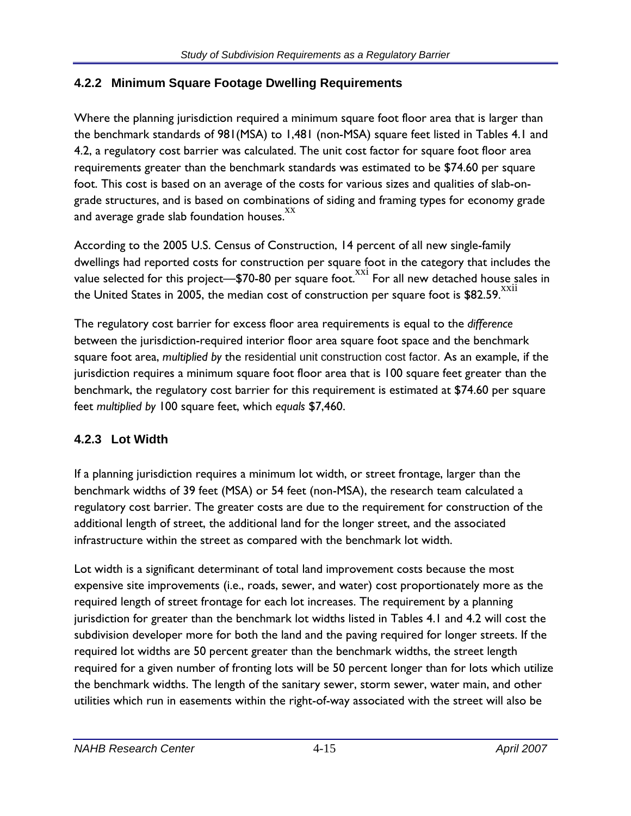## **4.2.2 Minimum Square Footage Dwelling Requirements**

Where the planning jurisdiction required a minimum square foot floor area that is larger than the benchmark standards of 981(MSA) to 1,481 (non-MSA) square feet listed in Tables 4.1 and 4.2, a regulatory cost barrier was calculated. The unit cost factor for square foot floor area requirements greater than the benchmark standards was estimated to be \$74.60 per square foot. This cost is based on an average of the costs for various sizes and qualities of slab-ongrade structures, and is based on combinations of siding and framing types for economy grade and average grade slab foundation houses. XX

According to the 2005 U.S. Census of Construction, 14 percent of all new single-family dwellings had reported costs for construction per square foot in the category that includes the value selected for this project— $$70-80$  per square foot.  $^{xxi}$  For all new detached house sales in the United States in 2005, the median cost of construction per square foot is \$82.59. XX11

The regulatory cost barrier for excess floor area requirements is equal to the *difference*  between the jurisdiction-required interior floor area square foot space and the benchmark square foot area, *multiplied by* the residential unit construction cost factor. As an example, if the jurisdiction requires a minimum square foot floor area that is 100 square feet greater than the benchmark, the regulatory cost barrier for this requirement is estimated at \$74.60 per square feet *multiplied by* 100 square feet, which *equals* \$7,460.

# **4.2.3 Lot Width**

If a planning jurisdiction requires a minimum lot width, or street frontage, larger than the benchmark widths of 39 feet (MSA) or 54 feet (non-MSA), the research team calculated a regulatory cost barrier. The greater costs are due to the requirement for construction of the additional length of street, the additional land for the longer street, and the associated infrastructure within the street as compared with the benchmark lot width.

Lot width is a significant determinant of total land improvement costs because the most expensive site improvements (i.e., roads, sewer, and water) cost proportionately more as the required length of street frontage for each lot increases. The requirement by a planning jurisdiction for greater than the benchmark lot widths listed in Tables 4.1 and 4.2 will cost the subdivision developer more for both the land and the paving required for longer streets. If the required lot widths are 50 percent greater than the benchmark widths, the street length required for a given number of fronting lots will be 50 percent longer than for lots which utilize the benchmark widths. The length of the sanitary sewer, storm sewer, water main, and other utilities which run in easements within the right-of-way associated with the street will also be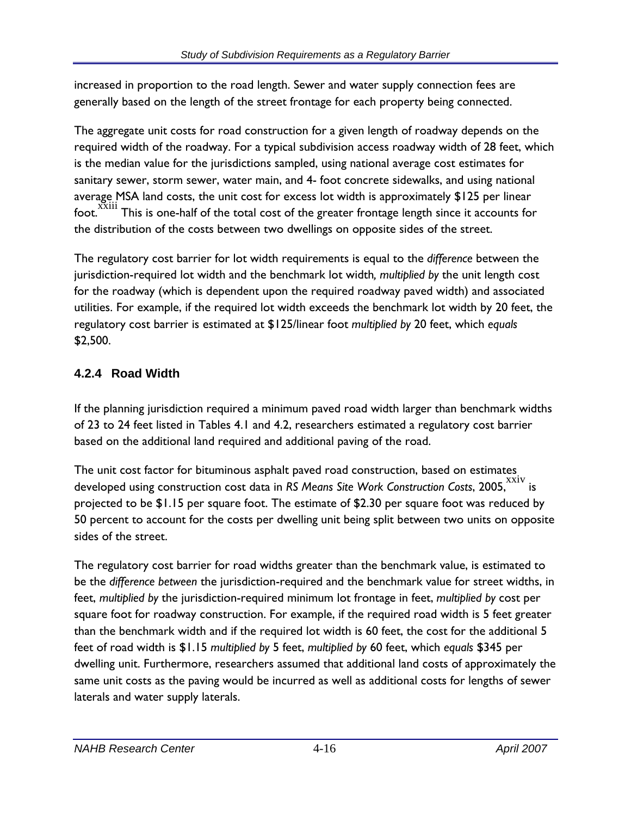increased in proportion to the road length. Sewer and water supply connection fees are generally based on the length of the street frontage for each property being connected.

The aggregate unit costs for road construction for a given length of roadway depends on the required width of the roadway. For a typical subdivision access roadway width of 28 feet, which is the median value for the jurisdictions sampled, using national average cost estimates for sanitary sewer, storm sewer, water main, and 4- foot concrete sidewalks, and using national average MSA land costs, the unit cost for excess lot width is approximately \$125 per linear foot. <sup>XXIII</sup> This is one-half of the total cost of the greater frontage length since it accounts for the distribution of the costs between two dwellings on opposite sides of the street.

The regulatory cost barrier for lot width requirements is equal to the *difference* between the jurisdiction-required lot width and the benchmark lot width*, multiplied by* the unit length cost for the roadway (which is dependent upon the required roadway paved width) and associated utilities. For example, if the required lot width exceeds the benchmark lot width by 20 feet, the regulatory cost barrier is estimated at \$125/linear foot *multiplied by* 20 feet, which *equals*  \$2,500.

# **4.2.4 Road Width**

If the planning jurisdiction required a minimum paved road width larger than benchmark widths of 23 to 24 feet listed in Tables 4.1 and 4.2, researchers estimated a regulatory cost barrier based on the additional land required and additional paving of the road.

The unit cost factor for bituminous asphalt paved road construction, based on estimates developed using construction cost data in *RS Means Site Work Construction Costs*, 2005, XXIV is projected to be \$1.15 per square foot. The estimate of \$2.30 per square foot was reduced by 50 percent to account for the costs per dwelling unit being split between two units on opposite sides of the street.

The regulatory cost barrier for road widths greater than the benchmark value, is estimated to be the *difference between* the jurisdiction-required and the benchmark value for street widths, in feet, *multiplied by* the jurisdiction-required minimum lot frontage in feet, *multiplied by* cost per square foot for roadway construction. For example, if the required road width is 5 feet greater than the benchmark width and if the required lot width is 60 feet, the cost for the additional 5 feet of road width is \$1.15 *multiplied by* 5 feet, *multiplied by* 60 feet, which *equals* \$345 per dwelling unit. Furthermore, researchers assumed that additional land costs of approximately the same unit costs as the paving would be incurred as well as additional costs for lengths of sewer laterals and water supply laterals.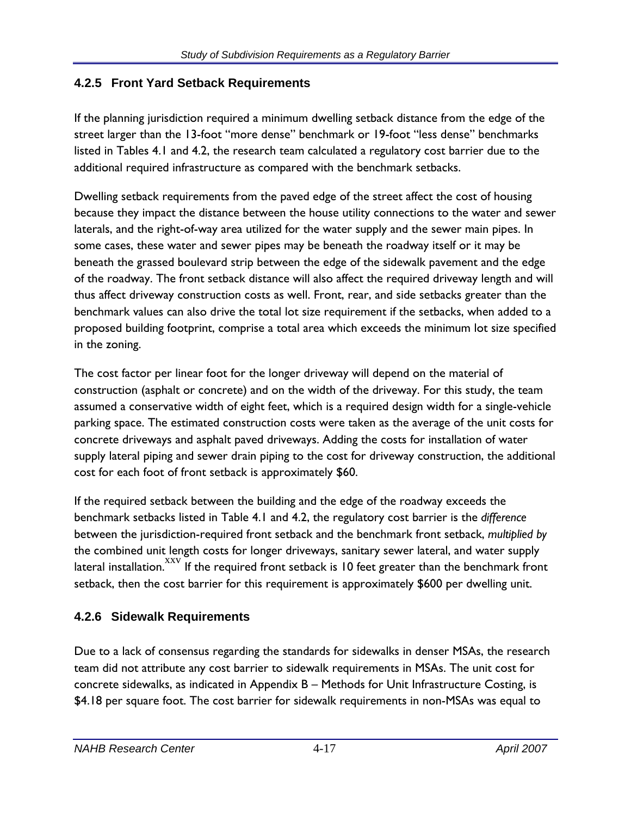#### **4.2.5 Front Yard Setback Requirements**

If the planning jurisdiction required a minimum dwelling setback distance from the edge of the street larger than the 13-foot "more dense" benchmark or 19-foot "less dense" benchmarks listed in Tables 4.1 and 4.2, the research team calculated a regulatory cost barrier due to the additional required infrastructure as compared with the benchmark setbacks.

Dwelling setback requirements from the paved edge of the street affect the cost of housing because they impact the distance between the house utility connections to the water and sewer laterals, and the right-of-way area utilized for the water supply and the sewer main pipes. In some cases, these water and sewer pipes may be beneath the roadway itself or it may be beneath the grassed boulevard strip between the edge of the sidewalk pavement and the edge of the roadway. The front setback distance will also affect the required driveway length and will thus affect driveway construction costs as well. Front, rear, and side setbacks greater than the benchmark values can also drive the total lot size requirement if the setbacks, when added to a proposed building footprint, comprise a total area which exceeds the minimum lot size specified in the zoning.

The cost factor per linear foot for the longer driveway will depend on the material of construction (asphalt or concrete) and on the width of the driveway. For this study, the team assumed a conservative width of eight feet, which is a required design width for a single-vehicle parking space. The estimated construction costs were taken as the average of the unit costs for concrete driveways and asphalt paved driveways. Adding the costs for installation of water supply lateral piping and sewer drain piping to the cost for driveway construction, the additional cost for each foot of front setback is approximately \$60.

If the required setback between the building and the edge of the roadway exceeds the benchmark setbacks listed in Table 4.1 and 4.2, the regulatory cost barrier is the *difference*  between the jurisdiction-required front setback and the benchmark front setback, *multiplied by*  the combined unit length costs for longer driveways, sanitary sewer lateral, and water supply lateral installation. XXV If the required front setback is 10 feet greater than the benchmark front setback, then the cost barrier for this requirement is approximately \$600 per dwelling unit.

#### **4.2.6 Sidewalk Requirements**

Due to a lack of consensus regarding the standards for sidewalks in denser MSAs, the research team did not attribute any cost barrier to sidewalk requirements in MSAs. The unit cost for concrete sidewalks, as indicated in Appendix B – Methods for Unit Infrastructure Costing, is \$4.18 per square foot. The cost barrier for sidewalk requirements in non-MSAs was equal to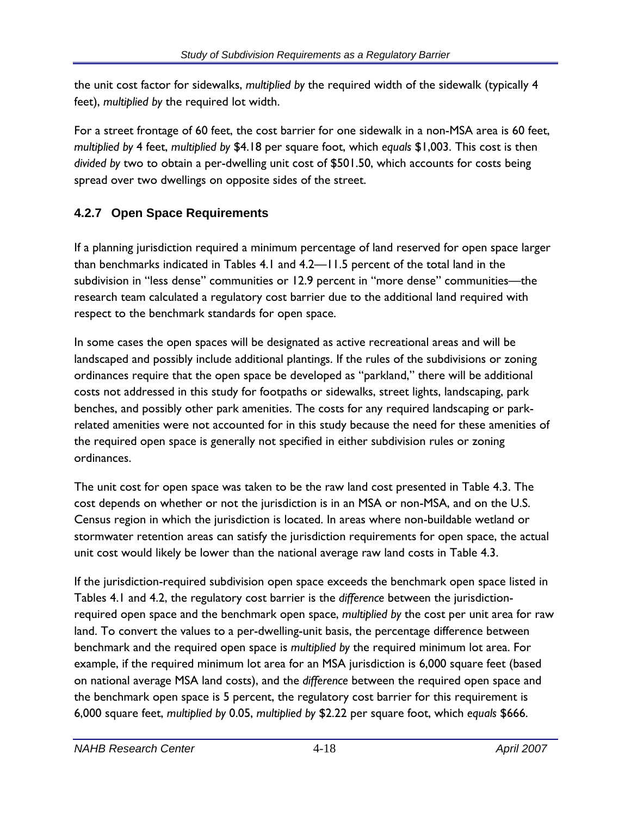the unit cost factor for sidewalks, *multiplied by* the required width of the sidewalk (typically 4 feet), *multiplied by* the required lot width.

For a street frontage of 60 feet, the cost barrier for one sidewalk in a non-MSA area is 60 feet, *multiplied by* 4 feet, *multiplied by* \$4.18 per square foot, which *equals* \$1,003. This cost is then *divided by* two to obtain a per-dwelling unit cost of \$501.50, which accounts for costs being spread over two dwellings on opposite sides of the street.

# **4.2.7 Open Space Requirements**

If a planning jurisdiction required a minimum percentage of land reserved for open space larger than benchmarks indicated in Tables 4.1 and 4.2—11.5 percent of the total land in the subdivision in "less dense" communities or 12.9 percent in "more dense" communities—the research team calculated a regulatory cost barrier due to the additional land required with respect to the benchmark standards for open space.

In some cases the open spaces will be designated as active recreational areas and will be landscaped and possibly include additional plantings. If the rules of the subdivisions or zoning ordinances require that the open space be developed as "parkland," there will be additional costs not addressed in this study for footpaths or sidewalks, street lights, landscaping, park benches, and possibly other park amenities. The costs for any required landscaping or parkrelated amenities were not accounted for in this study because the need for these amenities of the required open space is generally not specified in either subdivision rules or zoning ordinances.

The unit cost for open space was taken to be the raw land cost presented in Table 4.3. The cost depends on whether or not the jurisdiction is in an MSA or non-MSA, and on the U.S. Census region in which the jurisdiction is located. In areas where non-buildable wetland or stormwater retention areas can satisfy the jurisdiction requirements for open space, the actual unit cost would likely be lower than the national average raw land costs in Table 4.3.

If the jurisdiction-required subdivision open space exceeds the benchmark open space listed in Tables 4.1 and 4.2, the regulatory cost barrier is the *difference* between the jurisdictionrequired open space and the benchmark open space, *multiplied by* the cost per unit area for raw land. To convert the values to a per-dwelling-unit basis, the percentage difference between benchmark and the required open space is *multiplied by* the required minimum lot area. For example, if the required minimum lot area for an MSA jurisdiction is 6,000 square feet (based on national average MSA land costs), and the *difference* between the required open space and the benchmark open space is 5 percent, the regulatory cost barrier for this requirement is 6,000 square feet, *multiplied by* 0.05, *multiplied by* \$2.22 per square foot, which *equals* \$666.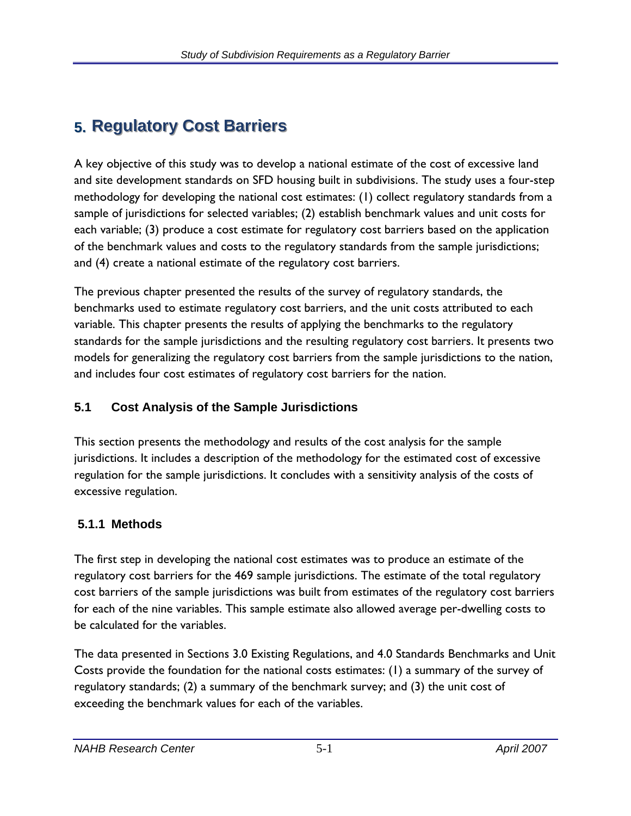# **5. Regulatory Cost Barriers**

A key objective of this study was to develop a national estimate of the cost of excessive land and site development standards on SFD housing built in subdivisions. The study uses a four-step methodology for developing the national cost estimates: (1) collect regulatory standards from a sample of jurisdictions for selected variables; (2) establish benchmark values and unit costs for each variable; (3) produce a cost estimate for regulatory cost barriers based on the application of the benchmark values and costs to the regulatory standards from the sample jurisdictions; and (4) create a national estimate of the regulatory cost barriers.

The previous chapter presented the results of the survey of regulatory standards, the benchmarks used to estimate regulatory cost barriers, and the unit costs attributed to each variable. This chapter presents the results of applying the benchmarks to the regulatory standards for the sample jurisdictions and the resulting regulatory cost barriers. It presents two models for generalizing the regulatory cost barriers from the sample jurisdictions to the nation, and includes four cost estimates of regulatory cost barriers for the nation.

# **5.1 Cost Analysis of the Sample Jurisdictions**

This section presents the methodology and results of the cost analysis for the sample jurisdictions. It includes a description of the methodology for the estimated cost of excessive regulation for the sample jurisdictions. It concludes with a sensitivity analysis of the costs of excessive regulation.

# **5.1.1 Methods**

The first step in developing the national cost estimates was to produce an estimate of the regulatory cost barriers for the 469 sample jurisdictions. The estimate of the total regulatory cost barriers of the sample jurisdictions was built from estimates of the regulatory cost barriers for each of the nine variables. This sample estimate also allowed average per-dwelling costs to be calculated for the variables.

The data presented in Sections 3.0 Existing Regulations, and 4.0 Standards Benchmarks and Unit Costs provide the foundation for the national costs estimates: (1) a summary of the survey of regulatory standards; (2) a summary of the benchmark survey; and (3) the unit cost of exceeding the benchmark values for each of the variables.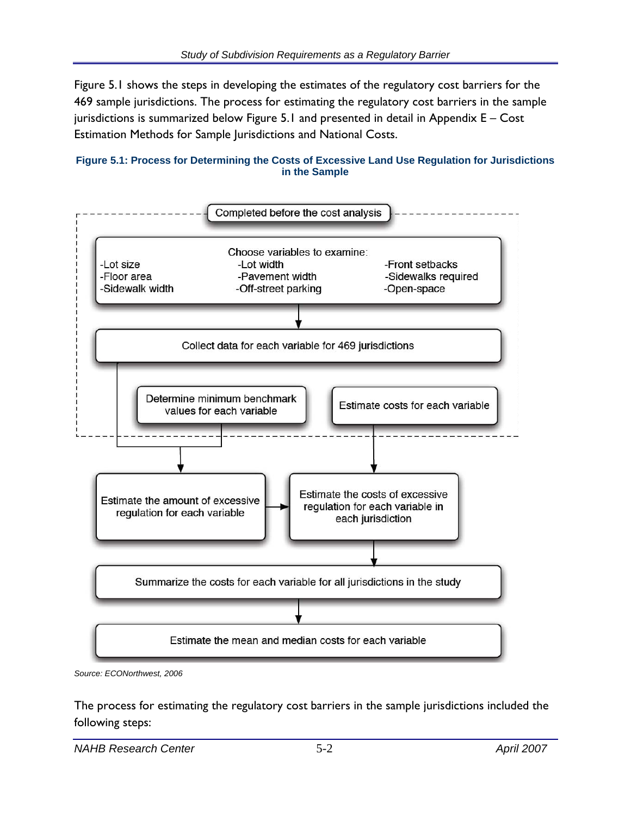Figure 5.1 shows the steps in developing the estimates of the regulatory cost barriers for the 469 sample jurisdictions. The process for estimating the regulatory cost barriers in the sample jurisdictions is summarized below Figure 5.1 and presented in detail in Appendix E – Cost Estimation Methods for Sample Jurisdictions and National Costs.





*Source: ECONorthwest, 2006* 

The process for estimating the regulatory cost barriers in the sample jurisdictions included the following steps: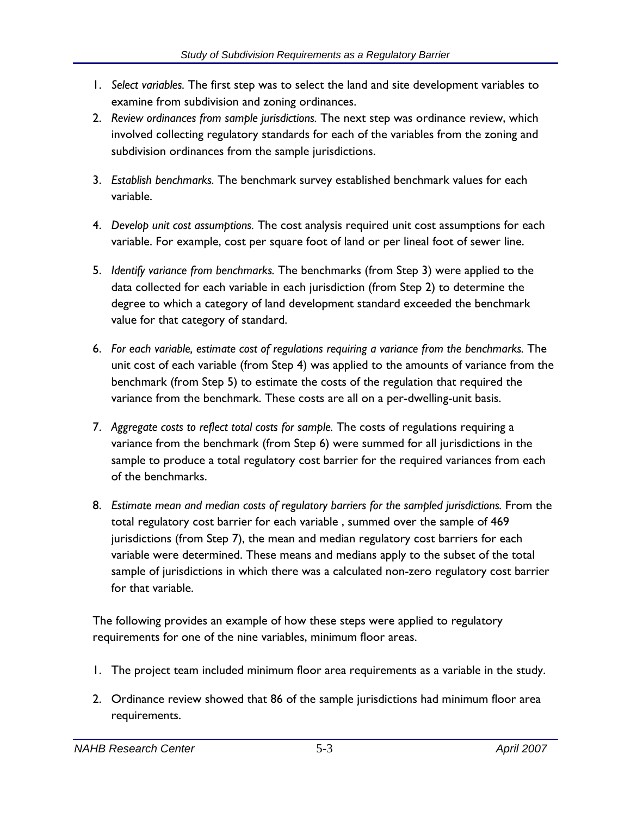- 1. *Select variables.* The first step was to select the land and site development variables to examine from subdivision and zoning ordinances.
- 2. *Review ordinances from sample jurisdictions.* The next step was ordinance review, which involved collecting regulatory standards for each of the variables from the zoning and subdivision ordinances from the sample jurisdictions.
- 3. *Establish benchmarks.* The benchmark survey established benchmark values for each variable.
- 4. *Develop unit cost assumptions.* The cost analysis required unit cost assumptions for each variable. For example, cost per square foot of land or per lineal foot of sewer line.
- 5. *Identify variance from benchmarks.* The benchmarks (from Step 3) were applied to the data collected for each variable in each jurisdiction (from Step 2) to determine the degree to which a category of land development standard exceeded the benchmark value for that category of standard.
- 6. *For each variable, estimate cost of regulations requiring a variance from the benchmarks.* The unit cost of each variable (from Step 4) was applied to the amounts of variance from the benchmark (from Step 5) to estimate the costs of the regulation that required the variance from the benchmark. These costs are all on a per-dwelling-unit basis.
- 7. *Aggregate costs to reflect total costs for sample.* The costs of regulations requiring a variance from the benchmark (from Step 6) were summed for all jurisdictions in the sample to produce a total regulatory cost barrier for the required variances from each of the benchmarks.
- 8. *Estimate mean and median costs of regulatory barriers for the sampled jurisdictions.* From the total regulatory cost barrier for each variable , summed over the sample of 469 jurisdictions (from Step 7), the mean and median regulatory cost barriers for each variable were determined. These means and medians apply to the subset of the total sample of jurisdictions in which there was a calculated non-zero regulatory cost barrier for that variable.

The following provides an example of how these steps were applied to regulatory requirements for one of the nine variables, minimum floor areas.

- 1. The project team included minimum floor area requirements as a variable in the study.
- 2. Ordinance review showed that 86 of the sample jurisdictions had minimum floor area requirements.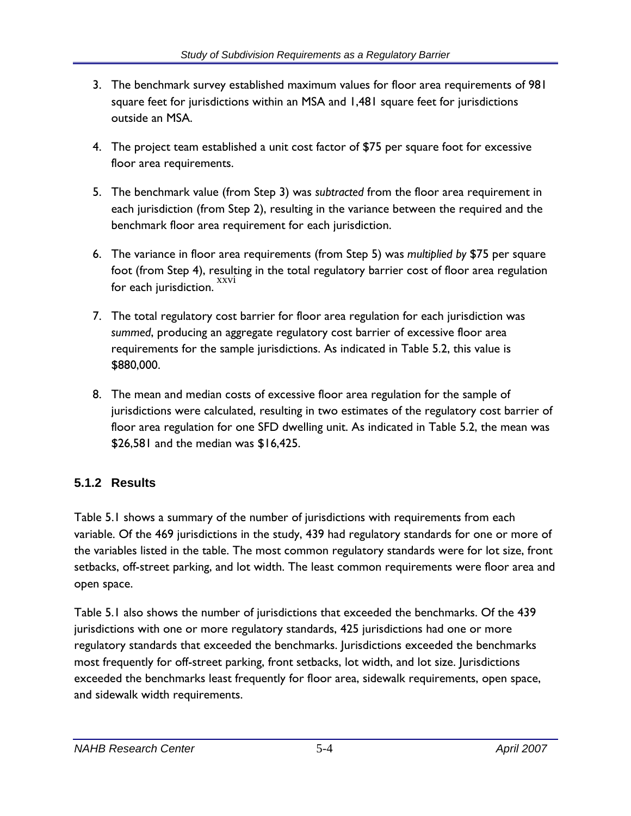- 3. The benchmark survey established maximum values for floor area requirements of 981 square feet for jurisdictions within an MSA and 1,481 square feet for jurisdictions outside an MSA.
- 4. The project team established a unit cost factor of \$75 per square foot for excessive floor area requirements.
- 5. The benchmark value (from Step 3) was *subtracted* from the floor area requirement in each jurisdiction (from Step 2), resulting in the variance between the required and the benchmark floor area requirement for each jurisdiction.
- 6. The variance in floor area requirements (from Step 5) was *multiplied by* \$75 per square foot (from Step 4), resulting in the total regulatory barrier cost of floor area regulation for each jurisdiction.
- 7. The total regulatory cost barrier for floor area regulation for each jurisdiction was *summed*, producing an aggregate regulatory cost barrier of excessive floor area requirements for the sample jurisdictions. As indicated in Table 5.2, this value is \$880,000.
- 8. The mean and median costs of excessive floor area regulation for the sample of jurisdictions were calculated, resulting in two estimates of the regulatory cost barrier of floor area regulation for one SFD dwelling unit. As indicated in Table 5.2, the mean was \$26,581 and the median was \$16,425.

# **5.1.2 Results**

Table 5.1 shows a summary of the number of jurisdictions with requirements from each variable. Of the 469 jurisdictions in the study, 439 had regulatory standards for one or more of the variables listed in the table. The most common regulatory standards were for lot size, front setbacks, off-street parking, and lot width. The least common requirements were floor area and open space.

Table 5.1 also shows the number of jurisdictions that exceeded the benchmarks. Of the 439 jurisdictions with one or more regulatory standards, 425 jurisdictions had one or more regulatory standards that exceeded the benchmarks. Jurisdictions exceeded the benchmarks most frequently for off-street parking, front setbacks, lot width, and lot size. Jurisdictions exceeded the benchmarks least frequently for floor area, sidewalk requirements, open space, and sidewalk width requirements.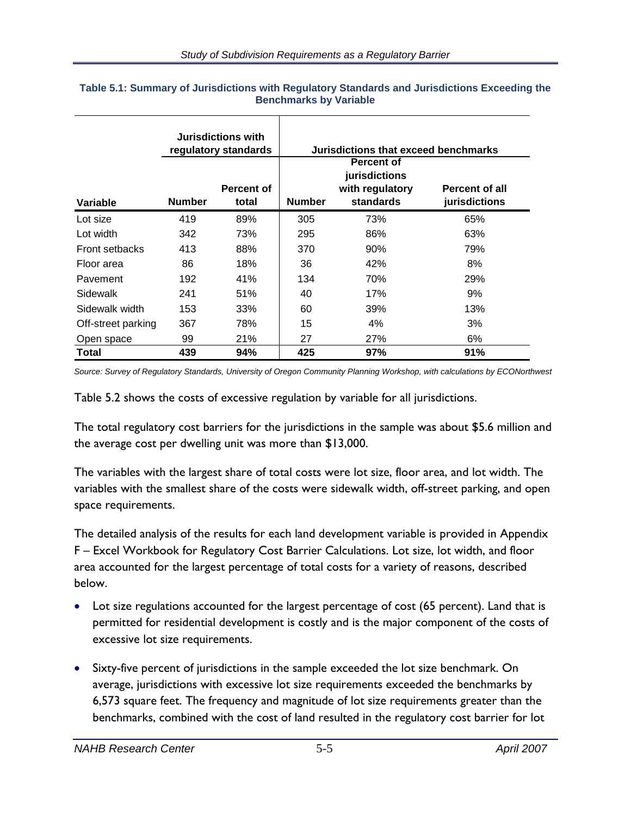|                       |               | <b>Jurisdictions with</b><br>regulatory standards | Jurisdictions that exceed benchmarks |                                                                    |                                        |  |  |
|-----------------------|---------------|---------------------------------------------------|--------------------------------------|--------------------------------------------------------------------|----------------------------------------|--|--|
| Variable              | <b>Number</b> | Percent of<br>total                               | <b>Number</b>                        | <b>Percent of</b><br>jurisdictions<br>with regulatory<br>standards | <b>Percent of all</b><br>jurisdictions |  |  |
| Lot size              | 419           | 89%                                               | 305                                  | 73%                                                                | 65%                                    |  |  |
| Lot width             | 342           | 73%                                               | 295                                  | 86%                                                                | 63%                                    |  |  |
| <b>Front setbacks</b> | 413           | 88%                                               | 370                                  | $90\%$                                                             | 79%                                    |  |  |
| Floor area            | 86            | 18%                                               | 36                                   | 42%                                                                | 8%                                     |  |  |
| Pavement              | 192           | 41%                                               | 134                                  | 70%                                                                | 29%                                    |  |  |
| Sidewalk              | 241           | 51%                                               | 40                                   | 17%                                                                | 9%                                     |  |  |
| Sidewalk width        | 153           | 33%                                               | 60                                   | 39%                                                                | 13%                                    |  |  |
| Off-street parking    | 367           | 78%                                               | 15                                   | $4\%$                                                              | 3%                                     |  |  |
| Open space            | 99            | 21%                                               | 27                                   | 27%                                                                | 6%                                     |  |  |
| Total                 | 439           | 94%                                               | 425                                  | 97%                                                                | 91%                                    |  |  |

#### **Table 5.1: Summary of Jurisdictions with Regulatory Standards and Jurisdictions Exceeding the Benchmarks by Variable**

Т

*Source: Survey of Regulatory Standards, University of Oregon Community Planning Workshop, with calculations by ECONorthwest* 

Table 5.2 shows the costs of excessive regulation by variable for all jurisdictions.

The total regulatory cost barriers for the jurisdictions in the sample was about \$5.6 million and the average cost per dwelling unit was more than \$13,000.

The variables with the largest share of total costs were lot size, floor area, and lot width. The variables with the smallest share of the costs were sidewalk width, off-street parking, and open space requirements.

The detailed analysis of the results for each land development variable is provided in Appendix F – Excel Workbook for Regulatory Cost Barrier Calculations. Lot size, lot width, and floor area accounted for the largest percentage of total costs for a variety of reasons, described below.

- Lot size regulations accounted for the largest percentage of cost (65 percent). Land that is permitted for residential development is costly and is the major component of the costs of excessive lot size requirements.
- Sixty-five percent of jurisdictions in the sample exceeded the lot size benchmark. On average, jurisdictions with excessive lot size requirements exceeded the benchmarks by 6,573 square feet. The frequency and magnitude of lot size requirements greater than the benchmarks, combined with the cost of land resulted in the regulatory cost barrier for lot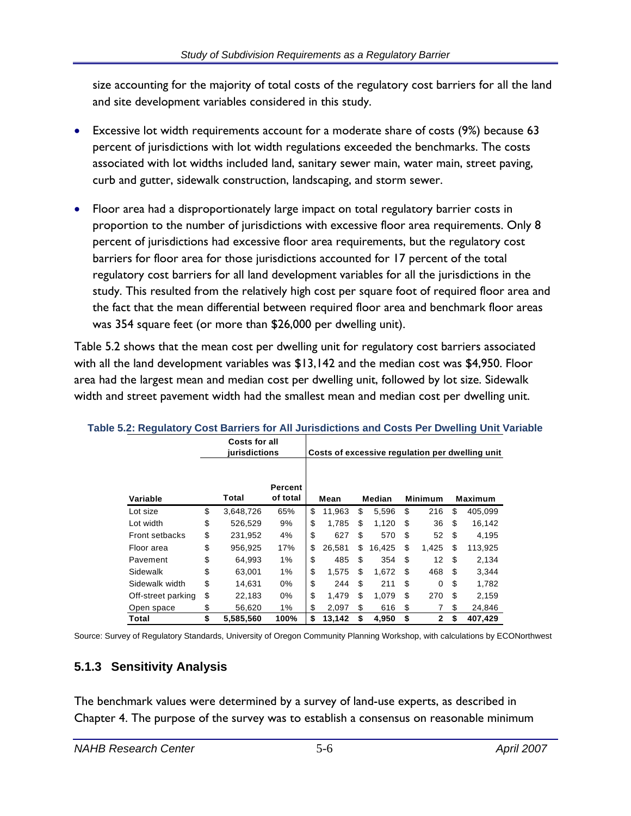size accounting for the majority of total costs of the regulatory cost barriers for all the land and site development variables considered in this study.

- Excessive lot width requirements account for a moderate share of costs (9%) because 63 percent of jurisdictions with lot width regulations exceeded the benchmarks. The costs associated with lot widths included land, sanitary sewer main, water main, street paving, curb and gutter, sidewalk construction, landscaping, and storm sewer.
- Floor area had a disproportionately large impact on total regulatory barrier costs in proportion to the number of jurisdictions with excessive floor area requirements. Only 8 percent of jurisdictions had excessive floor area requirements, but the regulatory cost barriers for floor area for those jurisdictions accounted for 17 percent of the total regulatory cost barriers for all land development variables for all the jurisdictions in the study. This resulted from the relatively high cost per square foot of required floor area and the fact that the mean differential between required floor area and benchmark floor areas was 354 square feet (or more than \$26,000 per dwelling unit).

Table 5.2 shows that the mean cost per dwelling unit for regulatory cost barriers associated with all the land development variables was \$13,142 and the median cost was \$4,950. Floor area had the largest mean and median cost per dwelling unit, followed by lot size. Sidewalk width and street pavement width had the smallest mean and median cost per dwelling unit.

|                       | Costs for all<br>jurisdictions |                                                         |    |        |    |        |         |              |     | Costs of excessive regulation per dwelling unit |
|-----------------------|--------------------------------|---------------------------------------------------------|----|--------|----|--------|---------|--------------|-----|-------------------------------------------------|
| Variable              | Total                          | Percent<br>of total<br>Median<br><b>Minimum</b><br>Mean |    |        |    |        | Maximum |              |     |                                                 |
| Lot size              | \$<br>3,648,726                | 65%                                                     | \$ | 11.963 | \$ | 5.596  | \$      | 216          | \$  | 405,099                                         |
| Lot width             | \$<br>526,529                  | 9%                                                      | \$ | 1.785  | \$ | 1.120  | \$      | 36           | \$  | 16,142                                          |
| <b>Front setbacks</b> | \$<br>231,952                  | 4%                                                      | \$ | 627    | \$ | 570    | \$      | 52           | \$  | 4,195                                           |
| Floor area            | \$<br>956,925                  | 17%                                                     | \$ | 26.581 | \$ | 16,425 | \$      | 1,425        | \$  | 113,925                                         |
| Pavement              | \$<br>64,993                   | 1%                                                      | \$ | 485    | \$ | 354    | \$      | 12           | \$  | 2,134                                           |
| Sidewalk              | \$<br>63,001                   | 1%                                                      | \$ | 1.575  | \$ | 1.672  | \$      | 468          | \$. | 3,344                                           |
| Sidewalk width        | \$<br>14,631                   | 0%                                                      | \$ | 244    | \$ | 211    | \$      | $\Omega$     | \$  | 1,782                                           |
| Off-street parking    | \$<br>22,183                   | 0%                                                      | \$ | 1.479  | \$ | 1.079  | \$      | 270          | \$  | 2,159                                           |
| Open space            | \$<br>56,620                   | 1%                                                      | \$ | 2,097  | \$ | 616    | \$      | 7            | \$  | 24,846                                          |
| Total                 | \$<br>5,585,560                | 100%                                                    | \$ | 13,142 | \$ | 4,950  | \$      | $\mathbf{2}$ | \$  | 407,429                                         |

#### **Table 5.2: Regulatory Cost Barriers for All Jurisdictions and Costs Per Dwelling Unit Variable**

Source: Survey of Regulatory Standards, University of Oregon Community Planning Workshop, with calculations by ECONorthwest

#### **5.1.3 Sensitivity Analysis**

The benchmark values were determined by a survey of land-use experts, as described in Chapter 4. The purpose of the survey was to establish a consensus on reasonable minimum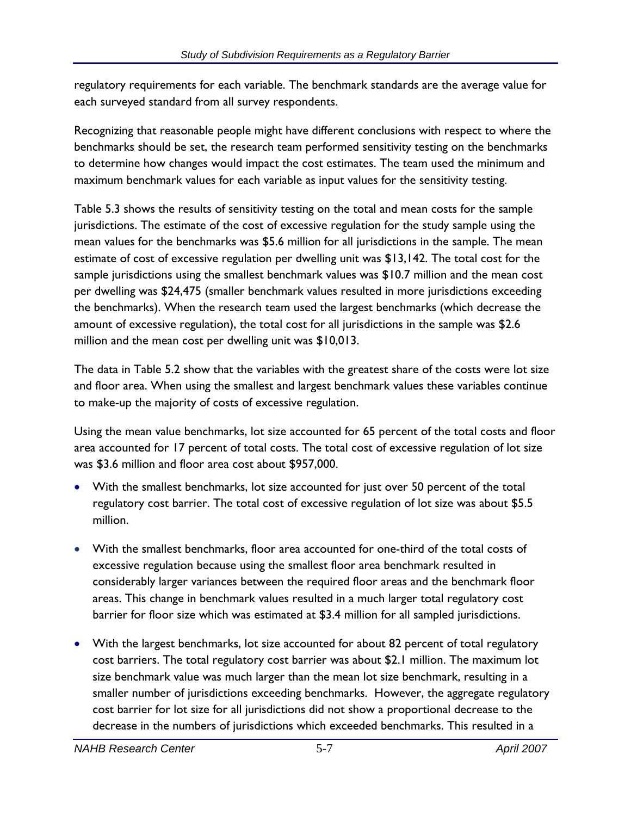regulatory requirements for each variable. The benchmark standards are the average value for each surveyed standard from all survey respondents.

Recognizing that reasonable people might have different conclusions with respect to where the benchmarks should be set, the research team performed sensitivity testing on the benchmarks to determine how changes would impact the cost estimates. The team used the minimum and maximum benchmark values for each variable as input values for the sensitivity testing.

Table 5.3 shows the results of sensitivity testing on the total and mean costs for the sample jurisdictions. The estimate of the cost of excessive regulation for the study sample using the mean values for the benchmarks was \$5.6 million for all jurisdictions in the sample. The mean estimate of cost of excessive regulation per dwelling unit was \$13,142. The total cost for the sample jurisdictions using the smallest benchmark values was \$10.7 million and the mean cost per dwelling was \$24,475 (smaller benchmark values resulted in more jurisdictions exceeding the benchmarks). When the research team used the largest benchmarks (which decrease the amount of excessive regulation), the total cost for all jurisdictions in the sample was \$2.6 million and the mean cost per dwelling unit was \$10,013.

The data in Table 5.2 show that the variables with the greatest share of the costs were lot size and floor area. When using the smallest and largest benchmark values these variables continue to make-up the majority of costs of excessive regulation.

Using the mean value benchmarks, lot size accounted for 65 percent of the total costs and floor area accounted for 17 percent of total costs. The total cost of excessive regulation of lot size was \$3.6 million and floor area cost about \$957,000.

- With the smallest benchmarks, lot size accounted for just over 50 percent of the total regulatory cost barrier. The total cost of excessive regulation of lot size was about \$5.5 million.
- With the smallest benchmarks, floor area accounted for one-third of the total costs of excessive regulation because using the smallest floor area benchmark resulted in considerably larger variances between the required floor areas and the benchmark floor areas. This change in benchmark values resulted in a much larger total regulatory cost barrier for floor size which was estimated at \$3.4 million for all sampled jurisdictions.
- With the largest benchmarks, lot size accounted for about 82 percent of total regulatory cost barriers. The total regulatory cost barrier was about \$2.1 million. The maximum lot size benchmark value was much larger than the mean lot size benchmark, resulting in a smaller number of jurisdictions exceeding benchmarks. However, the aggregate regulatory cost barrier for lot size for all jurisdictions did not show a proportional decrease to the decrease in the numbers of jurisdictions which exceeded benchmarks. This resulted in a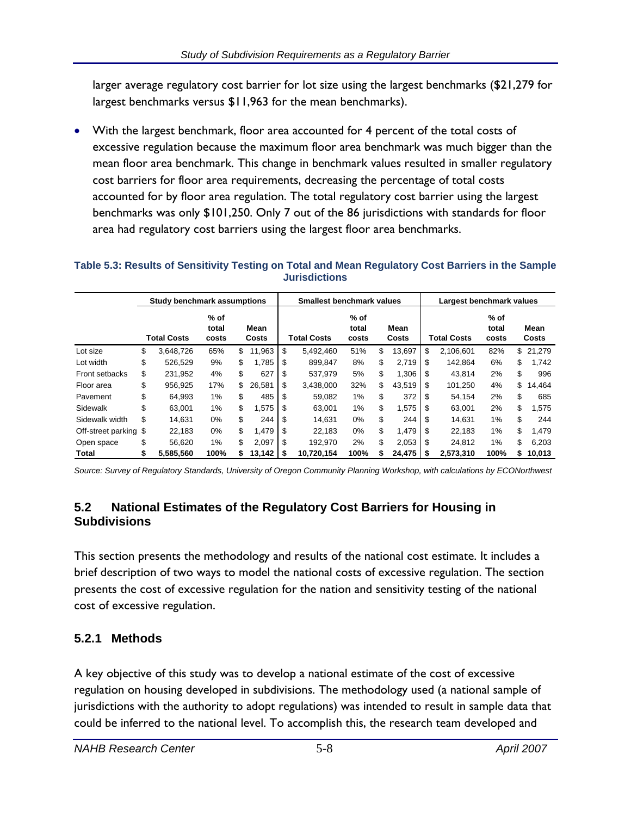larger average regulatory cost barrier for lot size using the largest benchmarks (\$21,279 for largest benchmarks versus \$11,963 for the mean benchmarks).

• With the largest benchmark, floor area accounted for 4 percent of the total costs of excessive regulation because the maximum floor area benchmark was much bigger than the mean floor area benchmark. This change in benchmark values resulted in smaller regulatory cost barriers for floor area requirements, decreasing the percentage of total costs accounted for by floor area regulation. The total regulatory cost barrier using the largest benchmarks was only \$101,250. Only 7 out of the 86 jurisdictions with standards for floor area had regulatory cost barriers using the largest floor area benchmarks.

#### **Table 5.3: Results of Sensitivity Testing on Total and Mean Regulatory Cost Barriers in the Sample Jurisdictions**

|                       | Study benchmark assumptions |                          |               | <b>Smallest benchmark values</b> |                    |                                           |    | Largest benchmark values |    |           |                    |                          |        |                      |
|-----------------------|-----------------------------|--------------------------|---------------|----------------------------------|--------------------|-------------------------------------------|----|--------------------------|----|-----------|--------------------|--------------------------|--------|----------------------|
|                       | <b>Total Costs</b>          | $%$ of<br>total<br>costs | Mean<br>Costs |                                  | <b>Total Costs</b> | $%$ of<br>total<br>Mean<br>Costs<br>costs |    |                          |    |           | <b>Total Costs</b> | $%$ of<br>total<br>costs |        | Mean<br><b>Costs</b> |
| Lot size              | \$<br>3.648.726             | 65%                      | \$<br>11.963  | \$                               | 5.492.460          | 51%                                       | \$ | 13.697                   | \$ | 2.106.601 | 82%                | \$                       | 21.279 |                      |
| Lot width             | \$<br>526.529               | 9%                       | \$<br>1,785   | \$.                              | 899.847            | 8%                                        | \$ | 2,719                    | \$ | 142.864   | 6%                 | \$                       | 1,742  |                      |
| <b>Front setbacks</b> | \$<br>231.952               | 4%                       | \$<br>627     | \$.                              | 537,979            | 5%                                        | \$ | 1,306                    | S  | 43.814    | 2%                 | \$                       | 996    |                      |
| Floor area            | \$<br>956.925               | 17%                      | \$<br>26,581  | \$                               | 3,438,000          | 32%                                       | \$ | 43,519                   | \$ | 101,250   | 4%                 | \$                       | 14,464 |                      |
| Pavement              | \$<br>64.993                | 1%                       | \$<br>485     | \$                               | 59.082             | 1%                                        | \$ | 372                      | \$ | 54.154    | 2%                 | \$                       | 685    |                      |
| Sidewalk              | \$<br>63.001                | 1%                       | \$<br>1,575   | -S                               | 63.001             | 1%                                        | \$ | 1,575                    | \$ | 63.001    | 2%                 | \$                       | 1.575  |                      |
| Sidewalk width        | \$<br>14.631                | 0%                       | \$<br>244     | S.                               | 14.631             | $0\%$                                     | \$ | 244                      | \$ | 14.631    | 1%                 | \$                       | 244    |                      |
| Off-street parking \$ | 22.183                      | 0%                       | \$<br>1.479   | \$                               | 22.183             | 0%                                        | \$ | 1.479                    | \$ | 22.183    | 1%                 | \$                       | 1.479  |                      |
| Open space            | \$<br>56.620                | 1%                       | \$<br>2,097   | \$                               | 192.970            | 2%                                        | \$ | 2,053                    | \$ | 24.812    | 1%                 | \$                       | 6,203  |                      |
| Total                 | \$<br>5,585,560             | 100%                     | 13,142        | - 5                              | 10,720,154         | 100%                                      |    | 24,475                   |    | 2,573,310 | 100%               | s.                       | 10,013 |                      |

*Source: Survey of Regulatory Standards, University of Oregon Community Planning Workshop, with calculations by ECONorthwest* 

#### **5.2 National Estimates of the Regulatory Cost Barriers for Housing in Subdivisions**

This section presents the methodology and results of the national cost estimate. It includes a brief description of two ways to model the national costs of excessive regulation. The section presents the cost of excessive regulation for the nation and sensitivity testing of the national cost of excessive regulation.

#### **5.2.1 Methods**

A key objective of this study was to develop a national estimate of the cost of excessive regulation on housing developed in subdivisions. The methodology used (a national sample of jurisdictions with the authority to adopt regulations) was intended to result in sample data that could be inferred to the national level. To accomplish this, the research team developed and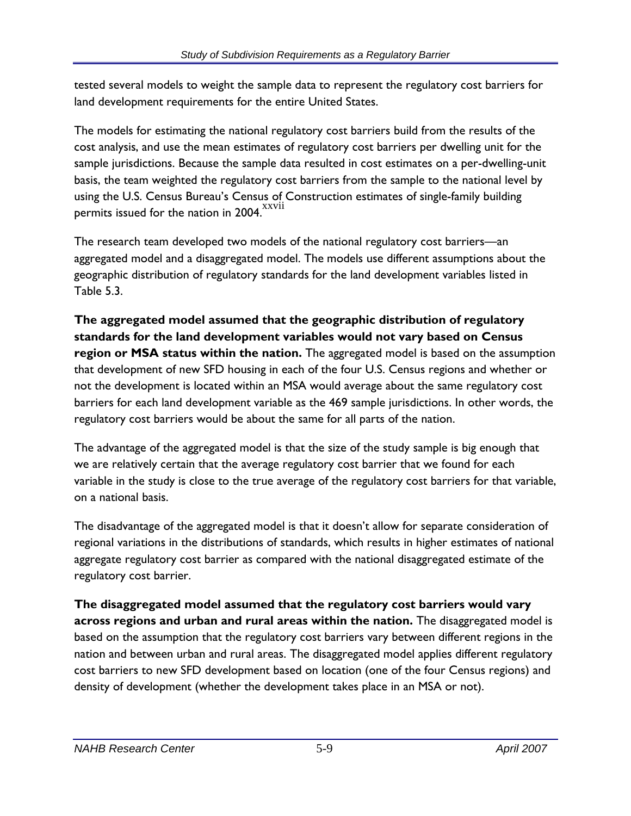tested several models to weight the sample data to represent the regulatory cost barriers for land development requirements for the entire United States.

The models for estimating the national regulatory cost barriers build from the results of the cost analysis, and use the mean estimates of regulatory cost barriers per dwelling unit for the sample jurisdictions. Because the sample data resulted in cost estimates on a per-dwelling-unit basis, the team weighted the regulatory cost barriers from the sample to the national level by using the U.S. Census Bureau's Census of Construction estimates of single-family building permits issued for the nation in 2004.

The research team developed two models of the national regulatory cost barriers—an aggregated model and a disaggregated model. The models use different assumptions about the geographic distribution of regulatory standards for the land development variables listed in Table 5.3.

**The aggregated model assumed that the geographic distribution of regulatory standards for the land development variables would not vary based on Census region or MSA status within the nation.** The aggregated model is based on the assumption that development of new SFD housing in each of the four U.S. Census regions and whether or not the development is located within an MSA would average about the same regulatory cost barriers for each land development variable as the 469 sample jurisdictions. In other words, the regulatory cost barriers would be about the same for all parts of the nation.

The advantage of the aggregated model is that the size of the study sample is big enough that we are relatively certain that the average regulatory cost barrier that we found for each variable in the study is close to the true average of the regulatory cost barriers for that variable, on a national basis.

The disadvantage of the aggregated model is that it doesn't allow for separate consideration of regional variations in the distributions of standards, which results in higher estimates of national aggregate regulatory cost barrier as compared with the national disaggregated estimate of the regulatory cost barrier.

**The disaggregated model assumed that the regulatory cost barriers would vary across regions and urban and rural areas within the nation.** The disaggregated model is based on the assumption that the regulatory cost barriers vary between different regions in the nation and between urban and rural areas. The disaggregated model applies different regulatory cost barriers to new SFD development based on location (one of the four Census regions) and density of development (whether the development takes place in an MSA or not).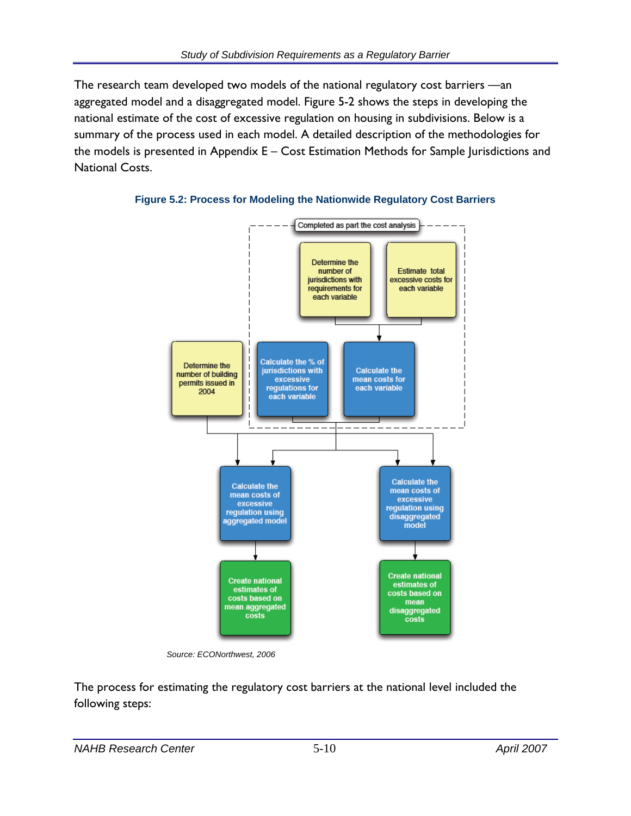The research team developed two models of the national regulatory cost barriers —an aggregated model and a disaggregated model. Figure 5-2 shows the steps in developing the national estimate of the cost of excessive regulation on housing in subdivisions. Below is a summary of the process used in each model. A detailed description of the methodologies for the models is presented in Appendix E – Cost Estimation Methods for Sample Jurisdictions and National Costs.



**Figure 5.2: Process for Modeling the Nationwide Regulatory Cost Barriers** 

 *Source: ECONorthwest, 2006* 

The process for estimating the regulatory cost barriers at the national level included the following steps: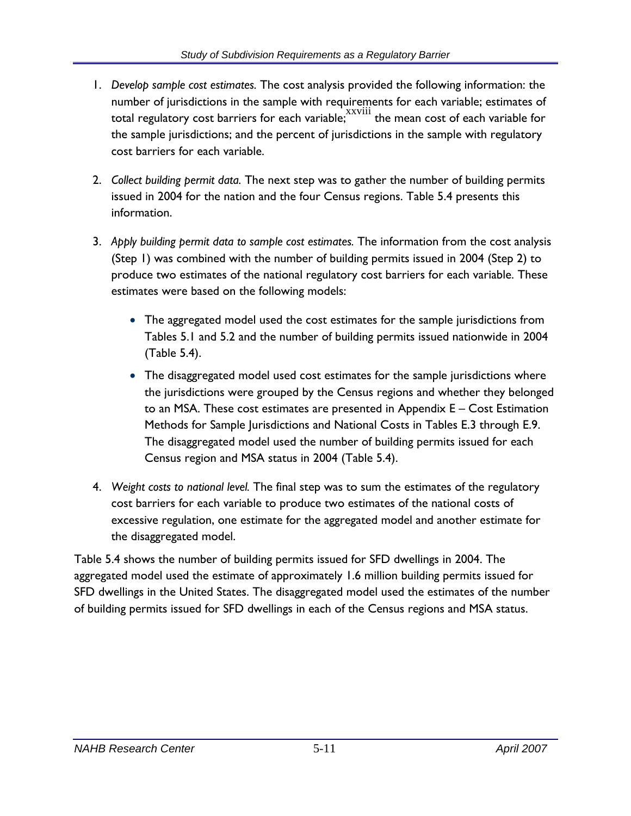- 1. *Develop sample cost estimates.* The cost analysis provided the following information: the number of jurisdictions in the sample with requirements for each variable; estimates of total regulatory cost barriers for each variable;  $\frac{xxviii}{x}$  the mean cost of each variable for the sample jurisdictions; and the percent of jurisdictions in the sample with regulatory cost barriers for each variable.
- 2. *Collect building permit data.* The next step was to gather the number of building permits issued in 2004 for the nation and the four Census regions. Table 5.4 presents this information.
- 3. *Apply building permit data to sample cost estimates.* The information from the cost analysis (Step 1) was combined with the number of building permits issued in 2004 (Step 2) to produce two estimates of the national regulatory cost barriers for each variable. These estimates were based on the following models:
	- The aggregated model used the cost estimates for the sample jurisdictions from Tables 5.1 and 5.2 and the number of building permits issued nationwide in 2004 (Table 5.4).
	- The disaggregated model used cost estimates for the sample jurisdictions where the jurisdictions were grouped by the Census regions and whether they belonged to an MSA. These cost estimates are presented in Appendix E – Cost Estimation Methods for Sample Jurisdictions and National Costs in Tables E.3 through E.9. The disaggregated model used the number of building permits issued for each Census region and MSA status in 2004 (Table 5.4).
- 4. *Weight costs to national level.* The final step was to sum the estimates of the regulatory cost barriers for each variable to produce two estimates of the national costs of excessive regulation, one estimate for the aggregated model and another estimate for the disaggregated model.

Table 5.4 shows the number of building permits issued for SFD dwellings in 2004. The aggregated model used the estimate of approximately 1.6 million building permits issued for SFD dwellings in the United States. The disaggregated model used the estimates of the number of building permits issued for SFD dwellings in each of the Census regions and MSA status.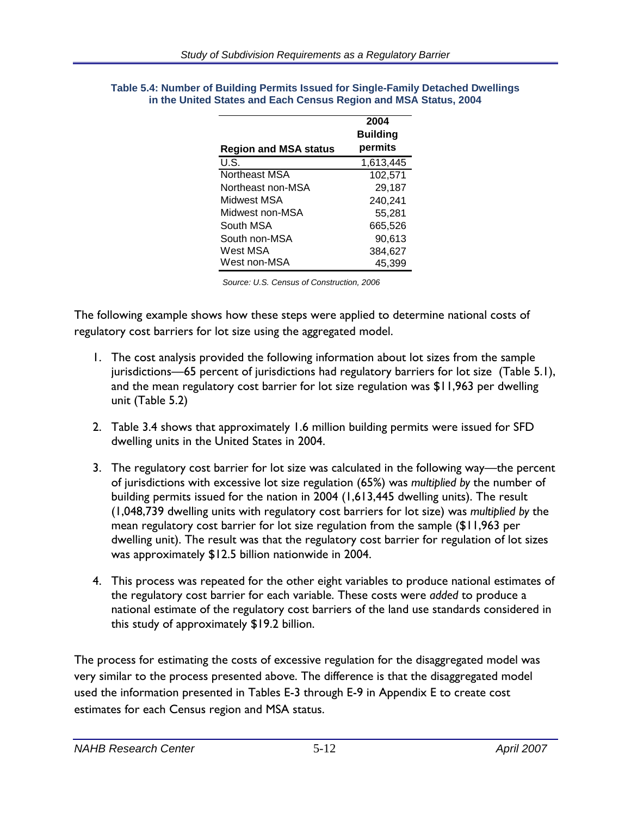|                              | 2004<br><b>Building</b> |
|------------------------------|-------------------------|
| <b>Region and MSA status</b> | permits                 |
| U.S.                         | 1,613,445               |
| Northeast MSA                | 102,571                 |
| Northeast non-MSA            | 29,187                  |
| Midwest MSA                  | 240,241                 |
| Midwest non-MSA              | 55,281                  |
| South MSA                    | 665,526                 |
| South non-MSA                | 90,613                  |
| West MSA                     | 384,627                 |
| West non-MSA                 | 45,399                  |

#### **Table 5.4: Number of Building Permits Issued for Single-Family Detached Dwellings in the United States and Each Census Region and MSA Status, 2004**

*Source: U.S. Census of Construction, 2006* 

The following example shows how these steps were applied to determine national costs of regulatory cost barriers for lot size using the aggregated model.

- 1. The cost analysis provided the following information about lot sizes from the sample jurisdictions—65 percent of jurisdictions had regulatory barriers for lot size (Table 5.1), and the mean regulatory cost barrier for lot size regulation was \$11,963 per dwelling unit (Table 5.2)
- 2. Table 3.4 shows that approximately 1.6 million building permits were issued for SFD dwelling units in the United States in 2004.
- 3. The regulatory cost barrier for lot size was calculated in the following way—the percent of jurisdictions with excessive lot size regulation (65%) was *multiplied by* the number of building permits issued for the nation in 2004 (1,613,445 dwelling units). The result (1,048,739 dwelling units with regulatory cost barriers for lot size) was *multiplied by* the mean regulatory cost barrier for lot size regulation from the sample (\$11,963 per dwelling unit). The result was that the regulatory cost barrier for regulation of lot sizes was approximately \$12.5 billion nationwide in 2004.
- 4. This process was repeated for the other eight variables to produce national estimates of the regulatory cost barrier for each variable. These costs were *added* to produce a national estimate of the regulatory cost barriers of the land use standards considered in this study of approximately \$19.2 billion.

The process for estimating the costs of excessive regulation for the disaggregated model was very similar to the process presented above. The difference is that the disaggregated model used the information presented in Tables E-3 through E-9 in Appendix E to create cost estimates for each Census region and MSA status.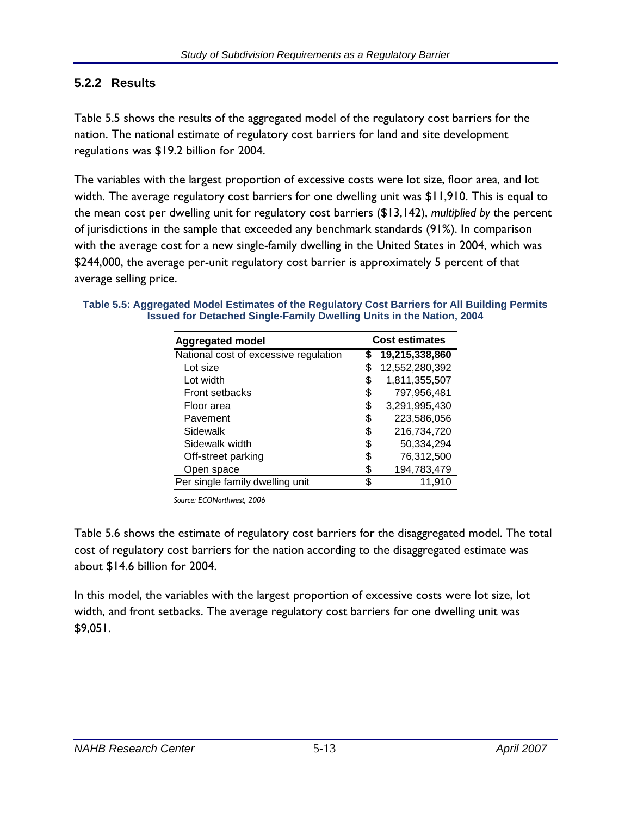#### **5.2.2 Results**

Table 5.5 shows the results of the aggregated model of the regulatory cost barriers for the nation. The national estimate of regulatory cost barriers for land and site development regulations was \$19.2 billion for 2004.

The variables with the largest proportion of excessive costs were lot size, floor area, and lot width. The average regulatory cost barriers for one dwelling unit was \$11,910. This is equal to the mean cost per dwelling unit for regulatory cost barriers (\$13,142), *multiplied by* the percent of jurisdictions in the sample that exceeded any benchmark standards (91%). In comparison with the average cost for a new single-family dwelling in the United States in 2004, which was \$244,000, the average per-unit regulatory cost barrier is approximately 5 percent of that average selling price.

| <b>Aggregated model</b>               | <b>Cost estimates</b> |                |  |  |
|---------------------------------------|-----------------------|----------------|--|--|
| National cost of excessive regulation | S                     | 19,215,338,860 |  |  |
| Lot size                              | \$                    | 12,552,280,392 |  |  |
| Lot width                             | \$                    | 1,811,355,507  |  |  |
| <b>Front setbacks</b>                 | \$                    | 797,956,481    |  |  |
| Floor area                            | S                     | 3,291,995,430  |  |  |
| Pavement                              | \$                    | 223,586,056    |  |  |
| Sidewalk                              | \$                    | 216,734,720    |  |  |
| Sidewalk width                        | \$                    | 50,334,294     |  |  |
| Off-street parking                    | \$                    | 76,312,500     |  |  |
| Open space                            | \$                    | 194,783,479    |  |  |
| Per single family dwelling unit       | \$                    | 11.910         |  |  |

**Table 5.5: Aggregated Model Estimates of the Regulatory Cost Barriers for All Building Permits Issued for Detached Single-Family Dwelling Units in the Nation, 2004** 

 *Source: ECONorthwest, 2006* 

Table 5.6 shows the estimate of regulatory cost barriers for the disaggregated model. The total cost of regulatory cost barriers for the nation according to the disaggregated estimate was about \$14.6 billion for 2004.

In this model, the variables with the largest proportion of excessive costs were lot size, lot width, and front setbacks. The average regulatory cost barriers for one dwelling unit was \$9,051.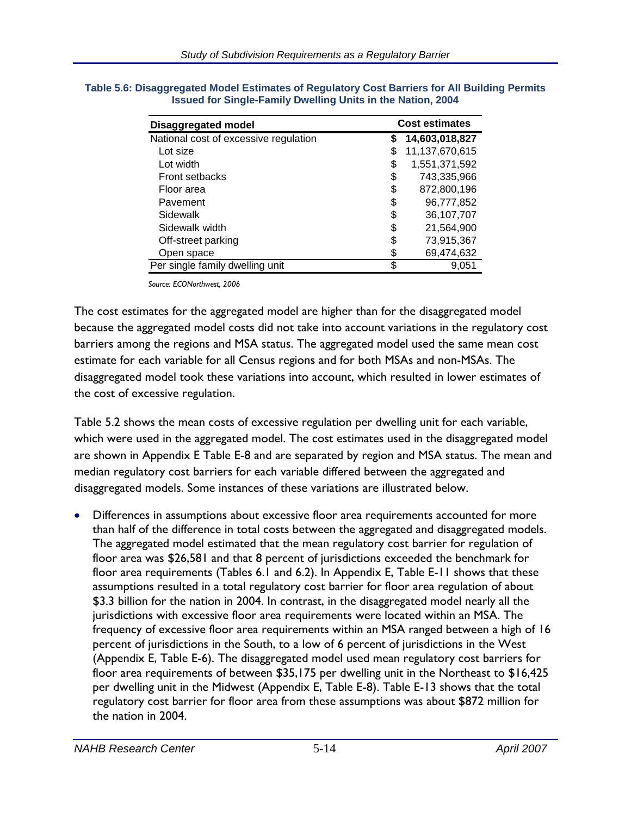| <b>Disaggregated model</b>            |    | <b>Cost estimates</b> |  |  |  |
|---------------------------------------|----|-----------------------|--|--|--|
| National cost of excessive regulation | S  | 14,603,018,827        |  |  |  |
| Lot size                              | S  | 11,137,670,615        |  |  |  |
| Lot width                             | \$ | 1,551,371,592         |  |  |  |
| <b>Front setbacks</b>                 | \$ | 743,335,966           |  |  |  |
| Floor area                            | \$ | 872,800,196           |  |  |  |
| Pavement                              | \$ | 96,777,852            |  |  |  |
| Sidewalk                              | \$ | 36,107,707            |  |  |  |
| Sidewalk width                        | \$ | 21,564,900            |  |  |  |
| Off-street parking                    | S  | 73,915,367            |  |  |  |
| Open space                            | S  | 69,474,632            |  |  |  |
| Per single family dwelling unit       | \$ | 9.051                 |  |  |  |

**Table 5.6: Disaggregated Model Estimates of Regulatory Cost Barriers for All Building Permits Issued for Single-Family Dwelling Units in the Nation, 2004** 

*Source: ECONorthwest, 2006* 

The cost estimates for the aggregated model are higher than for the disaggregated model because the aggregated model costs did not take into account variations in the regulatory cost barriers among the regions and MSA status. The aggregated model used the same mean cost estimate for each variable for all Census regions and for both MSAs and non-MSAs. The disaggregated model took these variations into account, which resulted in lower estimates of the cost of excessive regulation.

Table 5.2 shows the mean costs of excessive regulation per dwelling unit for each variable, which were used in the aggregated model. The cost estimates used in the disaggregated model are shown in Appendix E Table E-8 and are separated by region and MSA status. The mean and median regulatory cost barriers for each variable differed between the aggregated and disaggregated models. Some instances of these variations are illustrated below.

• Differences in assumptions about excessive floor area requirements accounted for more than half of the difference in total costs between the aggregated and disaggregated models. The aggregated model estimated that the mean regulatory cost barrier for regulation of floor area was \$26,581 and that 8 percent of jurisdictions exceeded the benchmark for floor area requirements (Tables 6.1 and 6.2). In Appendix E, Table E-11 shows that these assumptions resulted in a total regulatory cost barrier for floor area regulation of about \$3.3 billion for the nation in 2004. In contrast, in the disaggregated model nearly all the jurisdictions with excessive floor area requirements were located within an MSA. The frequency of excessive floor area requirements within an MSA ranged between a high of 16 percent of jurisdictions in the South, to a low of 6 percent of jurisdictions in the West (Appendix E, Table E-6). The disaggregated model used mean regulatory cost barriers for floor area requirements of between \$35,175 per dwelling unit in the Northeast to \$16,425 per dwelling unit in the Midwest (Appendix E, Table E-8). Table E-13 shows that the total regulatory cost barrier for floor area from these assumptions was about \$872 million for the nation in 2004.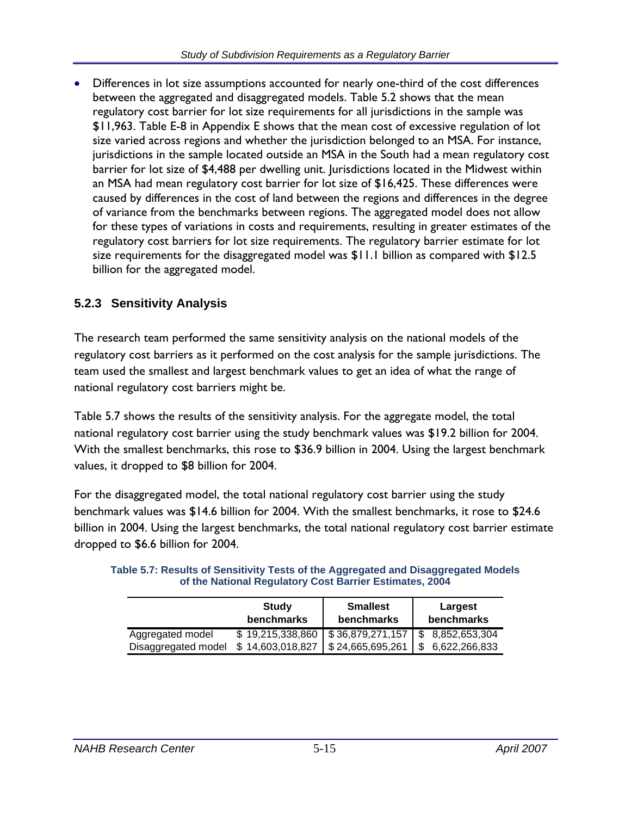• Differences in lot size assumptions accounted for nearly one-third of the cost differences between the aggregated and disaggregated models. Table 5.2 shows that the mean regulatory cost barrier for lot size requirements for all jurisdictions in the sample was \$11,963. Table E-8 in Appendix E shows that the mean cost of excessive regulation of lot size varied across regions and whether the jurisdiction belonged to an MSA. For instance, jurisdictions in the sample located outside an MSA in the South had a mean regulatory cost barrier for lot size of \$4,488 per dwelling unit. Jurisdictions located in the Midwest within an MSA had mean regulatory cost barrier for lot size of \$16,425. These differences were caused by differences in the cost of land between the regions and differences in the degree of variance from the benchmarks between regions. The aggregated model does not allow for these types of variations in costs and requirements, resulting in greater estimates of the regulatory cost barriers for lot size requirements. The regulatory barrier estimate for lot size requirements for the disaggregated model was \$11.1 billion as compared with \$12.5 billion for the aggregated model.

# **5.2.3 Sensitivity Analysis**

The research team performed the same sensitivity analysis on the national models of the regulatory cost barriers as it performed on the cost analysis for the sample jurisdictions. The team used the smallest and largest benchmark values to get an idea of what the range of national regulatory cost barriers might be.

Table 5.7 shows the results of the sensitivity analysis. For the aggregate model, the total national regulatory cost barrier using the study benchmark values was \$19.2 billion for 2004. With the smallest benchmarks, this rose to \$36.9 billion in 2004. Using the largest benchmark values, it dropped to \$8 billion for 2004.

For the disaggregated model, the total national regulatory cost barrier using the study benchmark values was \$14.6 billion for 2004. With the smallest benchmarks, it rose to \$24.6 billion in 2004. Using the largest benchmarks, the total national regulatory cost barrier estimate dropped to \$6.6 billion for 2004.

|                     | Study<br><b>benchmarks</b> | <b>Smallest</b><br>benchmarks | Largest<br><b>benchmarks</b> |
|---------------------|----------------------------|-------------------------------|------------------------------|
| Aggregated model    | \$19,215,338,860           | \$36,879,271,157              | 8,852,653,304<br>\$.         |
| Disaggregated model | \$14,603,018,827           | \$24,665,695,261              | 6,622,266,833                |

**Table 5.7: Results of Sensitivity Tests of the Aggregated and Disaggregated Models of the National Regulatory Cost Barrier Estimates, 2004**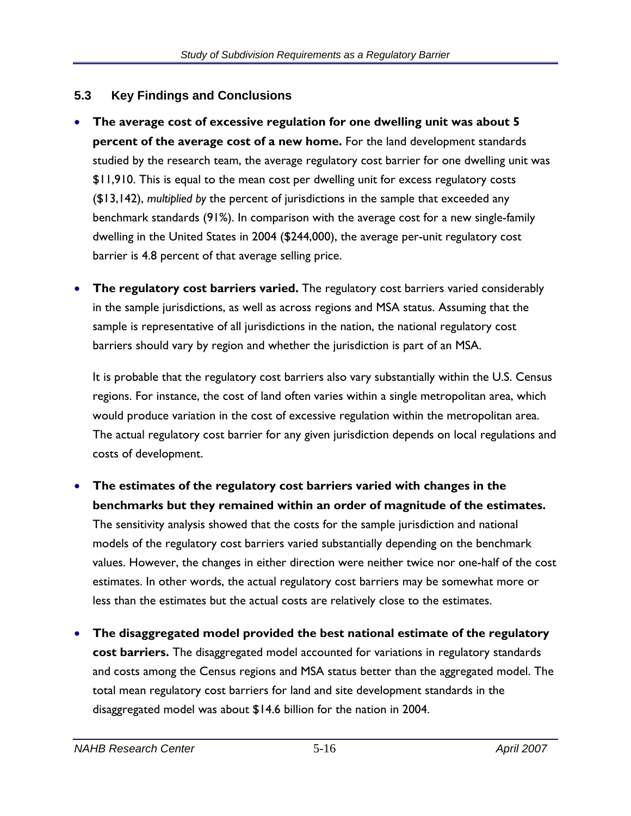#### **5.3 Key Findings and Conclusions**

- **The average cost of excessive regulation for one dwelling unit was about 5 percent of the average cost of a new home.** For the land development standards studied by the research team, the average regulatory cost barrier for one dwelling unit was \$11,910. This is equal to the mean cost per dwelling unit for excess regulatory costs (\$13,142), *multiplied by* the percent of jurisdictions in the sample that exceeded any benchmark standards (91%). In comparison with the average cost for a new single-family dwelling in the United States in 2004 (\$244,000), the average per-unit regulatory cost barrier is 4.8 percent of that average selling price.
- **The regulatory cost barriers varied.** The regulatory cost barriers varied considerably in the sample jurisdictions, as well as across regions and MSA status. Assuming that the sample is representative of all jurisdictions in the nation, the national regulatory cost barriers should vary by region and whether the jurisdiction is part of an MSA.

It is probable that the regulatory cost barriers also vary substantially within the U.S. Census regions. For instance, the cost of land often varies within a single metropolitan area, which would produce variation in the cost of excessive regulation within the metropolitan area. The actual regulatory cost barrier for any given jurisdiction depends on local regulations and costs of development.

# • **The estimates of the regulatory cost barriers varied with changes in the benchmarks but they remained within an order of magnitude of the estimates.**

The sensitivity analysis showed that the costs for the sample jurisdiction and national models of the regulatory cost barriers varied substantially depending on the benchmark values. However, the changes in either direction were neither twice nor one-half of the cost estimates. In other words, the actual regulatory cost barriers may be somewhat more or less than the estimates but the actual costs are relatively close to the estimates.

• **The disaggregated model provided the best national estimate of the regulatory cost barriers.** The disaggregated model accounted for variations in regulatory standards and costs among the Census regions and MSA status better than the aggregated model. The total mean regulatory cost barriers for land and site development standards in the disaggregated model was about \$14.6 billion for the nation in 2004.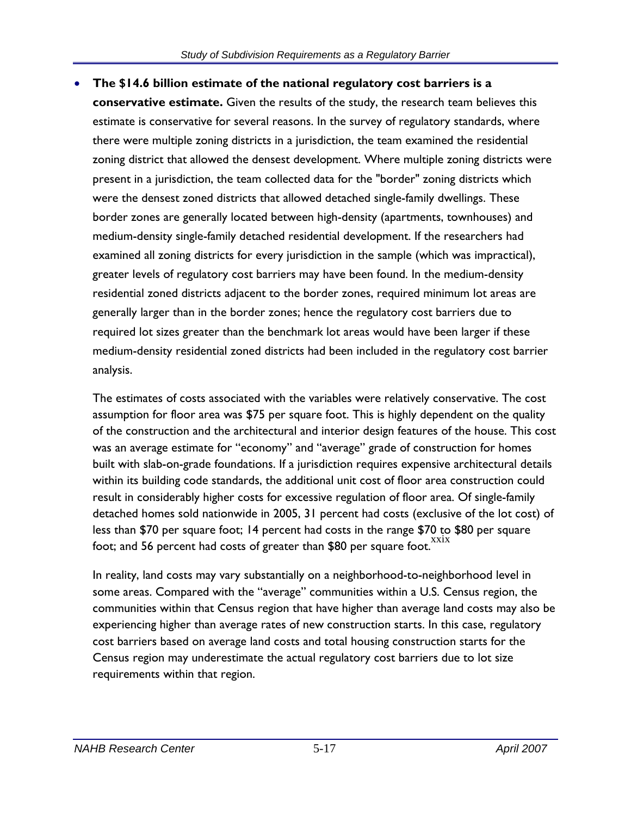• **The \$14.6 billion estimate of the national regulatory cost barriers is a conservative estimate.** Given the results of the study, the research team believes this estimate is conservative for several reasons. In the survey of regulatory standards, where there were multiple zoning districts in a jurisdiction, the team examined the residential zoning district that allowed the densest development. Where multiple zoning districts were present in a jurisdiction, the team collected data for the "border" zoning districts which were the densest zoned districts that allowed detached single-family dwellings. These border zones are generally located between high-density (apartments, townhouses) and medium-density single-family detached residential development. If the researchers had examined all zoning districts for every jurisdiction in the sample (which was impractical), greater levels of regulatory cost barriers may have been found. In the medium-density residential zoned districts adjacent to the border zones, required minimum lot areas are generally larger than in the border zones; hence the regulatory cost barriers due to required lot sizes greater than the benchmark lot areas would have been larger if these medium-density residential zoned districts had been included in the regulatory cost barrier analysis.

The estimates of costs associated with the variables were relatively conservative. The cost assumption for floor area was \$75 per square foot. This is highly dependent on the quality of the construction and the architectural and interior design features of the house. This cost was an average estimate for "economy" and "average" grade of construction for homes built with slab-on-grade foundations. If a jurisdiction requires expensive architectural details within its building code standards, the additional unit cost of floor area construction could result in considerably higher costs for excessive regulation of floor area. Of single-family detached homes sold nationwide in 2005, 31 percent had costs (exclusive of the lot cost) of less than \$70 per square foot; 14 percent had costs in the range \$70 to \$80 per square foot; and 56 percent had costs of greater than \$80 per square foot.<sup>XXIX</sup>

In reality, land costs may vary substantially on a neighborhood-to-neighborhood level in some areas. Compared with the "average" communities within a U.S. Census region, the communities within that Census region that have higher than average land costs may also be experiencing higher than average rates of new construction starts. In this case, regulatory cost barriers based on average land costs and total housing construction starts for the Census region may underestimate the actual regulatory cost barriers due to lot size requirements within that region.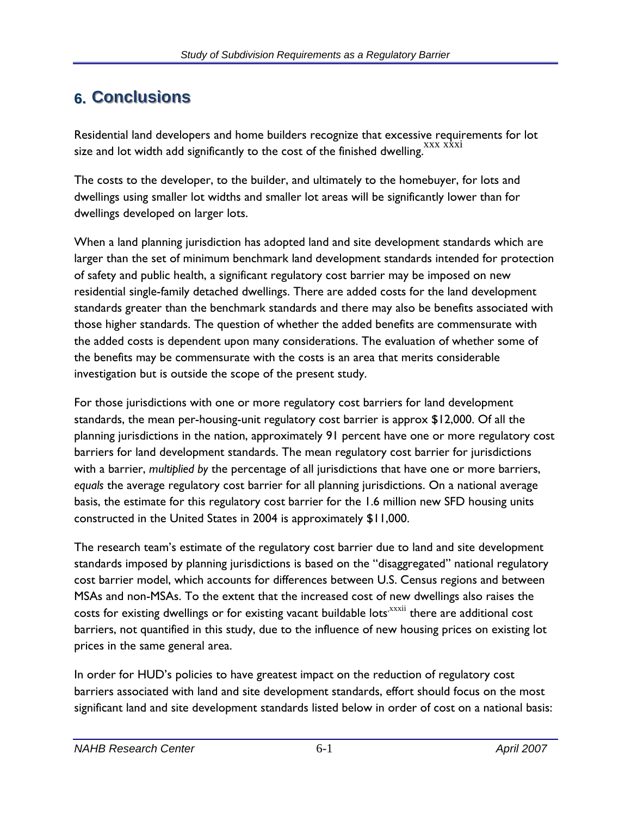# **6.** Conclusions

Residential land developers and home builders recognize that excessive requirements for lot size and lot width add significantly to the cost of the finished dwelling. XXX XXXI

The costs to the developer, to the builder, and ultimately to the homebuyer, for lots and dwellings using smaller lot widths and smaller lot areas will be significantly lower than for dwellings developed on larger lots.

When a land planning jurisdiction has adopted land and site development standards which are larger than the set of minimum benchmark land development standards intended for protection of safety and public health, a significant regulatory cost barrier may be imposed on new residential single-family detached dwellings. There are added costs for the land development standards greater than the benchmark standards and there may also be benefits associated with those higher standards. The question of whether the added benefits are commensurate with the added costs is dependent upon many considerations. The evaluation of whether some of the benefits may be commensurate with the costs is an area that merits considerable investigation but is outside the scope of the present study.

For those jurisdictions with one or more regulatory cost barriers for land development standards, the mean per-housing-unit regulatory cost barrier is approx \$12,000. Of all the planning jurisdictions in the nation, approximately 91 percent have one or more regulatory cost barriers for land development standards. The mean regulatory cost barrier for jurisdictions with a barrier, *multiplied by* the percentage of all jurisdictions that have one or more barriers, *equals* the average regulatory cost barrier for all planning jurisdictions. On a national average basis, the estimate for this regulatory cost barrier for the 1.6 million new SFD housing units constructed in the United States in 2004 is approximately \$11,000.

The research team's estimate of the regulatory cost barrier due to land and site development standards imposed by planning jurisdictions is based on the "disaggregated" national regulatory cost barrier model, which accounts for differences between U.S. Census regions and between MSAs and non-MSAs. To the extent that the increased cost of new dwellings also raises the costs for existing dwellings or for existing vacant buildable lots<sup>xxxii</sup> there are additional cost barriers, not quantified in this study, due to the influence of new housing prices on existing lot prices in the same general area.

In order for HUD's policies to have greatest impact on the reduction of regulatory cost barriers associated with land and site development standards, effort should focus on the most significant land and site development standards listed below in order of cost on a national basis: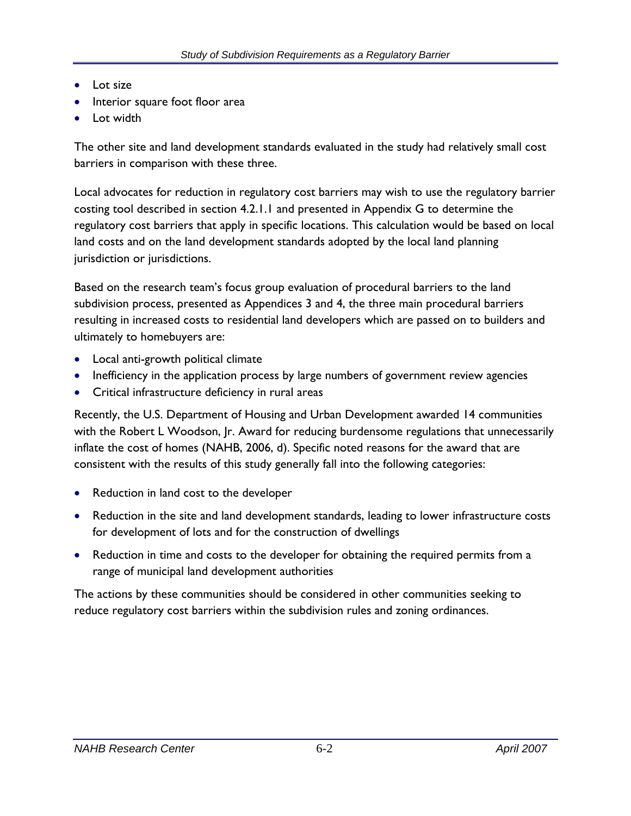- Lot size
- Interior square foot floor area
- Lot width

The other site and land development standards evaluated in the study had relatively small cost barriers in comparison with these three.

Local advocates for reduction in regulatory cost barriers may wish to use the regulatory barrier costing tool described in section 4.2.1.1 and presented in Appendix G to determine the regulatory cost barriers that apply in specific locations. This calculation would be based on local land costs and on the land development standards adopted by the local land planning jurisdiction or jurisdictions.

Based on the research team's focus group evaluation of procedural barriers to the land subdivision process, presented as Appendices 3 and 4, the three main procedural barriers resulting in increased costs to residential land developers which are passed on to builders and ultimately to homebuyers are:

- Local anti-growth political climate
- Inefficiency in the application process by large numbers of government review agencies
- Critical infrastructure deficiency in rural areas

Recently, the U.S. Department of Housing and Urban Development awarded 14 communities with the Robert L Woodson, Jr. Award for reducing burdensome regulations that unnecessarily inflate the cost of homes (NAHB, 2006, d). Specific noted reasons for the award that are consistent with the results of this study generally fall into the following categories:

- Reduction in land cost to the developer
- Reduction in the site and land development standards, leading to lower infrastructure costs for development of lots and for the construction of dwellings
- Reduction in time and costs to the developer for obtaining the required permits from a range of municipal land development authorities

The actions by these communities should be considered in other communities seeking to reduce regulatory cost barriers within the subdivision rules and zoning ordinances.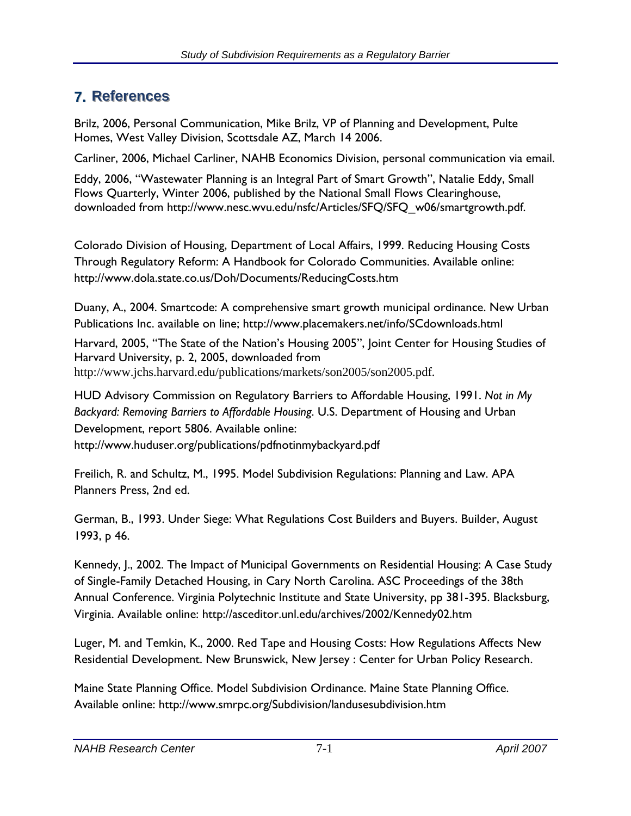# **7.** References

Brilz, 2006, Personal Communication, Mike Brilz, VP of Planning and Development, Pulte Homes, West Valley Division, Scottsdale AZ, March 14 2006.

Carliner, 2006, Michael Carliner, NAHB Economics Division, personal communication via email.

Eddy, 2006, "Wastewater Planning is an Integral Part of Smart Growth", Natalie Eddy, Small Flows Quarterly, Winter 2006, published by the National Small Flows Clearinghouse, downloaded from http://www.nesc.wvu.edu/nsfc/Articles/SFQ/SFQ\_w06/smartgrowth.pdf.

Colorado Division of Housing, Department of Local Affairs, 1999. Reducing Housing Costs Through Regulatory Reform: A Handbook for Colorado Communities. Available online: http://www.dola.state.co.us/Doh/Documents/ReducingCosts.htm

Duany, A., 2004. Smartcode: A comprehensive smart growth municipal ordinance. New Urban Publications Inc. available on line; http://www.placemakers.net/info/SCdownloads.html

Harvard, 2005, "The State of the Nation's Housing 2005", Joint Center for Housing Studies of Harvard University, p. 2, 2005, downloaded from http://www.jchs.harvard.edu/publications/markets/son2005/son2005.pdf.

HUD Advisory Commission on Regulatory Barriers to Affordable Housing, 1991. *Not in My Backyard: Removing Barriers to Affordable Housing*. U.S. Department of Housing and Urban Development, report 5806. Available online: http://www.huduser.org/publications/pdfnotinmybackyard.pdf

Freilich, R. and Schultz, M., 1995. Model Subdivision Regulations: Planning and Law. APA Planners Press, 2nd ed.

German, B., 1993. Under Siege: What Regulations Cost Builders and Buyers. Builder, August 1993, p 46.

Kennedy, J., 2002. The Impact of Municipal Governments on Residential Housing: A Case Study of Single-Family Detached Housing, in Cary North Carolina. ASC Proceedings of the 38th Annual Conference. Virginia Polytechnic Institute and State University, pp 381-395. Blacksburg, Virginia. Available online: http://asceditor.unl.edu/archives/2002/Kennedy02.htm

Luger, M. and Temkin, K., 2000. Red Tape and Housing Costs: How Regulations Affects New Residential Development. New Brunswick, New Jersey : Center for Urban Policy Research.

Maine State Planning Office. Model Subdivision Ordinance. Maine State Planning Office. Available online: http://www.smrpc.org/Subdivision/landusesubdivision.htm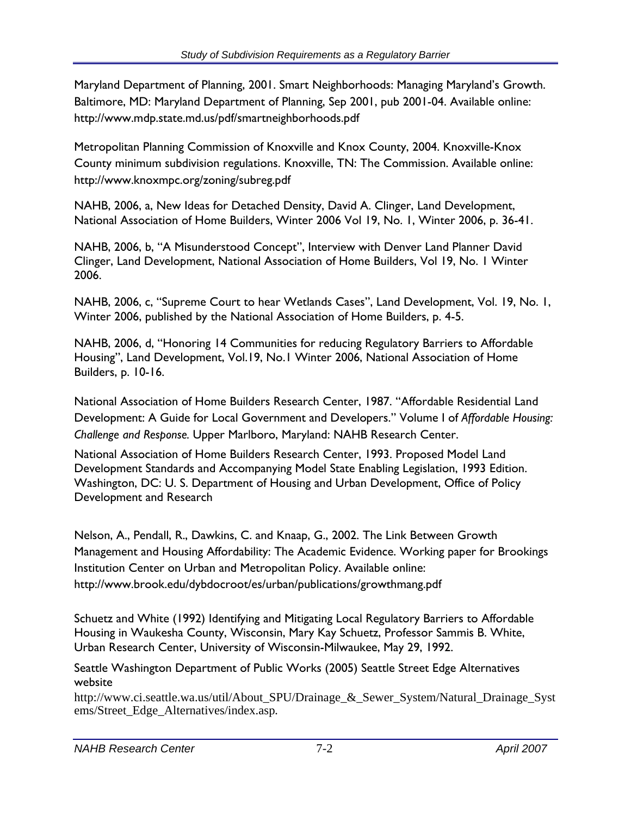Maryland Department of Planning, 2001. Smart Neighborhoods: Managing Maryland's Growth. Baltimore, MD: Maryland Department of Planning, Sep 2001, pub 2001-04. Available online: http://www.mdp.state.md.us/pdf/smartneighborhoods.pdf

Metropolitan Planning Commission of Knoxville and Knox County, 2004. Knoxville-Knox County minimum subdivision regulations. Knoxville, TN: The Commission. Available online: http://www.knoxmpc.org/zoning/subreg.pdf

NAHB, 2006, a, New Ideas for Detached Density, David A. Clinger, Land Development, National Association of Home Builders, Winter 2006 Vol 19, No. 1, Winter 2006, p. 36-41.

NAHB, 2006, b, "A Misunderstood Concept", Interview with Denver Land Planner David Clinger, Land Development, National Association of Home Builders, Vol 19, No. 1 Winter 2006.

NAHB, 2006, c, "Supreme Court to hear Wetlands Cases", Land Development, Vol. 19, No. 1, Winter 2006, published by the National Association of Home Builders, p. 4-5.

NAHB, 2006, d, "Honoring 14 Communities for reducing Regulatory Barriers to Affordable Housing", Land Development, Vol.19, No.1 Winter 2006, National Association of Home Builders, p. 10-16.

National Association of Home Builders Research Center, 1987. "Affordable Residential Land Development: A Guide for Local Government and Developers." Volume I of *Affordable Housing: Challenge and Response.* Upper Marlboro, Maryland: NAHB Research Center.

National Association of Home Builders Research Center, 1993. Proposed Model Land Development Standards and Accompanying Model State Enabling Legislation, 1993 Edition. Washington, DC: U. S. Department of Housing and Urban Development, Office of Policy Development and Research

Nelson, A., Pendall, R., Dawkins, C. and Knaap, G., 2002. The Link Between Growth Management and Housing Affordability: The Academic Evidence. Working paper for Brookings Institution Center on Urban and Metropolitan Policy. Available online: http://www.brook.edu/dybdocroot/es/urban/publications/growthmang.pdf

Schuetz and White (1992) Identifying and Mitigating Local Regulatory Barriers to Affordable Housing in Waukesha County, Wisconsin, Mary Kay Schuetz, Professor Sammis B. White, Urban Research Center, University of Wisconsin-Milwaukee, May 29, 1992.

Seattle Washington Department of Public Works (2005) Seattle Street Edge Alternatives website

http://www.ci.seattle.wa.us/util/About\_SPU/Drainage\_&\_Sewer\_System/Natural\_Drainage\_Syst ems/Street\_Edge\_Alternatives/index.asp.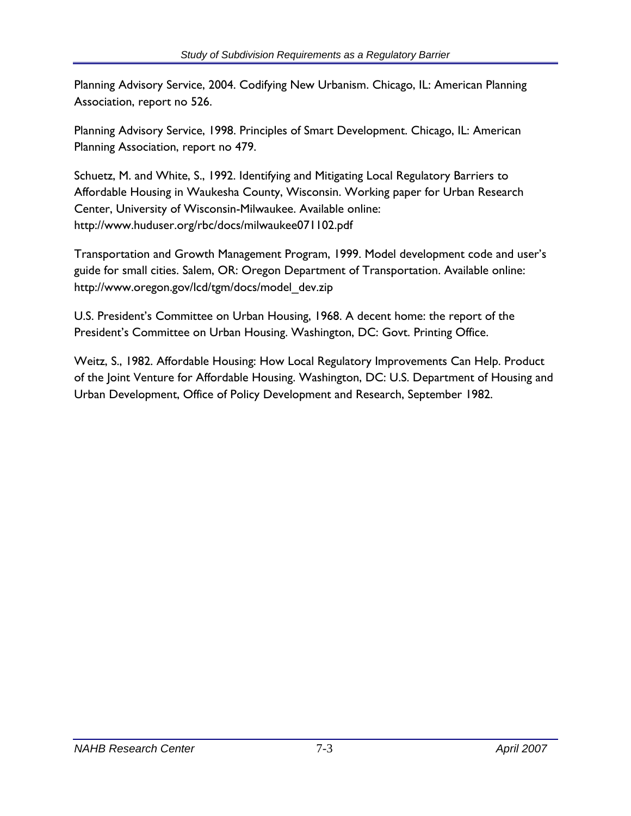Planning Advisory Service, 2004. Codifying New Urbanism. Chicago, IL: American Planning Association, report no 526.

Planning Advisory Service, 1998. Principles of Smart Development. Chicago, IL: American Planning Association, report no 479.

Schuetz, M. and White, S., 1992. Identifying and Mitigating Local Regulatory Barriers to Affordable Housing in Waukesha County, Wisconsin. Working paper for Urban Research Center, University of Wisconsin-Milwaukee. Available online: http://www.huduser.org/rbc/docs/milwaukee071102.pdf

Transportation and Growth Management Program, 1999. Model development code and user's guide for small cities. Salem, OR: Oregon Department of Transportation. Available online: http://www.oregon.gov/lcd/tgm/docs/model\_dev.zip

U.S. President's Committee on Urban Housing, 1968. A decent home: the report of the President's Committee on Urban Housing. Washington, DC: Govt. Printing Office.

Weitz, S., 1982. Affordable Housing: How Local Regulatory Improvements Can Help. Product of the Joint Venture for Affordable Housing. Washington, DC: U.S. Department of Housing and Urban Development, Office of Policy Development and Research, September 1982.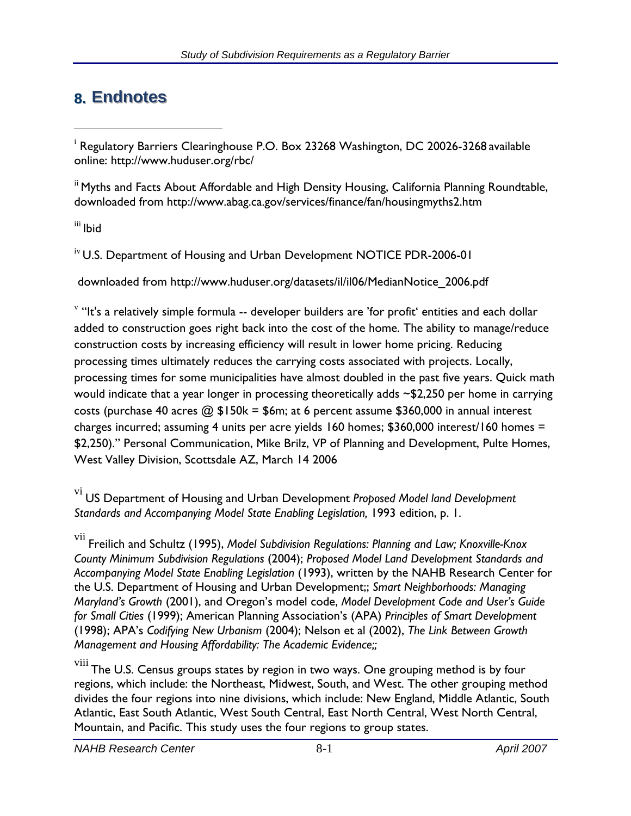# **8. Endnotes**

<sup>ii</sup> Myths and Facts About Affordable and High Density Housing, California Planning Roundtable, downloaded from http://www.abag.ca.gov/services/finance/fan/housingmyths2.htm

iii Ibid

<sup>iv</sup> U.S. Department of Housing and Urban Development NOTICE PDR-2006-01

downloaded from http://www.huduser.org/datasets/il/il06/MedianNotice\_2006.pdf

 $\mathrm{v}$  "It's a relatively simple formula -- developer builders are 'for profit' entities and each dollar added to construction goes right back into the cost of the home. The ability to manage/reduce construction costs by increasing efficiency will result in lower home pricing. Reducing processing times ultimately reduces the carrying costs associated with projects. Locally, processing times for some municipalities have almost doubled in the past five years. Quick math would indicate that a year longer in processing theoretically adds ~\$2,250 per home in carrying costs (purchase 40 acres  $\textcircled{a}$ , \$150k = \$6m; at 6 percent assume \$360,000 in annual interest charges incurred; assuming 4 units per acre yields 160 homes; \$360,000 interest/160 homes = \$2,250)." Personal Communication, Mike Brilz, VP of Planning and Development, Pulte Homes, West Valley Division, Scottsdale AZ, March 14 2006

 $^{\rm i}$  Regulatory Barriers Clearinghouse P.O. Box 23268 Washington, DC 20026-3268 available online: http://www.huduser.org/rbc/

vi US Department of Housing and Urban Development *Proposed Model land Development Standards and Accompanying Model State Enabling Legislation,* 1993 edition, p. 1.

vii Freilich and Schultz (1995), *Model Subdivision Regulations: Planning and Law; Knoxville-Knox County Minimum Subdivision Regulations* (2004); *Proposed Model Land Development Standards and Accompanying Model State Enabling Legislation* (1993), written by the NAHB Research Center for the U.S. Department of Housing and Urban Development;; *Smart Neighborhoods: Managing Maryland's Growth* (2001), and Oregon's model code, *Model Development Code and User's Guide for Small Cities* (1999); American Planning Association's (APA) *Principles of Smart Development*  (1998); APA's *Codifying New Urbanism* (2004); Nelson et al (2002), *The Link Between Growth Management and Housing Affordability: The Academic Evidence;;* 

viii The U.S. Census groups states by region in two ways. One grouping method is by four regions, which include: the Northeast, Midwest, South, and West. The other grouping method divides the four regions into nine divisions, which include: New England, Middle Atlantic, South Atlantic, East South Atlantic, West South Central, East North Central, West North Central, Mountain, and Pacific. This study uses the four regions to group states.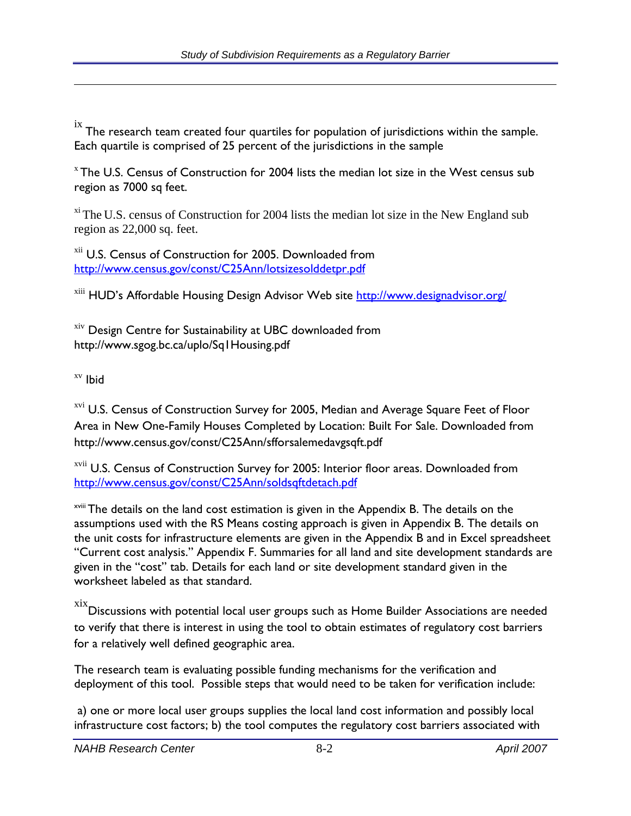$\frac{1}{10}$  The research team created four quartiles for population of jurisdictions within the sample. Each quartile is comprised of 25 percent of the jurisdictions in the sample

 $x$  The U.S. Census of Construction for 2004 lists the median lot size in the West census sub region as 7000 sq feet.

 $x_i$ <sup>xi</sup> The U.S. census of Construction for 2004 lists the median lot size in the New England sub region as 22,000 sq. feet.

<sup>xii</sup> U.S. Census of Construction for 2005. Downloaded from http://www.census.gov/const/C25Ann/lotsizesolddetpr.pdf

<sup>xiii</sup> HUD's Affordable Housing Design Advisor Web site http://www.designadvisor.org/

xiv Design Centre for Sustainability at UBC downloaded from http://www.sgog.bc.ca/uplo/Sq1Housing.pdf

xv Ibid

<sup>xvi</sup> U.S. Census of Construction Survey for 2005, Median and Average Square Feet of Floor Area in New One-Family Houses Completed by Location: Built For Sale. Downloaded from http://www.census.gov/const/C25Ann/sfforsalemedavgsqft.pdf

xvii U.S. Census of Construction Survey for 2005: Interior floor areas. Downloaded from http://www.census.gov/const/C25Ann/soldsqftdetach.pdf

<sup>xviii</sup> The details on the land cost estimation is given in the Appendix B. The details on the assumptions used with the RS Means costing approach is given in Appendix B. The details on the unit costs for infrastructure elements are given in the Appendix B and in Excel spreadsheet "Current cost analysis." Appendix F. Summaries for all land and site development standards are given in the "cost" tab. Details for each land or site development standard given in the worksheet labeled as that standard.

 $\frac{xx}{x}$ Discussions with potential local user groups such as Home Builder Associations are needed to verify that there is interest in using the tool to obtain estimates of regulatory cost barriers for a relatively well defined geographic area.

The research team is evaluating possible funding mechanisms for the verification and deployment of this tool. Possible steps that would need to be taken for verification include:

 a) one or more local user groups supplies the local land cost information and possibly local infrastructure cost factors; b) the tool computes the regulatory cost barriers associated with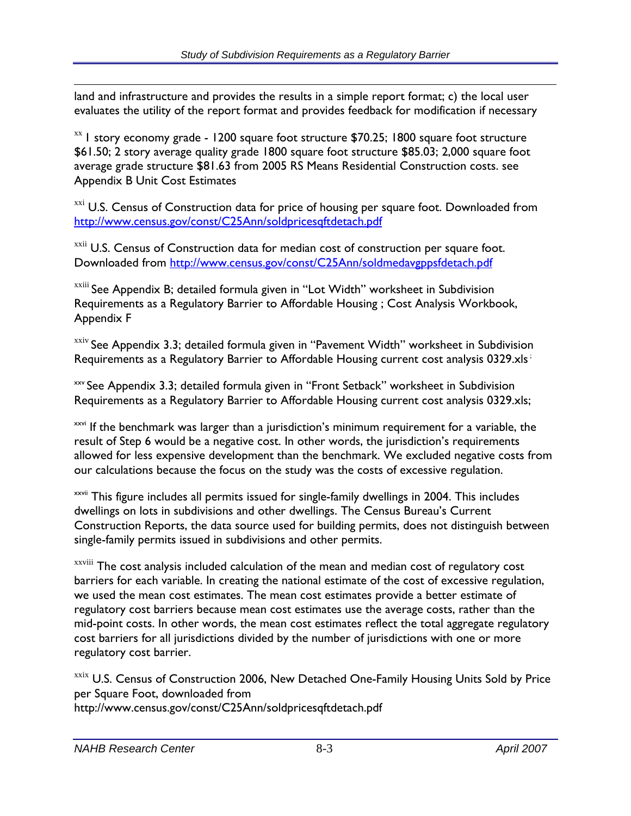land and infrastructure and provides the results in a simple report format; c) the local user evaluates the utility of the report format and provides feedback for modification if necessary

 $x$ <sup>xx</sup> 1 story economy grade - 1200 square foot structure \$70.25; 1800 square foot structure \$61.50; 2 story average quality grade 1800 square foot structure \$85.03; 2,000 square foot average grade structure \$81.63 from 2005 RS Means Residential Construction costs. see Appendix B Unit Cost Estimates

 $xxi$ <sup>xxi</sup> U.S. Census of Construction data for price of housing per square foot. Downloaded from http://www.census.gov/const/C25Ann/soldpricesqftdetach.pdf

xxii U.S. Census of Construction data for median cost of construction per square foot. Downloaded from http://www.census.gov/const/C25Ann/soldmedavgppsfdetach.pdf

xxiii See Appendix B; detailed formula given in "Lot Width" worksheet in Subdivision Requirements as a Regulatory Barrier to Affordable Housing ; Cost Analysis Workbook, Appendix F

xxiv See Appendix 3.3; detailed formula given in "Pavement Width" worksheet in Subdivision Requirements as a Regulatory Barrier to Affordable Housing current cost analysis 0329.xls<sup>;</sup>

xxv See Appendix 3.3; detailed formula given in "Front Setback" worksheet in Subdivision Requirements as a Regulatory Barrier to Affordable Housing current cost analysis 0329.xls;

xxvi If the benchmark was larger than a jurisdiction's minimum requirement for a variable, the result of Step 6 would be a negative cost. In other words, the jurisdiction's requirements allowed for less expensive development than the benchmark. We excluded negative costs from our calculations because the focus on the study was the costs of excessive regulation.

**xxvii** This figure includes all permits issued for single-family dwellings in 2004. This includes dwellings on lots in subdivisions and other dwellings. The Census Bureau's Current Construction Reports, the data source used for building permits, does not distinguish between single-family permits issued in subdivisions and other permits.

xxviii The cost analysis included calculation of the mean and median cost of regulatory cost barriers for each variable. In creating the national estimate of the cost of excessive regulation, we used the mean cost estimates. The mean cost estimates provide a better estimate of regulatory cost barriers because mean cost estimates use the average costs, rather than the mid-point costs. In other words, the mean cost estimates reflect the total aggregate regulatory cost barriers for all jurisdictions divided by the number of jurisdictions with one or more regulatory cost barrier.

xxix U.S. Census of Construction 2006, New Detached One-Family Housing Units Sold by Price per Square Foot, downloaded from http://www.census.gov/const/C25Ann/soldpricesqftdetach.pdf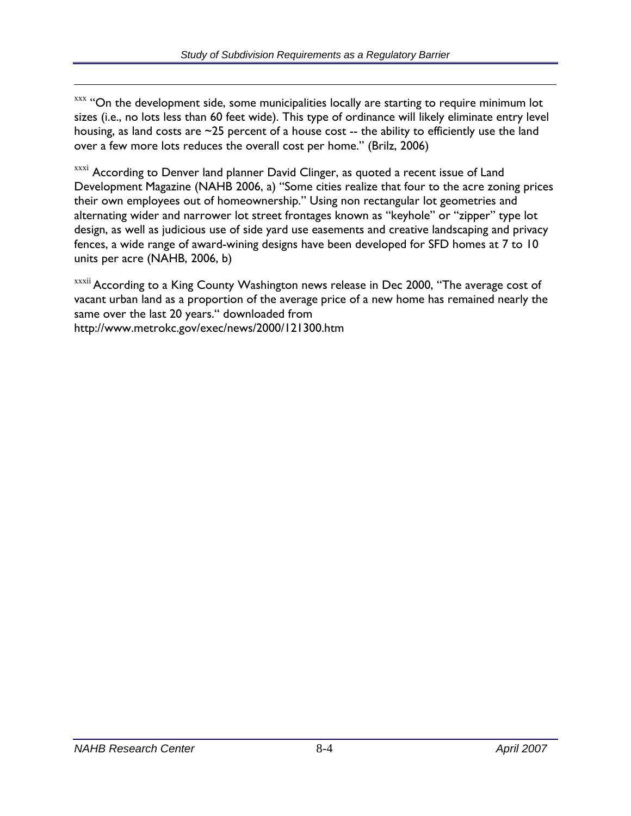$xxx$  "On the development side, some municipalities locally are starting to require minimum lot sizes (i.e., no lots less than 60 feet wide). This type of ordinance will likely eliminate entry level housing, as land costs are  $\sim$ 25 percent of a house cost -- the ability to efficiently use the land over a few more lots reduces the overall cost per home." (Brilz, 2006)

xxxi According to Denver land planner David Clinger, as quoted a recent issue of Land Development Magazine (NAHB 2006, a) "Some cities realize that four to the acre zoning prices their own employees out of homeownership." Using non rectangular lot geometries and alternating wider and narrower lot street frontages known as "keyhole" or "zipper" type lot design, as well as judicious use of side yard use easements and creative landscaping and privacy fences, a wide range of award-wining designs have been developed for SFD homes at 7 to 10 units per acre (NAHB, 2006, b)

xxxii According to a King County Washington news release in Dec 2000, "The average cost of vacant urban land as a proportion of the average price of a new home has remained nearly the same over the last 20 years." downloaded from http://www.metrokc.gov/exec/news/2000/121300.htm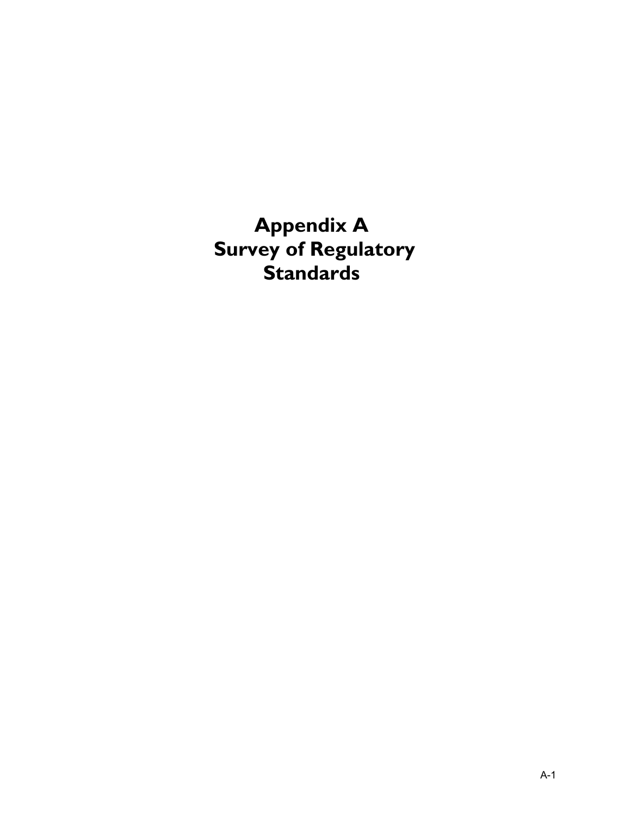**Appendix A Survey of Regulatory Standards**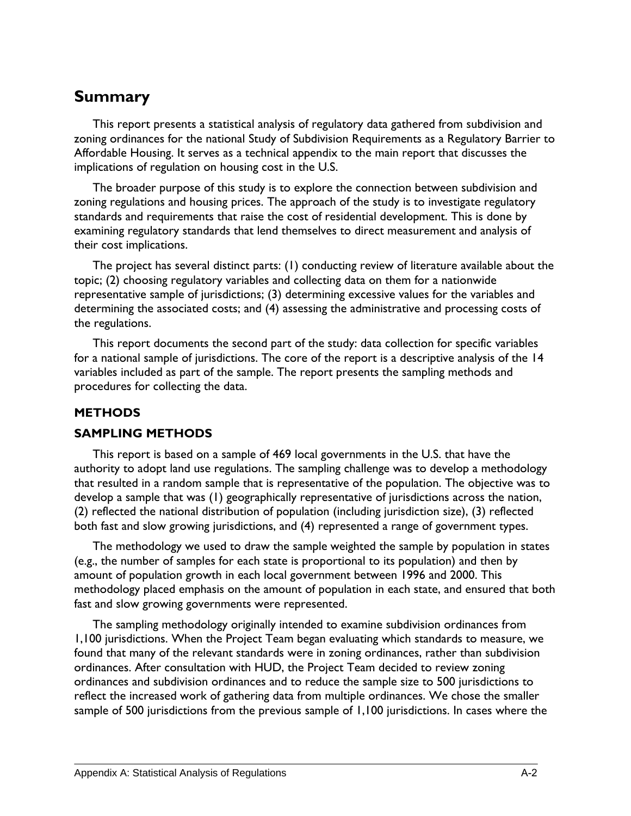## **Summary**

This report presents a statistical analysis of regulatory data gathered from subdivision and zoning ordinances for the national Study of Subdivision Requirements as a Regulatory Barrier to Affordable Housing. It serves as a technical appendix to the main report that discusses the implications of regulation on housing cost in the U.S.

The broader purpose of this study is to explore the connection between subdivision and zoning regulations and housing prices. The approach of the study is to investigate regulatory standards and requirements that raise the cost of residential development. This is done by examining regulatory standards that lend themselves to direct measurement and analysis of their cost implications.

The project has several distinct parts: (1) conducting review of literature available about the topic; (2) choosing regulatory variables and collecting data on them for a nationwide representative sample of jurisdictions; (3) determining excessive values for the variables and determining the associated costs; and (4) assessing the administrative and processing costs of the regulations.

This report documents the second part of the study: data collection for specific variables for a national sample of jurisdictions. The core of the report is a descriptive analysis of the 14 variables included as part of the sample. The report presents the sampling methods and procedures for collecting the data.

#### **METHODS**

#### **SAMPLING METHODS**

This report is based on a sample of 469 local governments in the U.S. that have the authority to adopt land use regulations. The sampling challenge was to develop a methodology that resulted in a random sample that is representative of the population. The objective was to develop a sample that was (1) geographically representative of jurisdictions across the nation, (2) reflected the national distribution of population (including jurisdiction size), (3) reflected both fast and slow growing jurisdictions, and (4) represented a range of government types.

The methodology we used to draw the sample weighted the sample by population in states (e.g., the number of samples for each state is proportional to its population) and then by amount of population growth in each local government between 1996 and 2000. This methodology placed emphasis on the amount of population in each state, and ensured that both fast and slow growing governments were represented.

The sampling methodology originally intended to examine subdivision ordinances from 1,100 jurisdictions. When the Project Team began evaluating which standards to measure, we found that many of the relevant standards were in zoning ordinances, rather than subdivision ordinances. After consultation with HUD, the Project Team decided to review zoning ordinances and subdivision ordinances and to reduce the sample size to 500 jurisdictions to reflect the increased work of gathering data from multiple ordinances. We chose the smaller sample of 500 jurisdictions from the previous sample of 1,100 jurisdictions. In cases where the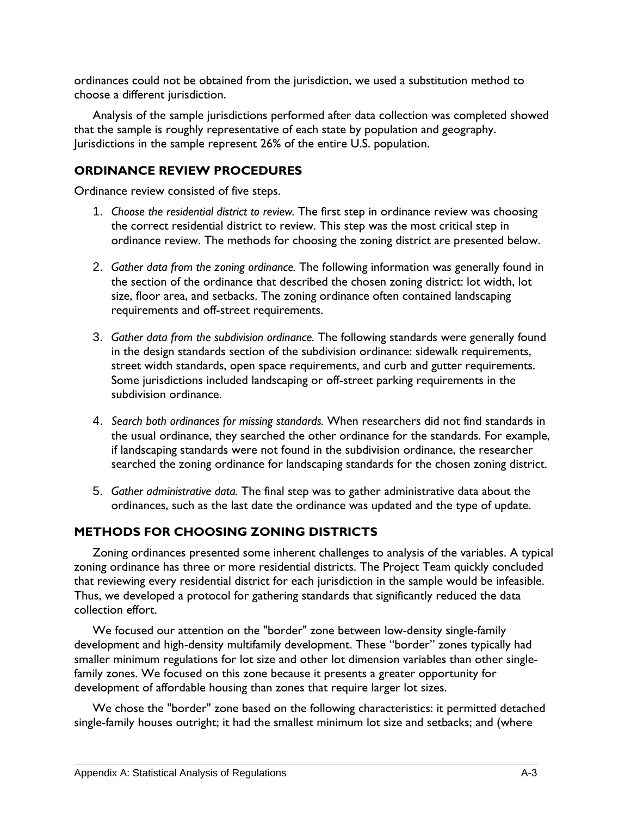ordinances could not be obtained from the jurisdiction, we used a substitution method to choose a different jurisdiction.

Analysis of the sample jurisdictions performed after data collection was completed showed that the sample is roughly representative of each state by population and geography. Jurisdictions in the sample represent 26% of the entire U.S. population.

### **ORDINANCE REVIEW PROCEDURES**

Ordinance review consisted of five steps.

- 1. *Choose the residential district to review.* The first step in ordinance review was choosing the correct residential district to review. This step was the most critical step in ordinance review. The methods for choosing the zoning district are presented below.
- 2. *Gather data from the zoning ordinance.* The following information was generally found in the section of the ordinance that described the chosen zoning district: lot width, lot size, floor area, and setbacks. The zoning ordinance often contained landscaping requirements and off-street requirements.
- 3. *Gather data from the subdivision ordinance.* The following standards were generally found in the design standards section of the subdivision ordinance: sidewalk requirements, street width standards, open space requirements, and curb and gutter requirements. Some jurisdictions included landscaping or off-street parking requirements in the subdivision ordinance.
- 4. *Search both ordinances for missing standards.* When researchers did not find standards in the usual ordinance, they searched the other ordinance for the standards. For example, if landscaping standards were not found in the subdivision ordinance, the researcher searched the zoning ordinance for landscaping standards for the chosen zoning district.
- 5. *Gather administrative data.* The final step was to gather administrative data about the ordinances, such as the last date the ordinance was updated and the type of update.

## **METHODS FOR CHOOSING ZONING DISTRICTS**

Zoning ordinances presented some inherent challenges to analysis of the variables. A typical zoning ordinance has three or more residential districts. The Project Team quickly concluded that reviewing every residential district for each jurisdiction in the sample would be infeasible. Thus, we developed a protocol for gathering standards that significantly reduced the data collection effort.

We focused our attention on the "border" zone between low-density single-family development and high-density multifamily development. These "border" zones typically had smaller minimum regulations for lot size and other lot dimension variables than other singlefamily zones. We focused on this zone because it presents a greater opportunity for development of affordable housing than zones that require larger lot sizes.

We chose the "border" zone based on the following characteristics: it permitted detached single-family houses outright; it had the smallest minimum lot size and setbacks; and (where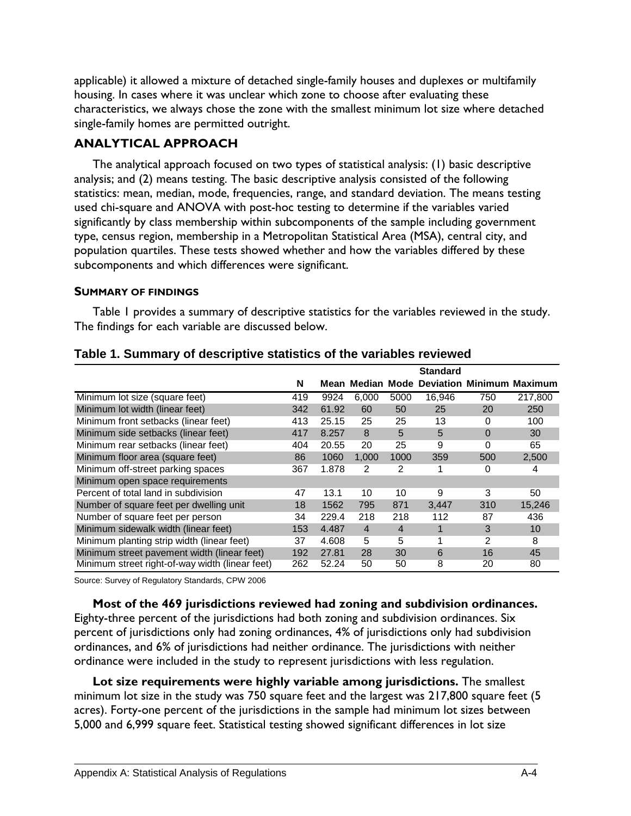applicable) it allowed a mixture of detached single-family houses and duplexes or multifamily housing. In cases where it was unclear which zone to choose after evaluating these characteristics, we always chose the zone with the smallest minimum lot size where detached single-family homes are permitted outright.

#### **ANALYTICAL APPROACH**

The analytical approach focused on two types of statistical analysis: (1) basic descriptive analysis; and (2) means testing. The basic descriptive analysis consisted of the following statistics: mean, median, mode, frequencies, range, and standard deviation. The means testing used chi-square and ANOVA with post-hoc testing to determine if the variables varied significantly by class membership within subcomponents of the sample including government type, census region, membership in a Metropolitan Statistical Area (MSA), central city, and population quartiles. These tests showed whether and how the variables differed by these subcomponents and which differences were significant.

#### **SUMMARY OF FINDINGS**

Table 1 provides a summary of descriptive statistics for the variables reviewed in the study. The findings for each variable are discussed below.

|                                                 |     |       |                |                | <b>Standard</b> |               |                                            |
|-------------------------------------------------|-----|-------|----------------|----------------|-----------------|---------------|--------------------------------------------|
|                                                 | N   |       |                |                |                 |               | Mean Median Mode Deviation Minimum Maximum |
| Minimum lot size (square feet)                  | 419 | 9924  | 6,000          | 5000           | 16.946          | 750           | 217.800                                    |
| Minimum lot width (linear feet)                 | 342 | 61.92 | 60             | 50             | 25              | 20            | 250                                        |
| Minimum front setbacks (linear feet)            | 413 | 25.15 | 25             | 25             | 13              | $\Omega$      | 100                                        |
| Minimum side setbacks (linear feet)             | 417 | 8.257 | 8              | 5              | 5               | $\Omega$      | 30                                         |
| Minimum rear setbacks (linear feet)             | 404 | 20.55 | 20             | 25             | 9               | 0             | 65                                         |
| Minimum floor area (square feet)                | 86  | 1060  | 1,000          | 1000           | 359             | 500           | 2,500                                      |
| Minimum off-street parking spaces               | 367 | 1.878 | 2              | 2              |                 | 0             | 4                                          |
| Minimum open space requirements                 |     |       |                |                |                 |               |                                            |
| Percent of total land in subdivision            | 47  | 13.1  | 10             | 10             | 9               | 3             | 50                                         |
| Number of square feet per dwelling unit         | 18  | 1562  | 795            | 871            | 3,447           | 310           | 15,246                                     |
| Number of square feet per person                | 34  | 229.4 | 218            | 218            | 112             | 87            | 436                                        |
| Minimum sidewalk width (linear feet)            | 153 | 4.487 | $\overline{4}$ | $\overline{4}$ | 1               | 3             | 10                                         |
| Minimum planting strip width (linear feet)      | 37  | 4.608 | 5              | 5              |                 | $\mathcal{P}$ | 8                                          |
| Minimum street pavement width (linear feet)     | 192 | 27.81 | 28             | 30             | 6               | 16            | 45                                         |
| Minimum street right-of-way width (linear feet) | 262 | 52.24 | 50             | 50             | 8               | 20            | 80                                         |

#### **Table 1. Summary of descriptive statistics of the variables reviewed**

Source: Survey of Regulatory Standards, CPW 2006

#### **Most of the 469 jurisdictions reviewed had zoning and subdivision ordinances.**

Eighty-three percent of the jurisdictions had both zoning and subdivision ordinances. Six percent of jurisdictions only had zoning ordinances, 4% of jurisdictions only had subdivision ordinances, and 6% of jurisdictions had neither ordinance. The jurisdictions with neither ordinance were included in the study to represent jurisdictions with less regulation.

**Lot size requirements were highly variable among jurisdictions.** The smallest minimum lot size in the study was 750 square feet and the largest was 217,800 square feet (5 acres). Forty-one percent of the jurisdictions in the sample had minimum lot sizes between 5,000 and 6,999 square feet. Statistical testing showed significant differences in lot size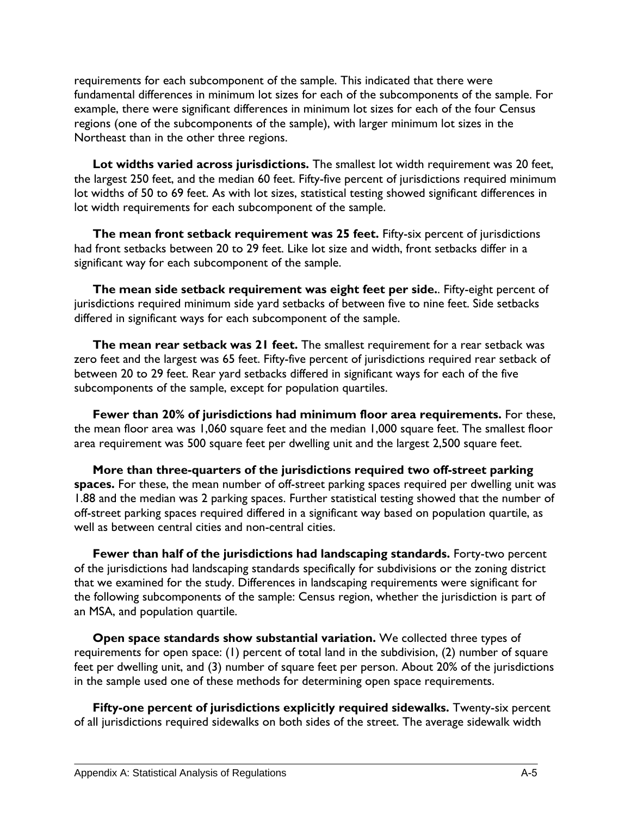requirements for each subcomponent of the sample. This indicated that there were fundamental differences in minimum lot sizes for each of the subcomponents of the sample. For example, there were significant differences in minimum lot sizes for each of the four Census regions (one of the subcomponents of the sample), with larger minimum lot sizes in the Northeast than in the other three regions.

**Lot widths varied across jurisdictions.** The smallest lot width requirement was 20 feet, the largest 250 feet, and the median 60 feet. Fifty-five percent of jurisdictions required minimum lot widths of 50 to 69 feet. As with lot sizes, statistical testing showed significant differences in lot width requirements for each subcomponent of the sample.

**The mean front setback requirement was 25 feet.** Fifty-six percent of jurisdictions had front setbacks between 20 to 29 feet. Like lot size and width, front setbacks differ in a significant way for each subcomponent of the sample.

**The mean side setback requirement was eight feet per side.**. Fifty-eight percent of jurisdictions required minimum side yard setbacks of between five to nine feet. Side setbacks differed in significant ways for each subcomponent of the sample.

**The mean rear setback was 21 feet.** The smallest requirement for a rear setback was zero feet and the largest was 65 feet. Fifty-five percent of jurisdictions required rear setback of between 20 to 29 feet. Rear yard setbacks differed in significant ways for each of the five subcomponents of the sample, except for population quartiles.

**Fewer than 20% of jurisdictions had minimum floor area requirements.** For these, the mean floor area was 1,060 square feet and the median 1,000 square feet. The smallest floor area requirement was 500 square feet per dwelling unit and the largest 2,500 square feet.

**More than three-quarters of the jurisdictions required two off-street parking spaces.** For these, the mean number of off-street parking spaces required per dwelling unit was 1.88 and the median was 2 parking spaces. Further statistical testing showed that the number of off-street parking spaces required differed in a significant way based on population quartile, as well as between central cities and non-central cities.

**Fewer than half of the jurisdictions had landscaping standards.** Forty-two percent of the jurisdictions had landscaping standards specifically for subdivisions or the zoning district that we examined for the study. Differences in landscaping requirements were significant for the following subcomponents of the sample: Census region, whether the jurisdiction is part of an MSA, and population quartile.

**Open space standards show substantial variation.** We collected three types of requirements for open space: (1) percent of total land in the subdivision, (2) number of square feet per dwelling unit, and (3) number of square feet per person. About 20% of the jurisdictions in the sample used one of these methods for determining open space requirements.

**Fifty-one percent of jurisdictions explicitly required sidewalks.** Twenty-six percent of all jurisdictions required sidewalks on both sides of the street. The average sidewalk width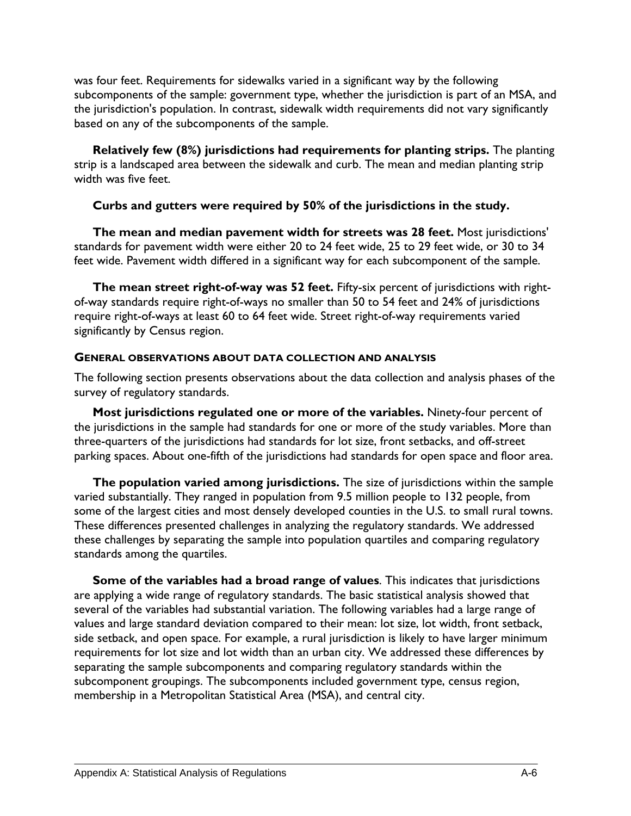was four feet. Requirements for sidewalks varied in a significant way by the following subcomponents of the sample: government type, whether the jurisdiction is part of an MSA, and the jurisdiction's population. In contrast, sidewalk width requirements did not vary significantly based on any of the subcomponents of the sample.

**Relatively few (8%) jurisdictions had requirements for planting strips.** The planting strip is a landscaped area between the sidewalk and curb. The mean and median planting strip width was five feet.

#### **Curbs and gutters were required by 50% of the jurisdictions in the study.**

**The mean and median pavement width for streets was 28 feet.** Most jurisdictions' standards for pavement width were either 20 to 24 feet wide, 25 to 29 feet wide, or 30 to 34 feet wide. Pavement width differed in a significant way for each subcomponent of the sample.

**The mean street right-of-way was 52 feet.** Fifty-six percent of jurisdictions with rightof-way standards require right-of-ways no smaller than 50 to 54 feet and 24% of jurisdictions require right-of-ways at least 60 to 64 feet wide. Street right-of-way requirements varied significantly by Census region.

#### **GENERAL OBSERVATIONS ABOUT DATA COLLECTION AND ANALYSIS**

The following section presents observations about the data collection and analysis phases of the survey of regulatory standards.

**Most jurisdictions regulated one or more of the variables.** Ninety-four percent of the jurisdictions in the sample had standards for one or more of the study variables. More than three-quarters of the jurisdictions had standards for lot size, front setbacks, and off-street parking spaces. About one-fifth of the jurisdictions had standards for open space and floor area.

**The population varied among jurisdictions.** The size of jurisdictions within the sample varied substantially. They ranged in population from 9.5 million people to 132 people, from some of the largest cities and most densely developed counties in the U.S. to small rural towns. These differences presented challenges in analyzing the regulatory standards. We addressed these challenges by separating the sample into population quartiles and comparing regulatory standards among the quartiles.

**Some of the variables had a broad range of values**. This indicates that jurisdictions are applying a wide range of regulatory standards. The basic statistical analysis showed that several of the variables had substantial variation. The following variables had a large range of values and large standard deviation compared to their mean: lot size, lot width, front setback, side setback, and open space. For example, a rural jurisdiction is likely to have larger minimum requirements for lot size and lot width than an urban city. We addressed these differences by separating the sample subcomponents and comparing regulatory standards within the subcomponent groupings. The subcomponents included government type, census region, membership in a Metropolitan Statistical Area (MSA), and central city.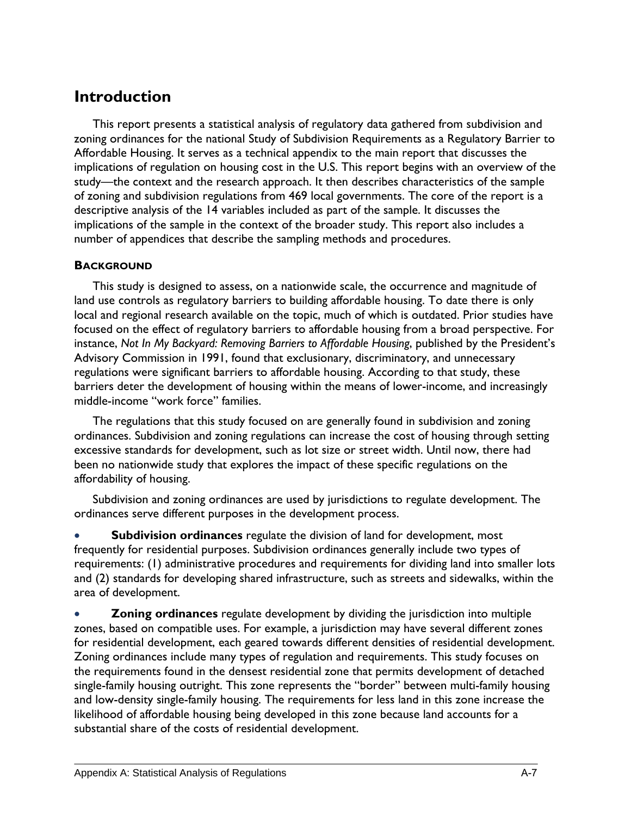# **Introduction**

This report presents a statistical analysis of regulatory data gathered from subdivision and zoning ordinances for the national Study of Subdivision Requirements as a Regulatory Barrier to Affordable Housing. It serves as a technical appendix to the main report that discusses the implications of regulation on housing cost in the U.S. This report begins with an overview of the study—the context and the research approach. It then describes characteristics of the sample of zoning and subdivision regulations from 469 local governments. The core of the report is a descriptive analysis of the 14 variables included as part of the sample. It discusses the implications of the sample in the context of the broader study. This report also includes a number of appendices that describe the sampling methods and procedures.

#### **BACKGROUND**

This study is designed to assess, on a nationwide scale, the occurrence and magnitude of land use controls as regulatory barriers to building affordable housing. To date there is only local and regional research available on the topic, much of which is outdated. Prior studies have focused on the effect of regulatory barriers to affordable housing from a broad perspective. For instance, *Not In My Backyard: Removing Barriers to Affordable Housing*, published by the President's Advisory Commission in 1991, found that exclusionary, discriminatory, and unnecessary regulations were significant barriers to affordable housing. According to that study, these barriers deter the development of housing within the means of lower-income, and increasingly middle-income "work force" families.

The regulations that this study focused on are generally found in subdivision and zoning ordinances. Subdivision and zoning regulations can increase the cost of housing through setting excessive standards for development, such as lot size or street width. Until now, there had been no nationwide study that explores the impact of these specific regulations on the affordability of housing.

Subdivision and zoning ordinances are used by jurisdictions to regulate development. The ordinances serve different purposes in the development process.

• **Subdivision ordinances** regulate the division of land for development, most frequently for residential purposes. Subdivision ordinances generally include two types of requirements: (1) administrative procedures and requirements for dividing land into smaller lots and (2) standards for developing shared infrastructure, such as streets and sidewalks, within the area of development.

• **Zoning ordinances** regulate development by dividing the jurisdiction into multiple zones, based on compatible uses. For example, a jurisdiction may have several different zones for residential development, each geared towards different densities of residential development. Zoning ordinances include many types of regulation and requirements. This study focuses on the requirements found in the densest residential zone that permits development of detached single-family housing outright. This zone represents the "border" between multi-family housing and low-density single-family housing. The requirements for less land in this zone increase the likelihood of affordable housing being developed in this zone because land accounts for a substantial share of the costs of residential development.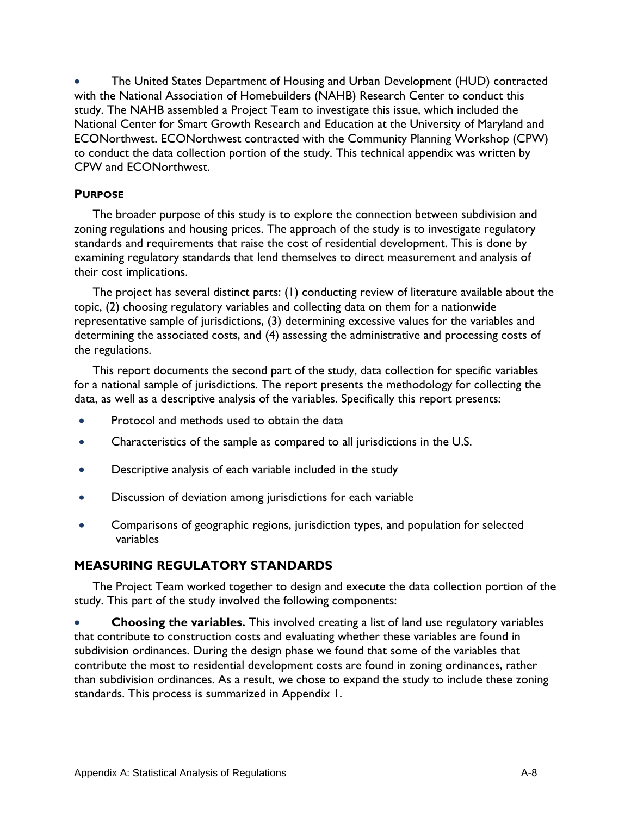• The United States Department of Housing and Urban Development (HUD) contracted with the National Association of Homebuilders (NAHB) Research Center to conduct this study. The NAHB assembled a Project Team to investigate this issue, which included the National Center for Smart Growth Research and Education at the University of Maryland and ECONorthwest. ECONorthwest contracted with the Community Planning Workshop (CPW) to conduct the data collection portion of the study. This technical appendix was written by CPW and ECONorthwest.

#### **PURPOSE**

The broader purpose of this study is to explore the connection between subdivision and zoning regulations and housing prices. The approach of the study is to investigate regulatory standards and requirements that raise the cost of residential development. This is done by examining regulatory standards that lend themselves to direct measurement and analysis of their cost implications.

The project has several distinct parts: (1) conducting review of literature available about the topic, (2) choosing regulatory variables and collecting data on them for a nationwide representative sample of jurisdictions, (3) determining excessive values for the variables and determining the associated costs, and (4) assessing the administrative and processing costs of the regulations.

This report documents the second part of the study, data collection for specific variables for a national sample of jurisdictions. The report presents the methodology for collecting the data, as well as a descriptive analysis of the variables. Specifically this report presents:

- Protocol and methods used to obtain the data
- Characteristics of the sample as compared to all jurisdictions in the U.S.
- Descriptive analysis of each variable included in the study
- Discussion of deviation among jurisdictions for each variable
- Comparisons of geographic regions, jurisdiction types, and population for selected variables

## **MEASURING REGULATORY STANDARDS**

The Project Team worked together to design and execute the data collection portion of the study. This part of the study involved the following components:

• **Choosing the variables.** This involved creating a list of land use regulatory variables that contribute to construction costs and evaluating whether these variables are found in subdivision ordinances. During the design phase we found that some of the variables that contribute the most to residential development costs are found in zoning ordinances, rather than subdivision ordinances. As a result, we chose to expand the study to include these zoning standards. This process is summarized in Appendix 1.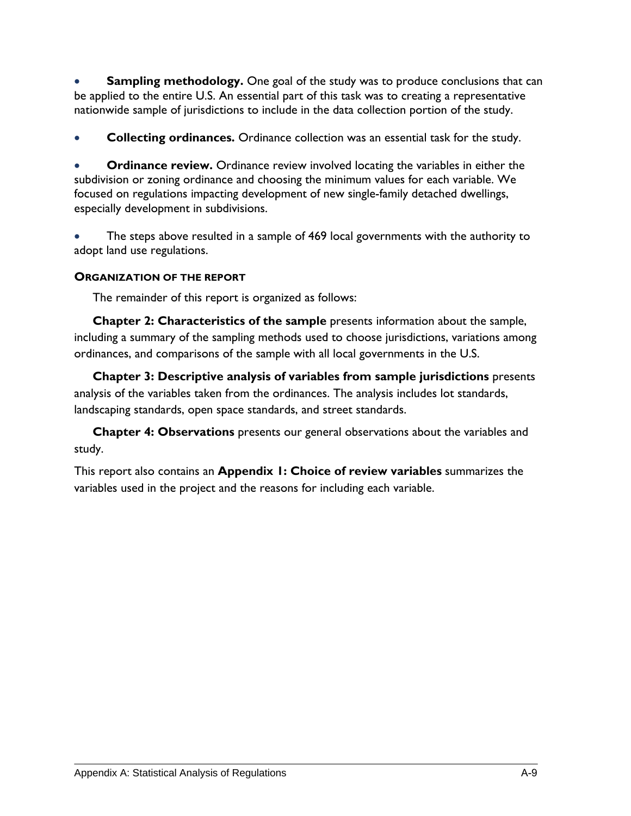**Sampling methodology.** One goal of the study was to produce conclusions that can be applied to the entire U.S. An essential part of this task was to creating a representative nationwide sample of jurisdictions to include in the data collection portion of the study.

• **Collecting ordinances.** Ordinance collection was an essential task for the study.

• **Ordinance review.** Ordinance review involved locating the variables in either the subdivision or zoning ordinance and choosing the minimum values for each variable. We focused on regulations impacting development of new single-family detached dwellings, especially development in subdivisions.

• The steps above resulted in a sample of 469 local governments with the authority to adopt land use regulations.

#### **ORGANIZATION OF THE REPORT**

The remainder of this report is organized as follows:

**Chapter 2: Characteristics of the sample** presents information about the sample, including a summary of the sampling methods used to choose jurisdictions, variations among ordinances, and comparisons of the sample with all local governments in the U.S.

**Chapter 3: Descriptive analysis of variables from sample jurisdictions** presents analysis of the variables taken from the ordinances. The analysis includes lot standards, landscaping standards, open space standards, and street standards.

**Chapter 4: Observations** presents our general observations about the variables and study.

This report also contains an **Appendix 1: Choice of review variables** summarizes the variables used in the project and the reasons for including each variable.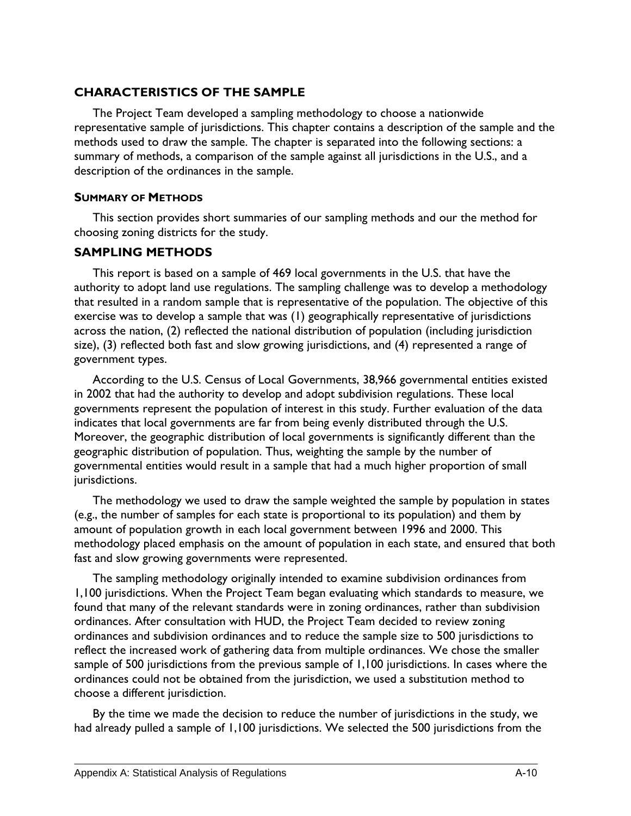#### **CHARACTERISTICS OF THE SAMPLE**

The Project Team developed a sampling methodology to choose a nationwide representative sample of jurisdictions. This chapter contains a description of the sample and the methods used to draw the sample. The chapter is separated into the following sections: a summary of methods, a comparison of the sample against all jurisdictions in the U.S., and a description of the ordinances in the sample.

#### **SUMMARY OF METHODS**

This section provides short summaries of our sampling methods and our the method for choosing zoning districts for the study.

### **SAMPLING METHODS**

This report is based on a sample of 469 local governments in the U.S. that have the authority to adopt land use regulations. The sampling challenge was to develop a methodology that resulted in a random sample that is representative of the population. The objective of this exercise was to develop a sample that was (1) geographically representative of jurisdictions across the nation, (2) reflected the national distribution of population (including jurisdiction size), (3) reflected both fast and slow growing jurisdictions, and (4) represented a range of government types.

According to the U.S. Census of Local Governments, 38,966 governmental entities existed in 2002 that had the authority to develop and adopt subdivision regulations. These local governments represent the population of interest in this study. Further evaluation of the data indicates that local governments are far from being evenly distributed through the U.S. Moreover, the geographic distribution of local governments is significantly different than the geographic distribution of population. Thus, weighting the sample by the number of governmental entities would result in a sample that had a much higher proportion of small jurisdictions.

The methodology we used to draw the sample weighted the sample by population in states (e.g., the number of samples for each state is proportional to its population) and them by amount of population growth in each local government between 1996 and 2000. This methodology placed emphasis on the amount of population in each state, and ensured that both fast and slow growing governments were represented.

The sampling methodology originally intended to examine subdivision ordinances from 1,100 jurisdictions. When the Project Team began evaluating which standards to measure, we found that many of the relevant standards were in zoning ordinances, rather than subdivision ordinances. After consultation with HUD, the Project Team decided to review zoning ordinances and subdivision ordinances and to reduce the sample size to 500 jurisdictions to reflect the increased work of gathering data from multiple ordinances. We chose the smaller sample of 500 jurisdictions from the previous sample of 1,100 jurisdictions. In cases where the ordinances could not be obtained from the jurisdiction, we used a substitution method to choose a different jurisdiction.

By the time we made the decision to reduce the number of jurisdictions in the study, we had already pulled a sample of 1,100 jurisdictions. We selected the 500 jurisdictions from the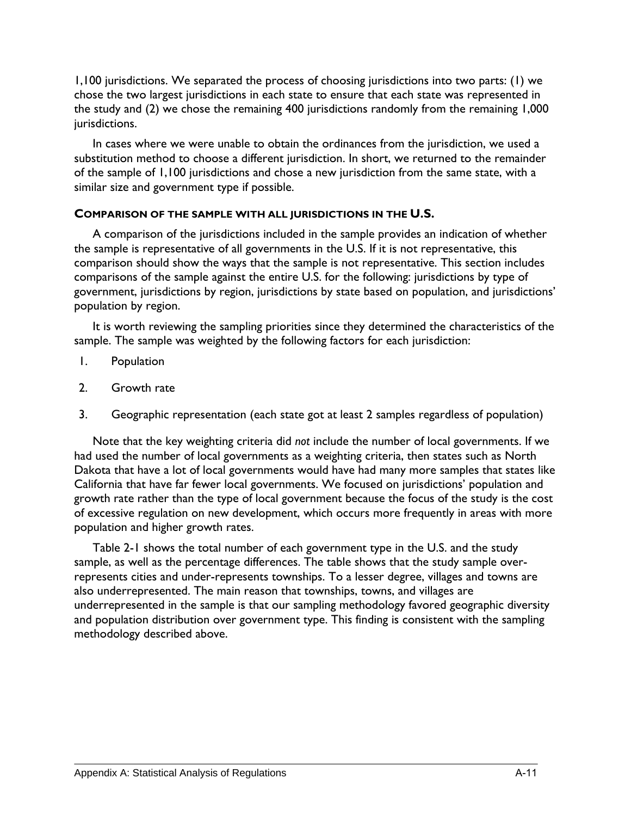1,100 jurisdictions. We separated the process of choosing jurisdictions into two parts: (1) we chose the two largest jurisdictions in each state to ensure that each state was represented in the study and (2) we chose the remaining 400 jurisdictions randomly from the remaining 1,000 jurisdictions.

In cases where we were unable to obtain the ordinances from the jurisdiction, we used a substitution method to choose a different jurisdiction. In short, we returned to the remainder of the sample of 1,100 jurisdictions and chose a new jurisdiction from the same state, with a similar size and government type if possible.

#### **COMPARISON OF THE SAMPLE WITH ALL JURISDICTIONS IN THE U.S.**

A comparison of the jurisdictions included in the sample provides an indication of whether the sample is representative of all governments in the U.S. If it is not representative, this comparison should show the ways that the sample is not representative. This section includes comparisons of the sample against the entire U.S. for the following: jurisdictions by type of government, jurisdictions by region, jurisdictions by state based on population, and jurisdictions' population by region.

It is worth reviewing the sampling priorities since they determined the characteristics of the sample. The sample was weighted by the following factors for each jurisdiction:

- 1. Population
- 2. Growth rate
- 3. Geographic representation (each state got at least 2 samples regardless of population)

 Note that the key weighting criteria did *not* include the number of local governments. If we had used the number of local governments as a weighting criteria, then states such as North Dakota that have a lot of local governments would have had many more samples that states like California that have far fewer local governments. We focused on jurisdictions' population and growth rate rather than the type of local government because the focus of the study is the cost of excessive regulation on new development, which occurs more frequently in areas with more population and higher growth rates.

Table 2-1 shows the total number of each government type in the U.S. and the study sample, as well as the percentage differences. The table shows that the study sample overrepresents cities and under-represents townships. To a lesser degree, villages and towns are also underrepresented. The main reason that townships, towns, and villages are underrepresented in the sample is that our sampling methodology favored geographic diversity and population distribution over government type. This finding is consistent with the sampling methodology described above.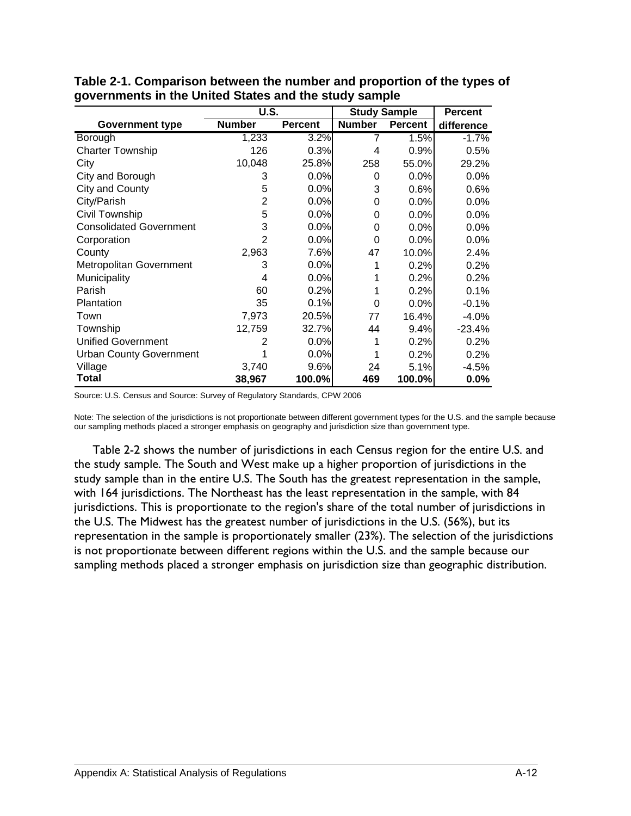|                                | U.S.           |                | <b>Study Sample</b> | <b>Percent</b> |            |
|--------------------------------|----------------|----------------|---------------------|----------------|------------|
| <b>Government type</b>         | <b>Number</b>  | <b>Percent</b> | <b>Number</b>       | <b>Percent</b> | difference |
| Borough                        | 1,233          | 3.2%           | 7                   | 1.5%           | $-1.7%$    |
| <b>Charter Township</b>        | 126            | 0.3%           | 4                   | 0.9%           | 0.5%       |
| City                           | 10,048         | 25.8%          | 258                 | 55.0%          | 29.2%      |
| City and Borough               | 3              | 0.0%           | 0                   | 0.0%           | 0.0%       |
| City and County                | 5              | 0.0%           | 3                   | 0.6%           | 0.6%       |
| City/Parish                    | $\overline{2}$ | 0.0%           | 0                   | 0.0%           | 0.0%       |
| Civil Township                 | 5              | 0.0%           | 0                   | 0.0%           | 0.0%       |
| <b>Consolidated Government</b> | 3              | 0.0%           | 0                   | $0.0\%$        | 0.0%       |
| Corporation                    | 2              | 0.0%           | 0                   | $0.0\%$        | 0.0%       |
| County                         | 2,963          | 7.6%           | 47                  | 10.0%          | 2.4%       |
| <b>Metropolitan Government</b> | 3              | 0.0%           | 1                   | 0.2%           | 0.2%       |
| Municipality                   | 4              | 0.0%           |                     | 0.2%           | 0.2%       |
| Parish                         | 60             | 0.2%           |                     | 0.2%           | 0.1%       |
| Plantation                     | 35             | 0.1%           | 0                   | 0.0%           | $-0.1%$    |
| Town                           | 7,973          | 20.5%          | 77                  | 16.4%          | $-4.0%$    |
| Township                       | 12,759         | 32.7%          | 44                  | 9.4%           | $-23.4%$   |
| <b>Unified Government</b>      | 2              | 0.0%           |                     | 0.2%           | 0.2%       |
| <b>Urban County Government</b> |                | 0.0%           |                     | 0.2%           | 0.2%       |
| Village                        | 3,740          | 9.6%           | 24                  | 5.1%           | $-4.5%$    |
| Total                          | 38,967         | 100.0%         | 469                 | 100.0%         | $0.0\%$    |

**Table 2-1. Comparison between the number and proportion of the types of governments in the United States and the study sample** 

Source: U.S. Census and Source: Survey of Regulatory Standards, CPW 2006

Note: The selection of the jurisdictions is not proportionate between different government types for the U.S. and the sample because our sampling methods placed a stronger emphasis on geography and jurisdiction size than government type.

Table 2-2 shows the number of jurisdictions in each Census region for the entire U.S. and the study sample. The South and West make up a higher proportion of jurisdictions in the study sample than in the entire U.S. The South has the greatest representation in the sample, with 164 jurisdictions. The Northeast has the least representation in the sample, with 84 jurisdictions. This is proportionate to the region's share of the total number of jurisdictions in the U.S. The Midwest has the greatest number of jurisdictions in the U.S. (56%), but its representation in the sample is proportionately smaller (23%). The selection of the jurisdictions is not proportionate between different regions within the U.S. and the sample because our sampling methods placed a stronger emphasis on jurisdiction size than geographic distribution.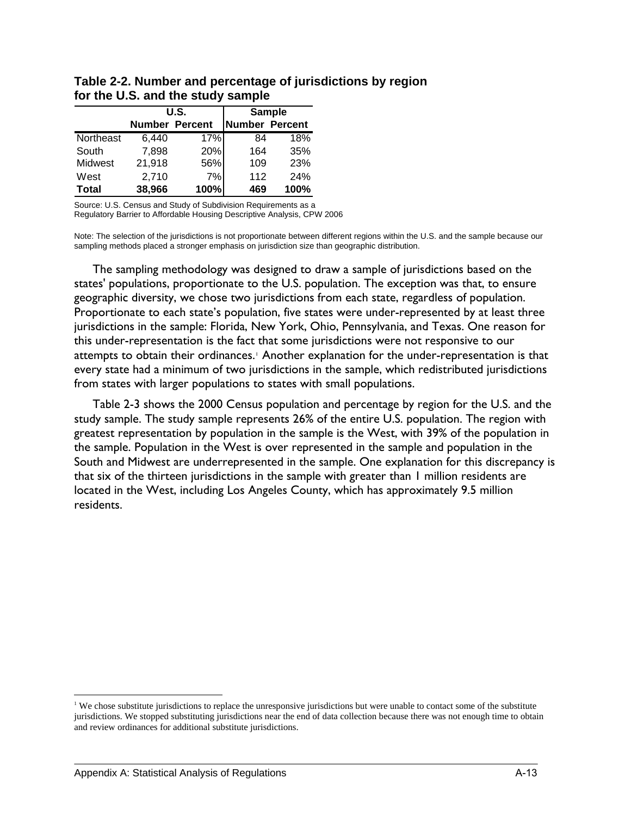|              |                       | U.S. |                | <b>Sample</b> |
|--------------|-----------------------|------|----------------|---------------|
|              | <b>Number Percent</b> |      | Number Percent |               |
| Northeast    | 6.440                 | 17%  | 84             | 18%           |
| South        | 7,898                 | 20%  | 164            | 35%           |
| Midwest      | 21,918                | 56%  | 109            | 23%           |
| West         | 2,710                 | 7%   | 112            | 24%           |
| <b>Total</b> | 38,966                | 100% | 469            | 100%          |

**Table 2-2. Number and percentage of jurisdictions by region for the U.S. and the study sample** 

Source: U.S. Census and Study of Subdivision Requirements as a

Regulatory Barrier to Affordable Housing Descriptive Analysis, CPW 2006

Note: The selection of the jurisdictions is not proportionate between different regions within the U.S. and the sample because our sampling methods placed a stronger emphasis on jurisdiction size than geographic distribution.

The sampling methodology was designed to draw a sample of jurisdictions based on the states' populations, proportionate to the U.S. population. The exception was that, to ensure geographic diversity, we chose two jurisdictions from each state, regardless of population. Proportionate to each state's population, five states were under-represented by at least three jurisdictions in the sample: Florida, New York, Ohio, Pennsylvania, and Texas. One reason for this under-representation is the fact that some jurisdictions were not responsive to our attempts to obtain their ordinances.<sup>[1](#page-94-0)</sup> Another explanation for the under-representation is that every state had a minimum of two jurisdictions in the sample, which redistributed jurisdictions from states with larger populations to states with small populations.

Table 2-3 shows the 2000 Census population and percentage by region for the U.S. and the study sample. The study sample represents 26% of the entire U.S. population. The region with greatest representation by population in the sample is the West, with 39% of the population in the sample. Population in the West is over represented in the sample and population in the South and Midwest are underrepresented in the sample. One explanation for this discrepancy is that six of the thirteen jurisdictions in the sample with greater than 1 million residents are located in the West, including Los Angeles County, which has approximately 9.5 million residents.

 $\overline{a}$ 

<span id="page-94-0"></span><sup>&</sup>lt;sup>1</sup> We chose substitute jurisdictions to replace the unresponsive jurisdictions but were unable to contact some of the substitute jurisdictions. We stopped substituting jurisdictions near the end of data collection because there was not enough time to obtain and review ordinances for additional substitute jurisdictions.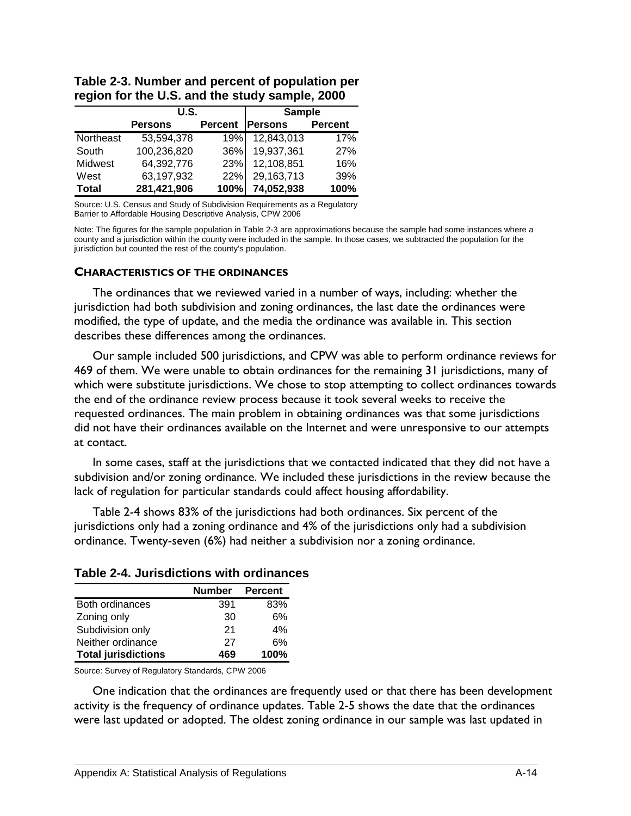|           | U.S.           |                | <b>Sample</b>  |                |
|-----------|----------------|----------------|----------------|----------------|
|           | <b>Persons</b> | <b>Percent</b> | <b>Persons</b> | <b>Percent</b> |
| Northeast | 53,594,378     | 19%            | 12,843,013     | 17%            |
| South     | 100,236,820    | 36%            | 19,937,361     | <b>27%</b>     |
| Midwest   | 64,392,776     | 23%            | 12,108,851     | 16%            |
| West      | 63,197,932     | 22%            | 29,163,713     | 39%            |
| Total     | 281,421,906    | 100%           | 74,052,938     | 100%           |

**Table 2-3. Number and percent of population per region for the U.S. and the study sample, 2000** 

Source: U.S. Census and Study of Subdivision Requirements as a Regulatory Barrier to Affordable Housing Descriptive Analysis, CPW 2006

Note: The figures for the sample population in Table 2-3 are approximations because the sample had some instances where a county and a jurisdiction within the county were included in the sample. In those cases, we subtracted the population for the jurisdiction but counted the rest of the county's population.

#### **CHARACTERISTICS OF THE ORDINANCES**

The ordinances that we reviewed varied in a number of ways, including: whether the jurisdiction had both subdivision and zoning ordinances, the last date the ordinances were modified, the type of update, and the media the ordinance was available in. This section describes these differences among the ordinances.

Our sample included 500 jurisdictions, and CPW was able to perform ordinance reviews for 469 of them. We were unable to obtain ordinances for the remaining 31 jurisdictions, many of which were substitute jurisdictions. We chose to stop attempting to collect ordinances towards the end of the ordinance review process because it took several weeks to receive the requested ordinances. The main problem in obtaining ordinances was that some jurisdictions did not have their ordinances available on the Internet and were unresponsive to our attempts at contact.

In some cases, staff at the jurisdictions that we contacted indicated that they did not have a subdivision and/or zoning ordinance. We included these jurisdictions in the review because the lack of regulation for particular standards could affect housing affordability.

Table 2-4 shows 83% of the jurisdictions had both ordinances. Six percent of the jurisdictions only had a zoning ordinance and 4% of the jurisdictions only had a subdivision ordinance. Twenty-seven (6%) had neither a subdivision nor a zoning ordinance.

|                            | <b>Number</b> | <b>Percent</b> |
|----------------------------|---------------|----------------|
| Both ordinances            | 391           | 83%            |
| Zoning only                | 30            | 6%             |
| Subdivision only           | 21            | 4%             |
| Neither ordinance          | 27            | 6%             |
| <b>Total jurisdictions</b> | 469           | 100%           |

#### **Table 2-4. Jurisdictions with ordinances**

Source: Survey of Regulatory Standards, CPW 2006

One indication that the ordinances are frequently used or that there has been development activity is the frequency of ordinance updates. Table 2-5 shows the date that the ordinances were last updated or adopted. The oldest zoning ordinance in our sample was last updated in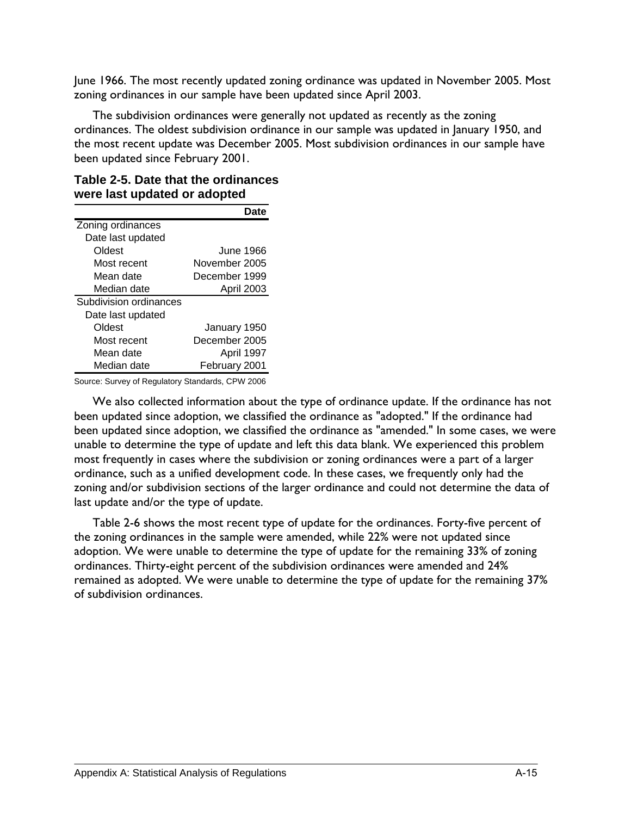June 1966. The most recently updated zoning ordinance was updated in November 2005. Most zoning ordinances in our sample have been updated since April 2003.

The subdivision ordinances were generally not updated as recently as the zoning ordinances. The oldest subdivision ordinance in our sample was updated in January 1950, and the most recent update was December 2005. Most subdivision ordinances in our sample have been updated since February 2001.

#### **Table 2-5. Date that the ordinances were last updated or adopted**

|                        | Date          |
|------------------------|---------------|
| Zoning ordinances      |               |
| Date last updated      |               |
| Oldest                 | June 1966.    |
| Most recent            | November 2005 |
| Mean date              | December 1999 |
| Median date            | April 2003    |
| Subdivision ordinances |               |
| Date last updated      |               |
| Oldest                 | January 1950  |
| Most recent            | December 2005 |
| Mean date              | April 1997    |
| Median date            | February 2001 |

Source: Survey of Regulatory Standards, CPW 2006

We also collected information about the type of ordinance update. If the ordinance has not been updated since adoption, we classified the ordinance as "adopted." If the ordinance had been updated since adoption, we classified the ordinance as "amended." In some cases, we were unable to determine the type of update and left this data blank. We experienced this problem most frequently in cases where the subdivision or zoning ordinances were a part of a larger ordinance, such as a unified development code. In these cases, we frequently only had the zoning and/or subdivision sections of the larger ordinance and could not determine the data of last update and/or the type of update.

Table 2-6 shows the most recent type of update for the ordinances. Forty-five percent of the zoning ordinances in the sample were amended, while 22% were not updated since adoption. We were unable to determine the type of update for the remaining 33% of zoning ordinances. Thirty-eight percent of the subdivision ordinances were amended and 24% remained as adopted. We were unable to determine the type of update for the remaining 37% of subdivision ordinances.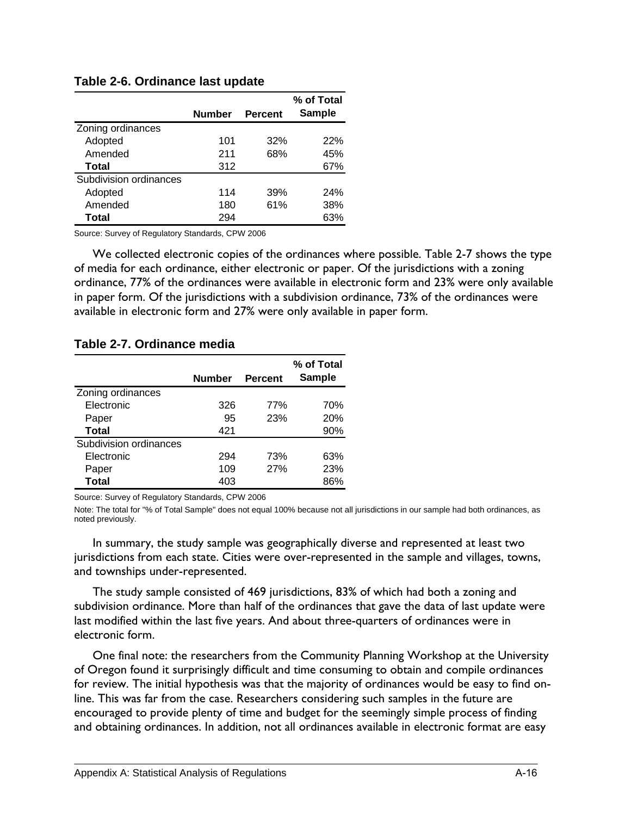|                        | <b>Number</b> | <b>Percent</b> | % of Total<br><b>Sample</b> |
|------------------------|---------------|----------------|-----------------------------|
| Zoning ordinances      |               |                |                             |
| Adopted                | 101           | 32%            | 22%                         |
| Amended                | 211           | 68%            | 45%                         |
| Total                  | 312           |                | 67%                         |
| Subdivision ordinances |               |                |                             |
| Adopted                | 114           | 39%            | 24%                         |
| Amended                | 180           | 61%            | 38%                         |
| Total                  | 294           |                | 63%                         |

#### **Table 2-6. Ordinance last update**

Source: Survey of Regulatory Standards, CPW 2006

We collected electronic copies of the ordinances where possible. Table 2-7 shows the type of media for each ordinance, either electronic or paper. Of the jurisdictions with a zoning ordinance, 77% of the ordinances were available in electronic form and 23% were only available in paper form. Of the jurisdictions with a subdivision ordinance, 73% of the ordinances were available in electronic form and 27% were only available in paper form.

#### **Table 2-7. Ordinance media**

|                        | <b>Number</b> | <b>Percent</b> | % of Total<br><b>Sample</b> |
|------------------------|---------------|----------------|-----------------------------|
| Zoning ordinances      |               |                |                             |
| Electronic             | 326           | 77%            | 70%                         |
| Paper                  | 95            | 23%            | 20%                         |
| <b>Total</b>           | 421           |                | 90%                         |
| Subdivision ordinances |               |                |                             |
| Electronic             | 294           | 73%            | 63%                         |
| Paper                  | 109           | 27%            | 23%                         |
| Total                  | 403           |                | 86%                         |

Source: Survey of Regulatory Standards, CPW 2006

Note: The total for "% of Total Sample" does not equal 100% because not all jurisdictions in our sample had both ordinances, as noted previously.

In summary, the study sample was geographically diverse and represented at least two jurisdictions from each state. Cities were over-represented in the sample and villages, towns, and townships under-represented.

The study sample consisted of 469 jurisdictions, 83% of which had both a zoning and subdivision ordinance. More than half of the ordinances that gave the data of last update were last modified within the last five years. And about three-quarters of ordinances were in electronic form.

One final note: the researchers from the Community Planning Workshop at the University of Oregon found it surprisingly difficult and time consuming to obtain and compile ordinances for review. The initial hypothesis was that the majority of ordinances would be easy to find online. This was far from the case. Researchers considering such samples in the future are encouraged to provide plenty of time and budget for the seemingly simple process of finding and obtaining ordinances. In addition, not all ordinances available in electronic format are easy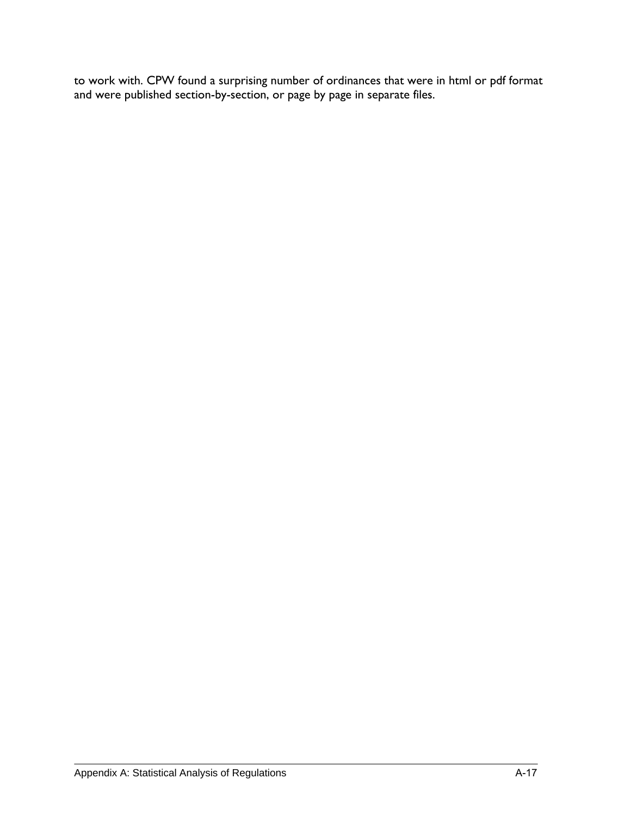to work with. CPW found a surprising number of ordinances that were in html or pdf format and were published section-by-section, or page by page in separate files.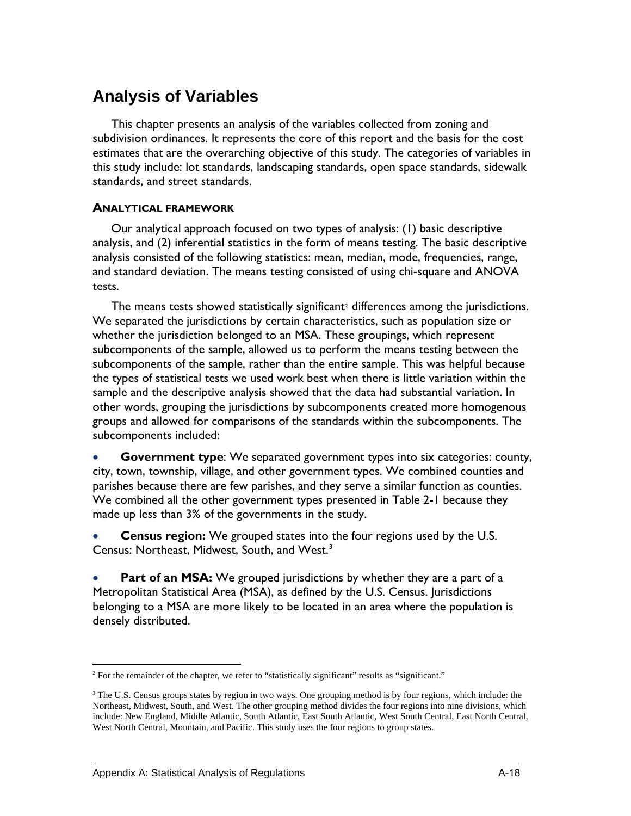# **Analysis of Variables**

This chapter presents an analysis of the variables collected from zoning and subdivision ordinances. It represents the core of this report and the basis for the cost estimates that are the overarching objective of this study. The categories of variables in this study include: lot standards, landscaping standards, open space standards, sidewalk standards, and street standards.

#### **ANALYTICAL FRAMEWORK**

Our analytical approach focused on two types of analysis: (1) basic descriptive analysis, and (2) inferential statistics in the form of means testing. The basic descriptive analysis consisted of the following statistics: mean, median, mode, frequencies, range, and standard deviation. The means testing consisted of using chi-square and ANOVA tests.

The means tests showed statistically significant<sup>[2](#page-99-0)</sup> differences among the jurisdictions. We separated the jurisdictions by certain characteristics, such as population size or whether the jurisdiction belonged to an MSA. These groupings, which represent subcomponents of the sample, allowed us to perform the means testing between the subcomponents of the sample, rather than the entire sample. This was helpful because the types of statistical tests we used work best when there is little variation within the sample and the descriptive analysis showed that the data had substantial variation. In other words, grouping the jurisdictions by subcomponents created more homogenous groups and allowed for comparisons of the standards within the subcomponents. The subcomponents included:

**Government type**: We separated government types into six categories: county, city, town, township, village, and other government types. We combined counties and parishes because there are few parishes, and they serve a similar function as counties. We combined all the other government types presented in Table 2-1 because they made up less than 3% of the governments in the study.

• **Census region:** We grouped states into the four regions used by the U.S. Census: Northeast, Midwest, South, and West.<sup>[3](#page-99-1)</sup>

Part of an MSA: We grouped jurisdictions by whether they are a part of a Metropolitan Statistical Area (MSA), as defined by the U.S. Census. Jurisdictions belonging to a MSA are more likely to be located in an area where the population is densely distributed.

<span id="page-99-0"></span><sup>1</sup> <sup>2</sup> For the remainder of the chapter, we refer to "statistically significant" results as "significant."

<span id="page-99-1"></span><sup>&</sup>lt;sup>3</sup> The U.S. Census groups states by region in two ways. One grouping method is by four regions, which include: the Northeast, Midwest, South, and West. The other grouping method divides the four regions into nine divisions, which include: New England, Middle Atlantic, South Atlantic, East South Atlantic, West South Central, East North Central, West North Central, Mountain, and Pacific. This study uses the four regions to group states.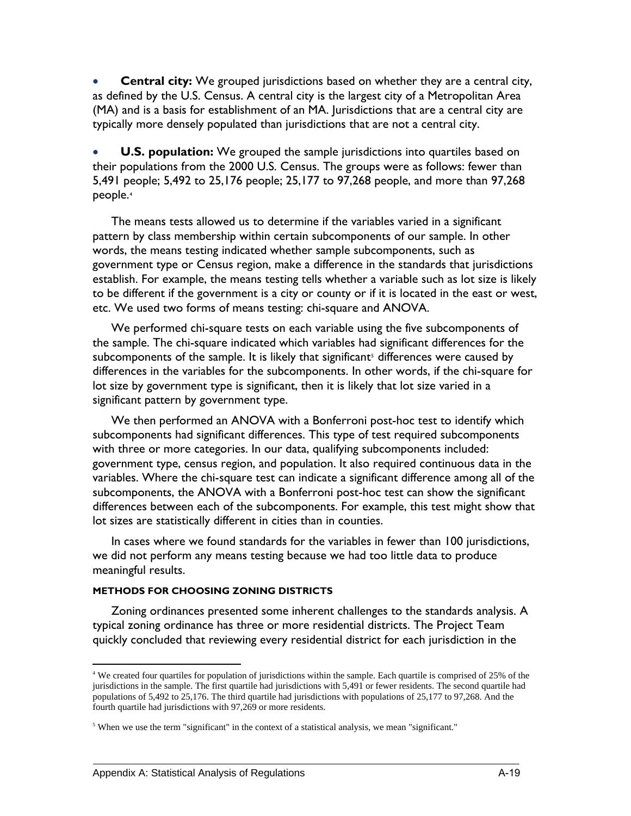**Central city:** We grouped jurisdictions based on whether they are a central city, as defined by the U.S. Census. A central city is the largest city of a Metropolitan Area (MA) and is a basis for establishment of an MA. Jurisdictions that are a central city are typically more densely populated than jurisdictions that are not a central city.

**U.S. population:** We grouped the sample jurisdictions into quartiles based on their populations from the 2000 U.S. Census. The groups were as follows: fewer than 5,491 people; 5,492 to 25,176 people; 25,177 to 97,268 people, and more than 97,268 people.[4](#page-100-0)

The means tests allowed us to determine if the variables varied in a significant pattern by class membership within certain subcomponents of our sample. In other words, the means testing indicated whether sample subcomponents, such as government type or Census region, make a difference in the standards that jurisdictions establish. For example, the means testing tells whether a variable such as lot size is likely to be different if the government is a city or county or if it is located in the east or west, etc. We used two forms of means testing: chi-square and ANOVA.

We performed chi-square tests on each variable using the five subcomponents of the sample. The chi-square indicated which variables had significant differences for the subcomponents of the sample. It is likely that significant<sup>[5](#page-100-1)</sup> differences were caused by differences in the variables for the subcomponents. In other words, if the chi-square for lot size by government type is significant, then it is likely that lot size varied in a significant pattern by government type.

We then performed an ANOVA with a Bonferroni post-hoc test to identify which subcomponents had significant differences. This type of test required subcomponents with three or more categories. In our data, qualifying subcomponents included: government type, census region, and population. It also required continuous data in the variables. Where the chi-square test can indicate a significant difference among all of the subcomponents, the ANOVA with a Bonferroni post-hoc test can show the significant differences between each of the subcomponents. For example, this test might show that lot sizes are statistically different in cities than in counties.

In cases where we found standards for the variables in fewer than 100 jurisdictions, we did not perform any means testing because we had too little data to produce meaningful results.

#### **METHODS FOR CHOOSING ZONING DISTRICTS**

Zoning ordinances presented some inherent challenges to the standards analysis. A typical zoning ordinance has three or more residential districts. The Project Team quickly concluded that reviewing every residential district for each jurisdiction in the

1

<span id="page-100-0"></span><sup>4</sup> We created four quartiles for population of jurisdictions within the sample. Each quartile is comprised of 25% of the jurisdictions in the sample. The first quartile had jurisdictions with 5,491 or fewer residents. The second quartile had populations of 5,492 to 25,176. The third quartile had jurisdictions with populations of 25,177 to 97,268. And the fourth quartile had jurisdictions with 97,269 or more residents.

<span id="page-100-1"></span><sup>&</sup>lt;sup>5</sup> When we use the term "significant" in the context of a statistical analysis, we mean "significant."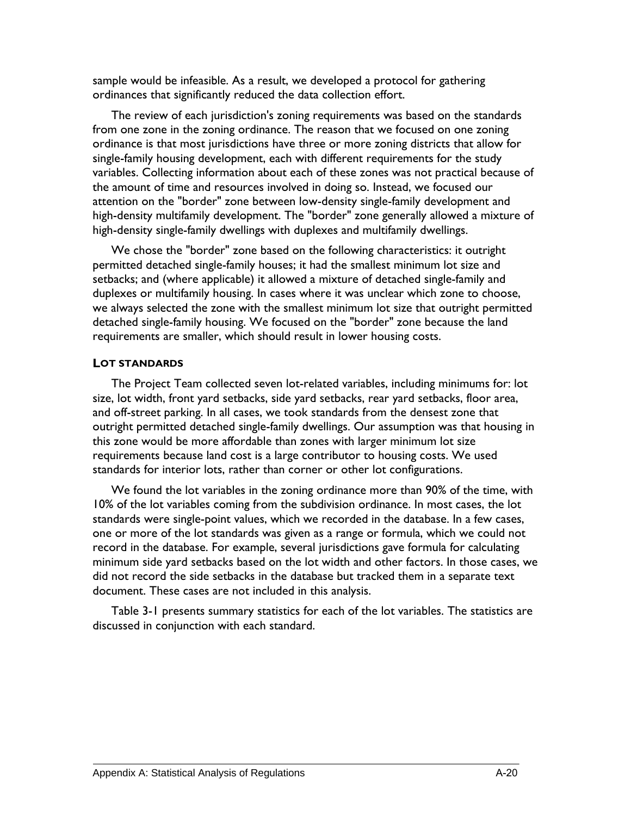sample would be infeasible. As a result, we developed a protocol for gathering ordinances that significantly reduced the data collection effort.

The review of each jurisdiction's zoning requirements was based on the standards from one zone in the zoning ordinance. The reason that we focused on one zoning ordinance is that most jurisdictions have three or more zoning districts that allow for single-family housing development, each with different requirements for the study variables. Collecting information about each of these zones was not practical because of the amount of time and resources involved in doing so. Instead, we focused our attention on the "border" zone between low-density single-family development and high-density multifamily development. The "border" zone generally allowed a mixture of high-density single-family dwellings with duplexes and multifamily dwellings.

We chose the "border" zone based on the following characteristics: it outright permitted detached single-family houses; it had the smallest minimum lot size and setbacks; and (where applicable) it allowed a mixture of detached single-family and duplexes or multifamily housing. In cases where it was unclear which zone to choose, we always selected the zone with the smallest minimum lot size that outright permitted detached single-family housing. We focused on the "border" zone because the land requirements are smaller, which should result in lower housing costs.

#### **LOT STANDARDS**

The Project Team collected seven lot-related variables, including minimums for: lot size, lot width, front yard setbacks, side yard setbacks, rear yard setbacks, floor area, and off-street parking. In all cases, we took standards from the densest zone that outright permitted detached single-family dwellings. Our assumption was that housing in this zone would be more affordable than zones with larger minimum lot size requirements because land cost is a large contributor to housing costs. We used standards for interior lots, rather than corner or other lot configurations.

We found the lot variables in the zoning ordinance more than 90% of the time, with 10% of the lot variables coming from the subdivision ordinance. In most cases, the lot standards were single-point values, which we recorded in the database. In a few cases, one or more of the lot standards was given as a range or formula, which we could not record in the database. For example, several jurisdictions gave formula for calculating minimum side yard setbacks based on the lot width and other factors. In those cases, we did not record the side setbacks in the database but tracked them in a separate text document. These cases are not included in this analysis.

Table 3-1 presents summary statistics for each of the lot variables. The statistics are discussed in conjunction with each standard.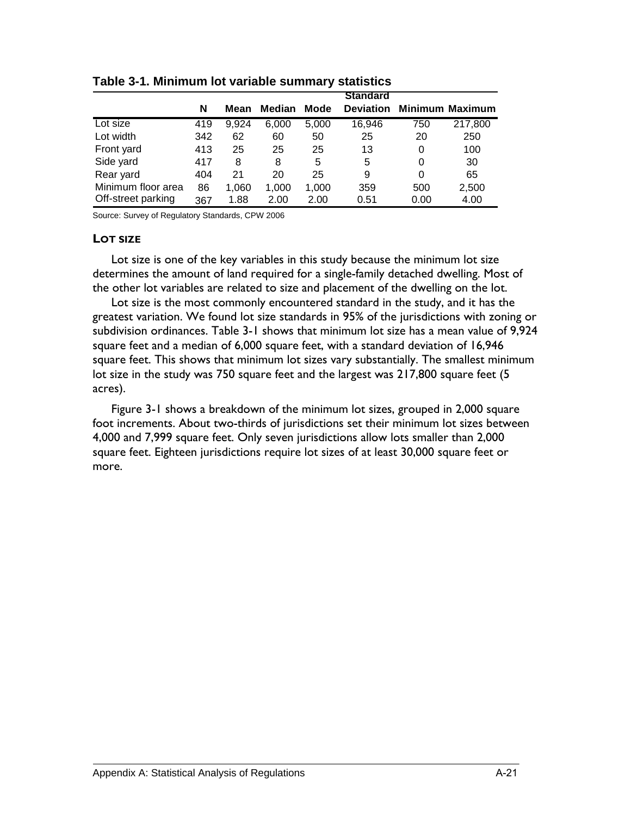|                    |     |       |               |       | <b>Standard</b>  |      |                        |
|--------------------|-----|-------|---------------|-------|------------------|------|------------------------|
|                    | N   | Mean  | <b>Median</b> | Mode  | <b>Deviation</b> |      | <b>Minimum Maximum</b> |
| Lot size           | 419 | 9.924 | 6,000         | 5,000 | 16,946           | 750  | 217,800                |
| Lot width          | 342 | 62    | 60            | 50    | 25               | 20   | 250                    |
| Front yard         | 413 | 25    | 25            | 25    | 13               | 0    | 100                    |
| Side yard          | 417 | 8     | 8             | 5     | 5                | 0    | 30                     |
| Rear yard          | 404 | 21    | 20            | 25    | 9                | 0    | 65                     |
| Minimum floor area | 86  | 1,060 | 1,000         | 1,000 | 359              | 500  | 2,500                  |
| Off-street parking | 367 | 1.88  | 2.00          | 2.00  | 0.51             | 0.00 | 4.00                   |

**Table 3-1. Minimum lot variable summary statistics** 

Source: Survey of Regulatory Standards, CPW 2006

#### **LOT SIZE**

Lot size is one of the key variables in this study because the minimum lot size determines the amount of land required for a single-family detached dwelling. Most of the other lot variables are related to size and placement of the dwelling on the lot.

Lot size is the most commonly encountered standard in the study, and it has the greatest variation. We found lot size standards in 95% of the jurisdictions with zoning or subdivision ordinances. Table 3-1 shows that minimum lot size has a mean value of 9,924 square feet and a median of 6,000 square feet, with a standard deviation of 16,946 square feet. This shows that minimum lot sizes vary substantially. The smallest minimum lot size in the study was 750 square feet and the largest was 217,800 square feet (5 acres).

Figure 3-1 shows a breakdown of the minimum lot sizes, grouped in 2,000 square foot increments. About two-thirds of jurisdictions set their minimum lot sizes between 4,000 and 7,999 square feet. Only seven jurisdictions allow lots smaller than 2,000 square feet. Eighteen jurisdictions require lot sizes of at least 30,000 square feet or more.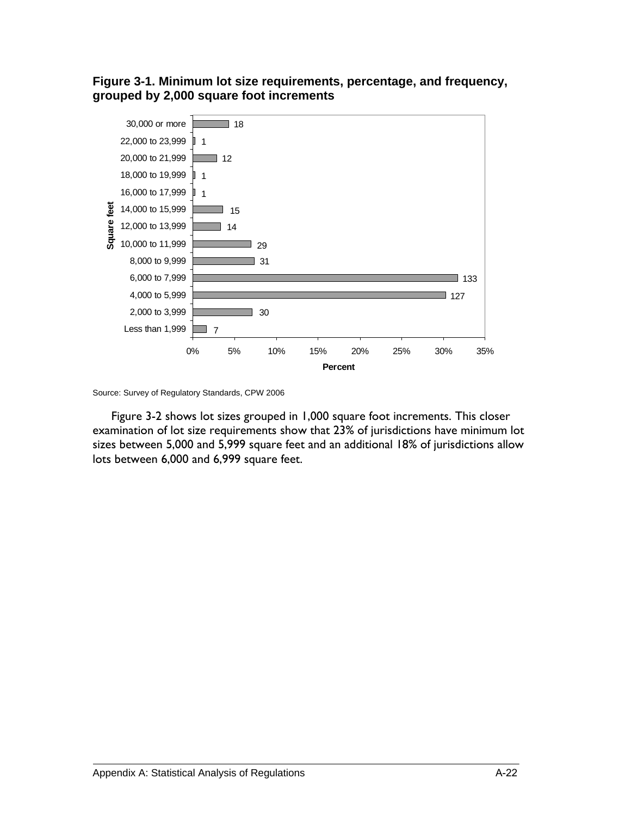



Source: Survey of Regulatory Standards, CPW 2006

Figure 3-2 shows lot sizes grouped in 1,000 square foot increments. This closer examination of lot size requirements show that 23% of jurisdictions have minimum lot sizes between 5,000 and 5,999 square feet and an additional 18% of jurisdictions allow lots between 6,000 and 6,999 square feet.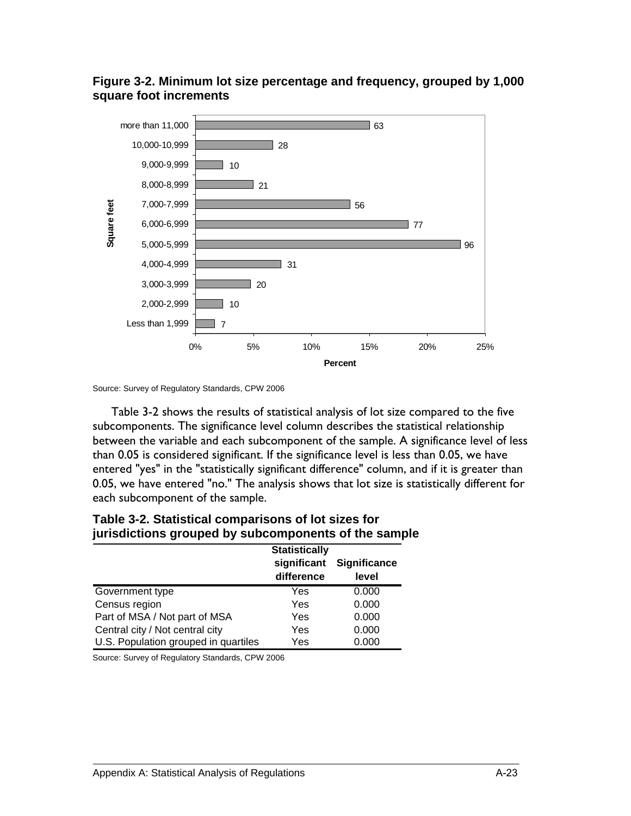

#### **Figure 3-2. Minimum lot size percentage and frequency, grouped by 1,000 square foot increments**

Table 3-2 shows the results of statistical analysis of lot size compared to the five subcomponents. The significance level column describes the statistical relationship between the variable and each subcomponent of the sample. A significance level of less than 0.05 is considered significant. If the significance level is less than 0.05, we have entered "yes" in the "statistically significant difference" column, and if it is greater than 0.05, we have entered "no." The analysis shows that lot size is statistically different for each subcomponent of the sample.

| <u>lancemento di emberita la comentibente en mia amint</u> | <b>Statistically</b>      |                       |  |  |
|------------------------------------------------------------|---------------------------|-----------------------|--|--|
|                                                            | significant<br>difference | Significance<br>level |  |  |
| Government type                                            | Yes                       | 0.000                 |  |  |
| Census region                                              | Yes                       | 0.000                 |  |  |
| Part of MSA / Not part of MSA                              | Yes                       | 0.000                 |  |  |
| Central city / Not central city                            | Yes                       | 0.000                 |  |  |
| U.S. Population grouped in quartiles                       | Yes                       | 0.000                 |  |  |

#### **Table 3-2. Statistical comparisons of lot sizes for jurisdictions grouped by subcomponents of the sample**

Source: Survey of Regulatory Standards, CPW 2006

Source: Survey of Regulatory Standards, CPW 2006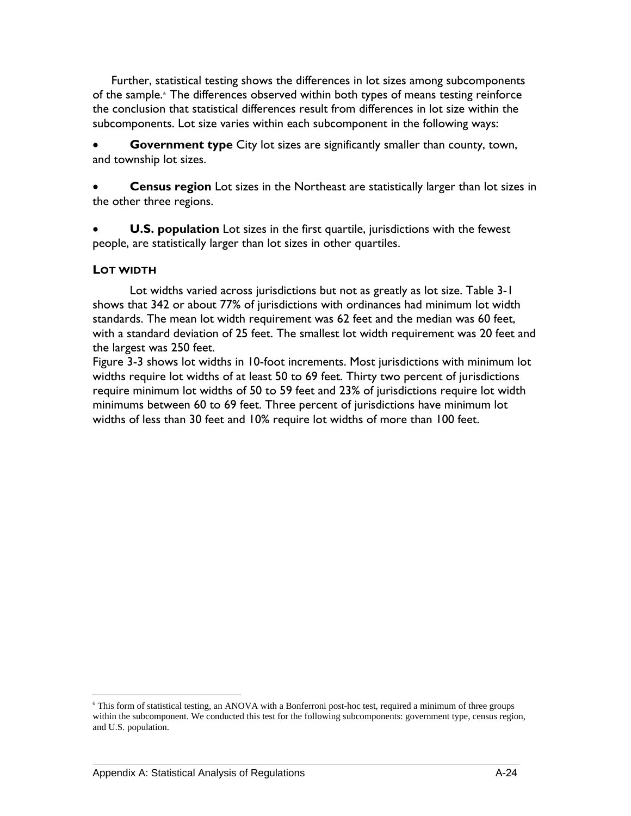Further, statistical testing shows the differences in lot sizes among subcomponents of the sample.<sup>[6](#page-105-0)</sup> The differences observed within both types of means testing reinforce the conclusion that statistical differences result from differences in lot size within the subcomponents. Lot size varies within each subcomponent in the following ways:

**Government type** City lot sizes are significantly smaller than county, town, and township lot sizes.

**Census region** Lot sizes in the Northeast are statistically larger than lot sizes in the other three regions.

**U.S. population** Lot sizes in the first quartile, jurisdictions with the fewest people, are statistically larger than lot sizes in other quartiles.

#### **LOT WIDTH**

<u>.</u>

Lot widths varied across jurisdictions but not as greatly as lot size. Table 3-1 shows that 342 or about 77% of jurisdictions with ordinances had minimum lot width standards. The mean lot width requirement was 62 feet and the median was 60 feet, with a standard deviation of 25 feet. The smallest lot width requirement was 20 feet and the largest was 250 feet.

Figure 3-3 shows lot widths in 10-foot increments. Most jurisdictions with minimum lot widths require lot widths of at least 50 to 69 feet. Thirty two percent of jurisdictions require minimum lot widths of 50 to 59 feet and 23% of jurisdictions require lot width minimums between 60 to 69 feet. Three percent of jurisdictions have minimum lot widths of less than 30 feet and 10% require lot widths of more than 100 feet.

<span id="page-105-0"></span><sup>6</sup> This form of statistical testing, an ANOVA with a Bonferroni post-hoc test, required a minimum of three groups within the subcomponent. We conducted this test for the following subcomponents: government type, census region, and U.S. population.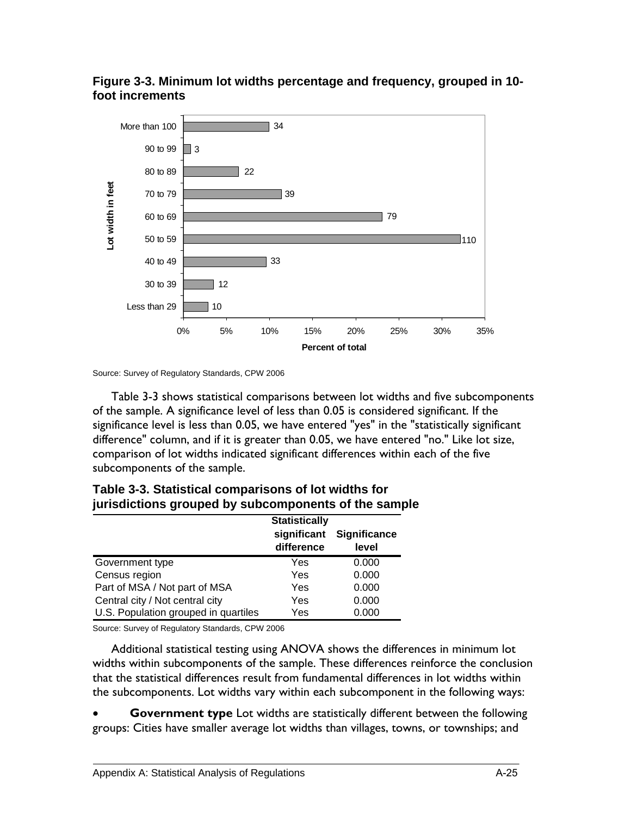



Source: Survey of Regulatory Standards, CPW 2006

Table 3-3 shows statistical comparisons between lot widths and five subcomponents of the sample. A significance level of less than 0.05 is considered significant. If the significance level is less than 0.05, we have entered "yes" in the "statistically significant difference" column, and if it is greater than 0.05, we have entered "no." Like lot size, comparison of lot widths indicated significant differences within each of the five subcomponents of the sample.

|                                      | <b>Statistically</b><br>significant<br>difference | <b>Significance</b><br>level |
|--------------------------------------|---------------------------------------------------|------------------------------|
| Government type                      | Yes                                               | 0.000                        |
| Census region                        | Yes                                               | 0.000                        |
| Part of MSA / Not part of MSA        | Yes                                               | 0.000                        |
| Central city / Not central city      | Yes                                               | 0.000                        |
| U.S. Population grouped in quartiles | Yes                                               | 0.000                        |

| Table 3-3. Statistical comparisons of lot widths for |  |  |
|------------------------------------------------------|--|--|
| jurisdictions grouped by subcomponents of the sample |  |  |

Source: Survey of Regulatory Standards, CPW 2006

Additional statistical testing using ANOVA shows the differences in minimum lot widths within subcomponents of the sample. These differences reinforce the conclusion that the statistical differences result from fundamental differences in lot widths within the subcomponents. Lot widths vary within each subcomponent in the following ways:

**Government type** Lot widths are statistically different between the following groups: Cities have smaller average lot widths than villages, towns, or townships; and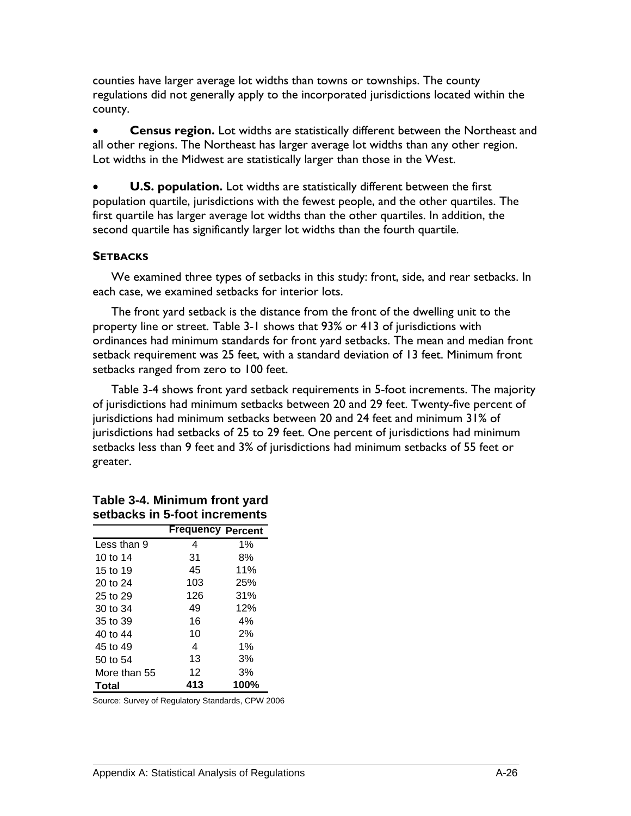counties have larger average lot widths than towns or townships. The county regulations did not generally apply to the incorporated jurisdictions located within the county.

• **Census region.** Lot widths are statistically different between the Northeast and all other regions. The Northeast has larger average lot widths than any other region. Lot widths in the Midwest are statistically larger than those in the West.

**U.S. population.** Lot widths are statistically different between the first population quartile, jurisdictions with the fewest people, and the other quartiles. The first quartile has larger average lot widths than the other quartiles. In addition, the second quartile has significantly larger lot widths than the fourth quartile.

#### **SETBACKS**

We examined three types of setbacks in this study: front, side, and rear setbacks. In each case, we examined setbacks for interior lots.

The front yard setback is the distance from the front of the dwelling unit to the property line or street. Table 3-1 shows that 93% or 413 of jurisdictions with ordinances had minimum standards for front yard setbacks. The mean and median front setback requirement was 25 feet, with a standard deviation of 13 feet. Minimum front setbacks ranged from zero to 100 feet.

Table 3-4 shows front yard setback requirements in 5-foot increments. The majority of jurisdictions had minimum setbacks between 20 and 29 feet. Twenty-five percent of jurisdictions had minimum setbacks between 20 and 24 feet and minimum 31% of jurisdictions had setbacks of 25 to 29 feet. One percent of jurisdictions had minimum setbacks less than 9 feet and 3% of jurisdictions had minimum setbacks of 55 feet or greater.

| əcinavnə ili |                          |       |
|--------------|--------------------------|-------|
|              | <b>Frequency Percent</b> |       |
| Less than 9  | 4                        | $1\%$ |
| 10 to 14     | 31                       | 8%    |
| 15 to 19     | 45                       | 11%   |
| 20 to 24     | 103                      | 25%   |
| 25 to 29     | 126                      | 31%   |
| 30 to 34     | 49                       | 12%   |
| 35 to 39     | 16                       | 4%    |
| 40 to 44     | 10                       | 2%    |
| 45 to 49     | 4                        | 1%    |
| 50 to 54     | 13                       | 3%    |
| More than 55 | 12                       | 3%    |
| Total        | 413                      | 100%  |

### **Table 3-4. Minimum front yard setbacks in 5-foot increments**

Source: Survey of Regulatory Standards, CPW 2006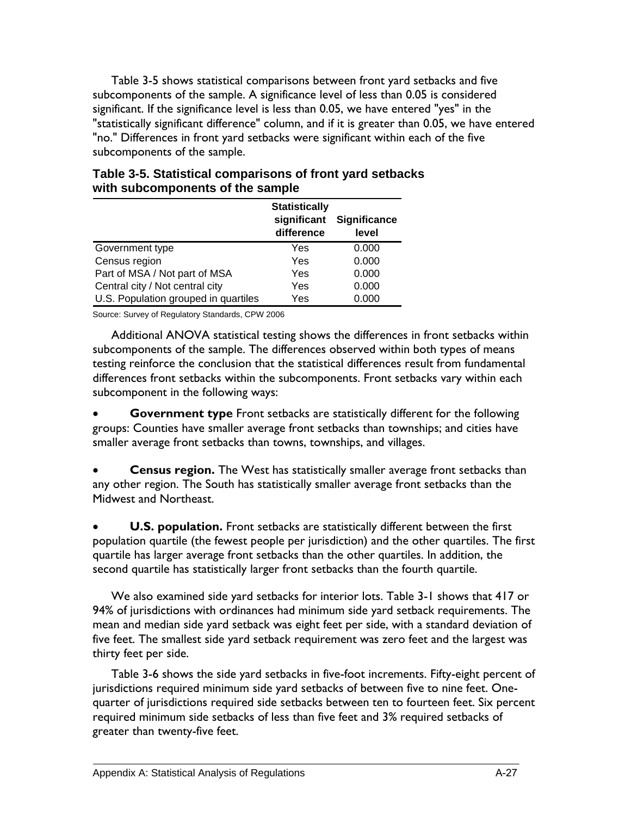Table 3-5 shows statistical comparisons between front yard setbacks and five subcomponents of the sample. A significance level of less than 0.05 is considered significant. If the significance level is less than 0.05, we have entered "yes" in the "statistically significant difference" column, and if it is greater than 0.05, we have entered "no." Differences in front yard setbacks were significant within each of the five subcomponents of the sample.

|                                      | <b>Statistically</b><br>significant<br>difference | <b>Significance</b><br>level |
|--------------------------------------|---------------------------------------------------|------------------------------|
| Government type                      | Yes                                               | 0.000                        |
| Census region                        | Yes                                               | 0.000                        |
| Part of MSA / Not part of MSA        | Yes                                               | 0.000                        |
| Central city / Not central city      | Yes                                               | 0.000                        |
| U.S. Population grouped in quartiles | Yes                                               | 0.000                        |

## **Table 3-5. Statistical comparisons of front yard setbacks with subcomponents of the sample**

Source: Survey of Regulatory Standards, CPW 2006

Additional ANOVA statistical testing shows the differences in front setbacks within subcomponents of the sample. The differences observed within both types of means testing reinforce the conclusion that the statistical differences result from fundamental differences front setbacks within the subcomponents. Front setbacks vary within each subcomponent in the following ways:

**Government type** Front setbacks are statistically different for the following groups: Counties have smaller average front setbacks than townships; and cities have smaller average front setbacks than towns, townships, and villages.

• **Census region.** The West has statistically smaller average front setbacks than any other region. The South has statistically smaller average front setbacks than the Midwest and Northeast.

**U.S. population.** Front setbacks are statistically different between the first population quartile (the fewest people per jurisdiction) and the other quartiles. The first quartile has larger average front setbacks than the other quartiles. In addition, the second quartile has statistically larger front setbacks than the fourth quartile.

We also examined side yard setbacks for interior lots. Table 3-1 shows that 417 or 94% of jurisdictions with ordinances had minimum side yard setback requirements. The mean and median side yard setback was eight feet per side, with a standard deviation of five feet. The smallest side yard setback requirement was zero feet and the largest was thirty feet per side.

Table 3-6 shows the side yard setbacks in five-foot increments. Fifty-eight percent of jurisdictions required minimum side yard setbacks of between five to nine feet. Onequarter of jurisdictions required side setbacks between ten to fourteen feet. Six percent required minimum side setbacks of less than five feet and 3% required setbacks of greater than twenty-five feet.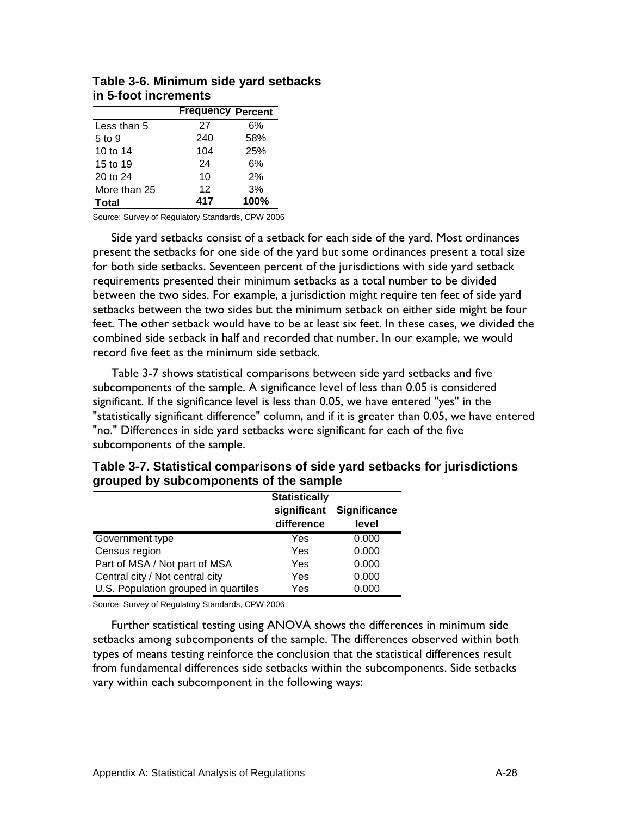|              | <b>Frequency Percent</b> |      |
|--------------|--------------------------|------|
| Less than 5  | 27                       | 6%   |
| 5 to 9       | 240                      | 58%  |
| 10 to 14     | 104                      | 25%  |
| 15 to 19     | 24                       | 6%   |
| 20 to 24     | 10                       | 2%   |
| More than 25 | 12                       | 3%   |
| Total        | 417                      | 100% |

| Table 3-6. Minimum side yard setbacks |  |
|---------------------------------------|--|
| in 5-foot increments                  |  |

Side yard setbacks consist of a setback for each side of the yard. Most ordinances present the setbacks for one side of the yard but some ordinances present a total size for both side setbacks. Seventeen percent of the jurisdictions with side yard setback requirements presented their minimum setbacks as a total number to be divided between the two sides. For example, a jurisdiction might require ten feet of side yard setbacks between the two sides but the minimum setback on either side might be four feet. The other setback would have to be at least six feet. In these cases, we divided the combined side setback in half and recorded that number. In our example, we would record five feet as the minimum side setback.

Table 3-7 shows statistical comparisons between side yard setbacks and five subcomponents of the sample. A significance level of less than 0.05 is considered significant. If the significance level is less than 0.05, we have entered "yes" in the "statistically significant difference" column, and if it is greater than 0.05, we have entered "no." Differences in side yard setbacks were significant for each of the five subcomponents of the sample.

|                                      | grouped by subcomponents of the sample            |                              |  |
|--------------------------------------|---------------------------------------------------|------------------------------|--|
|                                      | <b>Statistically</b><br>significant<br>difference | <b>Significance</b><br>level |  |
| Government type                      | Yes                                               | 0.000                        |  |
| Census region                        | Yes                                               | 0.000                        |  |
| Part of MSA / Not part of MSA        | Yes                                               | 0.000                        |  |
| Central city / Not central city      | Yes                                               | 0.000                        |  |
| U.S. Population grouped in quartiles | Yes                                               | 0.000                        |  |

**Table 3-7. Statistical comparisons of side yard setbacks for jurisdictions grouped by subcomponents of the sample** 

Source: Survey of Regulatory Standards, CPW 2006

Further statistical testing using ANOVA shows the differences in minimum side setbacks among subcomponents of the sample. The differences observed within both types of means testing reinforce the conclusion that the statistical differences result from fundamental differences side setbacks within the subcomponents. Side setbacks vary within each subcomponent in the following ways: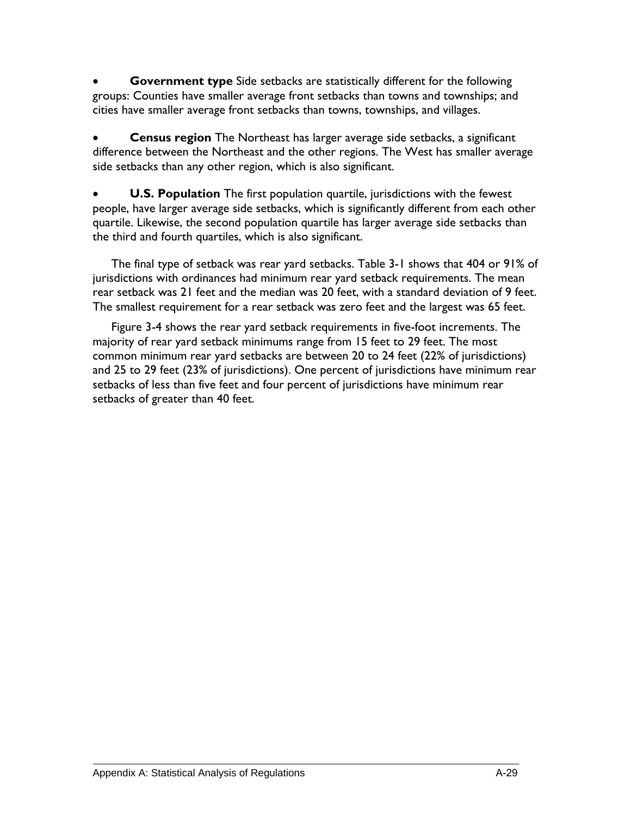**Government type** Side setbacks are statistically different for the following groups: Counties have smaller average front setbacks than towns and townships; and cities have smaller average front setbacks than towns, townships, and villages.

• **Census region** The Northeast has larger average side setbacks, a significant difference between the Northeast and the other regions. The West has smaller average side setbacks than any other region, which is also significant.

**U.S. Population** The first population quartile, jurisdictions with the fewest people, have larger average side setbacks, which is significantly different from each other quartile. Likewise, the second population quartile has larger average side setbacks than the third and fourth quartiles, which is also significant.

The final type of setback was rear yard setbacks. Table 3-1 shows that 404 or 91% of jurisdictions with ordinances had minimum rear yard setback requirements. The mean rear setback was 21 feet and the median was 20 feet, with a standard deviation of 9 feet. The smallest requirement for a rear setback was zero feet and the largest was 65 feet.

Figure 3-4 shows the rear yard setback requirements in five-foot increments. The majority of rear yard setback minimums range from 15 feet to 29 feet. The most common minimum rear yard setbacks are between 20 to 24 feet (22% of jurisdictions) and 25 to 29 feet (23% of jurisdictions). One percent of jurisdictions have minimum rear setbacks of less than five feet and four percent of jurisdictions have minimum rear setbacks of greater than 40 feet.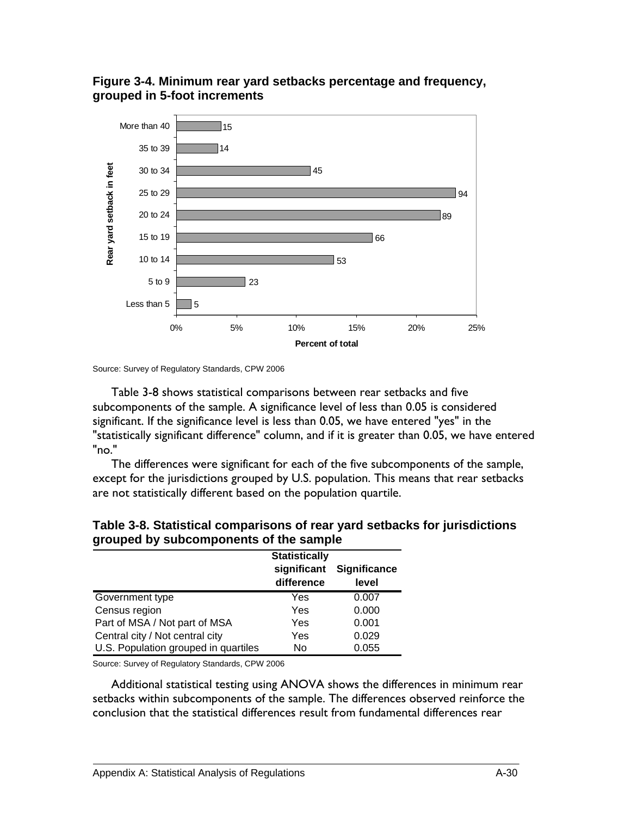## **Figure 3-4. Minimum rear yard setbacks percentage and frequency, grouped in 5-foot increments**



Source: Survey of Regulatory Standards, CPW 2006

Table 3-8 shows statistical comparisons between rear setbacks and five subcomponents of the sample. A significance level of less than 0.05 is considered significant. If the significance level is less than 0.05, we have entered "yes" in the "statistically significant difference" column, and if it is greater than 0.05, we have entered "no."

The differences were significant for each of the five subcomponents of the sample, except for the jurisdictions grouped by U.S. population. This means that rear setbacks are not statistically different based on the population quartile.

|                                      | <b>Statistically</b>      |                              |
|--------------------------------------|---------------------------|------------------------------|
|                                      | significant<br>difference | <b>Significance</b><br>level |
| Government type                      | Yes                       | 0.007                        |
| Census region                        | Yes                       | 0.000                        |
| Part of MSA / Not part of MSA        | Yes                       | 0.001                        |
| Central city / Not central city      | Yes                       | 0.029                        |
| U.S. Population grouped in quartiles | No                        | 0.055                        |

### **Table 3-8. Statistical comparisons of rear yard setbacks for jurisdictions grouped by subcomponents of the sample**

Source: Survey of Regulatory Standards, CPW 2006

Additional statistical testing using ANOVA shows the differences in minimum rear setbacks within subcomponents of the sample. The differences observed reinforce the conclusion that the statistical differences result from fundamental differences rear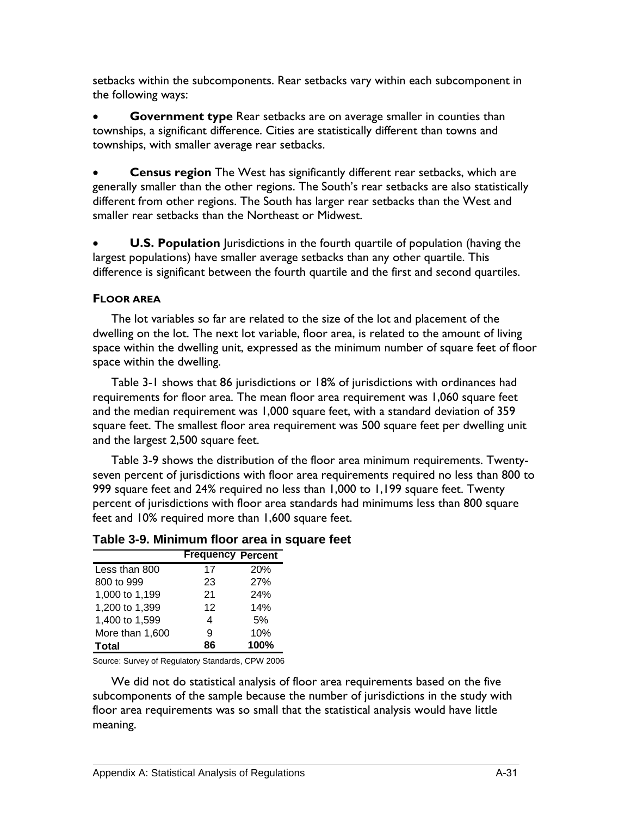setbacks within the subcomponents. Rear setbacks vary within each subcomponent in the following ways:

• **Government type** Rear setbacks are on average smaller in counties than townships, a significant difference. Cities are statistically different than towns and townships, with smaller average rear setbacks.

• **Census region** The West has significantly different rear setbacks, which are generally smaller than the other regions. The South's rear setbacks are also statistically different from other regions. The South has larger rear setbacks than the West and smaller rear setbacks than the Northeast or Midwest.

**U.S. Population** Jurisdictions in the fourth quartile of population (having the largest populations) have smaller average setbacks than any other quartile. This difference is significant between the fourth quartile and the first and second quartiles.

## **FLOOR AREA**

The lot variables so far are related to the size of the lot and placement of the dwelling on the lot. The next lot variable, floor area, is related to the amount of living space within the dwelling unit, expressed as the minimum number of square feet of floor space within the dwelling.

Table 3-1 shows that 86 jurisdictions or 18% of jurisdictions with ordinances had requirements for floor area. The mean floor area requirement was 1,060 square feet and the median requirement was 1,000 square feet, with a standard deviation of 359 square feet. The smallest floor area requirement was 500 square feet per dwelling unit and the largest 2,500 square feet.

Table 3-9 shows the distribution of the floor area minimum requirements. Twentyseven percent of jurisdictions with floor area requirements required no less than 800 to 999 square feet and 24% required no less than 1,000 to 1,199 square feet. Twenty percent of jurisdictions with floor area standards had minimums less than 800 square feet and 10% required more than 1,600 square feet.

|                 | <b>Frequency Percent</b> |            |
|-----------------|--------------------------|------------|
| Less than 800   | 17                       | <b>20%</b> |
| 800 to 999      | 23                       | 27%        |
| 1,000 to 1,199  | 21                       | 24%        |
| 1,200 to 1,399  | 12                       | 14%        |
| 1,400 to 1,599  | 4                        | 5%         |
| More than 1,600 | я                        | 10%        |
| Total           | 86                       | 100%       |

# **Table 3-9. Minimum floor area in square feet**

Source: Survey of Regulatory Standards, CPW 2006

We did not do statistical analysis of floor area requirements based on the five subcomponents of the sample because the number of jurisdictions in the study with floor area requirements was so small that the statistical analysis would have little meaning.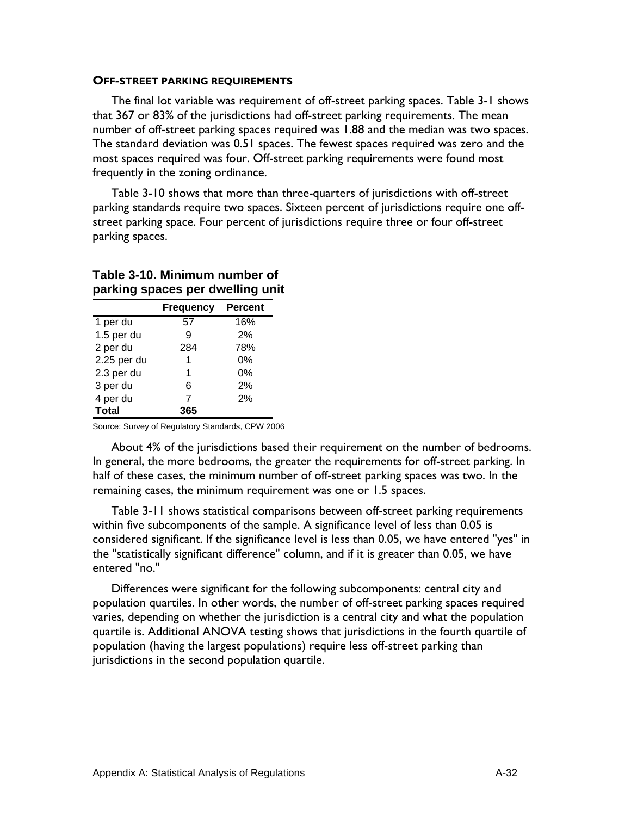#### **OFF-STREET PARKING REQUIREMENTS**

The final lot variable was requirement of off-street parking spaces. Table 3-1 shows that 367 or 83% of the jurisdictions had off-street parking requirements. The mean number of off-street parking spaces required was 1.88 and the median was two spaces. The standard deviation was 0.51 spaces. The fewest spaces required was zero and the most spaces required was four. Off-street parking requirements were found most frequently in the zoning ordinance.

Table 3-10 shows that more than three-quarters of jurisdictions with off-street parking standards require two spaces. Sixteen percent of jurisdictions require one offstreet parking space. Four percent of jurisdictions require three or four off-street parking spaces.

|              | <b>Frequency</b> | <b>Percent</b> |
|--------------|------------------|----------------|
| 1 per du     | 57               | 16%            |
| 1.5 per du   | 9                | 2%             |
| 2 per du     | 284              | 78%            |
| 2.25 per du  | 1                | 0%             |
| 2.3 per du   | 1                | 0%             |
| 3 per du     | 6                | 2%             |
| 4 per du     | 7                | 2%             |
| <b>Total</b> | 365              |                |

### **Table 3-10. Minimum number of parking spaces per dwelling unit**

Source: Survey of Regulatory Standards, CPW 2006

About 4% of the jurisdictions based their requirement on the number of bedrooms. In general, the more bedrooms, the greater the requirements for off-street parking. In half of these cases, the minimum number of off-street parking spaces was two. In the remaining cases, the minimum requirement was one or 1.5 spaces.

Table 3-11 shows statistical comparisons between off-street parking requirements within five subcomponents of the sample. A significance level of less than 0.05 is considered significant. If the significance level is less than 0.05, we have entered "yes" in the "statistically significant difference" column, and if it is greater than 0.05, we have entered "no."

Differences were significant for the following subcomponents: central city and population quartiles. In other words, the number of off-street parking spaces required varies, depending on whether the jurisdiction is a central city and what the population quartile is. Additional ANOVA testing shows that jurisdictions in the fourth quartile of population (having the largest populations) require less off-street parking than jurisdictions in the second population quartile.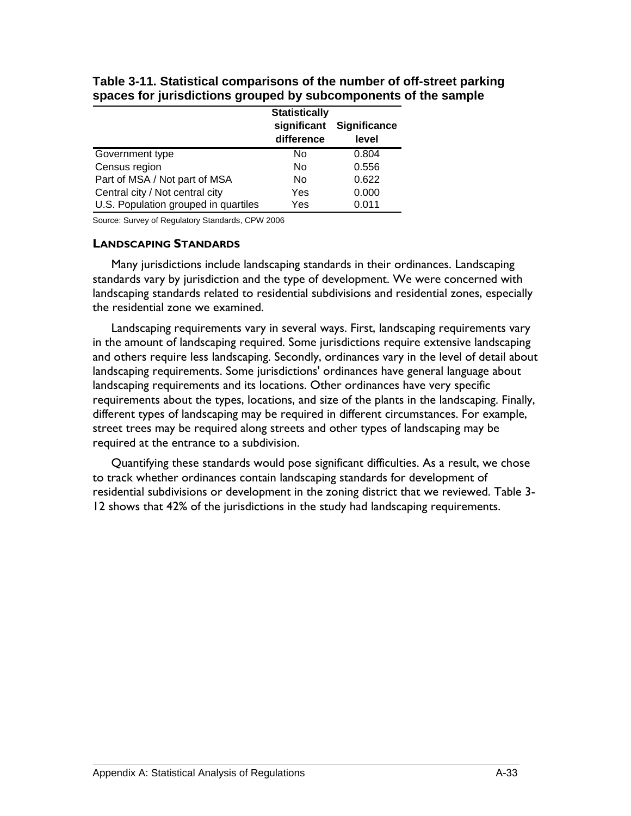|                                      | <b>Statistically</b>      |                       |
|--------------------------------------|---------------------------|-----------------------|
|                                      | significant<br>difference | Significance<br>level |
| Government type                      | No                        | 0.804                 |
| Census region                        | No                        | 0.556                 |
| Part of MSA / Not part of MSA        | No                        | 0.622                 |
| Central city / Not central city      | Yes                       | 0.000                 |
| U.S. Population grouped in quartiles | Yes                       | 0.011                 |

**Table 3-11. Statistical comparisons of the number of off-street parking spaces for jurisdictions grouped by subcomponents of the sample** 

#### **LANDSCAPING STANDARDS**

Many jurisdictions include landscaping standards in their ordinances. Landscaping standards vary by jurisdiction and the type of development. We were concerned with landscaping standards related to residential subdivisions and residential zones, especially the residential zone we examined.

Landscaping requirements vary in several ways. First, landscaping requirements vary in the amount of landscaping required. Some jurisdictions require extensive landscaping and others require less landscaping. Secondly, ordinances vary in the level of detail about landscaping requirements. Some jurisdictions' ordinances have general language about landscaping requirements and its locations. Other ordinances have very specific requirements about the types, locations, and size of the plants in the landscaping. Finally, different types of landscaping may be required in different circumstances. For example, street trees may be required along streets and other types of landscaping may be required at the entrance to a subdivision.

Quantifying these standards would pose significant difficulties. As a result, we chose to track whether ordinances contain landscaping standards for development of residential subdivisions or development in the zoning district that we reviewed. Table 3- 12 shows that 42% of the jurisdictions in the study had landscaping requirements.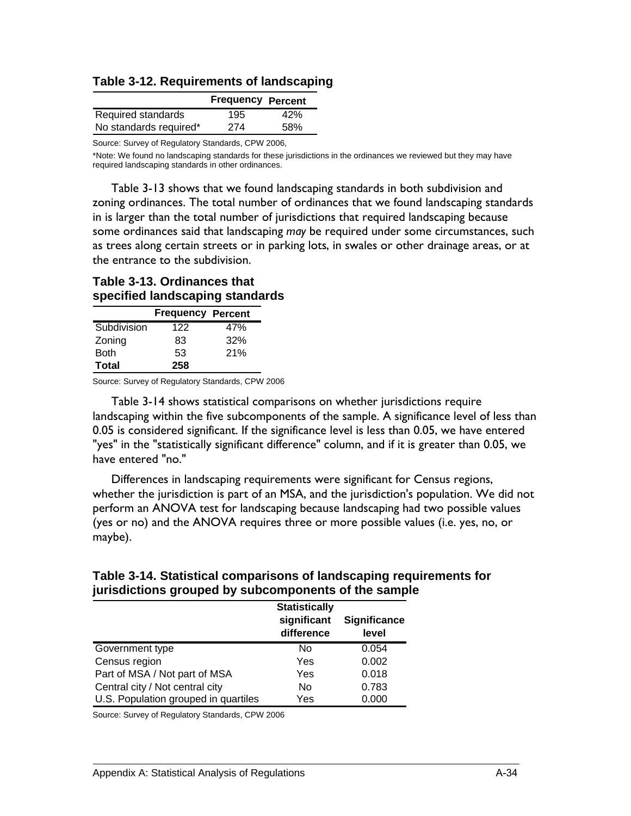**Table 3-12. Requirements of landscaping** 

|                        | <b>Frequency Percent</b> |     |
|------------------------|--------------------------|-----|
| Required standards     | 195                      | 42% |
| No standards required* | 274                      | 58% |

\*Note: We found no landscaping standards for these jurisdictions in the ordinances we reviewed but they may have required landscaping standards in other ordinances.

Table 3-13 shows that we found landscaping standards in both subdivision and zoning ordinances. The total number of ordinances that we found landscaping standards in is larger than the total number of jurisdictions that required landscaping because some ordinances said that landscaping *may* be required under some circumstances, such as trees along certain streets or in parking lots, in swales or other drainage areas, or at the entrance to the subdivision.

## **Table 3-13. Ordinances that specified landscaping standards**

|             | <b>Frequency Percent</b> |     |
|-------------|--------------------------|-----|
| Subdivision | 122                      | 47% |
| Zoning      | 83                       | 32% |
| <b>Both</b> | 53                       | 21% |
| Total       | 258                      |     |

Source: Survey of Regulatory Standards, CPW 2006

Table 3-14 shows statistical comparisons on whether jurisdictions require landscaping within the five subcomponents of the sample. A significance level of less than 0.05 is considered significant. If the significance level is less than 0.05, we have entered "yes" in the "statistically significant difference" column, and if it is greater than 0.05, we have entered "no."

Differences in landscaping requirements were significant for Census regions, whether the jurisdiction is part of an MSA, and the jurisdiction's population. We did not perform an ANOVA test for landscaping because landscaping had two possible values (yes or no) and the ANOVA requires three or more possible values (i.e. yes, no, or maybe).

## **Table 3-14. Statistical comparisons of landscaping requirements for jurisdictions grouped by subcomponents of the sample**

|                                      | <b>Statistically</b>      |                              |
|--------------------------------------|---------------------------|------------------------------|
|                                      | significant<br>difference | <b>Significance</b><br>level |
| Government type                      | No                        | 0.054                        |
| Census region                        | Yes                       | 0.002                        |
| Part of MSA / Not part of MSA        | Yes                       | 0.018                        |
| Central city / Not central city      | No                        | 0.783                        |
| U.S. Population grouped in quartiles | Yes                       | 0.000                        |

Source: Survey of Regulatory Standards, CPW 2006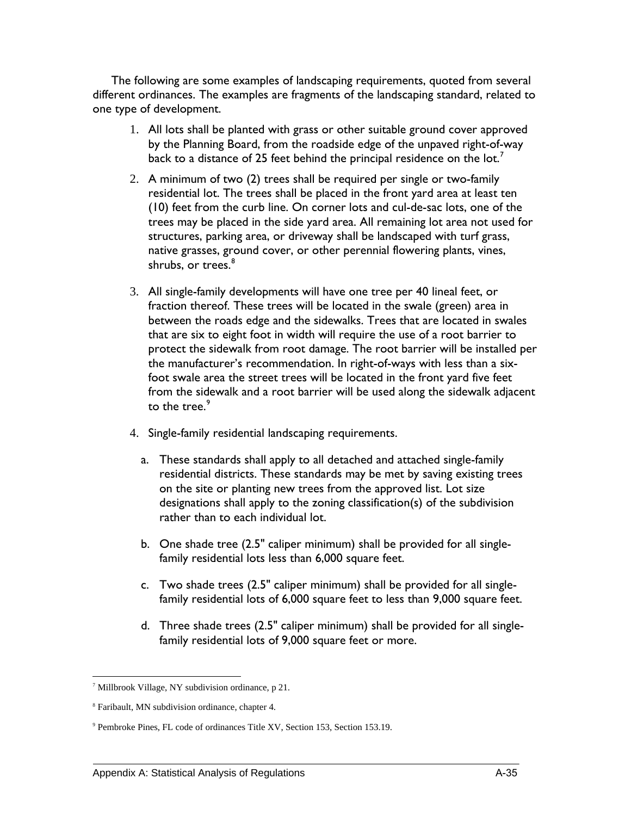The following are some examples of landscaping requirements, quoted from several different ordinances. The examples are fragments of the landscaping standard, related to one type of development.

- 1. All lots shall be planted with grass or other suitable ground cover approved by the Planning Board, from the roadside edge of the unpaved right-of-way back to a distance of 25 feet behind the principal residence on the lot.<sup>7</sup>
- 2. A minimum of two (2) trees shall be required per single or two-family residential lot. The trees shall be placed in the front yard area at least ten (10) feet from the curb line. On corner lots and cul-de-sac lots, one of the trees may be placed in the side yard area. All remaining lot area not used for structures, parking area, or driveway shall be landscaped with turf grass, native grasses, ground cover, or other perennial flowering plants, vines, shrubs, or trees.<sup>[8](#page-116-1)</sup>
- 3. All single-family developments will have one tree per 40 lineal feet, or fraction thereof. These trees will be located in the swale (green) area in between the roads edge and the sidewalks. Trees that are located in swales that are six to eight foot in width will require the use of a root barrier to protect the sidewalk from root damage. The root barrier will be installed per the manufacturer's recommendation. In right-of-ways with less than a sixfoot swale area the street trees will be located in the front yard five feet from the sidewalk and a root barrier will be used along the sidewalk adjacent to the tree.<sup>[9](#page-116-2)</sup>
- 4. Single-family residential landscaping requirements.
	- a. These standards shall apply to all detached and attached single-family residential districts. These standards may be met by saving existing trees on the site or planting new trees from the approved list. Lot size designations shall apply to the zoning classification(s) of the subdivision rather than to each individual lot.
	- b. One shade tree (2.5" caliper minimum) shall be provided for all singlefamily residential lots less than 6,000 square feet.
	- c. Two shade trees (2.5" caliper minimum) shall be provided for all singlefamily residential lots of 6,000 square feet to less than 9,000 square feet.
	- d. Three shade trees (2.5" caliper minimum) shall be provided for all singlefamily residential lots of 9,000 square feet or more.

<span id="page-116-0"></span><sup>&</sup>lt;u>.</u> 7 Millbrook Village, NY subdivision ordinance, p 21.

<span id="page-116-1"></span><sup>8</sup> Faribault, MN subdivision ordinance, chapter 4.

<span id="page-116-2"></span><sup>9</sup> Pembroke Pines, FL code of ordinances Title XV, Section 153, Section 153.19.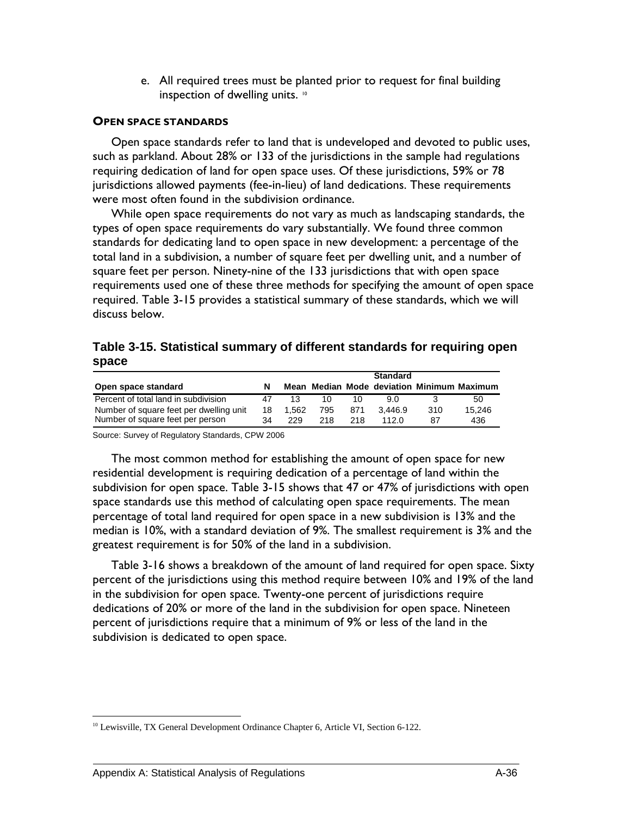e. All required trees must be planted prior to request for final building inspection of dwelling units. <sup>[10](#page-117-0)</sup>

#### **OPEN SPACE STANDARDS**

Open space standards refer to land that is undeveloped and devoted to public uses, such as parkland. About 28% or 133 of the jurisdictions in the sample had regulations requiring dedication of land for open space uses. Of these jurisdictions, 59% or 78 jurisdictions allowed payments (fee-in-lieu) of land dedications. These requirements were most often found in the subdivision ordinance.

While open space requirements do not vary as much as landscaping standards, the types of open space requirements do vary substantially. We found three common standards for dedicating land to open space in new development: a percentage of the total land in a subdivision, a number of square feet per dwelling unit, and a number of square feet per person. Ninety-nine of the 133 jurisdictions that with open space requirements used one of these three methods for specifying the amount of open space required. Table 3-15 provides a statistical summary of these standards, which we will discuss below.

|       | Table 3-15. Statistical summary of different standards for requiring open |
|-------|---------------------------------------------------------------------------|
| space |                                                                           |

|                                         |    |       |     |     | <b>Standard</b> |     |                                            |
|-----------------------------------------|----|-------|-----|-----|-----------------|-----|--------------------------------------------|
| Open space standard                     |    |       |     |     |                 |     | Mean Median Mode deviation Minimum Maximum |
| Percent of total land in subdivision    | 47 | 13    | 10. |     | 90.             |     | 50                                         |
| Number of square feet per dwelling unit | 18 | 1.562 | 795 | 871 | 3.446.9         | 310 | 15.246                                     |
| Number of square feet per person        | 34 | 229   | 218 | 218 | 112 $0$         | 87  | 436                                        |

Source: Survey of Regulatory Standards, CPW 2006

The most common method for establishing the amount of open space for new residential development is requiring dedication of a percentage of land within the subdivision for open space. Table 3-15 shows that 47 or 47% of jurisdictions with open space standards use this method of calculating open space requirements. The mean percentage of total land required for open space in a new subdivision is 13% and the median is 10%, with a standard deviation of 9%. The smallest requirement is 3% and the greatest requirement is for 50% of the land in a subdivision.

Table 3-16 shows a breakdown of the amount of land required for open space. Sixty percent of the jurisdictions using this method require between 10% and 19% of the land in the subdivision for open space. Twenty-one percent of jurisdictions require dedications of 20% or more of the land in the subdivision for open space. Nineteen percent of jurisdictions require that a minimum of 9% or less of the land in the subdivision is dedicated to open space.

<span id="page-117-0"></span> $\overline{a}$ <sup>10</sup> Lewisville, TX General Development Ordinance Chapter 6, Article VI, Section 6-122.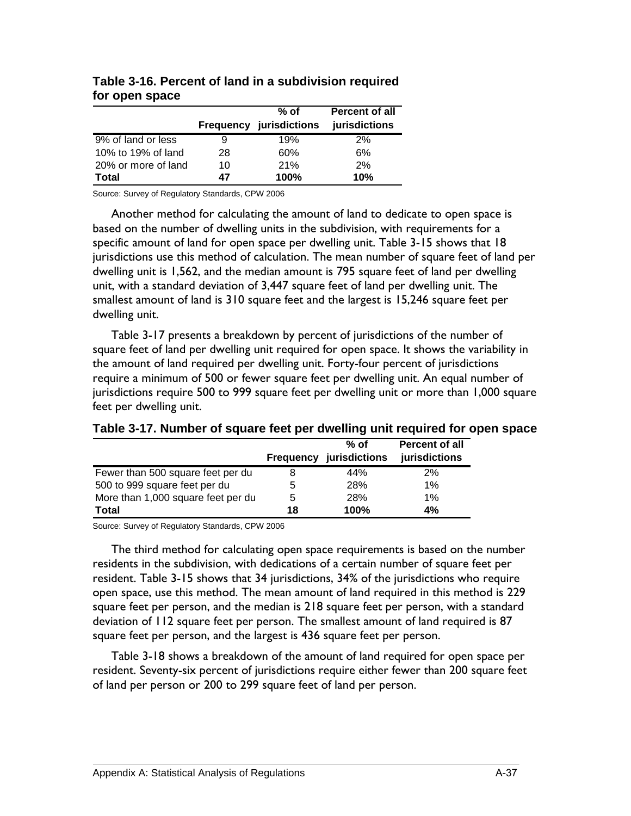|                     |    | $%$ of<br><b>Frequency jurisdictions</b> | <b>Percent of all</b><br>jurisdictions |
|---------------------|----|------------------------------------------|----------------------------------------|
| 9% of land or less  |    | 19%                                      | 2%                                     |
| 10% to 19% of land  | 28 | 60%                                      | 6%                                     |
| 20% or more of land | 10 | 21%                                      | 2%                                     |
| Total               | 47 | 100%                                     | 10%                                    |

## **Table 3-16. Percent of land in a subdivision required for open space**

Source: Survey of Regulatory Standards, CPW 2006

Another method for calculating the amount of land to dedicate to open space is based on the number of dwelling units in the subdivision, with requirements for a specific amount of land for open space per dwelling unit. Table 3-15 shows that 18 jurisdictions use this method of calculation. The mean number of square feet of land per dwelling unit is 1,562, and the median amount is 795 square feet of land per dwelling unit, with a standard deviation of 3,447 square feet of land per dwelling unit. The smallest amount of land is 310 square feet and the largest is 15,246 square feet per dwelling unit.

Table 3-17 presents a breakdown by percent of jurisdictions of the number of square feet of land per dwelling unit required for open space. It shows the variability in the amount of land required per dwelling unit. Forty-four percent of jurisdictions require a minimum of 500 or fewer square feet per dwelling unit. An equal number of jurisdictions require 500 to 999 square feet per dwelling unit or more than 1,000 square feet per dwelling unit.

|                                    |    | $%$ of<br><b>Frequency jurisdictions</b> | <b>Percent of all</b><br>jurisdictions |
|------------------------------------|----|------------------------------------------|----------------------------------------|
| Fewer than 500 square feet per du  |    | 44%                                      | 2%                                     |
| 500 to 999 square feet per du      | b  | 28%                                      | 1%                                     |
| More than 1,000 square feet per du | 5  | 28%                                      | 1%                                     |
| <b>Total</b>                       | 18 | 100%                                     | 4%                                     |

## **Table 3-17. Number of square feet per dwelling unit required for open space**

Source: Survey of Regulatory Standards, CPW 2006

The third method for calculating open space requirements is based on the number residents in the subdivision, with dedications of a certain number of square feet per resident. Table 3-15 shows that 34 jurisdictions, 34% of the jurisdictions who require open space, use this method. The mean amount of land required in this method is 229 square feet per person, and the median is 218 square feet per person, with a standard deviation of 112 square feet per person. The smallest amount of land required is 87 square feet per person, and the largest is 436 square feet per person.

Table 3-18 shows a breakdown of the amount of land required for open space per resident. Seventy-six percent of jurisdictions require either fewer than 200 square feet of land per person or 200 to 299 square feet of land per person.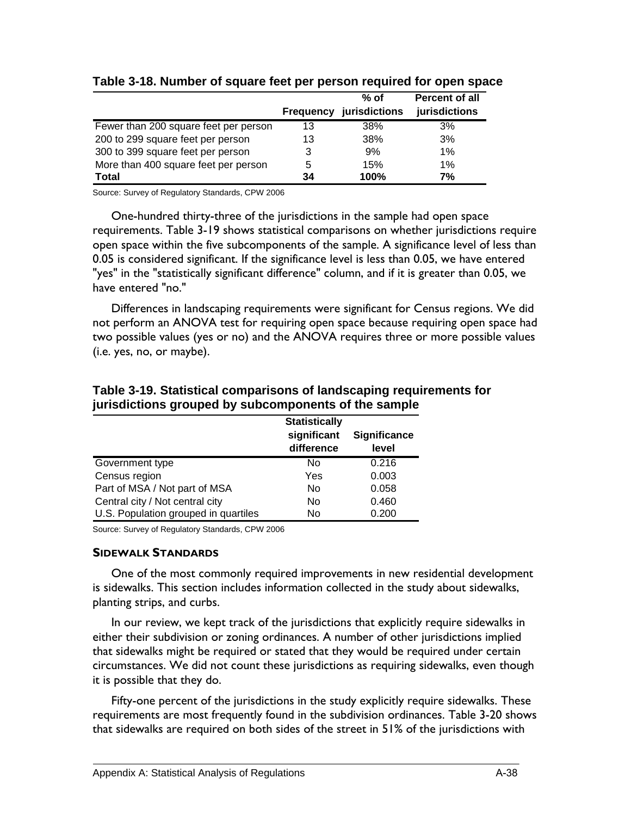|                                       |                  | $%$ of        | <b>Percent of all</b> |
|---------------------------------------|------------------|---------------|-----------------------|
|                                       | <b>Frequency</b> | jurisdictions | jurisdictions         |
| Fewer than 200 square feet per person | 13               | 38%           | 3%                    |
| 200 to 299 square feet per person     | 13               | 38%           | 3%                    |
| 300 to 399 square feet per person     | 3                | 9%            | 1%                    |
| More than 400 square feet per person  | 5                | 15%           | 1%                    |
| <b>Total</b>                          | 34               | 100%          | 7%                    |

## **Table 3-18. Number of square feet per person required for open space**

Source: Survey of Regulatory Standards, CPW 2006

One-hundred thirty-three of the jurisdictions in the sample had open space requirements. Table 3-19 shows statistical comparisons on whether jurisdictions require open space within the five subcomponents of the sample. A significance level of less than 0.05 is considered significant. If the significance level is less than 0.05, we have entered "yes" in the "statistically significant difference" column, and if it is greater than 0.05, we have entered "no."

Differences in landscaping requirements were significant for Census regions. We did not perform an ANOVA test for requiring open space because requiring open space had two possible values (yes or no) and the ANOVA requires three or more possible values (i.e. yes, no, or maybe).

|                                      | <b>Statistically</b>      |                              |
|--------------------------------------|---------------------------|------------------------------|
|                                      | significant<br>difference | <b>Significance</b><br>level |
| Government type                      | No                        | 0.216                        |
| Census region                        | Yes                       | 0.003                        |
| Part of MSA / Not part of MSA        | No                        | 0.058                        |
| Central city / Not central city      | No.                       | 0.460                        |
| U.S. Population grouped in quartiles | No                        | 0.200                        |

## **Table 3-19. Statistical comparisons of landscaping requirements for jurisdictions grouped by subcomponents of the sample**

Source: Survey of Regulatory Standards, CPW 2006

#### **SIDEWALK STANDARDS**

One of the most commonly required improvements in new residential development is sidewalks. This section includes information collected in the study about sidewalks, planting strips, and curbs.

In our review, we kept track of the jurisdictions that explicitly require sidewalks in either their subdivision or zoning ordinances. A number of other jurisdictions implied that sidewalks might be required or stated that they would be required under certain circumstances. We did not count these jurisdictions as requiring sidewalks, even though it is possible that they do.

Fifty-one percent of the jurisdictions in the study explicitly require sidewalks. These requirements are most frequently found in the subdivision ordinances. Table 3-20 shows that sidewalks are required on both sides of the street in 51% of the jurisdictions with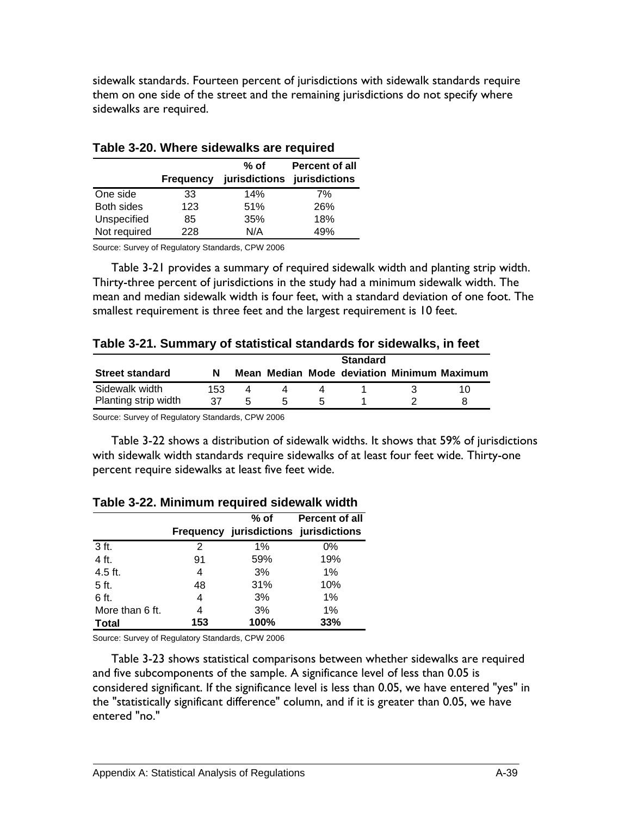sidewalk standards. Fourteen percent of jurisdictions with sidewalk standards require them on one side of the street and the remaining jurisdictions do not specify where sidewalks are required.

|              | <b>Frequency</b> | $%$ of<br>jurisdictions | <b>Percent of all</b><br>jurisdictions |
|--------------|------------------|-------------------------|----------------------------------------|
| One side     | 33               | 14%                     | 7%                                     |
| Both sides   | 123              | 51%                     | 26%                                    |
| Unspecified  | 85               | 35%                     | 18%                                    |
| Not required | 228              | N/A                     | 49%                                    |

### **Table 3-20. Where sidewalks are required**

Source: Survey of Regulatory Standards, CPW 2006

Table 3-21 provides a summary of required sidewalk width and planting strip width. Thirty-three percent of jurisdictions in the study had a minimum sidewalk width. The mean and median sidewalk width is four feet, with a standard deviation of one foot. The smallest requirement is three feet and the largest requirement is 10 feet.

|  | Table 3-21. Summary of statistical standards for sidewalks, in feet |  |  |  |
|--|---------------------------------------------------------------------|--|--|--|
|--|---------------------------------------------------------------------|--|--|--|

| <b>Street standard</b>                 | N          |   |   |                      | <b>Standard</b> | Mean Median Mode deviation Minimum Maximum |
|----------------------------------------|------------|---|---|----------------------|-----------------|--------------------------------------------|
| Sidewalk width<br>Planting strip width | 153.<br>37 | 5 | h | $\ddot{\phantom{1}}$ |                 |                                            |
|                                        |            |   |   |                      |                 |                                            |

Source: Survey of Regulatory Standards, CPW 2006

Table 3-22 shows a distribution of sidewalk widths. It shows that 59% of jurisdictions with sidewalk width standards require sidewalks of at least four feet wide. Thirty-one percent require sidewalks at least five feet wide.

|                 |     | % of<br>Frequency jurisdictions jurisdictions | Percent of all |
|-----------------|-----|-----------------------------------------------|----------------|
|                 |     |                                               |                |
| 3 ft.           | 2   | $1\%$                                         | $0\%$          |
| 4 ft.           | 91  | 59%                                           | 19%            |
| 4.5 ft.         | 4   | 3%                                            | $1\%$          |
| 5 ft.           | 48  | 31%                                           | 10%            |
| 6 ft.           | 4   | 3%                                            | $1\%$          |
| More than 6 ft. | 4   | 3%                                            | 1%             |
| <b>Total</b>    | 153 | 100%                                          | 33%            |

| Table 3-22. Minimum required sidewalk width |  |  |  |  |  |
|---------------------------------------------|--|--|--|--|--|
|---------------------------------------------|--|--|--|--|--|

Source: Survey of Regulatory Standards, CPW 2006

Table 3-23 shows statistical comparisons between whether sidewalks are required and five subcomponents of the sample. A significance level of less than 0.05 is considered significant. If the significance level is less than 0.05, we have entered "yes" in the "statistically significant difference" column, and if it is greater than 0.05, we have entered "no."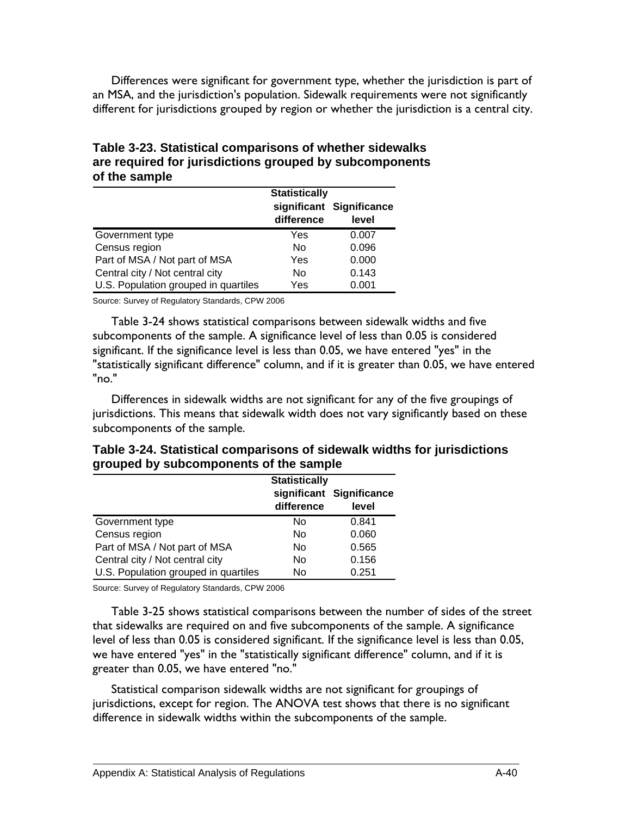Differences were significant for government type, whether the jurisdiction is part of an MSA, and the jurisdiction's population. Sidewalk requirements were not significantly different for jurisdictions grouped by region or whether the jurisdiction is a central city.

| <b>OF THE SAILING</b>                |                      |                          |
|--------------------------------------|----------------------|--------------------------|
|                                      | <b>Statistically</b> | significant Significance |
| Government type                      | difference<br>Yes    | level<br>0.007           |
| Census region                        | No                   | 0.096                    |
| Part of MSA / Not part of MSA        | Yes                  | 0.000                    |
| Central city / Not central city      | No                   | 0.143                    |
| U.S. Population grouped in quartiles | Yes                  | 0.001                    |

**Table 3-23. Statistical comparisons of whether sidewalks are required for jurisdictions grouped by subcomponents of the sample** 

Source: Survey of Regulatory Standards, CPW 2006

Table 3-24 shows statistical comparisons between sidewalk widths and five subcomponents of the sample. A significance level of less than 0.05 is considered significant. If the significance level is less than 0.05, we have entered "yes" in the "statistically significant difference" column, and if it is greater than 0.05, we have entered "no."

Differences in sidewalk widths are not significant for any of the five groupings of jurisdictions. This means that sidewalk width does not vary significantly based on these subcomponents of the sample.

|  | Table 3-24. Statistical comparisons of sidewalk widths for jurisdictions |  |  |
|--|--------------------------------------------------------------------------|--|--|
|  | grouped by subcomponents of the sample                                   |  |  |

|                                      | <b>Statistically</b> |                          |  |  |
|--------------------------------------|----------------------|--------------------------|--|--|
|                                      |                      | significant Significance |  |  |
|                                      | difference           | level                    |  |  |
| Government type                      | No                   | 0.841                    |  |  |
| Census region                        | No                   | 0.060                    |  |  |
| Part of MSA / Not part of MSA        | No                   | 0.565                    |  |  |
| Central city / Not central city      | No                   | 0.156                    |  |  |
| U.S. Population grouped in quartiles | No                   | 0.251                    |  |  |

Source: Survey of Regulatory Standards, CPW 2006

Table 3-25 shows statistical comparisons between the number of sides of the street that sidewalks are required on and five subcomponents of the sample. A significance level of less than 0.05 is considered significant. If the significance level is less than 0.05, we have entered "yes" in the "statistically significant difference" column, and if it is greater than 0.05, we have entered "no."

Statistical comparison sidewalk widths are not significant for groupings of jurisdictions, except for region. The ANOVA test shows that there is no significant difference in sidewalk widths within the subcomponents of the sample.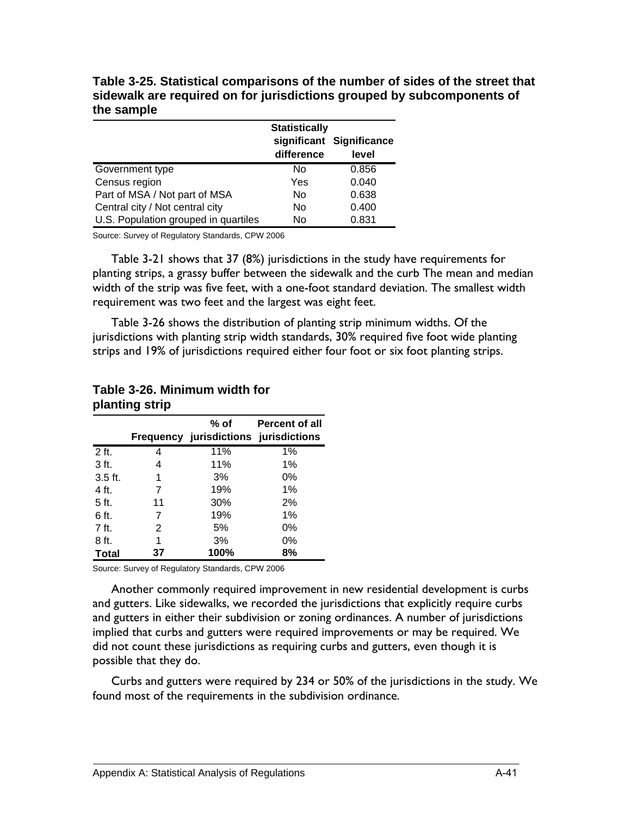**Table 3-25. Statistical comparisons of the number of sides of the street that sidewalk are required on for jurisdictions grouped by subcomponents of the sample** 

|                                      | <b>Statistically</b> |                                   |  |
|--------------------------------------|----------------------|-----------------------------------|--|
|                                      | difference           | significant Significance<br>level |  |
| Government type                      | Nο                   | 0.856                             |  |
| Census region                        | Yes                  | 0.040                             |  |
| Part of MSA / Not part of MSA        | No                   | 0.638                             |  |
| Central city / Not central city      | No                   | 0.400                             |  |
| U.S. Population grouped in quartiles | No                   | 0.831                             |  |

Table 3-21 shows that 37 (8%) jurisdictions in the study have requirements for planting strips, a grassy buffer between the sidewalk and the curb The mean and median width of the strip was five feet, with a one-foot standard deviation. The smallest width requirement was two feet and the largest was eight feet.

Table 3-26 shows the distribution of planting strip minimum widths. Of the jurisdictions with planting strip width standards, 30% required five foot wide planting strips and 19% of jurisdictions required either four foot or six foot planting strips.

|                 |    | % of<br><b>Frequency jurisdictions jurisdictions</b> | Percent of all |
|-----------------|----|------------------------------------------------------|----------------|
| 2 ft.           | 4  | 11%                                                  | $1\%$          |
| 3 <sub>ft</sub> | 4  | 11%                                                  | $1\%$          |
| $3.5$ ft.       | 1  | 3%                                                   | 0%             |
| 4 ft.           | 7  | 19%                                                  | 1%             |
| 5 ft.           | 11 | 30%                                                  | 2%             |
| 6 ft.           | 7  | 19%                                                  | 1%             |
| $7$ ft.         | 2  | 5%                                                   | 0%             |
| 8 ft.           | 1  | 3%                                                   | 0%             |
| <b>Total</b>    | 37 | 100%                                                 | 8%             |

#### **Table 3-26. Minimum width for planting strip**

Source: Survey of Regulatory Standards, CPW 2006

Another commonly required improvement in new residential development is curbs and gutters. Like sidewalks, we recorded the jurisdictions that explicitly require curbs and gutters in either their subdivision or zoning ordinances. A number of jurisdictions implied that curbs and gutters were required improvements or may be required. We did not count these jurisdictions as requiring curbs and gutters, even though it is possible that they do.

Curbs and gutters were required by 234 or 50% of the jurisdictions in the study. We found most of the requirements in the subdivision ordinance.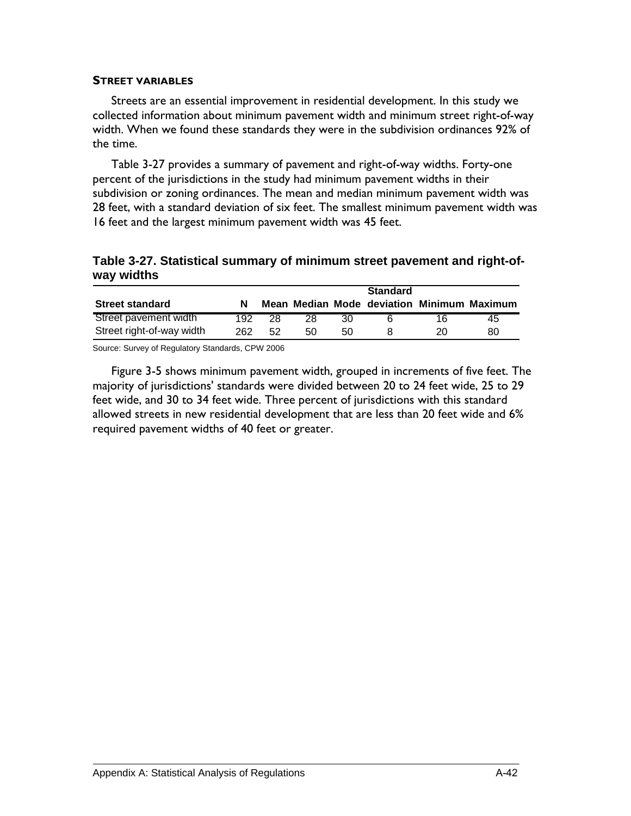#### **STREET VARIABLES**

Streets are an essential improvement in residential development. In this study we collected information about minimum pavement width and minimum street right-of-way width. When we found these standards they were in the subdivision ordinances 92% of the time.

Table 3-27 provides a summary of pavement and right-of-way widths. Forty-one percent of the jurisdictions in the study had minimum pavement widths in their subdivision or zoning ordinances. The mean and median minimum pavement width was 28 feet, with a standard deviation of six feet. The smallest minimum pavement width was 16 feet and the largest minimum pavement width was 45 feet.

## **Table 3-27. Statistical summary of minimum street pavement and right-ofway widths**

| <b>Street standard</b>    |     |     |    |     | <b>Standard</b> |    | Mean Median Mode deviation Minimum Maximum |
|---------------------------|-----|-----|----|-----|-----------------|----|--------------------------------------------|
| Street pavement width     | 192 | 28. | 28 | 30. |                 | 16 | 45                                         |
| Street right-of-way width | 262 | 52  | 50 | 50  |                 |    | 80                                         |

Source: Survey of Regulatory Standards, CPW 2006

Figure 3-5 shows minimum pavement width, grouped in increments of five feet. The majority of jurisdictions' standards were divided between 20 to 24 feet wide, 25 to 29 feet wide, and 30 to 34 feet wide. Three percent of jurisdictions with this standard allowed streets in new residential development that are less than 20 feet wide and 6% required pavement widths of 40 feet or greater.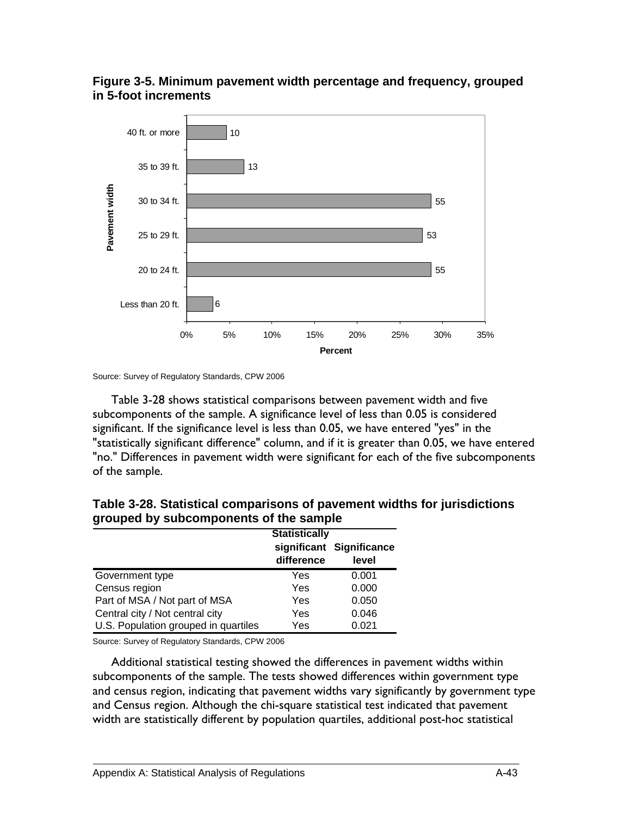



Table 3-28 shows statistical comparisons between pavement width and five subcomponents of the sample. A significance level of less than 0.05 is considered significant. If the significance level is less than 0.05, we have entered "yes" in the "statistically significant difference" column, and if it is greater than 0.05, we have entered "no." Differences in pavement width were significant for each of the five subcomponents of the sample.

|                                      | <b>Statistically</b> |                                   |  |
|--------------------------------------|----------------------|-----------------------------------|--|
|                                      | difference           | significant Significance<br>level |  |
| Government type                      | Yes                  | 0.001                             |  |
| Census region                        | Yes                  | 0.000                             |  |
| Part of MSA / Not part of MSA        | Yes                  | 0.050                             |  |
| Central city / Not central city      | Yes                  | 0.046                             |  |
| U.S. Population grouped in quartiles | Yes                  | 0.021                             |  |

**Table 3-28. Statistical comparisons of pavement widths for jurisdictions grouped by subcomponents of the sample** 

Source: Survey of Regulatory Standards, CPW 2006

Additional statistical testing showed the differences in pavement widths within subcomponents of the sample. The tests showed differences within government type and census region, indicating that pavement widths vary significantly by government type and Census region. Although the chi-square statistical test indicated that pavement width are statistically different by population quartiles, additional post-hoc statistical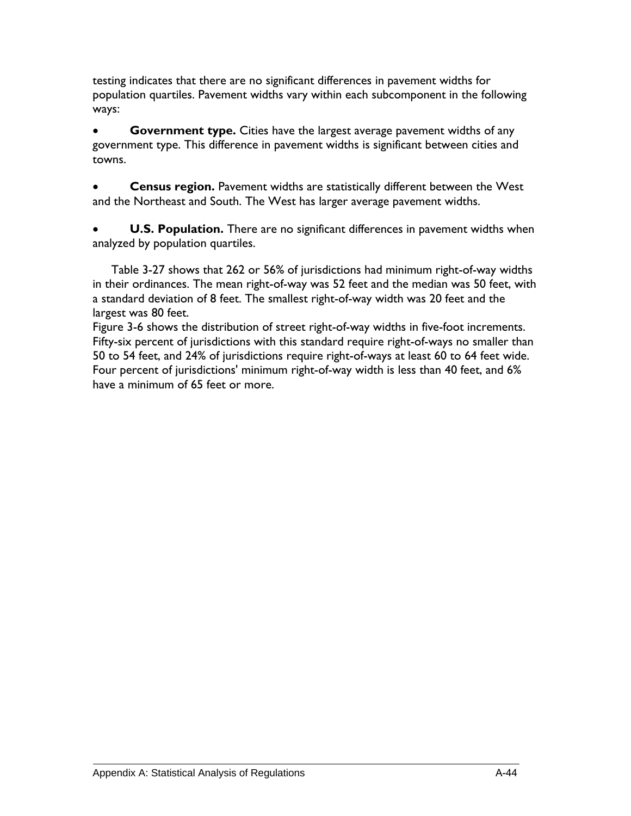testing indicates that there are no significant differences in pavement widths for population quartiles. Pavement widths vary within each subcomponent in the following ways:

**Government type.** Cities have the largest average pavement widths of any government type. This difference in pavement widths is significant between cities and towns.

• **Census region.** Pavement widths are statistically different between the West and the Northeast and South. The West has larger average pavement widths.

**U.S. Population.** There are no significant differences in pavement widths when analyzed by population quartiles.

Table 3-27 shows that 262 or 56% of jurisdictions had minimum right-of-way widths in their ordinances. The mean right-of-way was 52 feet and the median was 50 feet, with a standard deviation of 8 feet. The smallest right-of-way width was 20 feet and the largest was 80 feet.

Figure 3-6 shows the distribution of street right-of-way widths in five-foot increments. Fifty-six percent of jurisdictions with this standard require right-of-ways no smaller than 50 to 54 feet, and 24% of jurisdictions require right-of-ways at least 60 to 64 feet wide. Four percent of jurisdictions' minimum right-of-way width is less than 40 feet, and 6% have a minimum of 65 feet or more.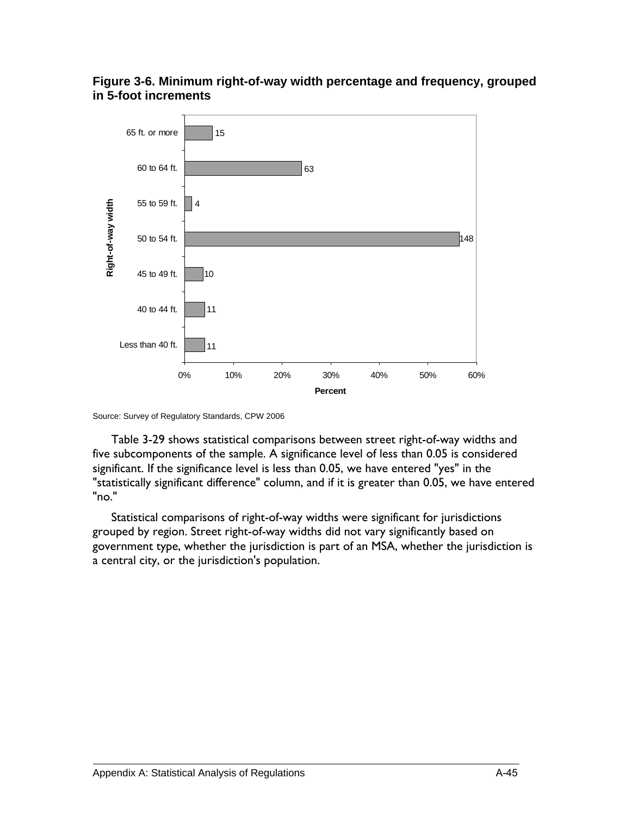### **Figure 3-6. Minimum right-of-way width percentage and frequency, grouped in 5-foot increments**



Source: Survey of Regulatory Standards, CPW 2006

Table 3-29 shows statistical comparisons between street right-of-way widths and five subcomponents of the sample. A significance level of less than 0.05 is considered significant. If the significance level is less than 0.05, we have entered "yes" in the "statistically significant difference" column, and if it is greater than 0.05, we have entered "no."

Statistical comparisons of right-of-way widths were significant for jurisdictions grouped by region. Street right-of-way widths did not vary significantly based on government type, whether the jurisdiction is part of an MSA, whether the jurisdiction is a central city, or the jurisdiction's population.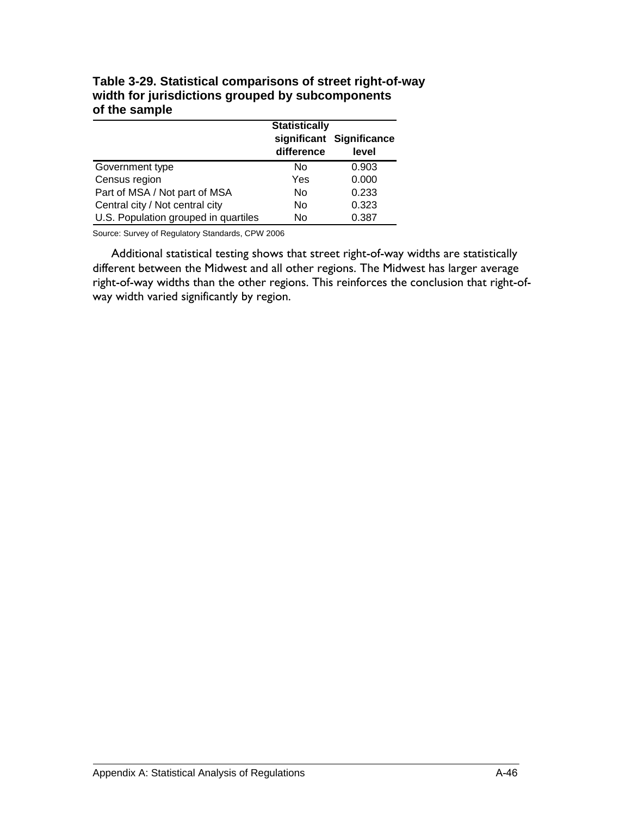|                                      | <b>Statistically</b> |                                   |  |
|--------------------------------------|----------------------|-----------------------------------|--|
|                                      | difference           | significant Significance<br>level |  |
| Government type                      | N٥                   | 0.903                             |  |
| Census region                        | Yes                  | 0.000                             |  |
| Part of MSA / Not part of MSA        | No                   | 0.233                             |  |
| Central city / Not central city      | No                   | 0.323                             |  |
| U.S. Population grouped in quartiles | No                   | 0.387                             |  |

**Table 3-29. Statistical comparisons of street right-of-way width for jurisdictions grouped by subcomponents of the sample** 

Additional statistical testing shows that street right-of-way widths are statistically different between the Midwest and all other regions. The Midwest has larger average right-of-way widths than the other regions. This reinforces the conclusion that right-ofway width varied significantly by region.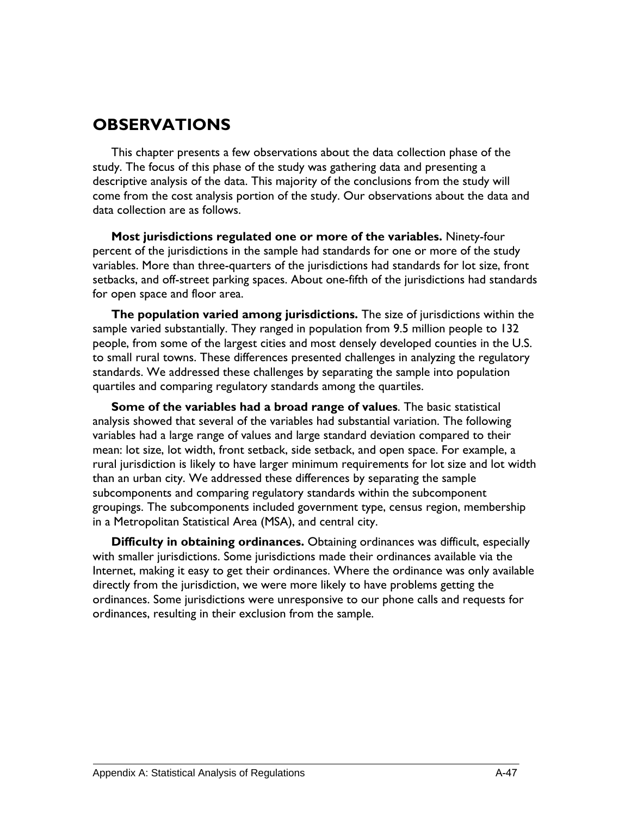# **OBSERVATIONS**

This chapter presents a few observations about the data collection phase of the study. The focus of this phase of the study was gathering data and presenting a descriptive analysis of the data. This majority of the conclusions from the study will come from the cost analysis portion of the study. Our observations about the data and data collection are as follows.

**Most jurisdictions regulated one or more of the variables.** Ninety-four percent of the jurisdictions in the sample had standards for one or more of the study variables. More than three-quarters of the jurisdictions had standards for lot size, front setbacks, and off-street parking spaces. About one-fifth of the jurisdictions had standards for open space and floor area.

**The population varied among jurisdictions.** The size of jurisdictions within the sample varied substantially. They ranged in population from 9.5 million people to 132 people, from some of the largest cities and most densely developed counties in the U.S. to small rural towns. These differences presented challenges in analyzing the regulatory standards. We addressed these challenges by separating the sample into population quartiles and comparing regulatory standards among the quartiles.

**Some of the variables had a broad range of values**. The basic statistical analysis showed that several of the variables had substantial variation. The following variables had a large range of values and large standard deviation compared to their mean: lot size, lot width, front setback, side setback, and open space. For example, a rural jurisdiction is likely to have larger minimum requirements for lot size and lot width than an urban city. We addressed these differences by separating the sample subcomponents and comparing regulatory standards within the subcomponent groupings. The subcomponents included government type, census region, membership in a Metropolitan Statistical Area (MSA), and central city.

**Difficulty in obtaining ordinances.** Obtaining ordinances was difficult, especially with smaller jurisdictions. Some jurisdictions made their ordinances available via the Internet, making it easy to get their ordinances. Where the ordinance was only available directly from the jurisdiction, we were more likely to have problems getting the ordinances. Some jurisdictions were unresponsive to our phone calls and requests for ordinances, resulting in their exclusion from the sample.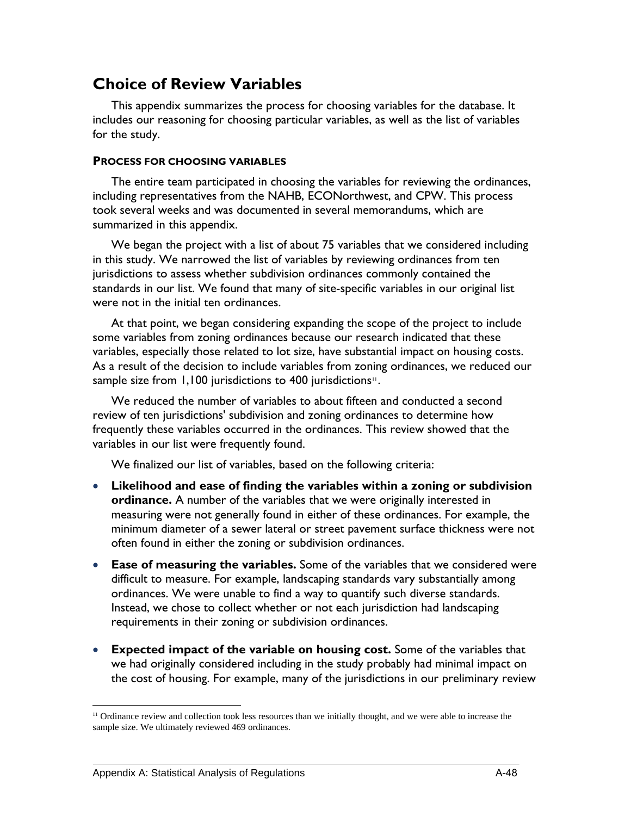# **Choice of Review Variables**

This appendix summarizes the process for choosing variables for the database. It includes our reasoning for choosing particular variables, as well as the list of variables for the study.

#### **PROCESS FOR CHOOSING VARIABLES**

The entire team participated in choosing the variables for reviewing the ordinances, including representatives from the NAHB, ECONorthwest, and CPW. This process took several weeks and was documented in several memorandums, which are summarized in this appendix.

We began the project with a list of about 75 variables that we considered including in this study. We narrowed the list of variables by reviewing ordinances from ten jurisdictions to assess whether subdivision ordinances commonly contained the standards in our list. We found that many of site-specific variables in our original list were not in the initial ten ordinances.

At that point, we began considering expanding the scope of the project to include some variables from zoning ordinances because our research indicated that these variables, especially those related to lot size, have substantial impact on housing costs. As a result of the decision to include variables from zoning ordinances, we reduced our sample size from 1,100 jurisdictions to 400 jurisdictions<sup>[11](#page-129-0)</sup>.

We reduced the number of variables to about fifteen and conducted a second review of ten jurisdictions' subdivision and zoning ordinances to determine how frequently these variables occurred in the ordinances. This review showed that the variables in our list were frequently found.

We finalized our list of variables, based on the following criteria:

- **Likelihood and ease of finding the variables within a zoning or subdivision ordinance.** A number of the variables that we were originally interested in measuring were not generally found in either of these ordinances. For example, the minimum diameter of a sewer lateral or street pavement surface thickness were not often found in either the zoning or subdivision ordinances.
- **Ease of measuring the variables.** Some of the variables that we considered were difficult to measure. For example, landscaping standards vary substantially among ordinances. We were unable to find a way to quantify such diverse standards. Instead, we chose to collect whether or not each jurisdiction had landscaping requirements in their zoning or subdivision ordinances.
- **Expected impact of the variable on housing cost.** Some of the variables that we had originally considered including in the study probably had minimal impact on the cost of housing. For example, many of the jurisdictions in our preliminary review

1

<span id="page-129-0"></span> $11$  Ordinance review and collection took less resources than we initially thought, and we were able to increase the sample size. We ultimately reviewed 469 ordinances.